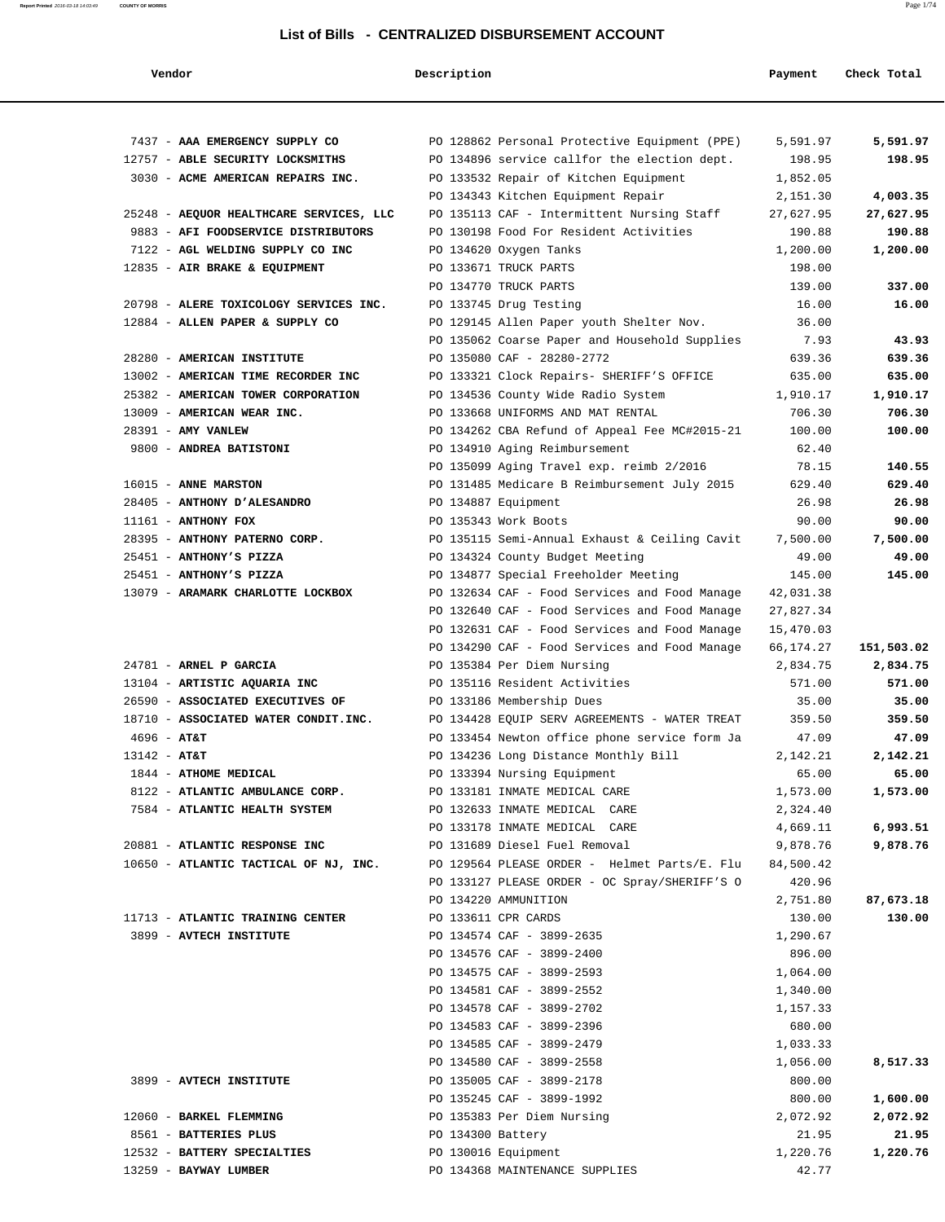| Vendor                                  | Description       |                                                                       | Payment            | Check Total         |
|-----------------------------------------|-------------------|-----------------------------------------------------------------------|--------------------|---------------------|
|                                         |                   |                                                                       |                    |                     |
| 7437 - AAA EMERGENCY SUPPLY CO          |                   | PO 128862 Personal Protective Equipment (PPE)                         | 5,591.97           | 5,591.97            |
| 12757 - ABLE SECURITY LOCKSMITHS        |                   | PO 134896 service callfor the election dept.                          | 198.95             | 198.95              |
| 3030 - ACME AMERICAN REPAIRS INC.       |                   | PO 133532 Repair of Kitchen Equipment                                 | 1,852.05           |                     |
|                                         |                   | PO 134343 Kitchen Equipment Repair                                    | 2,151.30           | 4,003.35            |
| 25248 - AEQUOR HEALTHCARE SERVICES, LLC |                   | PO 135113 CAF - Intermittent Nursing Staff                            | 27,627.95          | 27,627.95           |
| 9883 - AFI FOODSERVICE DISTRIBUTORS     |                   | PO 130198 Food For Resident Activities                                | 190.88             | 190.88              |
| 7122 - AGL WELDING SUPPLY CO INC        |                   | PO 134620 Oxygen Tanks                                                | 1,200.00           | 1,200.00            |
| 12835 - AIR BRAKE & EQUIPMENT           |                   | PO 133671 TRUCK PARTS                                                 | 198.00             |                     |
|                                         |                   | PO 134770 TRUCK PARTS                                                 | 139.00             | 337.00              |
| 20798 - ALERE TOXICOLOGY SERVICES INC.  |                   | PO 133745 Drug Testing                                                | 16.00              | 16.00               |
| 12884 - ALLEN PAPER & SUPPLY CO         |                   | PO 129145 Allen Paper youth Shelter Nov.                              | 36.00              |                     |
|                                         |                   | PO 135062 Coarse Paper and Household Supplies                         | 7.93               | 43.93               |
| 28280 - AMERICAN INSTITUTE              |                   | PO 135080 CAF - 28280-2772                                            | 639.36             | 639.36              |
| 13002 - AMERICAN TIME RECORDER INC      |                   | PO 133321 Clock Repairs- SHERIFF'S OFFICE                             | 635.00             | 635.00              |
| 25382 - AMERICAN TOWER CORPORATION      |                   | PO 134536 County Wide Radio System                                    | 1,910.17           | 1,910.17            |
| 13009 - AMERICAN WEAR INC.              |                   | PO 133668 UNIFORMS AND MAT RENTAL                                     | 706.30             | 706.30              |
| 28391 - AMY VANLEW                      |                   | PO 134262 CBA Refund of Appeal Fee MC#2015-21                         | 100.00             | 100.00              |
| 9800 - ANDREA BATISTONI                 |                   | PO 134910 Aging Reimbursement                                         | 62.40              |                     |
|                                         |                   | PO 135099 Aging Travel exp. reimb 2/2016                              | 78.15              | 140.55              |
| 16015 - ANNE MARSTON                    |                   | PO 131485 Medicare B Reimbursement July 2015                          | 629.40             | 629.40              |
| 28405 - ANTHONY D'ALESANDRO             |                   | PO 134887 Equipment                                                   | 26.98              | 26.98               |
| $11161$ - ANTHONY FOX                   |                   | PO 135343 Work Boots                                                  | 90.00              | 90.00               |
| 28395 - ANTHONY PATERNO CORP.           |                   | PO 135115 Semi-Annual Exhaust & Ceiling Cavit                         | 7,500.00           | 7,500.00            |
| 25451 - ANTHONY'S PIZZA                 |                   | PO 134324 County Budget Meeting                                       | 49.00              | 49.00               |
| 25451 - ANTHONY'S PIZZA                 |                   | PO 134877 Special Freeholder Meeting                                  | 145.00             | 145.00              |
| 13079 - ARAMARK CHARLOTTE LOCKBOX       |                   | PO 132634 CAF - Food Services and Food Manage                         | 42,031.38          |                     |
|                                         |                   | PO 132640 CAF - Food Services and Food Manage                         | 27,827.34          |                     |
|                                         |                   | PO 132631 CAF - Food Services and Food Manage                         | 15,470.03          |                     |
|                                         |                   | PO 134290 CAF - Food Services and Food Manage                         | 66,174.27          | 151,503.02          |
| 24781 - ARNEL P GARCIA                  |                   | PO 135384 Per Diem Nursing                                            | 2,834.75           | 2,834.75            |
| 13104 - ARTISTIC AQUARIA INC            |                   | PO 135116 Resident Activities                                         | 571.00             | 571.00              |
| 26590 - ASSOCIATED EXECUTIVES OF        |                   | PO 133186 Membership Dues                                             | 35.00              | 35.00               |
| 18710 - ASSOCIATED WATER CONDIT.INC.    |                   | PO 134428 EQUIP SERV AGREEMENTS - WATER TREAT                         | 359.50             | 359.50              |
| $4696 - AT&T$                           |                   | PO 133454 Newton office phone service form Ja                         | 47.09              | 47.09               |
| 13142 - AT&T                            |                   | PO 134236 Long Distance Monthly Bill                                  | 2,142.21           | 2,142.21            |
| 1844 - ATHOME MEDICAL                   |                   | PO 133394 Nursing Equipment                                           | 65.00              | 65.00               |
| 8122 - ATLANTIC AMBULANCE CORP.         |                   | PO 133181 INMATE MEDICAL CARE                                         | 1,573.00           | 1,573.00            |
| 7584 - ATLANTIC HEALTH SYSTEM           |                   | PO 132633 INMATE MEDICAL CARE                                         | 2,324.40           |                     |
|                                         |                   | PO 133178 INMATE MEDICAL CARE                                         | 4,669.11           | 6,993.51            |
| 20881 - ATLANTIC RESPONSE INC           |                   | PO 131689 Diesel Fuel Removal                                         | 9,878.76           | 9,878.76            |
| 10650 - ATLANTIC TACTICAL OF NJ, INC.   |                   | PO 129564 PLEASE ORDER - Helmet Parts/E. Flu                          | 84,500.42          |                     |
|                                         |                   | PO 133127 PLEASE ORDER - OC Spray/SHERIFF'S O<br>PO 134220 AMMUNITION | 420.96             |                     |
| 11713 - ATLANTIC TRAINING CENTER        |                   | PO 133611 CPR CARDS                                                   | 2,751.80<br>130.00 | 87,673.18<br>130.00 |
|                                         |                   |                                                                       |                    |                     |
| 3899 - AVTECH INSTITUTE                 |                   | PO 134574 CAF - 3899-2635                                             | 1,290.67<br>896.00 |                     |
|                                         |                   | PO 134576 CAF - 3899-2400<br>PO 134575 CAF - 3899-2593                | 1,064.00           |                     |
|                                         |                   | PO 134581 CAF - 3899-2552                                             | 1,340.00           |                     |
|                                         |                   | PO 134578 CAF - 3899-2702                                             | 1,157.33           |                     |
|                                         |                   | PO 134583 CAF - 3899-2396                                             | 680.00             |                     |
|                                         |                   | PO 134585 CAF - 3899-2479                                             | 1,033.33           |                     |
|                                         |                   | PO 134580 CAF - 3899-2558                                             | 1,056.00           | 8,517.33            |
| 3899 - AVTECH INSTITUTE                 |                   | PO 135005 CAF - 3899-2178                                             | 800.00             |                     |
|                                         |                   | PO 135245 CAF - 3899-1992                                             | 800.00             | 1,600.00            |
| 12060 - BARKEL FLEMMING                 |                   | PO 135383 Per Diem Nursing                                            | 2,072.92           | 2,072.92            |
| 8561 - BATTERIES PLUS                   | PO 134300 Battery |                                                                       | 21.95              | 21.95               |
| 12532 - BATTERY SPECIALTIES             |                   | PO 130016 Equipment                                                   | 1,220.76           | 1,220.76            |
| 13259 - BAYWAY LUMBER                   |                   | PO 134368 MAINTENANCE SUPPLIES                                        | 42.77              |                     |
|                                         |                   |                                                                       |                    |                     |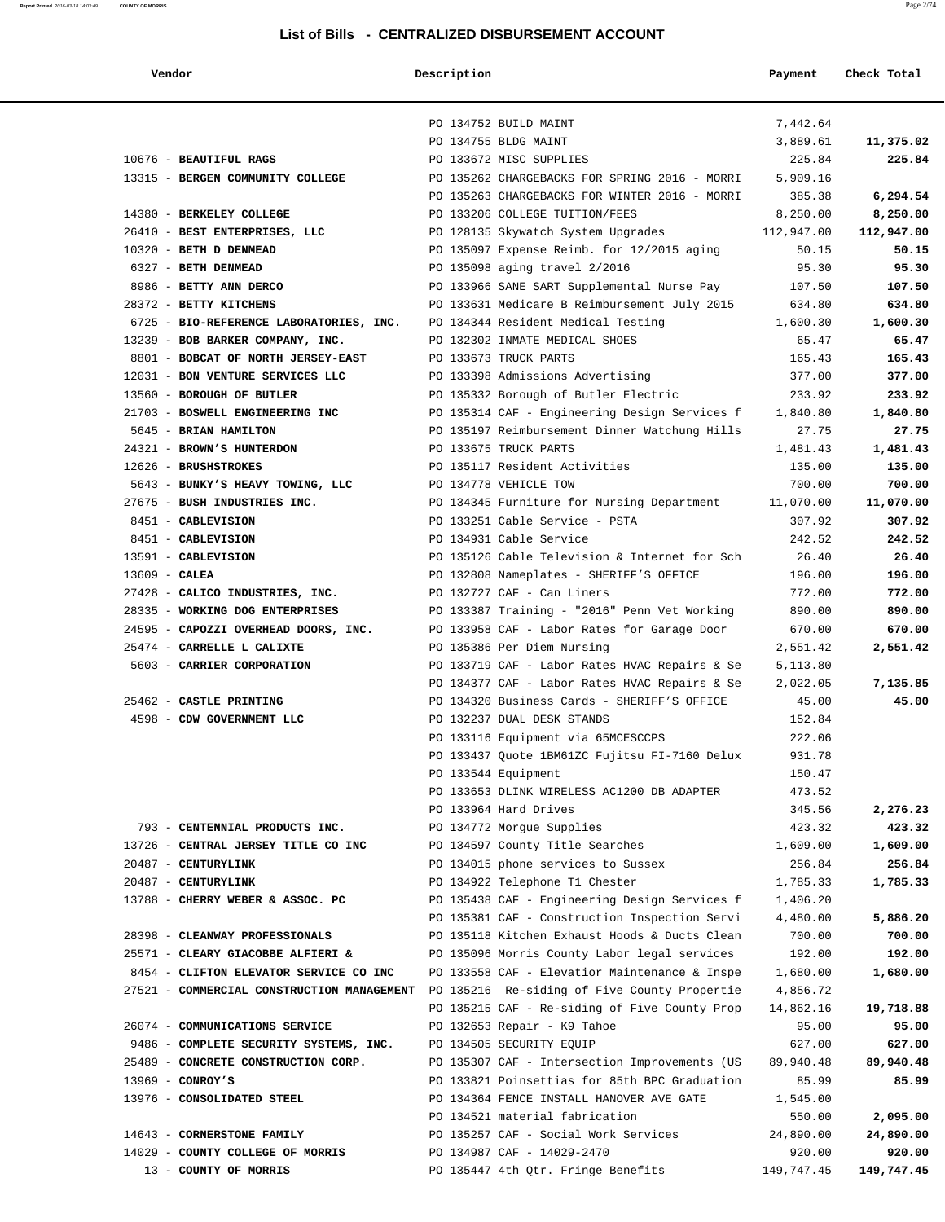| mac |  |
|-----|--|
|     |  |

| Vendor                                                                                  | Description |                                                                       | Payment            | Check Total        |
|-----------------------------------------------------------------------------------------|-------------|-----------------------------------------------------------------------|--------------------|--------------------|
|                                                                                         |             |                                                                       |                    |                    |
|                                                                                         |             | PO 134752 BUILD MAINT                                                 | 7,442.64           |                    |
|                                                                                         |             | PO 134755 BLDG MAINT                                                  | 3,889.61           | 11,375.02          |
| 10676 - BEAUTIFUL RAGS                                                                  |             | PO 133672 MISC SUPPLIES                                               | 225.84             | 225.84             |
| 13315 - BERGEN COMMUNITY COLLEGE                                                        |             | PO 135262 CHARGEBACKS FOR SPRING 2016 - MORRI                         | 5,909.16           |                    |
|                                                                                         |             | PO 135263 CHARGEBACKS FOR WINTER 2016 - MORRI                         | 385.38             | 6,294.54           |
| 14380 - BERKELEY COLLEGE                                                                |             | PO 133206 COLLEGE TUITION/FEES                                        | 8,250.00           | 8,250.00           |
| 26410 - BEST ENTERPRISES, LLC                                                           |             | PO 128135 Skywatch System Upgrades                                    | 112,947.00         | 112,947.00         |
| 10320 - BETH D DENMEAD                                                                  |             | PO 135097 Expense Reimb. for 12/2015 aging                            | 50.15              | 50.15              |
| 6327 - BETH DENMEAD                                                                     |             | PO 135098 aging travel 2/2016                                         | 95.30              | 95.30              |
| 8986 - BETTY ANN DERCO                                                                  |             | PO 133966 SANE SART Supplemental Nurse Pay                            | 107.50             | 107.50             |
| 28372 - BETTY KITCHENS                                                                  |             | PO 133631 Medicare B Reimbursement July 2015                          | 634.80             | 634.80             |
| 6725 - BIO-REFERENCE LABORATORIES, INC.                                                 |             | PO 134344 Resident Medical Testing                                    | 1,600.30           | 1,600.30           |
| 13239 - BOB BARKER COMPANY, INC.                                                        |             | PO 132302 INMATE MEDICAL SHOES                                        | 65.47              | 65.47              |
| 8801 - BOBCAT OF NORTH JERSEY-EAST                                                      |             | PO 133673 TRUCK PARTS                                                 | 165.43             | 165.43             |
| 12031 - BON VENTURE SERVICES LLC                                                        |             | PO 133398 Admissions Advertising                                      | 377.00             | 377.00             |
| 13560 - BOROUGH OF BUTLER                                                               |             | PO 135332 Borough of Butler Electric                                  | 233.92             | 233.92             |
| 21703 - BOSWELL ENGINEERING INC                                                         |             | PO 135314 CAF - Engineering Design Services f                         | 1,840.80           | 1,840.80           |
| 5645 - BRIAN HAMILTON                                                                   |             | PO 135197 Reimbursement Dinner Watchung Hills                         | 27.75              | 27.75              |
| 24321 - BROWN'S HUNTERDON                                                               |             | PO 133675 TRUCK PARTS                                                 | 1,481.43           | 1,481.43           |
| 12626 - BRUSHSTROKES                                                                    |             | PO 135117 Resident Activities                                         | 135.00             | 135.00             |
| 5643 - BUNKY'S HEAVY TOWING, LLC                                                        |             | PO 134778 VEHICLE TOW                                                 | 700.00             | 700.00             |
| 27675 - BUSH INDUSTRIES INC.                                                            |             | PO 134345 Furniture for Nursing Department                            | 11,070.00          | 11,070.00          |
| 8451 - CABLEVISION                                                                      |             | PO 133251 Cable Service - PSTA                                        | 307.92             | 307.92             |
| 8451 - CABLEVISION                                                                      |             | PO 134931 Cable Service                                               | 242.52             | 242.52             |
| 13591 - CABLEVISION                                                                     |             | PO 135126 Cable Television & Internet for Sch                         | 26.40              | 26.40              |
| $13609$ - CALEA                                                                         |             | PO 132808 Nameplates - SHERIFF'S OFFICE                               | 196.00             | 196.00             |
| 27428 - CALICO INDUSTRIES, INC.                                                         |             | PO 132727 CAF - Can Liners                                            | 772.00             | 772.00             |
| 28335 - WORKING DOG ENTERPRISES                                                         |             | PO 133387 Training - "2016" Penn Vet Working                          | 890.00             | 890.00             |
| 24595 - CAPOZZI OVERHEAD DOORS, INC.                                                    |             | PO 133958 CAF - Labor Rates for Garage Door                           | 670.00             | 670.00             |
| 25474 - CARRELLE L CALIXTE                                                              |             | PO 135386 Per Diem Nursing                                            | 2,551.42           | 2,551.42           |
| 5603 - CARRIER CORPORATION                                                              |             | PO 133719 CAF - Labor Rates HVAC Repairs & Se                         | 5,113.80           |                    |
|                                                                                         |             | PO 134377 CAF - Labor Rates HVAC Repairs & Se                         | 2,022.05           | 7,135.85           |
| 25462 - CASTLE PRINTING                                                                 |             | PO 134320 Business Cards - SHERIFF'S OFFICE                           | 45.00              | 45.00              |
| 4598 - CDW GOVERNMENT LLC                                                               |             | PO 132237 DUAL DESK STANDS                                            | 152.84             |                    |
|                                                                                         |             | PO 133116 Equipment via 65MCESCCPS                                    | 222.06             |                    |
|                                                                                         |             | PO 133437 Quote 1BM61ZC Fujitsu FI-7160 Delux                         | 931.78             |                    |
|                                                                                         |             | PO 133544 Equipment                                                   | 150.47             |                    |
|                                                                                         |             | PO 133653 DLINK WIRELESS AC1200 DB ADAPTER                            | 473.52             |                    |
|                                                                                         |             | PO 133964 Hard Drives                                                 | 345.56             | 2,276.23           |
| 793 - CENTENNIAL PRODUCTS INC.                                                          |             | PO 134772 Morgue Supplies                                             | 423.32             | 423.32             |
| 13726 - CENTRAL JERSEY TITLE CO INC<br>20487 - CENTURYLINK                              |             | PO 134597 County Title Searches<br>PO 134015 phone services to Sussex | 1,609.00<br>256.84 | 1,609.00<br>256.84 |
| 20487 - CENTURYLINK                                                                     |             | PO 134922 Telephone T1 Chester                                        | 1,785.33           | 1,785.33           |
| 13788 - CHERRY WEBER & ASSOC. PC                                                        |             | PO 135438 CAF - Engineering Design Services f                         | 1,406.20           |                    |
|                                                                                         |             | PO 135381 CAF - Construction Inspection Servi                         | 4,480.00           | 5,886.20           |
| 28398 - CLEANWAY PROFESSIONALS                                                          |             | PO 135118 Kitchen Exhaust Hoods & Ducts Clean                         | 700.00             | 700.00             |
| 25571 - CLEARY GIACOBBE ALFIERI &                                                       |             | PO 135096 Morris County Labor legal services                          | 192.00             | 192.00             |
| 8454 - CLIFTON ELEVATOR SERVICE CO INC                                                  |             | PO 133558 CAF - Elevatior Maintenance & Inspe                         | 1,680.00           | 1,680.00           |
| 27521 - COMMERCIAL CONSTRUCTION MANAGEMENT PO 135216 Re-siding of Five County Propertie |             |                                                                       | 4,856.72           |                    |
|                                                                                         |             | PO 135215 CAF - Re-siding of Five County Prop                         | 14,862.16          | 19,718.88          |
| 26074 - COMMUNICATIONS SERVICE                                                          |             | PO 132653 Repair - K9 Tahoe                                           | 95.00              | 95.00              |
| 9486 - COMPLETE SECURITY SYSTEMS, INC.                                                  |             | PO 134505 SECURITY EQUIP                                              | 627.00             | 627.00             |
| 25489 - CONCRETE CONSTRUCTION CORP.                                                     |             | PO 135307 CAF - Intersection Improvements (US                         | 89,940.48          | 89,940.48          |
| $13969$ - CONROY'S                                                                      |             | PO 133821 Poinsettias for 85th BPC Graduation                         | 85.99              | 85.99              |
| 13976 - CONSOLIDATED STEEL                                                              |             | PO 134364 FENCE INSTALL HANOVER AVE GATE                              | 1,545.00           |                    |
|                                                                                         |             | PO 134521 material fabrication                                        | 550.00             | 2,095.00           |
| 14643 - CORNERSTONE FAMILY                                                              |             | PO 135257 CAF - Social Work Services                                  | 24,890.00          | 24,890.00          |
| 14029 - COUNTY COLLEGE OF MORRIS                                                        |             | PO 134987 CAF - 14029-2470                                            | 920.00             | 920.00             |
| 13 - COUNTY OF MORRIS                                                                   |             | PO 135447 4th Qtr. Fringe Benefits                                    | 149,747.45         | 149,747.45         |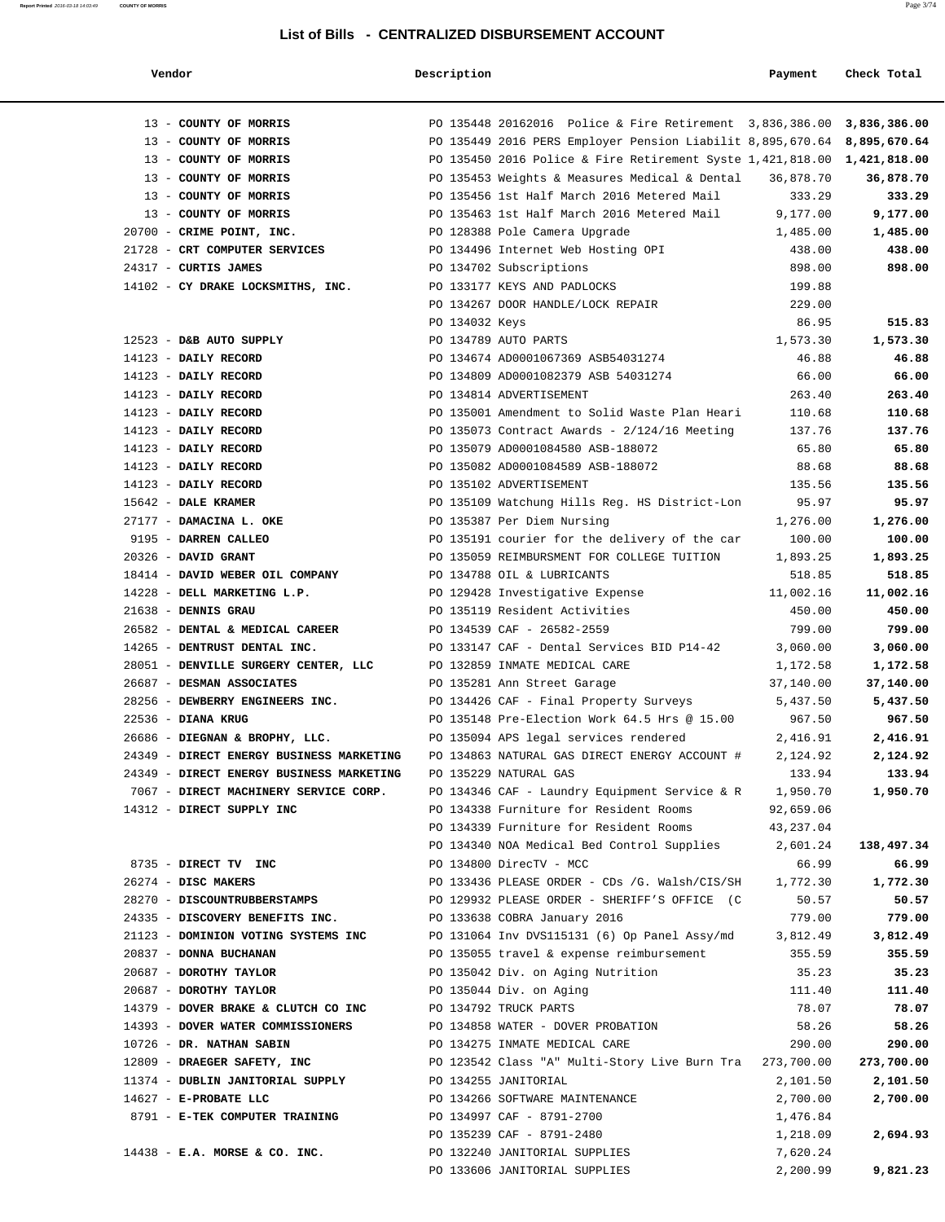| List of Bills - CENTRALIZED DISBURSEMENT ACCOUNT |                |                                                                         |           |             |
|--------------------------------------------------|----------------|-------------------------------------------------------------------------|-----------|-------------|
| Vendor                                           | Description    |                                                                         | Payment   | Check Total |
| 13 - COUNTY OF MORRIS                            |                | PO 135448 20162016 Police & Fire Retirement 3,836,386.00 3,836,386.00   |           |             |
| 13 - COUNTY OF MORRIS                            |                | PO 135449 2016 PERS Employer Pension Liabilit 8,895,670.64 8,895,670.64 |           |             |
| 13 - COUNTY OF MORRIS                            |                | PO 135450 2016 Police & Fire Retirement Syste 1,421,818.00 1,421,818.00 |           |             |
| 13 - COUNTY OF MORRIS                            |                | PO 135453 Weights & Measures Medical & Dental                           | 36,878.70 | 36,878.70   |
| 13 - COUNTY OF MORRIS                            |                | PO 135456 1st Half March 2016 Metered Mail                              | 333.29    | 333.29      |
| 13 - COUNTY OF MORRIS                            |                | PO 135463 1st Half March 2016 Metered Mail                              | 9,177.00  | 9,177.00    |
| 20700 - CRIME POINT, INC.                        |                | PO 128388 Pole Camera Upgrade                                           | 1,485.00  | 1,485.00    |
| 21728 - CRT COMPUTER SERVICES                    |                | PO 134496 Internet Web Hosting OPI                                      | 438.00    | 438.00      |
| 24317 - CURTIS JAMES                             |                | PO 134702 Subscriptions                                                 | 898.00    | 898.00      |
| 14102 - CY DRAKE LOCKSMITHS, INC.                |                | PO 133177 KEYS AND PADLOCKS                                             | 199.88    |             |
|                                                  |                | PO 134267 DOOR HANDLE/LOCK REPAIR                                       | 229.00    |             |
|                                                  | PO 134032 Keys |                                                                         | 86.95     | 515.83      |
| 12523 - D&B AUTO SUPPLY                          |                | PO 134789 AUTO PARTS                                                    | 1,573.30  | 1,573.30    |
| 14123 - DAILY RECORD                             |                | PO 134674 AD0001067369 ASB54031274                                      | 46.88     | 46.88       |
| $14123$ - DAILY RECORD                           |                | PO 134809 AD0001082379 ASB 54031274                                     | 66.00     | 66.00       |
| 14123 - DAILY RECORD                             |                | PO 134814 ADVERTISEMENT                                                 | 263.40    | 263.40      |
| 14123 - DAILY RECORD                             |                | PO 135001 Amendment to Solid Waste Plan Heari                           | 110.68    | 110.68      |
| 14123 - DAILY RECORD                             |                | PO 135073 Contract Awards - 2/124/16 Meeting                            | 137.76    | 137.76      |
| 14123 - DAILY RECORD                             |                | PO 135079 AD0001084580 ASB-188072                                       | 65.80     | 65.80       |
| 14123 - DAILY RECORD                             |                | PO 135082 AD0001084589 ASB-188072                                       | 88.68     | 88.68       |
| 14123 - DAILY RECORD                             |                | PO 135102 ADVERTISEMENT                                                 | 135.56    | 135.56      |
| 15642 - DALE KRAMER                              |                | PO 135109 Watchung Hills Reg. HS District-Lon                           | 95.97     | 95.97       |
| 27177 - DAMACINA L. OKE                          |                | PO 135387 Per Diem Nursing                                              | 1,276.00  | 1,276.00    |
| 9195 - DARREN CALLEO                             |                | PO 135191 courier for the delivery of the car                           | 100.00    | 100.00      |
| 20326 - DAVID GRANT                              |                | PO 135059 REIMBURSMENT FOR COLLEGE TUITION                              | 1,893.25  | 1,893.25    |
| 18414 - DAVID WEBER OIL COMPANY                  |                | PO 134788 OIL & LUBRICANTS                                              | 518.85    | 518.85      |
| 14228 - DELL MARKETING L.P.                      |                | PO 129428 Investigative Expense                                         | 11,002.16 | 11,002.16   |
| 21638 - DENNIS GRAU                              |                | PO 135119 Resident Activities                                           | 450.00    | 450.00      |
| 26582 - DENTAL & MEDICAL CAREER                  |                | PO 134539 CAF - 26582-2559                                              | 799.00    | 799.00      |
| 14265 - DENTRUST DENTAL INC.                     |                | PO 133147 CAF - Dental Services BID P14-42                              | 3,060.00  | 3,060.00    |
| 28051 - DENVILLE SURGERY CENTER, LLC             |                | PO 132859 INMATE MEDICAL CARE                                           | 1,172.58  | 1,172.58    |
| 26687 - DESMAN ASSOCIATES                        |                | PO 135281 Ann Street Garage                                             | 37,140.00 | 37,140.00   |
| 28256 - DEWBERRY ENGINEERS INC.                  |                | PO 134426 CAF - Final Property Surveys                                  | 5,437.50  | 5,437.50    |
| 22536 - DIANA KRUG                               |                | PO 135148 Pre-Election Work 64.5 Hrs @ 15.00                            | 967.50    | 967.50      |
| 26686 - DIEGNAN & BROPHY, LLC.                   |                | PO 135094 APS legal services rendered                                   | 2,416.91  | 2,416.91    |
| 24349 - DIRECT ENERGY BUSINESS MARKETING         |                | PO 134863 NATURAL GAS DIRECT ENERGY ACCOUNT #                           | 2,124.92  | 2,124.92    |
| 24349 - DIRECT ENERGY BUSINESS MARKETING         |                | PO 135229 NATURAL GAS                                                   | 133.94    | 133.94      |
| 7067 - DIRECT MACHINERY SERVICE CORP.            |                | PO 134346 CAF - Laundry Equipment Service & R                           | 1,950.70  | 1,950.70    |
| 14312 - DIRECT SUPPLY INC                        |                | PO 134338 Furniture for Resident Rooms                                  | 92,659.06 |             |
|                                                  |                | PO 134339 Furniture for Resident Rooms                                  | 43,237.04 |             |
|                                                  |                | PO 134340 NOA Medical Bed Control Supplies                              | 2,601.24  | 138,497.34  |
| 8735 - DIRECT TV INC                             |                | PO 134800 DirecTV - MCC                                                 | 66.99     | 66.99       |
| 26274 - DISC MAKERS                              |                | PO 133436 PLEASE ORDER - CDs /G. Walsh/CIS/SH                           | 1,772.30  | 1,772.30    |
| 28270 - DISCOUNTRUBBERSTAMPS                     |                | PO 129932 PLEASE ORDER - SHERIFF'S OFFICE (C                            | 50.57     | 50.57       |
| 24335 - DISCOVERY BENEFITS INC.                  |                | PO 133638 COBRA January 2016                                            | 779.00    | 779.00      |
| 21123 - DOMINION VOTING SYSTEMS INC              |                | PO 131064 Inv DVS115131 (6) Op Panel Assy/md                            | 3,812.49  | 3,812.49    |

 20837 - **DONNA BUCHANAN** PO 135055 travel & expense reimbursement 355.59 **355.59** 20687 - **DOROTHY TAYLOR** PO 135042 Div. on Aging Nutrition 35.23 **35.23** 20687 - **DOROTHY TAYLOR** PO 135044 Div. on Aging 111.40 **111.40** 14379 - **DOVER BRAKE & CLUTCH CO INC** PO 134792 TRUCK PARTS 78.07 **78.07** 14393 - **DOVER WATER COMMISSIONERS** PO 134858 WATER - DOVER PROBATION 58.26 **58.26** 10726 - **DR. NATHAN SABIN** PO 134275 INMATE MEDICAL CARE 290.00 **290.00** 12809 - **DRAEGER SAFETY, INC** PO 123542 Class "A" Multi-Story Live Burn Tra 273,700.00 **273,700.00** 11374 - **DUBLIN JANITORIAL SUPPLY** PO 134255 JANITORIAL 2,101.50 **2,101.50** 14627 - **E-PROBATE LLC** PO 134266 SOFTWARE MAINTENANCE 2,700.00 **2,700.00**

PO 135239 CAF - 8791-2480 1,218.09 **2,694.93**

PO 133606 JANITORIAL SUPPLIES 2,200.99 **9,821.23**

8791 - **E-TEK COMPUTER TRAINING PO 134997 CAF - 8791-2700 1,476.84** 

14438 - **E.A. MORSE & CO. INC.** PO 132240 JANITORIAL SUPPLIES 7,620.24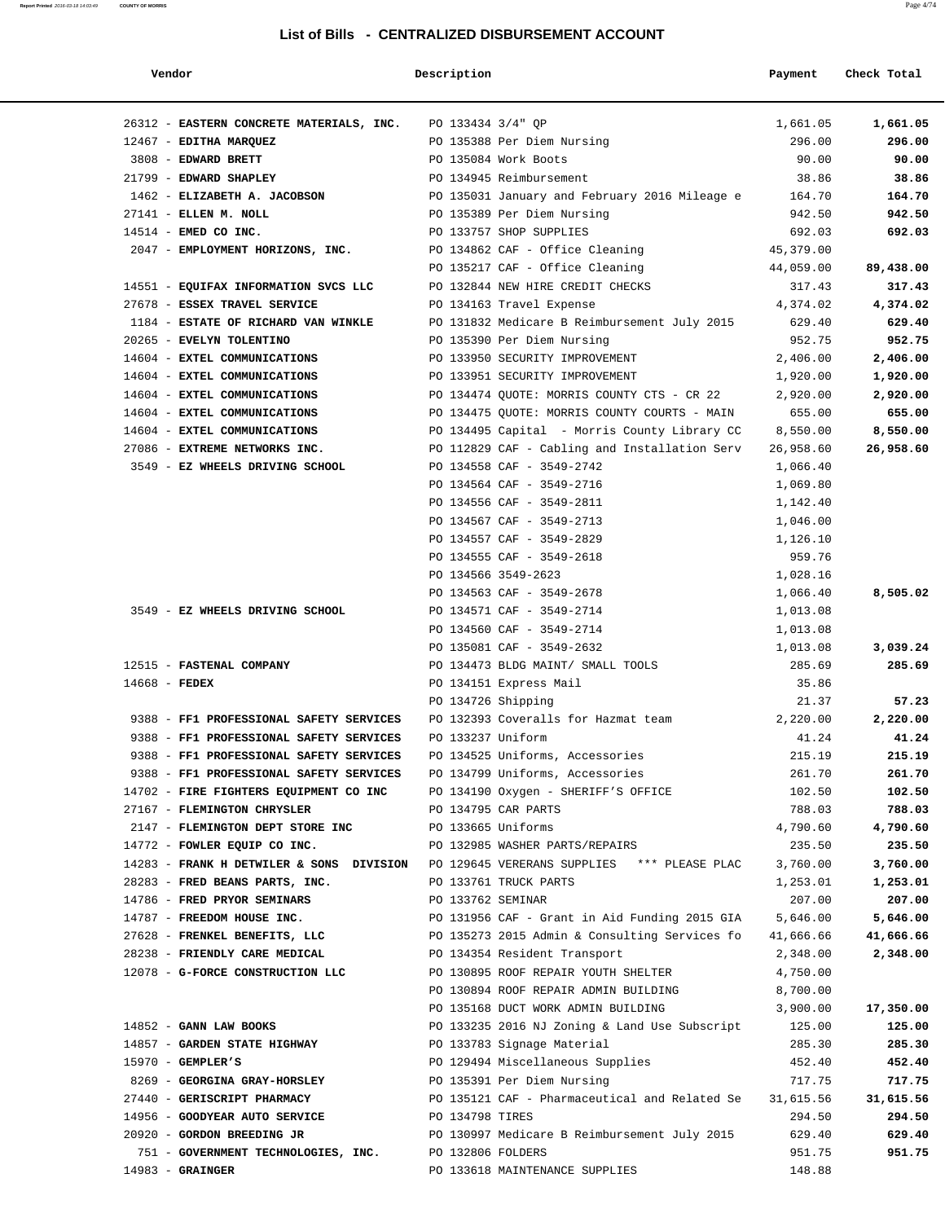| Vendor                                                                               | Description        |                                                                | Payment            | Check Total        |
|--------------------------------------------------------------------------------------|--------------------|----------------------------------------------------------------|--------------------|--------------------|
| 26312 - EASTERN CONCRETE MATERIALS, INC. PO 133434 3/4" QP                           |                    |                                                                | 1,661.05           | 1,661.05           |
| 12467 - EDITHA MARQUEZ                                                               |                    | PO 135388 Per Diem Nursing                                     | 296.00             | 296.00             |
| 3808 - EDWARD BRETT                                                                  |                    | PO 135084 Work Boots                                           | 90.00              | 90.00              |
| 21799 - EDWARD SHAPLEY                                                               |                    | PO 134945 Reimbursement                                        | 38.86              | 38.86              |
| 1462 - ELIZABETH A. JACOBSON                                                         |                    | PO 135031 January and February 2016 Mileage e                  | 164.70             | 164.70             |
| 27141 - ELLEN M. NOLL                                                                |                    | PO 135389 Per Diem Nursing                                     | 942.50             | 942.50             |
| 14514 - EMED CO INC.                                                                 |                    | PO 133757 SHOP SUPPLIES                                        | 692.03             | 692.03             |
| 2047 - EMPLOYMENT HORIZONS, INC.                                                     |                    | PO 134862 CAF - Office Cleaning                                | 45,379.00          |                    |
|                                                                                      |                    | PO 135217 CAF - Office Cleaning                                | 44,059.00          | 89,438.00          |
| 14551 - EQUIFAX INFORMATION SVCS LLC                                                 |                    | PO 132844 NEW HIRE CREDIT CHECKS                               | 317.43             | 317.43             |
| 27678 - ESSEX TRAVEL SERVICE                                                         |                    | PO 134163 Travel Expense                                       | 4,374.02           | 4,374.02           |
| 1184 - ESTATE OF RICHARD VAN WINKLE                                                  |                    | PO 131832 Medicare B Reimbursement July 2015                   | 629.40             | 629.40             |
| 20265 - EVELYN TOLENTINO                                                             |                    | PO 135390 Per Diem Nursing                                     | 952.75             | 952.75             |
| 14604 - EXTEL COMMUNICATIONS                                                         |                    | PO 133950 SECURITY IMPROVEMENT                                 | 2,406.00           | 2,406.00           |
| 14604 - EXTEL COMMUNICATIONS                                                         |                    | PO 133951 SECURITY IMPROVEMENT                                 | 1,920.00           | 1,920.00           |
| 14604 - EXTEL COMMUNICATIONS                                                         |                    | PO 134474 QUOTE: MORRIS COUNTY CTS - CR 22                     | 2,920.00           | 2,920.00           |
| 14604 - EXTEL COMMUNICATIONS                                                         |                    | PO 134475 QUOTE: MORRIS COUNTY COURTS - MAIN                   | 655.00             | 655.00             |
| 14604 - EXTEL COMMUNICATIONS                                                         |                    | PO 134495 Capital - Morris County Library CC                   | 8,550.00           | 8,550.00           |
| 27086 - EXTREME NETWORKS INC.                                                        |                    | PO 112829 CAF - Cabling and Installation Serv                  | 26,958.60          | 26,958.60          |
| 3549 - EZ WHEELS DRIVING SCHOOL                                                      |                    | PO 134558 CAF - 3549-2742                                      | 1,066.40           |                    |
|                                                                                      |                    | PO 134564 CAF - 3549-2716                                      | 1,069.80           |                    |
|                                                                                      |                    | PO 134556 CAF - 3549-2811                                      | 1,142.40           |                    |
|                                                                                      |                    | PO 134567 CAF - 3549-2713                                      | 1,046.00           |                    |
|                                                                                      |                    | PO 134557 CAF - 3549-2829                                      | 1,126.10           |                    |
|                                                                                      |                    | PO 134555 CAF - 3549-2618                                      | 959.76             |                    |
|                                                                                      |                    | PO 134566 3549-2623                                            | 1,028.16           |                    |
|                                                                                      |                    | PO 134563 CAF - 3549-2678                                      | 1,066.40           | 8,505.02           |
| 3549 - EZ WHEELS DRIVING SCHOOL                                                      |                    | PO 134571 CAF - 3549-2714                                      | 1,013.08           |                    |
|                                                                                      |                    | PO 134560 CAF - 3549-2714                                      | 1,013.08           |                    |
| 12515 - FASTENAL COMPANY                                                             |                    | PO 135081 CAF - 3549-2632<br>PO 134473 BLDG MAINT/ SMALL TOOLS | 1,013.08<br>285.69 | 3,039.24<br>285.69 |
| $14668$ - FEDEX                                                                      |                    | PO 134151 Express Mail                                         | 35.86              |                    |
|                                                                                      | PO 134726 Shipping |                                                                | 21.37              | 57.23              |
| 9388 - FF1 PROFESSIONAL SAFETY SERVICES                                              |                    | PO 132393 Coveralls for Hazmat team                            | 2,220.00           | 2,220.00           |
| 9388 - FF1 PROFESSIONAL SAFETY SERVICES                                              | PO 133237 Uniform  |                                                                | 41.24              | 41.24              |
| 9388 - FF1 PROFESSIONAL SAFETY SERVICES                                              |                    | PO 134525 Uniforms, Accessories                                | 215.19             | 215.19             |
| 9388 - FF1 PROFESSIONAL SAFETY SERVICES                                              |                    | PO 134799 Uniforms, Accessories                                | 261.70             | 261.70             |
| 14702 - FIRE FIGHTERS EQUIPMENT CO INC                                               |                    | PO 134190 Oxygen - SHERIFF'S OFFICE                            | 102.50             | 102.50             |
| 27167 - FLEMINGTON CHRYSLER                                                          |                    | PO 134795 CAR PARTS                                            | 788.03             | 788.03             |
| 2147 - FLEMINGTON DEPT STORE INC                                                     | PO 133665 Uniforms |                                                                | 4,790.60           | 4,790.60           |
| 14772 - FOWLER EQUIP CO INC.                                                         |                    | PO 132985 WASHER PARTS/REPAIRS                                 | 235.50             | 235.50             |
| 14283 - FRANK H DETWILER & SONS DIVISION PO 129645 VERERANS SUPPLIES *** PLEASE PLAC |                    |                                                                | 3,760.00           | 3,760.00           |
| 28283 - FRED BEANS PARTS, INC.                                                       |                    | PO 133761 TRUCK PARTS                                          | 1,253.01           | 1,253.01           |
| 14786 - FRED PRYOR SEMINARS                                                          | PO 133762 SEMINAR  |                                                                | 207.00             | 207.00             |
| 14787 - FREEDOM HOUSE INC.                                                           |                    | PO 131956 CAF - Grant in Aid Funding 2015 GIA                  | 5,646.00           | 5,646.00           |
| 27628 - FRENKEL BENEFITS, LLC                                                        |                    | PO 135273 2015 Admin & Consulting Services fo                  | 41,666.66          | 41,666.66          |
| 28238 - FRIENDLY CARE MEDICAL                                                        |                    | PO 134354 Resident Transport                                   | 2,348.00           | 2,348.00           |
| 12078 - G-FORCE CONSTRUCTION LLC                                                     |                    | PO 130895 ROOF REPAIR YOUTH SHELTER                            | 4,750.00           |                    |
|                                                                                      |                    | PO 130894 ROOF REPAIR ADMIN BUILDING                           | 8,700.00           |                    |
|                                                                                      |                    | PO 135168 DUCT WORK ADMIN BUILDING                             | 3,900.00           | 17,350.00          |
| 14852 - GANN LAW BOOKS                                                               |                    | PO 133235 2016 NJ Zoning & Land Use Subscript                  | 125.00             | 125.00             |
| 14857 - GARDEN STATE HIGHWAY                                                         |                    | PO 133783 Signage Material                                     | 285.30             | 285.30             |
| $15970$ - GEMPLER'S                                                                  |                    | PO 129494 Miscellaneous Supplies                               | 452.40             | 452.40             |
| 8269 - GEORGINA GRAY-HORSLEY                                                         |                    | PO 135391 Per Diem Nursing                                     | 717.75             | 717.75             |
| 27440 - GERISCRIPT PHARMACY                                                          |                    | PO 135121 CAF - Pharmaceutical and Related Se                  | 31,615.56          | 31,615.56          |
| 14956 - GOODYEAR AUTO SERVICE<br>20920 - GORDON BREEDING JR                          | PO 134798 TIRES    | PO 130997 Medicare B Reimbursement July 2015                   | 294.50<br>629.40   | 294.50<br>629.40   |
| 751 - GOVERNMENT TECHNOLOGIES, INC.                                                  | PO 132806 FOLDERS  |                                                                | 951.75             | 951.75             |
| $14983 -$ GRAINGER                                                                   |                    | PO 133618 MAINTENANCE SUPPLIES                                 | 148.88             |                    |
|                                                                                      |                    |                                                                |                    |                    |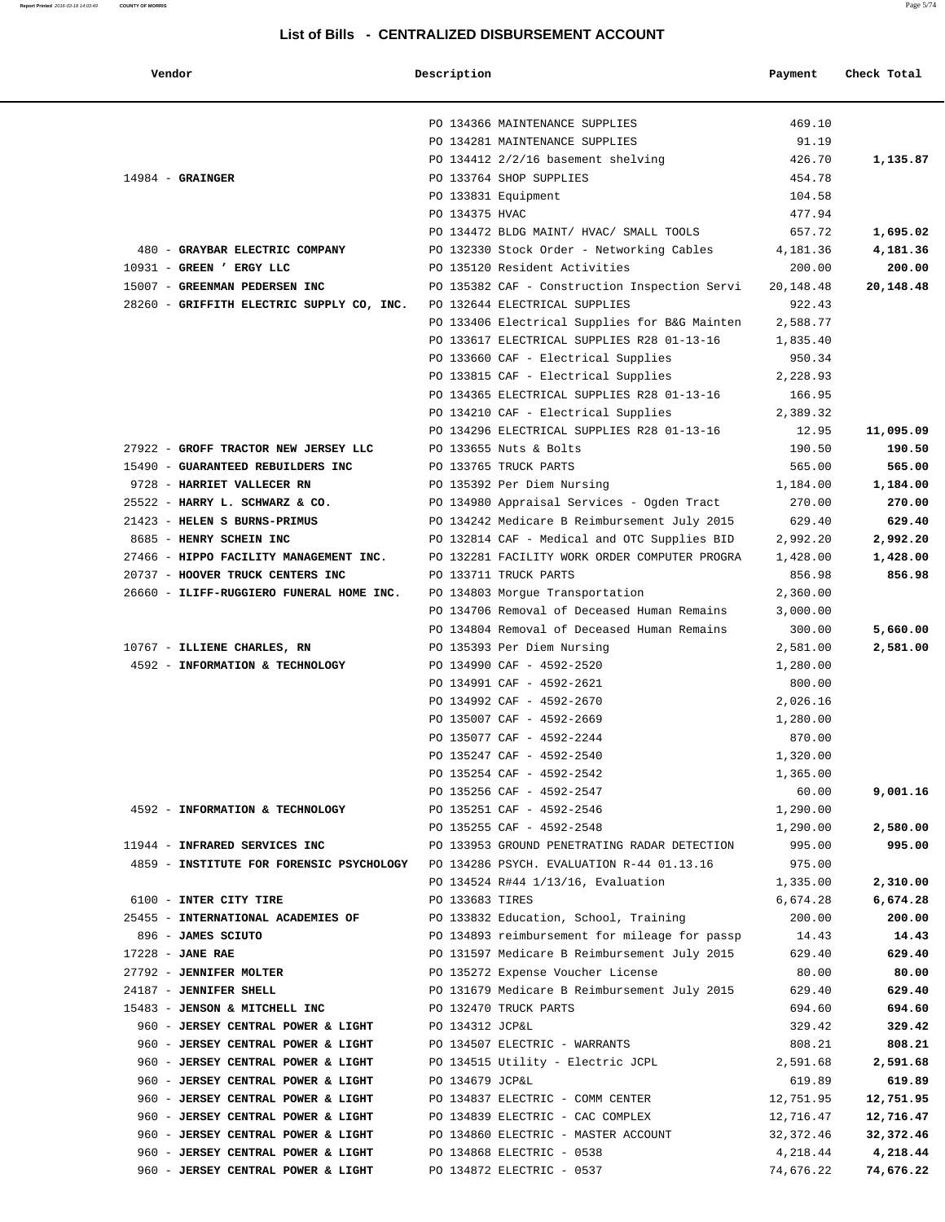| Vendor | Description | Payment Check Total |
|--------|-------------|---------------------|
|--------|-------------|---------------------|

|                                                                                    |                         | PO 134366 MAINTENANCE SUPPLIES                | 469.10    |           |
|------------------------------------------------------------------------------------|-------------------------|-----------------------------------------------|-----------|-----------|
|                                                                                    |                         | PO 134281 MAINTENANCE SUPPLIES                | 91.19     |           |
|                                                                                    |                         | PO 134412 2/2/16 basement shelving            | 426.70    | 1,135.87  |
| $14984$ - GRAINGER                                                                 | PO 133764 SHOP SUPPLIES |                                               | 454.78    |           |
|                                                                                    | PO 133831 Equipment     |                                               | 104.58    |           |
|                                                                                    | PO 134375 HVAC          |                                               | 477.94    |           |
|                                                                                    |                         | PO 134472 BLDG MAINT/ HVAC/ SMALL TOOLS       | 657.72    | 1,695.02  |
| 480 - GRAYBAR ELECTRIC COMPANY                                                     |                         | PO 132330 Stock Order - Networking Cables     | 4,181.36  | 4,181.36  |
| 10931 - GREEN ' ERGY LLC                                                           |                         | PO 135120 Resident Activities                 | 200.00    | 200.00    |
|                                                                                    |                         |                                               |           |           |
| 15007 - GREENMAN PEDERSEN INC                                                      |                         | PO 135382 CAF - Construction Inspection Servi | 20,148.48 | 20,148.48 |
| 28260 - GRIFFITH ELECTRIC SUPPLY CO, INC.                                          |                         | PO 132644 ELECTRICAL SUPPLIES                 | 922.43    |           |
|                                                                                    |                         | PO 133406 Electrical Supplies for B&G Mainten | 2,588.77  |           |
|                                                                                    |                         | PO 133617 ELECTRICAL SUPPLIES R28 01-13-16    | 1,835.40  |           |
|                                                                                    |                         | PO 133660 CAF - Electrical Supplies           | 950.34    |           |
|                                                                                    |                         | PO 133815 CAF - Electrical Supplies           | 2,228.93  |           |
|                                                                                    |                         | PO 134365 ELECTRICAL SUPPLIES R28 01-13-16    | 166.95    |           |
|                                                                                    |                         | PO 134210 CAF - Electrical Supplies           | 2,389.32  |           |
|                                                                                    |                         | PO 134296 ELECTRICAL SUPPLIES R28 01-13-16    | 12.95     | 11,095.09 |
| 27922 - GROFF TRACTOR NEW JERSEY LLC                                               | PO 133655 Nuts & Bolts  |                                               | 190.50    | 190.50    |
| 15490 - GUARANTEED REBUILDERS INC                                                  | PO 133765 TRUCK PARTS   |                                               | 565.00    | 565.00    |
| 9728 - HARRIET VALLECER RN                                                         |                         | PO 135392 Per Diem Nursing                    | 1,184.00  | 1,184.00  |
| 25522 - HARRY L. SCHWARZ & CO.                                                     |                         | PO 134980 Appraisal Services - Ogden Tract    | 270.00    | 270.00    |
| 21423 - HELEN S BURNS-PRIMUS                                                       |                         | PO 134242 Medicare B Reimbursement July 2015  | 629.40    | 629.40    |
| 8685 - HENRY SCHEIN INC                                                            |                         | PO 132814 CAF - Medical and OTC Supplies BID  | 2,992.20  | 2,992.20  |
| 27466 - HIPPO FACILITY MANAGEMENT INC.                                             |                         | PO 132281 FACILITY WORK ORDER COMPUTER PROGRA | 1,428.00  | 1,428.00  |
| 20737 - HOOVER TRUCK CENTERS INC                                                   | PO 133711 TRUCK PARTS   |                                               | 856.98    | 856.98    |
| 26660 - ILIFF-RUGGIERO FUNERAL HOME INC.                                           |                         | PO 134803 Morgue Transportation               | 2,360.00  |           |
|                                                                                    |                         | PO 134706 Removal of Deceased Human Remains   | 3,000.00  |           |
|                                                                                    |                         | PO 134804 Removal of Deceased Human Remains   | 300.00    | 5,660.00  |
| 10767 - ILLIENE CHARLES, RN                                                        |                         | PO 135393 Per Diem Nursing                    | 2,581.00  | 2,581.00  |
|                                                                                    |                         |                                               |           |           |
| 4592 - INFORMATION & TECHNOLOGY                                                    |                         | PO 134990 CAF - 4592-2520                     | 1,280.00  |           |
|                                                                                    |                         | PO 134991 CAF - 4592-2621                     | 800.00    |           |
|                                                                                    |                         | PO 134992 CAF - 4592-2670                     | 2,026.16  |           |
|                                                                                    |                         | PO 135007 CAF - 4592-2669                     | 1,280.00  |           |
|                                                                                    |                         | PO 135077 CAF - 4592-2244                     | 870.00    |           |
|                                                                                    |                         | PO 135247 CAF - 4592-2540                     | 1,320.00  |           |
|                                                                                    |                         | PO 135254 CAF - 4592-2542                     | 1,365.00  |           |
|                                                                                    |                         | PO 135256 CAF - 4592-2547                     | 60.00     | 9,001.16  |
| 4592 - INFORMATION & TECHNOLOGY                                                    |                         | PO 135251 CAF - 4592-2546                     | 1,290.00  |           |
|                                                                                    |                         | PO 135255 CAF - 4592-2548                     | 1,290.00  | 2,580.00  |
| 11944 - INFRARED SERVICES INC                                                      |                         | PO 133953 GROUND PENETRATING RADAR DETECTION  | 995.00    | 995.00    |
| 4859 - INSTITUTE FOR FORENSIC PSYCHOLOGY PO 134286 PSYCH. EVALUATION R-44 01.13.16 |                         |                                               | 975.00    |           |
|                                                                                    |                         | PO 134524 R#44 1/13/16, Evaluation            | 1,335.00  | 2,310.00  |
| 6100 - INTER CITY TIRE                                                             | PO 133683 TIRES         |                                               | 6,674.28  | 6,674.28  |
| 25455 - INTERNATIONAL ACADEMIES OF                                                 |                         | PO 133832 Education, School, Training         | 200.00    | 200.00    |
| 896 - JAMES SCIUTO                                                                 |                         | PO 134893 reimbursement for mileage for passp | 14.43     | 14.43     |
| $17228$ - JANE RAE                                                                 |                         | PO 131597 Medicare B Reimbursement July 2015  | 629.40    | 629.40    |
| 27792 - JENNIFER MOLTER                                                            |                         | PO 135272 Expense Voucher License             | 80.00     | 80.00     |
| 24187 - JENNIFER SHELL                                                             |                         | PO 131679 Medicare B Reimbursement July 2015  | 629.40    | 629.40    |
| 15483 - JENSON & MITCHELL INC                                                      | PO 132470 TRUCK PARTS   |                                               | 694.60    | 694.60    |
| 960 - JERSEY CENTRAL POWER & LIGHT                                                 | PO 134312 JCP&L         |                                               | 329.42    | 329.42    |
| 960 - JERSEY CENTRAL POWER & LIGHT                                                 |                         | PO 134507 ELECTRIC - WARRANTS                 | 808.21    | 808.21    |
| 960 - JERSEY CENTRAL POWER & LIGHT                                                 |                         | PO 134515 Utility - Electric JCPL             | 2,591.68  | 2,591.68  |
| 960 - JERSEY CENTRAL POWER & LIGHT                                                 | PO 134679 JCP&L         |                                               | 619.89    | 619.89    |
| 960 - JERSEY CENTRAL POWER & LIGHT                                                 |                         | PO 134837 ELECTRIC - COMM CENTER              | 12,751.95 | 12,751.95 |
| 960 - JERSEY CENTRAL POWER & LIGHT                                                 |                         | PO 134839 ELECTRIC - CAC COMPLEX              | 12,716.47 | 12,716.47 |
| 960 - JERSEY CENTRAL POWER & LIGHT                                                 |                         | PO 134860 ELECTRIC - MASTER ACCOUNT           |           |           |
|                                                                                    |                         |                                               | 32,372.46 | 32,372.46 |
| 960 - JERSEY CENTRAL POWER & LIGHT                                                 |                         | PO 134868 ELECTRIC - 0538                     | 4,218.44  | 4,218.44  |
| 960 - JERSEY CENTRAL POWER & LIGHT                                                 |                         | PO 134872 ELECTRIC - 0537                     | 74,676.22 | 74,676.22 |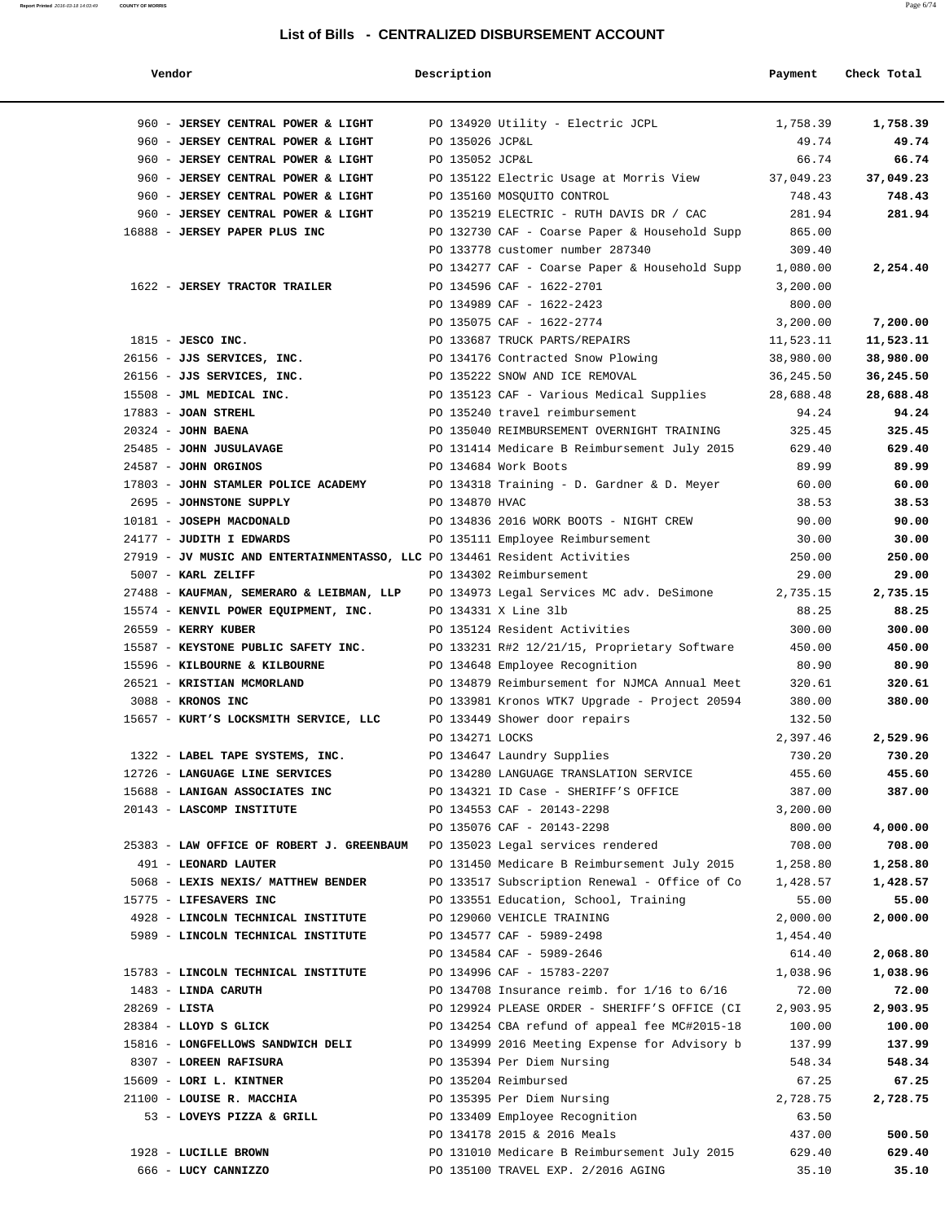| Vendor                                                                    | Description     |                                                                                    | Payment         | Check Total     |
|---------------------------------------------------------------------------|-----------------|------------------------------------------------------------------------------------|-----------------|-----------------|
| 960 - JERSEY CENTRAL POWER & LIGHT                                        |                 | PO 134920 Utility - Electric JCPL                                                  | 1,758.39        | 1,758.39        |
| 960 - JERSEY CENTRAL POWER & LIGHT                                        | PO 135026 JCP&L |                                                                                    | 49.74           | 49.74           |
| 960 - JERSEY CENTRAL POWER & LIGHT                                        | PO 135052 JCP&L |                                                                                    | 66.74           | 66.74           |
| 960 - JERSEY CENTRAL POWER & LIGHT                                        |                 | PO 135122 Electric Usage at Morris View                                            | 37,049.23       | 37,049.23       |
| 960 - JERSEY CENTRAL POWER & LIGHT                                        |                 | PO 135160 MOSQUITO CONTROL                                                         | 748.43          | 748.43          |
| 960 - JERSEY CENTRAL POWER & LIGHT                                        |                 | PO 135219 ELECTRIC - RUTH DAVIS DR / CAC                                           | 281.94          | 281.94          |
| 16888 - JERSEY PAPER PLUS INC                                             |                 | PO 132730 CAF - Coarse Paper & Household Supp                                      | 865.00          |                 |
|                                                                           |                 | PO 133778 customer number 287340                                                   | 309.40          |                 |
|                                                                           |                 | PO 134277 CAF - Coarse Paper & Household Supp                                      | 1,080.00        | 2,254.40        |
| 1622 - JERSEY TRACTOR TRAILER                                             |                 | PO 134596 CAF - 1622-2701                                                          | 3,200.00        |                 |
|                                                                           |                 | PO 134989 CAF - 1622-2423                                                          | 800.00          |                 |
|                                                                           |                 | PO 135075 CAF - 1622-2774                                                          | 3,200.00        | 7,200.00        |
| $1815$ - JESCO INC.                                                       |                 | PO 133687 TRUCK PARTS/REPAIRS                                                      | 11,523.11       | 11,523.11       |
| 26156 - JJS SERVICES, INC.                                                |                 | PO 134176 Contracted Snow Plowing                                                  | 38,980.00       | 38,980.00       |
| 26156 - JJS SERVICES, INC.                                                |                 | PO 135222 SNOW AND ICE REMOVAL                                                     | 36,245.50       | 36,245.50       |
| 15508 - JML MEDICAL INC.                                                  |                 | PO 135123 CAF - Various Medical Supplies                                           | 28,688.48       | 28,688.48       |
| $17883$ - JOAN STREHL                                                     |                 | PO 135240 travel reimbursement                                                     | 94.24           | 94.24           |
| $20324$ - JOHN BAENA                                                      |                 | PO 135040 REIMBURSEMENT OVERNIGHT TRAINING                                         | 325.45          | 325.45          |
| 25485 - JOHN JUSULAVAGE                                                   |                 | PO 131414 Medicare B Reimbursement July 2015                                       | 629.40          | 629.40          |
| 24587 - JOHN ORGINOS                                                      |                 | PO 134684 Work Boots                                                               | 89.99           | 89.99           |
| 17803 - JOHN STAMLER POLICE ACADEMY                                       |                 | PO 134318 Training - D. Gardner & D. Meyer                                         | 60.00           | 60.00           |
| 2695 - JOHNSTONE SUPPLY                                                   | PO 134870 HVAC  |                                                                                    | 38.53           | 38.53           |
| 10181 - JOSEPH MACDONALD                                                  |                 | PO 134836 2016 WORK BOOTS - NIGHT CREW                                             | 90.00           | 90.00           |
| 24177 - JUDITH I EDWARDS                                                  |                 | PO 135111 Employee Reimbursement                                                   | 30.00           | 30.00           |
| 27919 - JV MUSIC AND ENTERTAINMENTASSO, LLC PO 134461 Resident Activities |                 |                                                                                    | 250.00          | 250.00          |
| 5007 - KARL ZELIFF                                                        |                 | PO 134302 Reimbursement                                                            | 29.00           | 29.00           |
| 27488 - KAUFMAN, SEMERARO & LEIBMAN, LLP                                  |                 | PO 134973 Legal Services MC adv. DeSimone                                          | 2,735.15        | 2,735.15        |
| 15574 - KENVIL POWER EQUIPMENT, INC.                                      |                 | PO 134331 X Line 31b                                                               | 88.25           | 88.25           |
| 26559 - KERRY KUBER                                                       |                 | PO 135124 Resident Activities                                                      | 300.00          | 300.00          |
| 15587 - KEYSTONE PUBLIC SAFETY INC.                                       |                 | PO 133231 R#2 12/21/15, Proprietary Software                                       | 450.00          | 450.00          |
| 15596 - KILBOURNE & KILBOURNE                                             |                 | PO 134648 Employee Recognition                                                     | 80.90           | 80.90           |
| 26521 - KRISTIAN MCMORLAND                                                |                 | PO 134879 Reimbursement for NJMCA Annual Meet                                      | 320.61          | 320.61          |
| 3088 - KRONOS INC                                                         |                 | PO 133981 Kronos WTK7 Upgrade - Project 20594                                      | 380.00          | 380.00          |
| 15657 - KURT'S LOCKSMITH SERVICE, LLC                                     |                 | PO 133449 Shower door repairs                                                      | 132.50          |                 |
|                                                                           | PO 134271 LOCKS |                                                                                    | 2,397.46        | 2,529.96        |
| 1322 - LABEL TAPE SYSTEMS, INC.                                           |                 | PO 134647 Laundry Supplies                                                         | 730.20          | 730.20          |
| 12726 - LANGUAGE LINE SERVICES                                            |                 | PO 134280 LANGUAGE TRANSLATION SERVICE                                             | 455.60          | 455.60          |
| 15688 - LANIGAN ASSOCIATES INC                                            |                 | PO 134321 ID Case - SHERIFF'S OFFICE                                               | 387.00          | 387.00          |
| 20143 - LASCOMP INSTITUTE                                                 |                 | PO 134553 CAF - 20143-2298                                                         | 3,200.00        |                 |
|                                                                           |                 | PO 135076 CAF - 20143-2298                                                         | 800.00          | 4,000.00        |
| 25383 - LAW OFFICE OF ROBERT J. GREENBAUM                                 |                 | PO 135023 Legal services rendered                                                  | 708.00          | 708.00          |
| 491 - LEONARD LAUTER                                                      |                 | PO 131450 Medicare B Reimbursement July 2015                                       | 1,258.80        | 1,258.80        |
| 5068 - LEXIS NEXIS/ MATTHEW BENDER                                        |                 | PO 133517 Subscription Renewal - Office of Co                                      | 1,428.57        | 1,428.57        |
| 15775 - LIFESAVERS INC                                                    |                 | PO 133551 Education, School, Training                                              | 55.00           | 55.00           |
| 4928 - LINCOLN TECHNICAL INSTITUTE                                        |                 | PO 129060 VEHICLE TRAINING                                                         | 2,000.00        | 2,000.00        |
| 5989 - LINCOLN TECHNICAL INSTITUTE                                        |                 | PO 134577 CAF - 5989-2498                                                          | 1,454.40        |                 |
|                                                                           |                 | PO 134584 CAF - 5989-2646                                                          | 614.40          | 2,068.80        |
| 15783 - LINCOLN TECHNICAL INSTITUTE                                       |                 | PO 134996 CAF - 15783-2207                                                         | 1,038.96        | 1,038.96        |
| 1483 - LINDA CARUTH                                                       |                 | PO 134708 Insurance reimb. for $1/16$ to $6/16$                                    | 72.00           | 72.00           |
| $28269 - LISTA$                                                           |                 | PO 129924 PLEASE ORDER - SHERIFF'S OFFICE (CI                                      | 2,903.95        | 2,903.95        |
| 28384 - LLOYD S GLICK                                                     |                 | PO 134254 CBA refund of appeal fee MC#2015-18                                      | 100.00          | 100.00          |
| 15816 - LONGFELLOWS SANDWICH DELI                                         |                 | PO 134999 2016 Meeting Expense for Advisory b                                      | 137.99          | 137.99          |
| 8307 - LOREEN RAFISURA                                                    |                 | PO 135394 Per Diem Nursing                                                         | 548.34          | 548.34          |
| 15609 - LORI L. KINTNER                                                   |                 | PO 135204 Reimbursed                                                               | 67.25           | 67.25           |
| 21100 - LOUISE R. MACCHIA                                                 |                 | PO 135395 Per Diem Nursing                                                         | 2,728.75        | 2,728.75        |
| 53 - LOVEYS PIZZA & GRILL                                                 |                 | PO 133409 Employee Recognition<br>PO 134178 2015 & 2016 Meals                      | 63.50           |                 |
|                                                                           |                 |                                                                                    | 437.00          | 500.50          |
| 1928 - LUCILLE BROWN<br>666 - LUCY CANNIZZO                               |                 | PO 131010 Medicare B Reimbursement July 2015<br>PO 135100 TRAVEL EXP. 2/2016 AGING | 629.40<br>35.10 | 629.40<br>35.10 |
|                                                                           |                 |                                                                                    |                 |                 |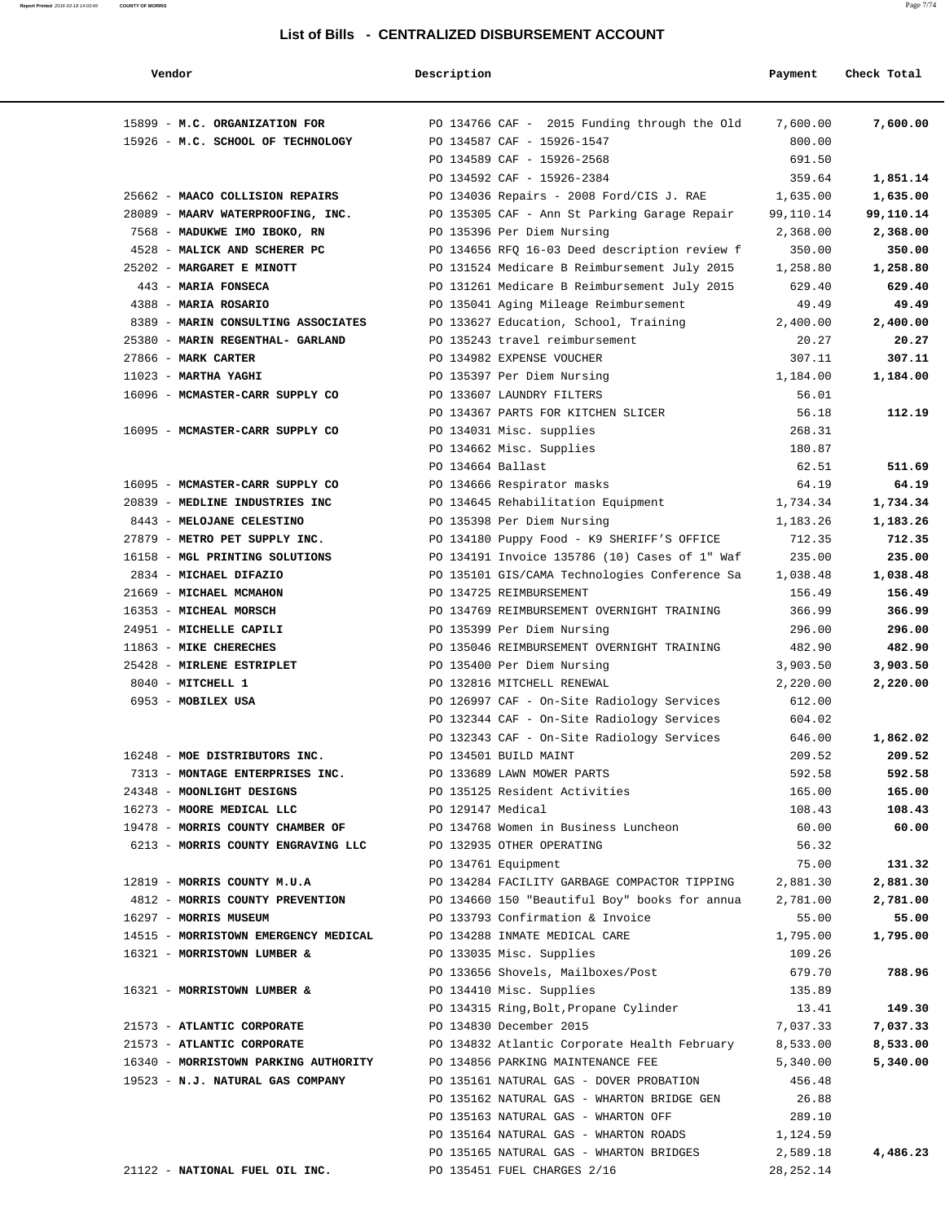| endor |  |
|-------|--|
|-------|--|

| Vendor                                                       | Description       |                                                                                          | Payment          | Check Total      |
|--------------------------------------------------------------|-------------------|------------------------------------------------------------------------------------------|------------------|------------------|
| 15899 - M.C. ORGANIZATION FOR                                |                   | PO 134766 CAF - 2015 Funding through the Old                                             | 7,600.00         | 7,600.00         |
| 15926 - M.C. SCHOOL OF TECHNOLOGY                            |                   | PO 134587 CAF - 15926-1547                                                               | 800.00           |                  |
|                                                              |                   | PO 134589 CAF - 15926-2568                                                               | 691.50           |                  |
|                                                              |                   | PO 134592 CAF - 15926-2384                                                               | 359.64           | 1,851.14         |
| 25662 - MAACO COLLISION REPAIRS                              |                   | PO 134036 Repairs - 2008 Ford/CIS J. RAE                                                 | 1,635.00         | 1,635.00         |
| 28089 - MAARV WATERPROOFING, INC.                            |                   | PO 135305 CAF - Ann St Parking Garage Repair                                             | 99,110.14        | 99,110.14        |
| 7568 - MADUKWE IMO IBOKO, RN                                 |                   | PO 135396 Per Diem Nursing                                                               | 2,368.00         | 2,368.00         |
| 4528 - MALICK AND SCHERER PC                                 |                   | PO 134656 RFQ 16-03 Deed description review f                                            | 350.00           | 350.00           |
| 25202 - MARGARET E MINOTT                                    |                   | PO 131524 Medicare B Reimbursement July 2015                                             | 1,258.80         | 1,258.80         |
| 443 - MARIA FONSECA                                          |                   | PO 131261 Medicare B Reimbursement July 2015                                             | 629.40           | 629.40           |
| 4388 - MARIA ROSARIO                                         |                   | PO 135041 Aging Mileage Reimbursement                                                    | 49.49            | 49.49            |
| 8389 - MARIN CONSULTING ASSOCIATES                           |                   | PO 133627 Education, School, Training                                                    | 2,400.00         | 2,400.00         |
| 25380 - MARIN REGENTHAL- GARLAND                             |                   | PO 135243 travel reimbursement                                                           | 20.27            | 20.27            |
| 27866 - MARK CARTER                                          |                   | PO 134982 EXPENSE VOUCHER                                                                | 307.11           | 307.11           |
| $11023$ - MARTHA YAGHI                                       |                   | PO 135397 Per Diem Nursing                                                               | 1,184.00         | 1,184.00         |
| 16096 - MCMASTER-CARR SUPPLY CO                              |                   | PO 133607 LAUNDRY FILTERS                                                                | 56.01            |                  |
|                                                              |                   | PO 134367 PARTS FOR KITCHEN SLICER                                                       | 56.18            | 112.19           |
| 16095 - MCMASTER-CARR SUPPLY CO                              |                   | PO 134031 Misc. supplies                                                                 | 268.31           |                  |
|                                                              |                   | PO 134662 Misc. Supplies                                                                 | 180.87           |                  |
|                                                              | PO 134664 Ballast |                                                                                          | 62.51            | 511.69           |
| 16095 - MCMASTER-CARR SUPPLY CO                              |                   | PO 134666 Respirator masks                                                               | 64.19            | 64.19            |
| 20839 - MEDLINE INDUSTRIES INC                               |                   | PO 134645 Rehabilitation Equipment                                                       | 1,734.34         | 1,734.34         |
| 8443 - MELOJANE CELESTINO                                    |                   | PO 135398 Per Diem Nursing                                                               | 1,183.26         | 1,183.26         |
| 27879 - METRO PET SUPPLY INC.                                |                   | PO 134180 Puppy Food - K9 SHERIFF'S OFFICE                                               | 712.35           | 712.35           |
| 16158 - MGL PRINTING SOLUTIONS                               |                   | PO 134191 Invoice 135786 (10) Cases of 1" Waf                                            | 235.00           | 235.00           |
| 2834 - MICHAEL DIFAZIO                                       |                   | PO 135101 GIS/CAMA Technologies Conference Sa                                            | 1,038.48         | 1,038.48         |
| 21669 - MICHAEL MCMAHON                                      |                   | PO 134725 REIMBURSEMENT                                                                  | 156.49           | 156.49           |
| 16353 - MICHEAL MORSCH                                       |                   | PO 134769 REIMBURSEMENT OVERNIGHT TRAINING                                               | 366.99           | 366.99           |
| 24951 - MICHELLE CAPILI                                      |                   | PO 135399 Per Diem Nursing                                                               | 296.00           | 296.00           |
| 11863 - MIKE CHERECHES                                       |                   | PO 135046 REIMBURSEMENT OVERNIGHT TRAINING                                               | 482.90           | 482.90           |
| 25428 - MIRLENE ESTRIPLET                                    |                   | PO 135400 Per Diem Nursing                                                               | 3,903.50         | 3,903.50         |
| 8040 - MITCHELL 1                                            |                   | PO 132816 MITCHELL RENEWAL                                                               | 2,220.00         | 2,220.00         |
| 6953 - MOBILEX USA                                           |                   | PO 126997 CAF - On-Site Radiology Services                                               | 612.00           |                  |
|                                                              |                   | PO 132344 CAF - On-Site Radiology Services<br>PO 132343 CAF - On-Site Radiology Services | 604.02<br>646.00 |                  |
|                                                              |                   |                                                                                          |                  | 1,862.02         |
| 16248 - MOE DISTRIBUTORS INC.                                |                   | PO 134501 BUILD MAINT                                                                    | 209.52           | 209.52           |
| 7313 - MONTAGE ENTERPRISES INC.<br>24348 - MOONLIGHT DESIGNS |                   | PO 133689 LAWN MOWER PARTS<br>PO 135125 Resident Activities                              | 592.58<br>165.00 | 592.58<br>165.00 |
| 16273 - MOORE MEDICAL LLC                                    | PO 129147 Medical |                                                                                          | 108.43           | 108.43           |
| 19478 - MORRIS COUNTY CHAMBER OF                             |                   | PO 134768 Women in Business Luncheon                                                     | 60.00            | 60.00            |
| 6213 - MORRIS COUNTY ENGRAVING LLC                           |                   | PO 132935 OTHER OPERATING                                                                | 56.32            |                  |
|                                                              |                   | PO 134761 Equipment                                                                      | 75.00            | 131.32           |
| 12819 - MORRIS COUNTY M.U.A                                  |                   | PO 134284 FACILITY GARBAGE COMPACTOR TIPPING                                             | 2,881.30         | 2,881.30         |
| 4812 - MORRIS COUNTY PREVENTION                              |                   | PO 134660 150 "Beautiful Boy" books for annua                                            | 2,781.00         | 2,781.00         |
| 16297 - MORRIS MUSEUM                                        |                   | PO 133793 Confirmation & Invoice                                                         | 55.00            | 55.00            |
| 14515 - MORRISTOWN EMERGENCY MEDICAL                         |                   | PO 134288 INMATE MEDICAL CARE                                                            | 1,795.00         | 1,795.00         |
| 16321 - MORRISTOWN LUMBER &                                  |                   | PO 133035 Misc. Supplies                                                                 | 109.26           |                  |
|                                                              |                   | PO 133656 Shovels, Mailboxes/Post                                                        | 679.70           | 788.96           |
| 16321 - MORRISTOWN LUMBER &                                  |                   | PO 134410 Misc. Supplies                                                                 | 135.89           |                  |
|                                                              |                   | PO 134315 Ring,Bolt,Propane Cylinder                                                     | 13.41            | 149.30           |
| 21573 - ATLANTIC CORPORATE                                   |                   | PO 134830 December 2015                                                                  | 7,037.33         | 7,037.33         |
| 21573 - ATLANTIC CORPORATE                                   |                   | PO 134832 Atlantic Corporate Health February                                             | 8,533.00         | 8,533.00         |
| 16340 - MORRISTOWN PARKING AUTHORITY                         |                   | PO 134856 PARKING MAINTENANCE FEE                                                        | 5,340.00         | 5,340.00         |
| 19523 - N.J. NATURAL GAS COMPANY                             |                   | PO 135161 NATURAL GAS - DOVER PROBATION                                                  | 456.48           |                  |
|                                                              |                   | PO 135162 NATURAL GAS - WHARTON BRIDGE GEN                                               | 26.88            |                  |
|                                                              |                   | PO 135163 NATURAL GAS - WHARTON OFF                                                      | 289.10           |                  |
|                                                              |                   | PO 135164 NATURAL GAS - WHARTON ROADS                                                    | 1,124.59         |                  |
|                                                              |                   | PO 135165 NATURAL GAS - WHARTON BRIDGES                                                  | 2,589.18         | 4,486.23         |
| 21122 - NATIONAL FUEL OIL INC.                               |                   | PO 135451 FUEL CHARGES 2/16                                                              | 28, 252. 14      |                  |
|                                                              |                   |                                                                                          |                  |                  |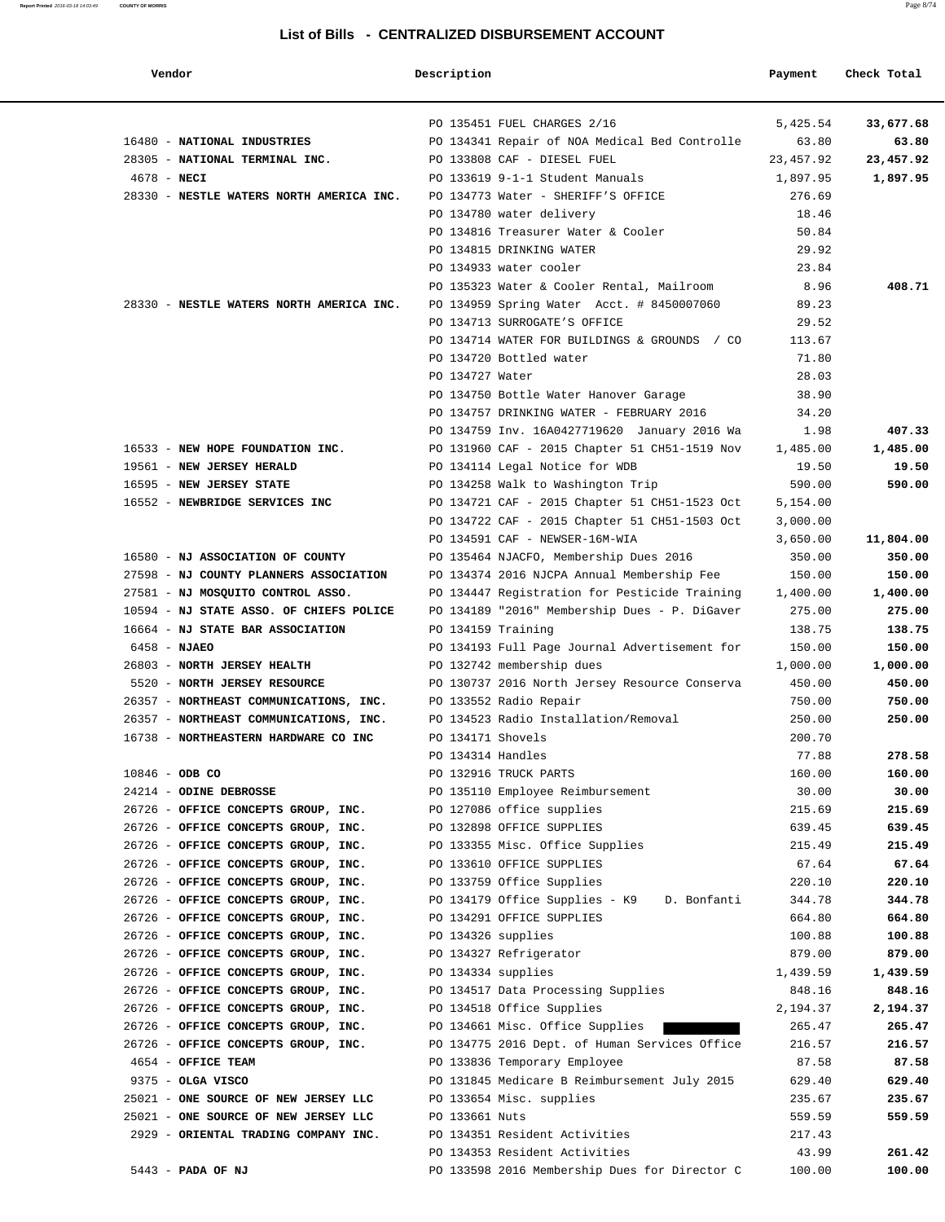| Vendor                                   | Description        |                                               | Payment   | Check Total |
|------------------------------------------|--------------------|-----------------------------------------------|-----------|-------------|
|                                          |                    | PO 135451 FUEL CHARGES 2/16                   | 5,425.54  | 33,677.68   |
| 16480 - NATIONAL INDUSTRIES              |                    | PO 134341 Repair of NOA Medical Bed Controlle | 63.80     | 63.80       |
| 28305 - NATIONAL TERMINAL INC.           |                    | PO 133808 CAF - DIESEL FUEL                   | 23,457.92 | 23,457.92   |
| $4678 - \text{NECI}$                     |                    | PO 133619 9-1-1 Student Manuals               | 1,897.95  | 1,897.95    |
| 28330 - NESTLE WATERS NORTH AMERICA INC. |                    | PO 134773 Water - SHERIFF'S OFFICE            | 276.69    |             |
|                                          |                    | PO 134780 water delivery                      | 18.46     |             |
|                                          |                    | PO 134816 Treasurer Water & Cooler            | 50.84     |             |
|                                          |                    | PO 134815 DRINKING WATER                      | 29.92     |             |
|                                          |                    | PO 134933 water cooler                        | 23.84     |             |
|                                          |                    | PO 135323 Water & Cooler Rental, Mailroom     | 8.96      | 408.71      |
| 28330 - NESTLE WATERS NORTH AMERICA INC. |                    | PO 134959 Spring Water Acct. # 8450007060     | 89.23     |             |
|                                          |                    | PO 134713 SURROGATE'S OFFICE                  | 29.52     |             |
|                                          |                    | PO 134714 WATER FOR BUILDINGS & GROUNDS / CO  | 113.67    |             |
|                                          |                    | PO 134720 Bottled water                       | 71.80     |             |
|                                          | PO 134727 Water    |                                               | 28.03     |             |
|                                          |                    | PO 134750 Bottle Water Hanover Garage         | 38.90     |             |
|                                          |                    | PO 134757 DRINKING WATER - FEBRUARY 2016      | 34.20     |             |
|                                          |                    | PO 134759 Inv. 16A0427719620 January 2016 Wa  | 1.98      | 407.33      |
| 16533 - NEW HOPE FOUNDATION INC.         |                    | PO 131960 CAF - 2015 Chapter 51 CH51-1519 Nov | 1,485.00  | 1,485.00    |
| 19561 - NEW JERSEY HERALD                |                    | PO 134114 Legal Notice for WDB                | 19.50     | 19.50       |
| 16595 - NEW JERSEY STATE                 |                    | PO 134258 Walk to Washington Trip             | 590.00    | 590.00      |
| 16552 - NEWBRIDGE SERVICES INC           |                    | PO 134721 CAF - 2015 Chapter 51 CH51-1523 Oct | 5,154.00  |             |
|                                          |                    | PO 134722 CAF - 2015 Chapter 51 CH51-1503 Oct | 3,000.00  |             |
|                                          |                    | PO 134591 CAF - NEWSER-16M-WIA                | 3,650.00  | 11,804.00   |
| 16580 - NJ ASSOCIATION OF COUNTY         |                    | PO 135464 NJACFO, Membership Dues 2016        | 350.00    | 350.00      |
| 27598 - NJ COUNTY PLANNERS ASSOCIATION   |                    | PO 134374 2016 NJCPA Annual Membership Fee    | 150.00    | 150.00      |
| 27581 - NJ MOSQUITO CONTROL ASSO.        |                    | PO 134447 Registration for Pesticide Training | 1,400.00  | 1,400.00    |
| 10594 - NJ STATE ASSO. OF CHIEFS POLICE  |                    | PO 134189 "2016" Membership Dues - P. DiGaver | 275.00    | 275.00      |
| 16664 - NJ STATE BAR ASSOCIATION         | PO 134159 Training |                                               | 138.75    | 138.75      |
| $6458 - NJAEO$                           |                    | PO 134193 Full Page Journal Advertisement for | 150.00    | 150.00      |
| 26803 - NORTH JERSEY HEALTH              |                    | PO 132742 membership dues                     | 1,000.00  | 1,000.00    |
| 5520 - NORTH JERSEY RESOURCE             |                    | PO 130737 2016 North Jersey Resource Conserva | 450.00    | 450.00      |
| 26357 - NORTHEAST COMMUNICATIONS, INC.   |                    | PO 133552 Radio Repair                        | 750.00    | 750.00      |
| 26357 - NORTHEAST COMMUNICATIONS, INC.   |                    | PO 134523 Radio Installation/Removal          | 250.00    | 250.00      |
| 16738 - NORTHEASTERN HARDWARE CO INC     | PO 134171 Shovels  |                                               | 200.70    |             |
|                                          | PO 134314 Handles  |                                               | 77.88     | 278.58      |
| $10846 - ODB CO$                         |                    | PO 132916 TRUCK PARTS                         | 160.00    | 160.00      |
| 24214 - ODINE DEBROSSE                   |                    | PO 135110 Employee Reimbursement              | 30.00     | 30.00       |
| 26726 - OFFICE CONCEPTS GROUP, INC.      |                    | PO 127086 office supplies                     | 215.69    | 215.69      |
| 26726 - OFFICE CONCEPTS GROUP, INC.      |                    | PO 132898 OFFICE SUPPLIES                     | 639.45    | 639.45      |
| 26726 - OFFICE CONCEPTS GROUP, INC.      |                    | PO 133355 Misc. Office Supplies               | 215.49    | 215.49      |
| 26726 - OFFICE CONCEPTS GROUP, INC.      |                    | PO 133610 OFFICE SUPPLIES                     | 67.64     | 67.64       |
| 26726 - OFFICE CONCEPTS GROUP, INC.      |                    | PO 133759 Office Supplies                     | 220.10    | 220.10      |
| 26726 - OFFICE CONCEPTS GROUP, INC.      |                    | PO 134179 Office Supplies - K9<br>D. Bonfanti | 344.78    | 344.78      |
| 26726 - OFFICE CONCEPTS GROUP, INC.      |                    | PO 134291 OFFICE SUPPLIES                     | 664.80    | 664.80      |
| 26726 - OFFICE CONCEPTS GROUP, INC.      | PO 134326 supplies |                                               | 100.88    | 100.88      |
| 26726 - OFFICE CONCEPTS GROUP, INC.      |                    | PO 134327 Refrigerator                        | 879.00    | 879.00      |
| 26726 - OFFICE CONCEPTS GROUP, INC.      | PO 134334 supplies |                                               | 1,439.59  | 1,439.59    |
| 26726 - OFFICE CONCEPTS GROUP, INC.      |                    | PO 134517 Data Processing Supplies            | 848.16    | 848.16      |
| 26726 - OFFICE CONCEPTS GROUP, INC.      |                    | PO 134518 Office Supplies                     | 2,194.37  | 2,194.37    |
| 26726 - OFFICE CONCEPTS GROUP, INC.      |                    | PO 134661 Misc. Office Supplies               | 265.47    | 265.47      |
| 26726 - OFFICE CONCEPTS GROUP, INC.      |                    | PO 134775 2016 Dept. of Human Services Office | 216.57    | 216.57      |
| 4654 - OFFICE TEAM                       |                    | PO 133836 Temporary Employee                  | 87.58     | 87.58       |
| 9375 - OLGA VISCO                        |                    | PO 131845 Medicare B Reimbursement July 2015  | 629.40    | 629.40      |
| 25021 - ONE SOURCE OF NEW JERSEY LLC     |                    | PO 133654 Misc. supplies                      | 235.67    | 235.67      |
| 25021 - ONE SOURCE OF NEW JERSEY LLC     | PO 133661 Nuts     |                                               | 559.59    | 559.59      |
| 2929 - ORIENTAL TRADING COMPANY INC.     |                    | PO 134351 Resident Activities                 | 217.43    |             |
|                                          |                    | PO 134353 Resident Activities                 | 43.99     | 261.42      |
| 5443 - PADA OF NJ                        |                    | PO 133598 2016 Membership Dues for Director C | 100.00    | 100.00      |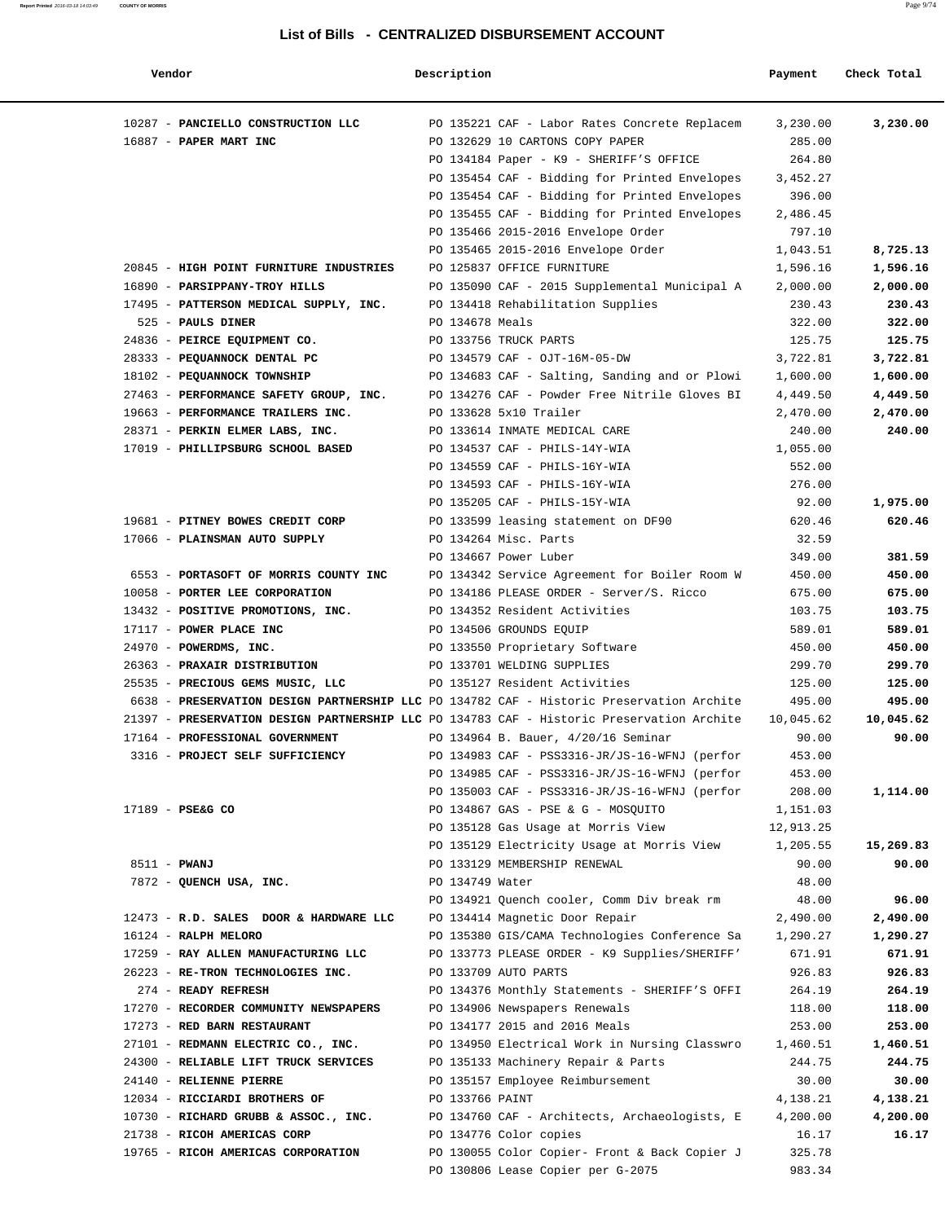| Vendor                                                                                    | Description     |                                                                                                | Payment          | Check Total      |
|-------------------------------------------------------------------------------------------|-----------------|------------------------------------------------------------------------------------------------|------------------|------------------|
| 10287 - PANCIELLO CONSTRUCTION LLC                                                        |                 | PO 135221 CAF - Labor Rates Concrete Replacem                                                  | 3,230.00         | 3,230.00         |
| 16887 - PAPER MART INC                                                                    |                 | PO 132629 10 CARTONS COPY PAPER                                                                | 285.00           |                  |
|                                                                                           |                 | PO 134184 Paper - K9 - SHERIFF'S OFFICE                                                        | 264.80           |                  |
|                                                                                           |                 | PO 135454 CAF - Bidding for Printed Envelopes                                                  | 3,452.27         |                  |
|                                                                                           |                 | PO 135454 CAF - Bidding for Printed Envelopes                                                  | 396.00           |                  |
|                                                                                           |                 | PO 135455 CAF - Bidding for Printed Envelopes                                                  | 2,486.45         |                  |
|                                                                                           |                 | PO 135466 2015-2016 Envelope Order                                                             | 797.10           |                  |
|                                                                                           |                 | PO 135465 2015-2016 Envelope Order                                                             | 1,043.51         | 8,725.13         |
| 20845 - HIGH POINT FURNITURE INDUSTRIES                                                   |                 | PO 125837 OFFICE FURNITURE                                                                     | 1,596.16         | 1,596.16         |
| 16890 - PARSIPPANY-TROY HILLS                                                             |                 | PO 135090 CAF - 2015 Supplemental Municipal A                                                  | 2,000.00         | 2,000.00         |
| 17495 - PATTERSON MEDICAL SUPPLY, INC.<br>525 - PAULS DINER                               | PO 134678 Meals | PO 134418 Rehabilitation Supplies                                                              | 230.43<br>322.00 | 230.43<br>322.00 |
| 24836 - PEIRCE EQUIPMENT CO.                                                              |                 | PO 133756 TRUCK PARTS                                                                          | 125.75           | 125.75           |
| 28333 - PEQUANNOCK DENTAL PC                                                              |                 | PO 134579 CAF - OJT-16M-05-DW                                                                  | 3,722.81         | 3,722.81         |
| 18102 - PEQUANNOCK TOWNSHIP                                                               |                 | PO 134683 CAF - Salting, Sanding and or Plowi                                                  | 1,600.00         | 1,600.00         |
| 27463 - PERFORMANCE SAFETY GROUP, INC.                                                    |                 | PO 134276 CAF - Powder Free Nitrile Gloves BI                                                  | 4,449.50         | 4,449.50         |
| 19663 - PERFORMANCE TRAILERS INC.                                                         |                 | PO 133628 5x10 Trailer                                                                         | 2,470.00         | 2,470.00         |
| 28371 - PERKIN ELMER LABS, INC.                                                           |                 | PO 133614 INMATE MEDICAL CARE                                                                  | 240.00           | 240.00           |
| 17019 - PHILLIPSBURG SCHOOL BASED                                                         |                 | PO 134537 CAF - PHILS-14Y-WIA                                                                  | 1,055.00         |                  |
|                                                                                           |                 | PO 134559 CAF - PHILS-16Y-WIA                                                                  | 552.00           |                  |
|                                                                                           |                 | PO 134593 CAF - PHILS-16Y-WIA                                                                  | 276.00           |                  |
|                                                                                           |                 | PO 135205 CAF - PHILS-15Y-WIA                                                                  | 92.00            | 1,975.00         |
| 19681 - PITNEY BOWES CREDIT CORP                                                          |                 | PO 133599 leasing statement on DF90                                                            | 620.46           | 620.46           |
| 17066 - PLAINSMAN AUTO SUPPLY                                                             |                 | PO 134264 Misc. Parts                                                                          | 32.59            |                  |
|                                                                                           |                 | PO 134667 Power Luber                                                                          | 349.00           | 381.59           |
| 6553 - PORTASOFT OF MORRIS COUNTY INC                                                     |                 | PO 134342 Service Agreement for Boiler Room W                                                  | 450.00           | 450.00           |
| 10058 - PORTER LEE CORPORATION                                                            |                 | PO 134186 PLEASE ORDER - Server/S. Ricco                                                       | 675.00           | 675.00           |
| 13432 - POSITIVE PROMOTIONS, INC.                                                         |                 | PO 134352 Resident Activities                                                                  | 103.75           | 103.75           |
| 17117 - POWER PLACE INC                                                                   |                 | PO 134506 GROUNDS EQUIP                                                                        | 589.01           | 589.01           |
| 24970 - POWERDMS, INC.                                                                    |                 | PO 133550 Proprietary Software                                                                 | 450.00           | 450.00           |
| 26363 - PRAXAIR DISTRIBUTION                                                              |                 | PO 133701 WELDING SUPPLIES                                                                     | 299.70           | 299.70           |
| 25535 - PRECIOUS GEMS MUSIC, LLC                                                          |                 | PO 135127 Resident Activities                                                                  | 125.00           | 125.00           |
| 6638 - PRESERVATION DESIGN PARTNERSHIP LLC PO 134782 CAF - Historic Preservation Archite  |                 |                                                                                                | 495.00           | 495.00           |
| 21397 - PRESERVATION DESIGN PARTNERSHIP LLC PO 134783 CAF - Historic Preservation Archite |                 |                                                                                                | 10,045.62        | 10,045.62        |
| 17164 - PROFESSIONAL GOVERNMENT                                                           |                 | PO 134964 B. Bauer, 4/20/16 Seminar                                                            | 90.00            | 90.00            |
| 3316 - PROJECT SELF SUFFICIENCY                                                           |                 | PO 134983 CAF - PSS3316-JR/JS-16-WFNJ (perfor                                                  | 453.00           |                  |
|                                                                                           |                 | PO 134985 CAF - PSS3316-JR/JS-16-WFNJ (perfor<br>PO 135003 CAF - PSS3316-JR/JS-16-WFNJ (perfor | 453.00<br>208.00 | 1,114.00         |
| 17189 - PSE&G CO                                                                          |                 | PO 134867 GAS - PSE & G - MOSOUITO                                                             | 1,151.03         |                  |
|                                                                                           |                 | PO 135128 Gas Usage at Morris View                                                             | 12,913.25        |                  |
|                                                                                           |                 | PO 135129 Electricity Usage at Morris View                                                     | 1,205.55         | 15,269.83        |
| 8511 - PWANJ                                                                              |                 | PO 133129 MEMBERSHIP RENEWAL                                                                   | 90.00            | 90.00            |
| 7872 - QUENCH USA, INC.                                                                   | PO 134749 Water |                                                                                                | 48.00            |                  |
|                                                                                           |                 | PO 134921 Ouench cooler, Comm Div break rm                                                     | 48.00            | 96.00            |
| 12473 - R.D. SALES DOOR & HARDWARE LLC                                                    |                 | PO 134414 Magnetic Door Repair                                                                 | 2,490.00         | 2,490.00         |
| 16124 - RALPH MELORO                                                                      |                 | PO 135380 GIS/CAMA Technologies Conference Sa                                                  | 1,290.27         | 1,290.27         |
| 17259 - RAY ALLEN MANUFACTURING LLC                                                       |                 | PO 133773 PLEASE ORDER - K9 Supplies/SHERIFF'                                                  | 671.91           | 671.91           |
| 26223 - RE-TRON TECHNOLOGIES INC.                                                         |                 | PO 133709 AUTO PARTS                                                                           | 926.83           | 926.83           |
| 274 - READY REFRESH                                                                       |                 | PO 134376 Monthly Statements - SHERIFF'S OFFI                                                  | 264.19           | 264.19           |
| 17270 - RECORDER COMMUNITY NEWSPAPERS                                                     |                 | PO 134906 Newspapers Renewals                                                                  | 118.00           | 118.00           |
| 17273 - RED BARN RESTAURANT                                                               |                 | PO 134177 2015 and 2016 Meals                                                                  | 253.00           | 253.00           |
| 27101 - REDMANN ELECTRIC CO., INC.                                                        |                 | PO 134950 Electrical Work in Nursing Classwro                                                  | 1,460.51         | 1,460.51         |
| 24300 - RELIABLE LIFT TRUCK SERVICES                                                      |                 | PO 135133 Machinery Repair & Parts                                                             | 244.75           | 244.75           |
| 24140 - RELIENNE PIERRE                                                                   |                 | PO 135157 Employee Reimbursement                                                               | 30.00            | 30.00            |
| 12034 - RICCIARDI BROTHERS OF                                                             | PO 133766 PAINT |                                                                                                | 4,138.21         | 4,138.21         |
| 10730 - RICHARD GRUBB & ASSOC., INC.                                                      |                 | PO 134760 CAF - Architects, Archaeologists, E                                                  | 4,200.00         | 4,200.00         |
| 21738 - RICOH AMERICAS CORP                                                               |                 | PO 134776 Color copies                                                                         | 16.17            | 16.17            |
| 19765 - RICOH AMERICAS CORPORATION                                                        |                 | PO 130055 Color Copier- Front & Back Copier J                                                  | 325.78           |                  |
|                                                                                           |                 | PO 130806 Lease Copier per G-2075                                                              | 983.34           |                  |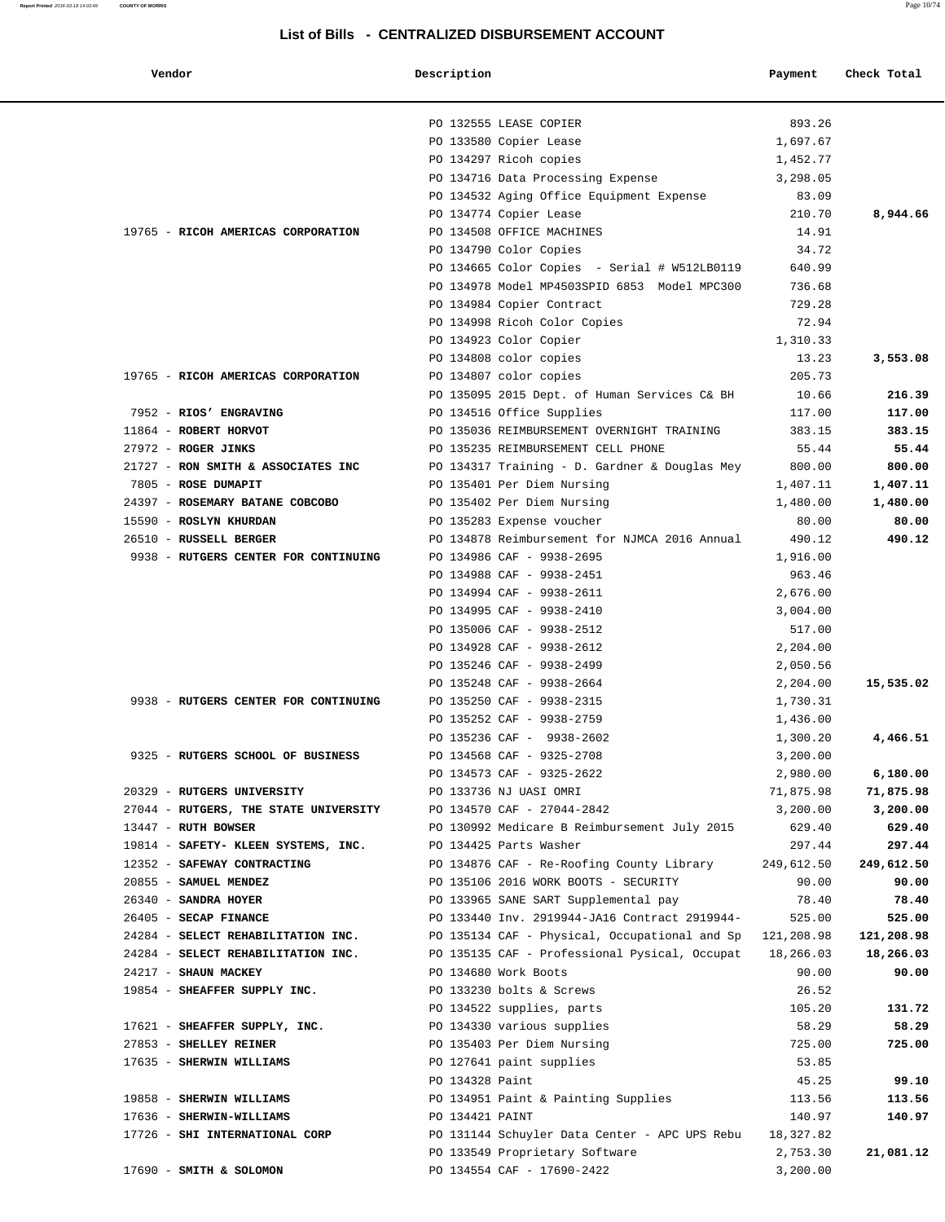| Vendor                                | Description     |                                                          | Payment    | Check Total |
|---------------------------------------|-----------------|----------------------------------------------------------|------------|-------------|
|                                       |                 | PO 132555 LEASE COPIER                                   | 893.26     |             |
|                                       |                 | PO 133580 Copier Lease                                   | 1,697.67   |             |
|                                       |                 | PO 134297 Ricoh copies                                   | 1,452.77   |             |
|                                       |                 | PO 134716 Data Processing Expense                        | 3,298.05   |             |
|                                       |                 | PO 134532 Aging Office Equipment Expense                 | 83.09      |             |
|                                       |                 | PO 134774 Copier Lease                                   | 210.70     | 8,944.66    |
| 19765 - RICOH AMERICAS CORPORATION    |                 | PO 134508 OFFICE MACHINES                                | 14.91      |             |
|                                       |                 | PO 134790 Color Copies                                   | 34.72      |             |
|                                       |                 | PO 134665 Color Copies - Serial # W512LB0119             | 640.99     |             |
|                                       |                 | PO 134978 Model MP4503SPID 6853 Model MPC300             | 736.68     |             |
|                                       |                 | PO 134984 Copier Contract                                | 729.28     |             |
|                                       |                 | PO 134998 Ricoh Color Copies                             | 72.94      |             |
|                                       |                 | PO 134923 Color Copier                                   | 1,310.33   |             |
|                                       |                 | PO 134808 color copies                                   | 13.23      | 3,553.08    |
| 19765 - RICOH AMERICAS CORPORATION    |                 | PO 134807 color copies                                   | 205.73     |             |
|                                       |                 | PO 135095 2015 Dept. of Human Services C& BH             | 10.66      | 216.39      |
| 7952 - RIOS' ENGRAVING                |                 | PO 134516 Office Supplies                                | 117.00     | 117.00      |
| 11864 - ROBERT HORVOT                 |                 | PO 135036 REIMBURSEMENT OVERNIGHT TRAINING               | 383.15     | 383.15      |
| 27972 - ROGER JINKS                   |                 | PO 135235 REIMBURSEMENT CELL PHONE                       | 55.44      | 55.44       |
| 21727 - RON SMITH & ASSOCIATES INC    |                 | PO 134317 Training - D. Gardner & Douglas Mey            | 800.00     | 800.00      |
| 7805 - ROSE DUMAPIT                   |                 | PO 135401 Per Diem Nursing                               | 1,407.11   | 1,407.11    |
| 24397 - ROSEMARY BATANE COBCOBO       |                 | PO 135402 Per Diem Nursing                               | 1,480.00   | 1,480.00    |
| 15590 - ROSLYN KHURDAN                |                 | PO 135283 Expense voucher                                | 80.00      | 80.00       |
| 26510 - RUSSELL BERGER                |                 | PO 134878 Reimbursement for NJMCA 2016 Annual            | 490.12     | 490.12      |
| 9938 - RUTGERS CENTER FOR CONTINUING  |                 | PO 134986 CAF - 9938-2695                                | 1,916.00   |             |
|                                       |                 | PO 134988 CAF - 9938-2451                                | 963.46     |             |
|                                       |                 | PO 134994 CAF - 9938-2611                                | 2,676.00   |             |
|                                       |                 | PO 134995 CAF - 9938-2410                                | 3,004.00   |             |
|                                       |                 | PO 135006 CAF - 9938-2512                                | 517.00     |             |
|                                       |                 | PO 134928 CAF - 9938-2612                                | 2,204.00   |             |
|                                       |                 | PO 135246 CAF - 9938-2499                                | 2,050.56   |             |
|                                       |                 | PO 135248 CAF - 9938-2664                                | 2,204.00   | 15,535.02   |
| 9938 - RUTGERS CENTER FOR CONTINUING  |                 | PO 135250 CAF - 9938-2315                                | 1,730.31   |             |
|                                       |                 | PO 135252 CAF - 9938-2759                                | 1,436.00   |             |
|                                       |                 | PO 135236 CAF - 9938-2602                                | 1,300.20   | 4,466.51    |
| 9325 - RUTGERS SCHOOL OF BUSINESS     |                 | PO 134568 CAF - 9325-2708                                | 3,200.00   |             |
|                                       |                 | PO 134573 CAF - 9325-2622                                | 2,980.00   | 6,180.00    |
| 20329 - RUTGERS UNIVERSITY            |                 | PO 133736 NJ UASI OMRI                                   | 71,875.98  | 71,875.98   |
| 27044 - RUTGERS, THE STATE UNIVERSITY |                 | PO 134570 CAF - 27044-2842                               | 3,200.00   | 3,200.00    |
| $13447$ - RUTH BOWSER                 |                 | PO 130992 Medicare B Reimbursement July 2015             | 629.40     | 629.40      |
| 19814 - SAFETY- KLEEN SYSTEMS, INC.   |                 | PO 134425 Parts Washer                                   | 297.44     | 297.44      |
| 12352 - SAFEWAY CONTRACTING           |                 | PO 134876 CAF - Re-Roofing County Library                | 249,612.50 | 249,612.50  |
| 20855 - SAMUEL MENDEZ                 |                 | PO 135106 2016 WORK BOOTS - SECURITY                     | 90.00      | 90.00       |
| 26340 - SANDRA HOYER                  |                 | PO 133965 SANE SART Supplemental pay                     | 78.40      | 78.40       |
| 26405 - SECAP FINANCE                 |                 | PO 133440 Inv. 2919944-JA16 Contract 2919944-            | 525.00     | 525.00      |
| 24284 - SELECT REHABILITATION INC.    |                 | PO 135134 CAF - Physical, Occupational and Sp 121,208.98 |            | 121,208.98  |
| 24284 - SELECT REHABILITATION INC.    |                 | PO 135135 CAF - Professional Pysical, Occupat 18,266.03  |            | 18,266.03   |
| 24217 - SHAUN MACKEY                  |                 | PO 134680 Work Boots                                     | 90.00      | 90.00       |
| 19854 - SHEAFFER SUPPLY INC.          |                 | PO 133230 bolts & Screws                                 | 26.52      |             |
|                                       |                 | PO 134522 supplies, parts                                | 105.20     | 131.72      |
| 17621 - SHEAFFER SUPPLY, INC.         |                 | PO 134330 various supplies                               | 58.29      | 58.29       |
| 27853 - SHELLEY REINER                |                 | PO 135403 Per Diem Nursing                               | 725.00     | 725.00      |
| 17635 - SHERWIN WILLIAMS              |                 | PO 127641 paint supplies                                 | 53.85      |             |
|                                       | PO 134328 Paint |                                                          | 45.25      | 99.10       |
| 19858 - SHERWIN WILLIAMS              |                 | PO 134951 Paint & Painting Supplies                      | 113.56     | 113.56      |
| 17636 - SHERWIN-WILLIAMS              | PO 134421 PAINT |                                                          | 140.97     | 140.97      |
| 17726 - SHI INTERNATIONAL CORP        |                 | PO 131144 Schuyler Data Center - APC UPS Rebu            | 18,327.82  |             |
|                                       |                 | PO 133549 Proprietary Software                           | 2,753.30   | 21,081.12   |
| 17690 - SMITH & SOLOMON               |                 | PO 134554 CAF - 17690-2422                               | 3,200.00   |             |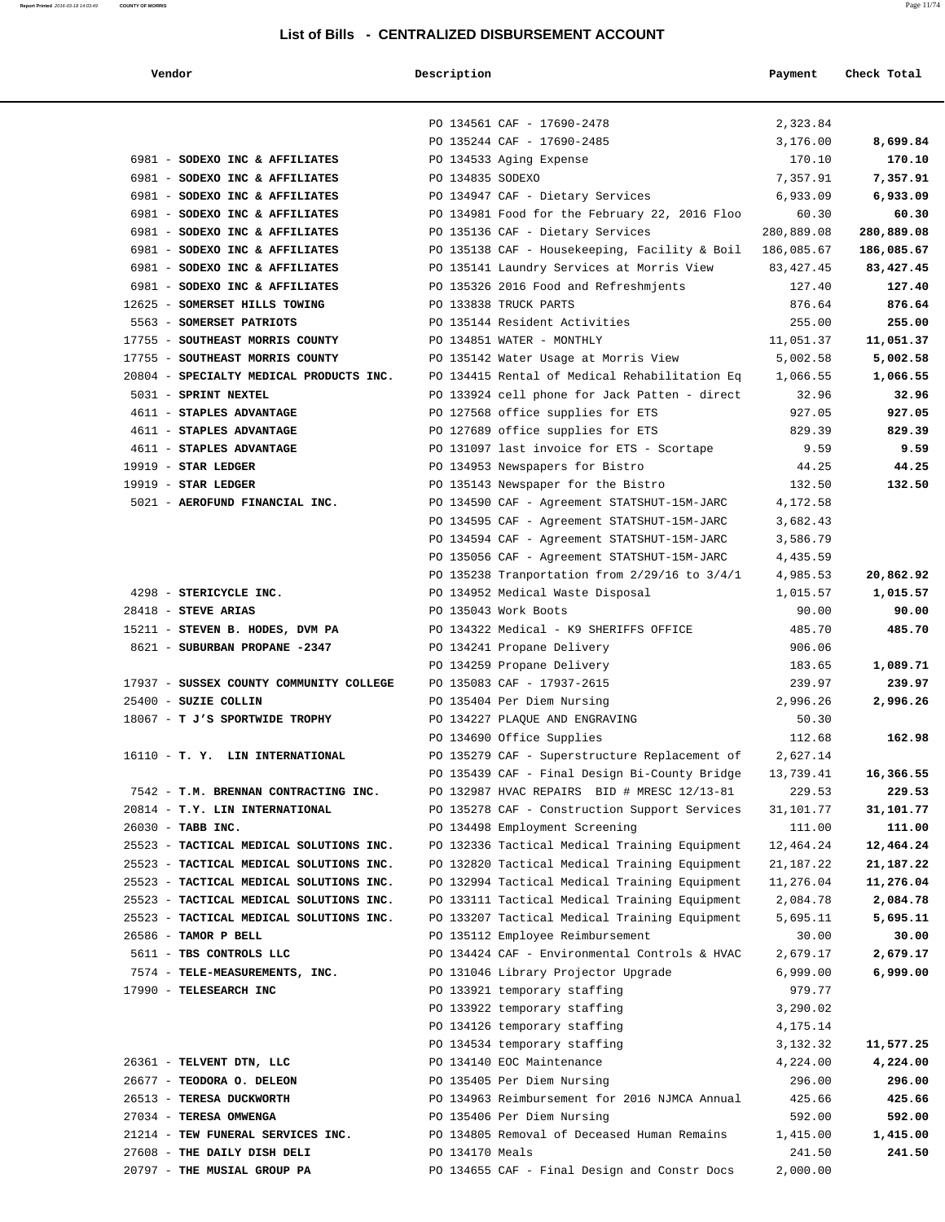### **Report Printed** 2016-03-18 14:03:49 **COUNTY OF MORRIS** Page 11/74

### **List of Bills - CENTRALIZED DISBURSEMENT ACCOUNT**

 **Vendor Description Payment Check Total**

|                                                        | PO 134561 CAF - 17690-2478                                   | 2,323.84          |            |
|--------------------------------------------------------|--------------------------------------------------------------|-------------------|------------|
|                                                        | PO 135244 CAF - 17690-2485                                   | 3,176.00          | 8,699.84   |
| 6981 - SODEXO INC & AFFILIATES                         | PO 134533 Aging Expense                                      | 170.10            | 170.10     |
| 6981 - SODEXO INC & AFFILIATES                         | PO 134835 SODEXO                                             | 7,357.91          | 7,357.91   |
| 6981 - SODEXO INC & AFFILIATES                         | PO 134947 CAF - Dietary Services                             | 6,933.09          | 6,933.09   |
| 6981 - SODEXO INC & AFFILIATES                         | PO 134981 Food for the February 22, 2016 Floo                | 60.30             | 60.30      |
| 6981 - SODEXO INC & AFFILIATES                         | PO 135136 CAF - Dietary Services                             | 280,889.08        | 280,889.08 |
| 6981 - SODEXO INC & AFFILIATES                         | PO 135138 CAF - Housekeeping, Facility & Boil $186,085.67$   |                   | 186,085.67 |
| 6981 - SODEXO INC & AFFILIATES                         | PO 135141 Laundry Services at Morris View                    | 83,427.45         | 83,427.45  |
| 6981 - SODEXO INC & AFFILIATES                         | PO 135326 2016 Food and Refreshmjents                        | 127.40            | 127.40     |
| 12625 - SOMERSET HILLS TOWING                          | PO 133838 TRUCK PARTS                                        | 876.64            | 876.64     |
| 5563 - SOMERSET PATRIOTS                               | PO 135144 Resident Activities                                | 255.00            | 255.00     |
| 17755 - SOUTHEAST MORRIS COUNTY                        | PO 134851 WATER - MONTHLY                                    | 11,051.37         | 11,051.37  |
| 17755 - SOUTHEAST MORRIS COUNTY                        | PO 135142 Water Usage at Morris View                         | 5,002.58          | 5,002.58   |
| 20804 - SPECIALTY MEDICAL PRODUCTS INC.                | PO 134415 Rental of Medical Rehabilitation Eq 1,066.55       |                   | 1,066.55   |
| 5031 - SPRINT NEXTEL                                   | PO 133924 cell phone for Jack Patten - direct                | 32.96             | 32.96      |
| 4611 - STAPLES ADVANTAGE                               | PO 127568 office supplies for ETS                            | 927.05            | 927.05     |
| 4611 - STAPLES ADVANTAGE                               | PO 127689 office supplies for ETS                            | 829.39            | 829.39     |
| 4611 - STAPLES ADVANTAGE                               | PO 131097 last invoice for ETS - Scortape                    | 9.59              | 9.59       |
| $19919$ - STAR LEDGER                                  | PO 134953 Newspapers for Bistro                              | 44.25             | 44.25      |
| $19919$ - STAR LEDGER                                  | PO 135143 Newspaper for the Bistro                           | 132.50            | 132.50     |
| 5021 - AEROFUND FINANCIAL INC.                         | PO 134590 CAF - Agreement STATSHUT-15M-JARC                  | 4,172.58          |            |
|                                                        | PO 134595 CAF - Agreement STATSHUT-15M-JARC                  | 3,682.43          |            |
|                                                        | PO 134594 CAF - Agreement STATSHUT-15M-JARC                  | 3,586.79          |            |
|                                                        | PO 135056 CAF - Agreement STATSHUT-15M-JARC                  | 4,435.59          |            |
|                                                        | PO 135238 Tranportation from 2/29/16 to 3/4/1                | 4,985.53          | 20,862.92  |
| 4298 - STERICYCLE INC.                                 | PO 134952 Medical Waste Disposal                             | 1,015.57          | 1,015.57   |
| $28418$ - STEVE ARIAS                                  | PO 135043 Work Boots                                         | 90.00             | 90.00      |
| 15211 - STEVEN B. HODES, DVM PA                        | PO 134322 Medical - K9 SHERIFFS OFFICE                       | 485.70            | 485.70     |
| 8621 - SUBURBAN PROPANE -2347                          | PO 134241 Propane Delivery                                   | 906.06            |            |
|                                                        | PO 134259 Propane Delivery                                   | 183.65            | 1,089.71   |
| 17937 - SUSSEX COUNTY COMMUNITY COLLEGE                | PO 135083 CAF - 17937-2615                                   | 239.97            | 239.97     |
| 25400 - SUZIE COLLIN<br>18067 - T J'S SPORTWIDE TROPHY | PO 135404 Per Diem Nursing<br>PO 134227 PLAQUE AND ENGRAVING | 2,996.26<br>50.30 | 2,996.26   |
|                                                        | PO 134690 Office Supplies                                    | 112.68            | 162.98     |
| 16110 - T. Y. LIN INTERNATIONAL                        | PO 135279 CAF - Superstructure Replacement of                | 2,627.14          |            |
|                                                        | PO 135439 CAF - Final Design Bi-County Bridge                | 13,739.41         | 16,366.55  |
| 7542 - T.M. BRENNAN CONTRACTING INC.                   | PO 132987 HVAC REPAIRS BID # MRESC 12/13-81                  | 229.53            | 229.53     |
| 20814 - T.Y. LIN INTERNATIONAL                         | PO 135278 CAF - Construction Support Services                | 31,101.77         | 31,101.77  |
| 26030 - TABB INC.                                      | PO 134498 Employment Screening                               | 111.00            | 111.00     |
| 25523 - TACTICAL MEDICAL SOLUTIONS INC.                | PO 132336 Tactical Medical Training Equipment                | 12,464.24         | 12,464.24  |
| 25523 - TACTICAL MEDICAL SOLUTIONS INC.                | PO 132820 Tactical Medical Training Equipment                | 21, 187. 22       | 21,187.22  |
| 25523 - TACTICAL MEDICAL SOLUTIONS INC.                | PO 132994 Tactical Medical Training Equipment                | 11,276.04         | 11,276.04  |
| 25523 - TACTICAL MEDICAL SOLUTIONS INC.                | PO 133111 Tactical Medical Training Equipment                | 2,084.78          | 2,084.78   |
| 25523 - TACTICAL MEDICAL SOLUTIONS INC.                | PO 133207 Tactical Medical Training Equipment                | 5,695.11          | 5,695.11   |
| 26586 - TAMOR P BELL                                   | PO 135112 Employee Reimbursement                             | 30.00             | 30.00      |
| 5611 - TBS CONTROLS LLC                                | PO 134424 CAF - Environmental Controls & HVAC                | 2,679.17          | 2,679.17   |
| 7574 - TELE-MEASUREMENTS, INC.                         | PO 131046 Library Projector Upgrade                          | 6,999.00          | 6,999.00   |
| 17990 - TELESEARCH INC                                 | PO 133921 temporary staffing                                 | 979.77            |            |
|                                                        | PO 133922 temporary staffing                                 | 3,290.02          |            |
|                                                        | PO 134126 temporary staffing                                 | 4,175.14          |            |
|                                                        | PO 134534 temporary staffing                                 | 3,132.32          | 11,577.25  |
| 26361 - TELVENT DTN, LLC                               | PO 134140 EOC Maintenance                                    | 4,224.00          | 4,224.00   |
| 26677 - TEODORA O. DELEON                              | PO 135405 Per Diem Nursing                                   | 296.00            | 296.00     |
| 26513 - TERESA DUCKWORTH                               | PO 134963 Reimbursement for 2016 NJMCA Annual                | 425.66            | 425.66     |
| 27034 - TERESA OMWENGA                                 | PO 135406 Per Diem Nursing                                   | 592.00            | 592.00     |
| 21214 - TEW FUNERAL SERVICES INC.                      | PO 134805 Removal of Deceased Human Remains                  | 1,415.00          | 1,415.00   |
| 27608 - THE DAILY DISH DELI                            | PO 134170 Meals                                              | 241.50            | 241.50     |
| 20797 - THE MUSIAL GROUP PA                            | PO 134655 CAF - Final Design and Constr Docs                 | 2,000.00          |            |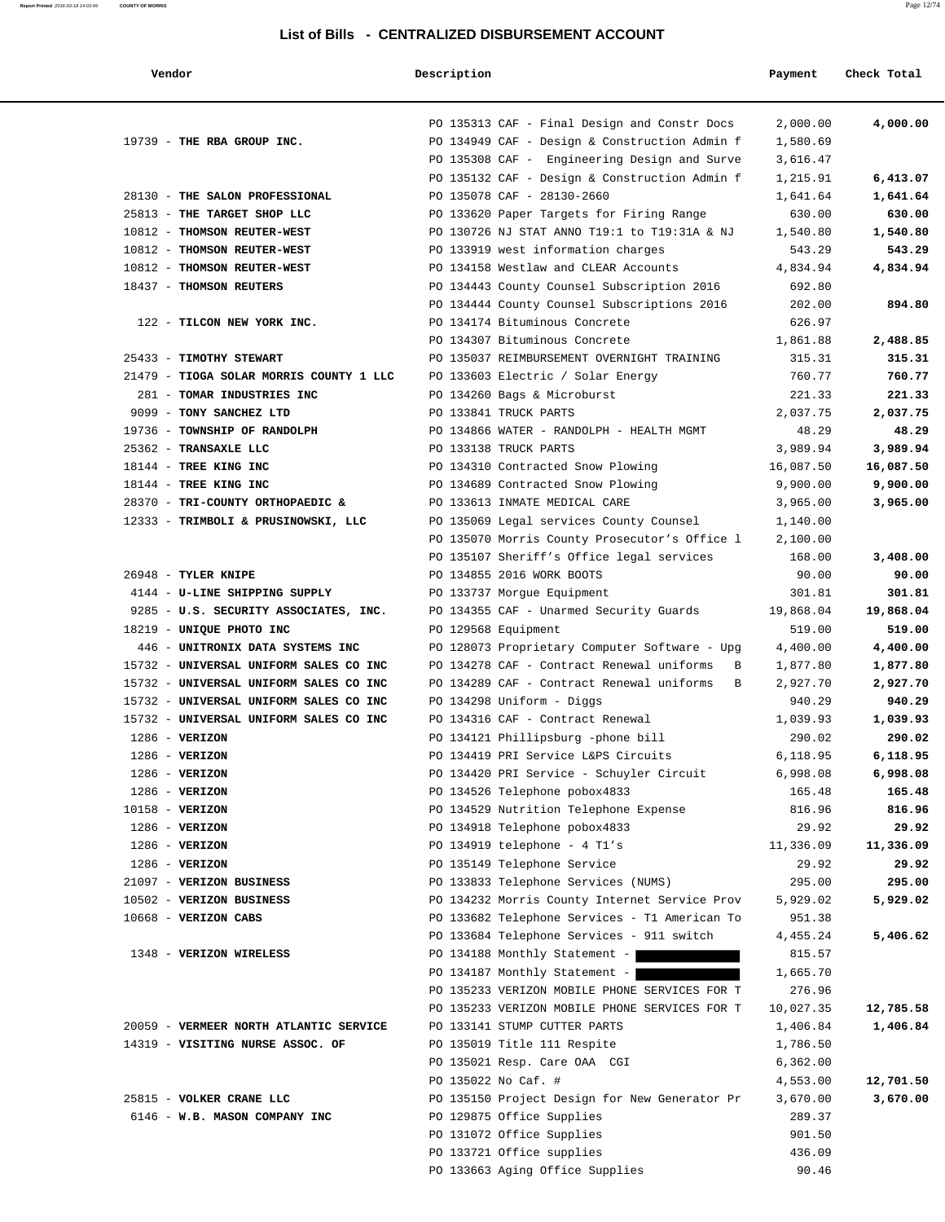| endor |  |
|-------|--|
|       |  |

### **Report Printed** 2016-03-18 14:03:49 **COUNTY OF MORRIS** Page 12/74

| Vendor                                  | Description |                                               | Payment   | Check Total |
|-----------------------------------------|-------------|-----------------------------------------------|-----------|-------------|
|                                         |             |                                               |           |             |
|                                         |             | PO 135313 CAF - Final Design and Constr Docs  | 2,000.00  | 4,000.00    |
| 19739 - THE RBA GROUP INC.              |             | PO 134949 CAF - Design & Construction Admin f | 1,580.69  |             |
|                                         |             | PO 135308 CAF - Engineering Design and Surve  | 3,616.47  |             |
|                                         |             | PO 135132 CAF - Design & Construction Admin f | 1,215.91  | 6,413.07    |
| 28130 - THE SALON PROFESSIONAL          |             | PO 135078 CAF - 28130-2660                    | 1,641.64  | 1,641.64    |
| 25813 - THE TARGET SHOP LLC             |             | PO 133620 Paper Targets for Firing Range      | 630.00    | 630.00      |
| 10812 - THOMSON REUTER-WEST             |             | PO 130726 NJ STAT ANNO T19:1 to T19:31A & NJ  | 1,540.80  | 1,540.80    |
| 10812 - THOMSON REUTER-WEST             |             | PO 133919 west information charges            | 543.29    | 543.29      |
| 10812 - THOMSON REUTER-WEST             |             | PO 134158 Westlaw and CLEAR Accounts          | 4,834.94  | 4,834.94    |
| 18437 - THOMSON REUTERS                 |             | PO 134443 County Counsel Subscription 2016    | 692.80    |             |
|                                         |             | PO 134444 County Counsel Subscriptions 2016   | 202.00    | 894.80      |
| 122 - TILCON NEW YORK INC.              |             | PO 134174 Bituminous Concrete                 | 626.97    |             |
|                                         |             | PO 134307 Bituminous Concrete                 | 1,861.88  | 2,488.85    |
| 25433 - TIMOTHY STEWART                 |             | PO 135037 REIMBURSEMENT OVERNIGHT TRAINING    | 315.31    | 315.31      |
| 21479 - TIOGA SOLAR MORRIS COUNTY 1 LLC |             | PO 133603 Electric / Solar Energy             | 760.77    | 760.77      |
| 281 - TOMAR INDUSTRIES INC              |             | PO 134260 Bags & Microburst                   | 221.33    | 221.33      |
| 9099 - TONY SANCHEZ LTD                 |             | PO 133841 TRUCK PARTS                         | 2,037.75  | 2,037.75    |
| 19736 - TOWNSHIP OF RANDOLPH            |             | PO 134866 WATER - RANDOLPH - HEALTH MGMT      | 48.29     | 48.29       |
| 25362 - TRANSAXLE LLC                   |             | PO 133138 TRUCK PARTS                         | 3,989.94  | 3,989.94    |
| 18144 - TREE KING INC                   |             | PO 134310 Contracted Snow Plowing             | 16,087.50 | 16,087.50   |
| 18144 - TREE KING INC                   |             | PO 134689 Contracted Snow Plowing             | 9,900.00  | 9,900.00    |
| 28370 - TRI-COUNTY ORTHOPAEDIC &        |             | PO 133613 INMATE MEDICAL CARE                 | 3,965.00  | 3,965.00    |
| 12333 - TRIMBOLI & PRUSINOWSKI, LLC     |             | PO 135069 Legal services County Counsel       | 1,140.00  |             |
|                                         |             | PO 135070 Morris County Prosecutor's Office 1 | 2,100.00  |             |
|                                         |             | PO 135107 Sheriff's Office legal services     | 168.00    | 3,408.00    |
| $26948$ - TYLER KNIPE                   |             | PO 134855 2016 WORK BOOTS                     | 90.00     | 90.00       |
| 4144 - U-LINE SHIPPING SUPPLY           |             | PO 133737 Morgue Equipment                    | 301.81    | 301.81      |
| 9285 - U.S. SECURITY ASSOCIATES, INC.   |             | PO 134355 CAF - Unarmed Security Guards       | 19,868.04 | 19,868.04   |
| 18219 - UNIQUE PHOTO INC                |             | PO 129568 Equipment                           | 519.00    | 519.00      |
| 446 - UNITRONIX DATA SYSTEMS INC        |             | PO 128073 Proprietary Computer Software - Upg | 4,400.00  | 4,400.00    |
| 15732 - UNIVERSAL UNIFORM SALES CO INC  |             | PO 134278 CAF - Contract Renewal uniforms B   | 1,877.80  | 1,877.80    |
| 15732 - UNIVERSAL UNIFORM SALES CO INC  |             | PO 134289 CAF - Contract Renewal uniforms B   | 2,927.70  | 2,927.70    |
| 15732 - UNIVERSAL UNIFORM SALES CO INC  |             | PO 134298 Uniform - Diggs                     | 940.29    | 940.29      |
| 15732 - UNIVERSAL UNIFORM SALES CO INC  |             | PO 134316 CAF - Contract Renewal              | 1,039.93  | 1,039.93    |
| $1286$ - VERIZON                        |             | PO 134121 Phillipsburg -phone bill            | 290.02    | 290.02      |
| $1286$ - VERIZON                        |             | PO 134419 PRI Service L&PS Circuits           | 6,118.95  | 6,118.95    |
| $1286$ - VERIZON                        |             | PO 134420 PRI Service - Schuyler Circuit      | 6,998.08  | 6,998.08    |
| $1286$ - VERIZON                        |             | PO 134526 Telephone pobox4833                 | 165.48    | 165.48      |
| $10158 - VERIZON$                       |             | PO 134529 Nutrition Telephone Expense         | 816.96    | 816.96      |
| $1286$ - VERIZON                        |             | PO 134918 Telephone pobox4833                 | 29.92     | 29.92       |
| $1286$ - VERIZON                        |             | PO 134919 telephone - $4$ Tl's                | 11,336.09 | 11,336.09   |
| $1286$ - VERIZON                        |             | PO 135149 Telephone Service                   | 29.92     | 29.92       |
| 21097 - VERIZON BUSINESS                |             | PO 133833 Telephone Services (NUMS)           | 295.00    | 295.00      |
| 10502 - VERIZON BUSINESS                |             | PO 134232 Morris County Internet Service Prov | 5,929.02  | 5,929.02    |
| 10668 - VERIZON CABS                    |             | PO 133682 Telephone Services - T1 American To | 951.38    |             |
|                                         |             | PO 133684 Telephone Services - 911 switch     | 4,455.24  | 5,406.62    |
| 1348 - VERIZON WIRELESS                 |             | PO 134188 Monthly Statement -                 | 815.57    |             |
|                                         |             | PO 134187 Monthly Statement -                 | 1,665.70  |             |
|                                         |             | PO 135233 VERIZON MOBILE PHONE SERVICES FOR T | 276.96    |             |
|                                         |             | PO 135233 VERIZON MOBILE PHONE SERVICES FOR T | 10,027.35 | 12,785.58   |
| 20059 - VERMEER NORTH ATLANTIC SERVICE  |             | PO 133141 STUMP CUTTER PARTS                  | 1,406.84  | 1,406.84    |
| 14319 - VISITING NURSE ASSOC. OF        |             | PO 135019 Title 111 Respite                   | 1,786.50  |             |
|                                         |             | PO 135021 Resp. Care OAA CGI                  | 6,362.00  |             |
|                                         |             | PO 135022 No Caf. #                           | 4,553.00  | 12,701.50   |
| 25815 - VOLKER CRANE LLC                |             | PO 135150 Project Design for New Generator Pr | 3,670.00  | 3,670.00    |
| 6146 - W.B. MASON COMPANY INC           |             | PO 129875 Office Supplies                     | 289.37    |             |
|                                         |             | PO 131072 Office Supplies                     | 901.50    |             |
|                                         |             | PO 133721 Office supplies                     | 436.09    |             |
|                                         |             | PO 133663 Aging Office Supplies               | 90.46     |             |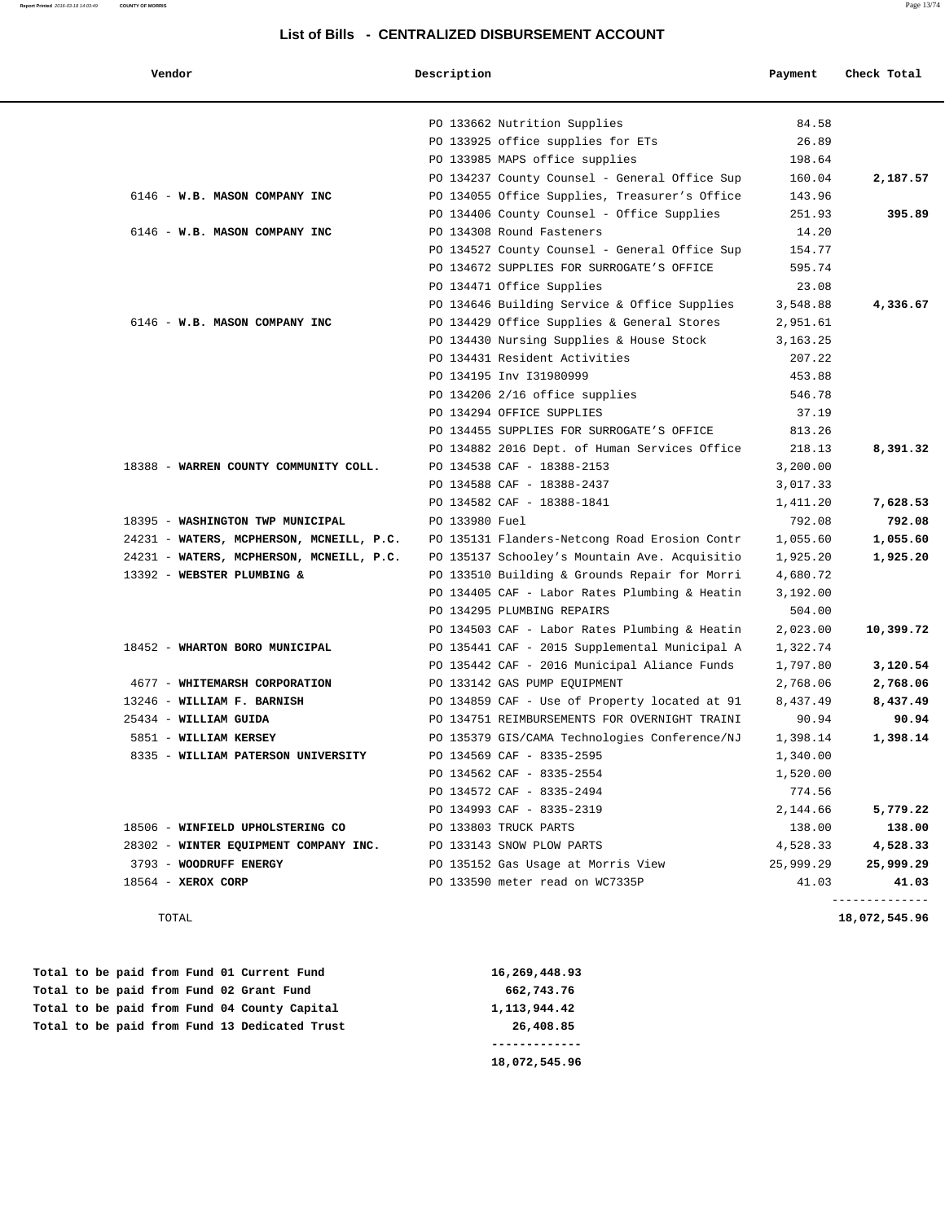### **Report Printed** 2016-03-18 14:03:49 **COUNTY OF MORRIS** Page 13/74

| Vendor                                   | Description    |                                               | Payment    | Check Total   |
|------------------------------------------|----------------|-----------------------------------------------|------------|---------------|
|                                          |                | PO 133662 Nutrition Supplies                  | 84.58      |               |
|                                          |                | PO 133925 office supplies for ETs             | 26.89      |               |
|                                          |                | PO 133985 MAPS office supplies                | 198.64     |               |
|                                          |                | PO 134237 County Counsel - General Office Sup | 160.04     | 2,187.57      |
| 6146 - W.B. MASON COMPANY INC            |                | PO 134055 Office Supplies, Treasurer's Office | 143.96     |               |
|                                          |                | PO 134406 County Counsel - Office Supplies    | 251.93     | 395.89        |
| 6146 - W.B. MASON COMPANY INC            |                | PO 134308 Round Fasteners                     | 14.20      |               |
|                                          |                | PO 134527 County Counsel - General Office Sup | 154.77     |               |
|                                          |                | PO 134672 SUPPLIES FOR SURROGATE'S OFFICE     | 595.74     |               |
|                                          |                | PO 134471 Office Supplies                     | 23.08      |               |
|                                          |                | PO 134646 Building Service & Office Supplies  | 3,548.88   | 4,336.67      |
| 6146 - W.B. MASON COMPANY INC            |                | PO 134429 Office Supplies & General Stores    | 2,951.61   |               |
|                                          |                | PO 134430 Nursing Supplies & House Stock      | 3, 163. 25 |               |
|                                          |                | PO 134431 Resident Activities                 | 207.22     |               |
|                                          |                | PO 134195 Inv I31980999                       | 453.88     |               |
|                                          |                | PO 134206 2/16 office supplies                | 546.78     |               |
|                                          |                | PO 134294 OFFICE SUPPLIES                     | 37.19      |               |
|                                          |                | PO 134455 SUPPLIES FOR SURROGATE'S OFFICE     | 813.26     |               |
|                                          |                | PO 134882 2016 Dept. of Human Services Office | 218.13     | 8,391.32      |
| 18388 - WARREN COUNTY COMMUNITY COLL.    |                | PO 134538 CAF - 18388-2153                    | 3,200.00   |               |
|                                          |                | PO 134588 CAF - 18388-2437                    | 3,017.33   |               |
|                                          |                | PO 134582 CAF - 18388-1841                    | 1,411.20   | 7,628.53      |
| 18395 - WASHINGTON TWP MUNICIPAL         | PO 133980 Fuel |                                               | 792.08     | 792.08        |
| 24231 - WATERS, MCPHERSON, MCNEILL, P.C. |                | PO 135131 Flanders-Netcong Road Erosion Contr | 1,055.60   | 1,055.60      |
| 24231 - WATERS, MCPHERSON, MCNEILL, P.C. |                | PO 135137 Schooley's Mountain Ave. Acquisitio | 1,925.20   | 1,925.20      |
| 13392 - WEBSTER PLUMBING &               |                | PO 133510 Building & Grounds Repair for Morri | 4,680.72   |               |
|                                          |                | PO 134405 CAF - Labor Rates Plumbing & Heatin | 3,192.00   |               |
|                                          |                | PO 134295 PLUMBING REPAIRS                    | 504.00     |               |
|                                          |                | PO 134503 CAF - Labor Rates Plumbing & Heatin | 2,023.00   | 10,399.72     |
| 18452 - WHARTON BORO MUNICIPAL           |                | PO 135441 CAF - 2015 Supplemental Municipal A | 1,322.74   |               |
|                                          |                | PO 135442 CAF - 2016 Municipal Aliance Funds  | 1,797.80   | 3,120.54      |
| 4677 - WHITEMARSH CORPORATION            |                | PO 133142 GAS PUMP EQUIPMENT                  | 2,768.06   | 2,768.06      |
| 13246 - WILLIAM F. BARNISH               |                | PO 134859 CAF - Use of Property located at 91 | 8,437.49   | 8,437.49      |
| 25434 - WILLIAM GUIDA                    |                | PO 134751 REIMBURSEMENTS FOR OVERNIGHT TRAINI | 90.94      | 90.94         |
| 5851 - WILLIAM KERSEY                    |                | PO 135379 GIS/CAMA Technologies Conference/NJ | 1,398.14   | 1,398.14      |
| 8335 - WILLIAM PATERSON UNIVERSITY       |                | PO 134569 CAF - 8335-2595                     | 1,340.00   |               |
|                                          |                | PO 134562 CAF - 8335-2554                     | 1,520.00   |               |
|                                          |                | PO 134572 CAF - 8335-2494                     | 774.56     |               |
|                                          |                | PO 134993 CAF - 8335-2319                     | 2,144.66   | 5,779.22      |
| 18506 - WINFIELD UPHOLSTERING CO         |                | PO 133803 TRUCK PARTS                         | 138.00     | 138.00        |
| 28302 - WINTER EQUIPMENT COMPANY INC.    |                | PO 133143 SNOW PLOW PARTS                     | 4,528.33   | 4,528.33      |
| 3793 - WOODRUFF ENERGY                   |                | PO 135152 Gas Usage at Morris View            | 25,999.29  | 25,999.29     |
| $18564 - XEROX CORP$                     |                | PO 133590 meter read on WC7335P               | 41.03      | 41.03         |
| TOTAL                                    |                |                                               |            | 18,072,545.96 |

|  |  |  |  | Total to be paid from Fund 01 Current Fund    | 16,269,448.93 |
|--|--|--|--|-----------------------------------------------|---------------|
|  |  |  |  | Total to be paid from Fund 02 Grant Fund      | 662,743.76    |
|  |  |  |  | Total to be paid from Fund 04 County Capital  | 1,113,944.42  |
|  |  |  |  | Total to be paid from Fund 13 Dedicated Trust | 26,408.85     |
|  |  |  |  |                                               |               |
|  |  |  |  |                                               | 18,072,545.96 |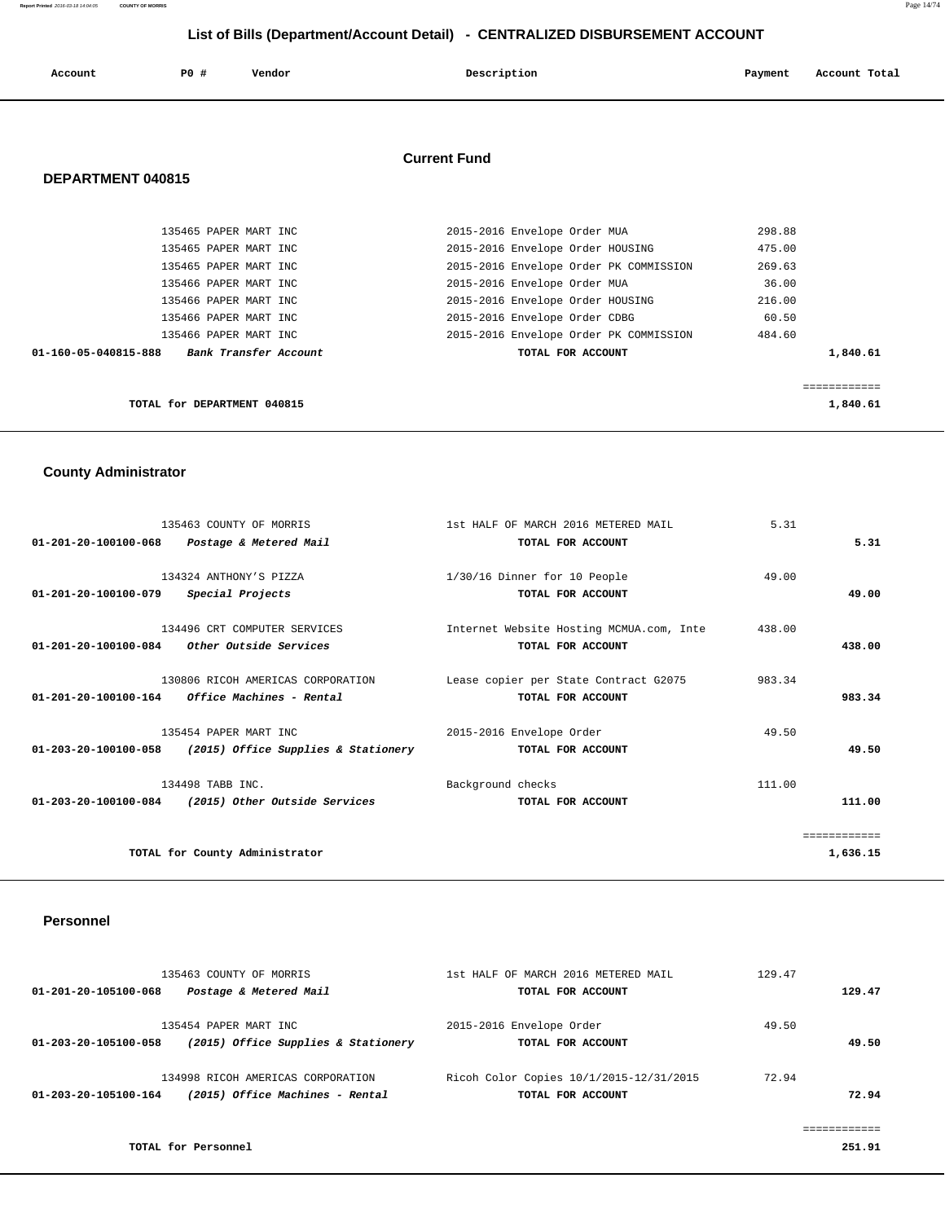**Report Printed** 2016-03-18 14:04:05 **COUNTY OF MORRIS** Page 14/74

## **List of Bills (Department/Account Detail) - CENTRALIZED DISBURSEMENT ACCOUNT**

| Account | <b>PO #</b> | Vendor | Description | Payment | Account Total |
|---------|-------------|--------|-------------|---------|---------------|
|         |             |        |             |         |               |

## **Current Fund**

## **DEPARTMENT 040815**

| TOTAL for DEPARTMENT 040815                   |                                        | 1,840.61 |
|-----------------------------------------------|----------------------------------------|----------|
|                                               |                                        |          |
| 01-160-05-040815-888<br>Bank Transfer Account | TOTAL FOR ACCOUNT                      | 1,840.61 |
| 135466 PAPER MART INC                         | 2015-2016 Envelope Order PK COMMISSION | 484.60   |
| 135466 PAPER MART INC                         | 2015-2016 Envelope Order CDBG          | 60.50    |
| 135466 PAPER MART INC                         | 2015-2016 Envelope Order HOUSING       | 216.00   |
| 135466 PAPER MART INC                         | 2015-2016 Envelope Order MUA           | 36.00    |
| 135465 PAPER MART INC                         | 2015-2016 Envelope Order PK COMMISSION | 269.63   |
| 135465 PAPER MART INC                         | 2015-2016 Envelope Order HOUSING       | 475.00   |
| 135465 PAPER MART INC                         | 2015-2016 Envelope Order MUA           | 298.88   |

## **County Administrator**

|                                                 | 135463 COUNTY OF MORRIS                            | 1st HALF OF MARCH 2016 METERED MAIL      | 5.31   |              |
|-------------------------------------------------|----------------------------------------------------|------------------------------------------|--------|--------------|
| 01-201-20-100100-068                            | Postage & Metered Mail                             | TOTAL FOR ACCOUNT                        |        | 5.31         |
|                                                 |                                                    |                                          |        |              |
|                                                 | 134324 ANTHONY'S PIZZA                             | 1/30/16 Dinner for 10 People             | 49.00  |              |
| 01-201-20-100100-079                            | Special Projects                                   | TOTAL FOR ACCOUNT                        |        | 49.00        |
|                                                 | 134496 CRT COMPUTER SERVICES                       | Internet Website Hosting MCMUA.com, Inte | 438.00 |              |
| 01-201-20-100100-084                            | Other Outside Services                             | TOTAL FOR ACCOUNT                        |        | 438.00       |
|                                                 |                                                    |                                          |        |              |
|                                                 | 130806 RICOH AMERICAS CORPORATION                  | Lease copier per State Contract G2075    | 983.34 |              |
| $01-201-20-100100-164$ Office Machines - Rental |                                                    | TOTAL FOR ACCOUNT                        |        | 983.34       |
|                                                 | 135454 PAPER MART INC                              | 2015-2016 Envelope Order                 | 49.50  |              |
| $01 - 203 - 20 - 100100 - 058$                  | (2015) Office Supplies & Stationery                | TOTAL FOR ACCOUNT                        |        | 49.50        |
|                                                 |                                                    |                                          |        |              |
|                                                 | 134498 TABB INC.                                   | Background checks                        | 111.00 |              |
|                                                 | 01-203-20-100100-084 (2015) Other Outside Services | TOTAL FOR ACCOUNT                        |        | 111.00       |
|                                                 |                                                    |                                          |        | ============ |
|                                                 | TOTAL for County Administrator                     |                                          |        | 1,636.15     |

### **Personnel**

|                      | 135463 COUNTY OF MORRIS             | 1st HALF OF MARCH 2016 METERED MAIL     | 129.47 |        |
|----------------------|-------------------------------------|-----------------------------------------|--------|--------|
| 01-201-20-105100-068 | Postage & Metered Mail              | TOTAL FOR ACCOUNT                       |        | 129.47 |
|                      | 135454 PAPER MART INC               | 2015-2016 Envelope Order                | 49.50  |        |
| 01-203-20-105100-058 | (2015) Office Supplies & Stationery | TOTAL FOR ACCOUNT                       |        | 49.50  |
|                      | 134998 RICOH AMERICAS CORPORATION   | Ricoh Color Copies 10/1/2015-12/31/2015 | 72.94  |        |
| 01-203-20-105100-164 | (2015) Office Machines - Rental     | TOTAL FOR ACCOUNT                       |        | 72.94  |
|                      |                                     |                                         |        |        |

**TOTAL for Personnel 251.91 251.91** 

============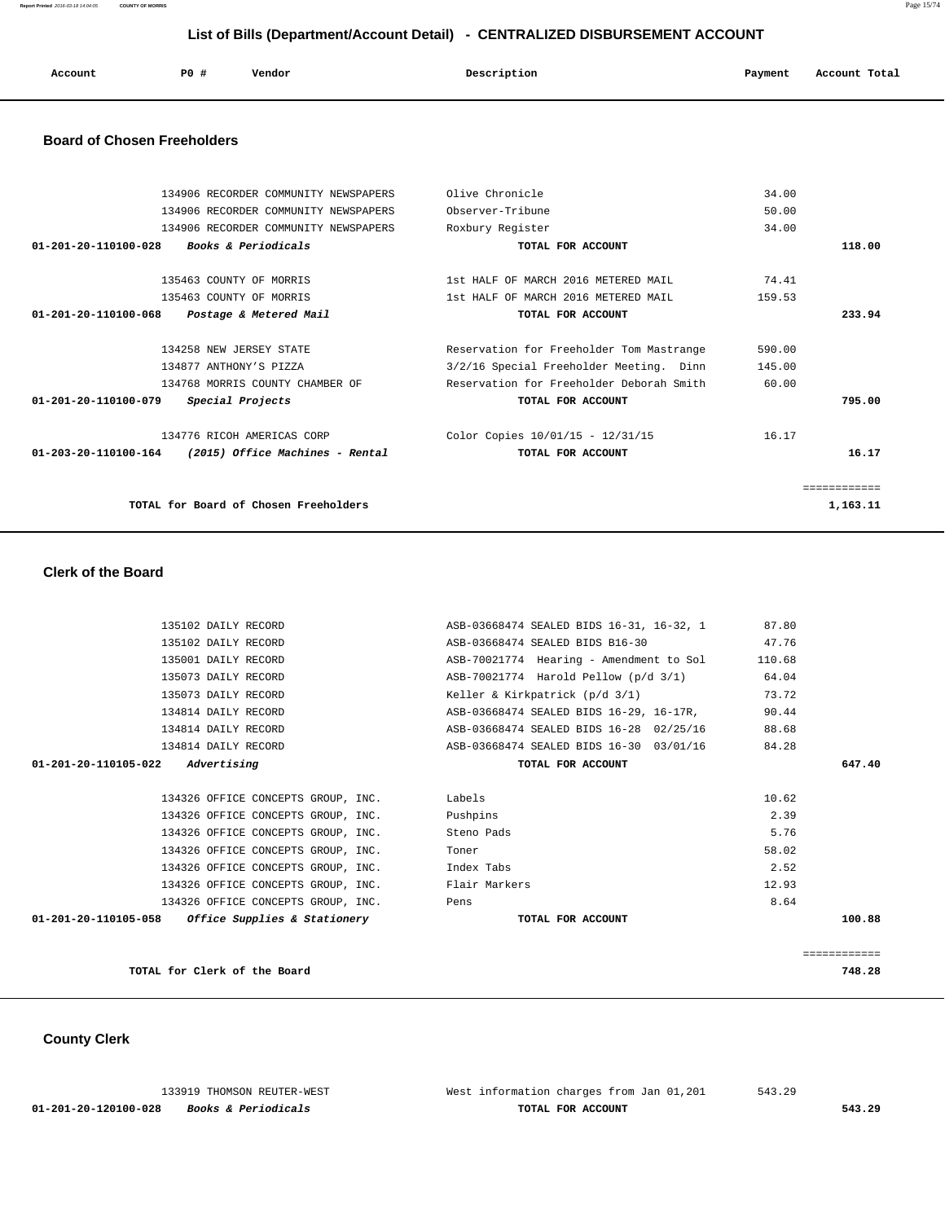**Report Printed** 2016-03-18 14:04:05 **COUNTY OF MORRIS** Page 15/74

## **List of Bills (Department/Account Detail) - CENTRALIZED DISBURSEMENT ACCOUNT**

| Account<br>. | P0 # | Vendor<br>. | Description<br>. | Payment | Account Total<br>.<br>. |
|--------------|------|-------------|------------------|---------|-------------------------|
|              |      |             |                  |         |                         |

## **Board of Chosen Freeholders**

|                                | 134906 RECORDER COMMUNITY NEWSPAPERS                           | Olive Chronicle                          | 34.00  |            |
|--------------------------------|----------------------------------------------------------------|------------------------------------------|--------|------------|
|                                | 134906 RECORDER COMMUNITY NEWSPAPERS                           | Observer-Tribune                         | 50.00  |            |
|                                | 134906 RECORDER COMMUNITY NEWSPAPERS                           | Roxbury Register                         | 34.00  |            |
| $01 - 201 - 20 - 110100 - 028$ | Books & Periodicals                                            | TOTAL FOR ACCOUNT                        |        | 118.00     |
|                                | 135463 COUNTY OF MORRIS                                        | 1st HALF OF MARCH 2016 METERED MAIL      | 74.41  |            |
|                                | 135463 COUNTY OF MORRIS                                        | 1st HALF OF MARCH 2016 METERED MAIL      | 159.53 |            |
| 01-201-20-110100-068           | Postage & Metered Mail                                         | TOTAL FOR ACCOUNT                        |        | 233.94     |
|                                | 134258 NEW JERSEY STATE                                        | Reservation for Freeholder Tom Mastrange | 590.00 |            |
|                                | 134877 ANTHONY'S PIZZA                                         | 3/2/16 Special Freeholder Meeting. Dinn  | 145.00 |            |
|                                | 134768 MORRIS COUNTY CHAMBER OF                                | Reservation for Freeholder Deborah Smith | 60.00  |            |
| 01-201-20-110100-079           | Special Projects                                               | TOTAL FOR ACCOUNT                        |        | 795.00     |
|                                | 134776 RICOH AMERICAS CORP                                     | Color Copies 10/01/15 - 12/31/15         | 16.17  |            |
|                                | $01 - 203 - 20 - 110100 - 164$ (2015) Office Machines - Rental | TOTAL FOR ACCOUNT                        |        | 16.17      |
|                                |                                                                |                                          |        | ---------- |
|                                | TOTAL for Board of Chosen Freeholders                          |                                          |        | 1,163.11   |
|                                |                                                                |                                          |        |            |

## **Clerk of the Board**

| 135102 DAILY RECORD                                 | ASB-03668474 SEALED BIDS 16-31, 16-32, 1 | 87.80  |              |
|-----------------------------------------------------|------------------------------------------|--------|--------------|
| 135102 DAILY RECORD                                 | ASB-03668474 SEALED BIDS B16-30          | 47.76  |              |
| 135001 DAILY RECORD                                 | ASB-70021774 Hearing - Amendment to Sol  | 110.68 |              |
| 135073 DAILY RECORD                                 | ASB-70021774 Harold Pellow (p/d 3/1)     | 64.04  |              |
| 135073 DAILY RECORD                                 | Keller & Kirkpatrick (p/d 3/1)           | 73.72  |              |
| 134814 DAILY RECORD                                 | ASB-03668474 SEALED BIDS 16-29, 16-17R,  | 90.44  |              |
| 134814 DAILY RECORD                                 | ASB-03668474 SEALED BIDS 16-28 02/25/16  | 88.68  |              |
| 134814 DAILY RECORD                                 | ASB-03668474 SEALED BIDS 16-30 03/01/16  | 84.28  |              |
| $01 - 201 - 20 - 110105 - 022$ Advertising          | TOTAL FOR ACCOUNT                        |        | 647.40       |
|                                                     |                                          |        |              |
| 134326 OFFICE CONCEPTS GROUP, INC.                  | Labels                                   | 10.62  |              |
| 134326 OFFICE CONCEPTS GROUP, INC. Pushpins         |                                          | 2.39   |              |
| 134326 OFFICE CONCEPTS GROUP, INC. Steno Pads       |                                          | 5.76   |              |
| 134326 OFFICE CONCEPTS GROUP, INC.                  | Toner                                    | 58.02  |              |
| 134326 OFFICE CONCEPTS GROUP, INC. Index Tabs       |                                          | 2.52   |              |
| 134326 OFFICE CONCEPTS GROUP, INC.                  | Flair Markers                            | 12.93  |              |
| 134326 OFFICE CONCEPTS GROUP, INC.                  | Pens                                     | 8.64   |              |
| $01-201-20-110105-058$ Office Supplies & Stationery | TOTAL FOR ACCOUNT                        |        | 100.88       |
|                                                     |                                          |        |              |
|                                                     |                                          |        | ============ |
| TOTAL for Clerk of the Board                        |                                          |        | 748.28       |

## **County Clerk**

|                      | 133919 THOMSON REUTER-WEST     | West information charges from Jan 01,201 | 543.29 |        |
|----------------------|--------------------------------|------------------------------------------|--------|--------|
| 01-201-20-120100-028 | <i>Books &amp; Periodicals</i> | TOTAL FOR ACCOUNT                        |        | 543.29 |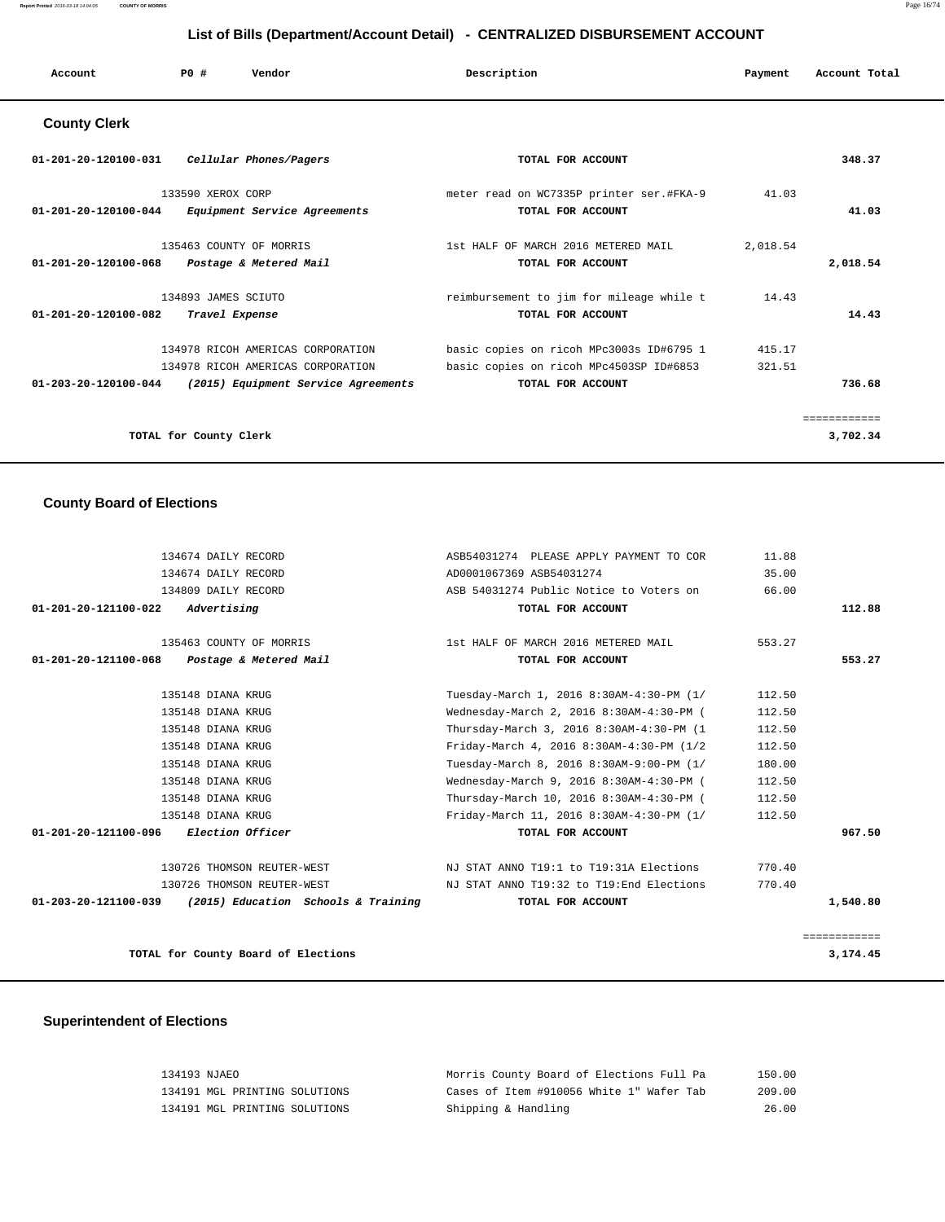| Account                            | PO# | Vendor | Description | Payment | Account Total |
|------------------------------------|-----|--------|-------------|---------|---------------|
| $\sim$ $\sim$ $\sim$ $\sim$ $\sim$ |     |        |             |         |               |

### **County Clerk**

| 01-201-20-120100-031<br>Cellular Phones/Pagers                                                                                                  | TOTAL FOR ACCOUNT                                                                                        |                  | 348.37   |
|-------------------------------------------------------------------------------------------------------------------------------------------------|----------------------------------------------------------------------------------------------------------|------------------|----------|
| 133590 XEROX CORP<br>$01 - 201 - 20 - 120100 - 044$<br>Equipment Service Agreements                                                             | meter read on WC7335P printer ser.#FKA-9<br>TOTAL FOR ACCOUNT                                            | 41.03            | 41.03    |
| 135463 COUNTY OF MORRIS<br>$01 - 201 - 20 - 120100 - 068$<br>Postage & Metered Mail                                                             | 1st HALF OF MARCH 2016 METERED MAIL<br>TOTAL FOR ACCOUNT                                                 | 2,018.54         | 2,018.54 |
| 134893 JAMES SCIUTO<br>01-201-20-120100-082<br>Travel Expense                                                                                   | reimbursement to jim for mileage while t<br>TOTAL FOR ACCOUNT                                            | 14.43            | 14.43    |
| 134978 RICOH AMERICAS CORPORATION<br>134978 RICOH AMERICAS CORPORATION<br>$01 - 203 - 20 - 120100 - 044$<br>(2015) Equipment Service Agreements | basic copies on ricoh MPc3003s ID#6795 1<br>basic copies on ricoh MPc4503SP ID#6853<br>TOTAL FOR ACCOUNT | 415.17<br>321.51 | 736.68   |
| TOTAL for County Clerk                                                                                                                          |                                                                                                          |                  | 3,702.34 |

## **County Board of Elections**

| 134674 DAILY RECORD                                      | ASB54031274 PLEASE APPLY PAYMENT TO COR   | 11.88  |              |
|----------------------------------------------------------|-------------------------------------------|--------|--------------|
| 134674 DAILY RECORD                                      | AD0001067369 ASB54031274                  | 35.00  |              |
| 134809 DAILY RECORD                                      | ASB 54031274 Public Notice to Voters on   | 66.00  |              |
| 01-201-20-121100-022<br>Advertising                      | TOTAL FOR ACCOUNT                         |        | 112.88       |
| 135463 COUNTY OF MORRIS                                  | 1st HALF OF MARCH 2016 METERED MAIL       | 553.27 |              |
| 01-201-20-121100-068<br>Postage & Metered Mail           | TOTAL FOR ACCOUNT                         |        | 553.27       |
| 135148 DIANA KRUG                                        | Tuesday-March 1, 2016 8:30AM-4:30-PM (1/  | 112.50 |              |
| 135148 DIANA KRUG                                        | Wednesday-March 2, 2016 8:30AM-4:30-PM (  | 112.50 |              |
| 135148 DIANA KRUG                                        | Thursday-March 3, 2016 8:30AM-4:30-PM (1  | 112.50 |              |
| 135148 DIANA KRUG                                        | Friday-March 4, 2016 8:30AM-4:30-PM (1/2  | 112.50 |              |
| 135148 DIANA KRUG                                        | Tuesday-March 8, 2016 8:30AM-9:00-PM (1/  | 180.00 |              |
| 135148 DIANA KRUG                                        | Wednesday-March 9, 2016 8:30AM-4:30-PM (  | 112.50 |              |
| 135148 DIANA KRUG                                        | Thursday-March 10, 2016 8:30AM-4:30-PM (  | 112.50 |              |
| 135148 DIANA KRUG                                        | Friday-March 11, 2016 8:30AM-4:30-PM (1/  | 112.50 |              |
| <i>Election Officer</i><br>01-201-20-121100-096          | TOTAL FOR ACCOUNT                         |        | 967.50       |
| 130726 THOMSON REUTER-WEST                               | NJ STAT ANNO T19:1 to T19:31A Elections   | 770.40 |              |
| 130726 THOMSON REUTER-WEST                               | NJ STAT ANNO T19:32 to T19: End Elections | 770.40 |              |
| 01-203-20-121100-039 (2015) Education Schools & Training | TOTAL FOR ACCOUNT                         |        | 1,540.80     |
|                                                          |                                           |        | ============ |
| TOTAL for County Board of Elections                      |                                           |        | 3,174.45     |

# **Superintendent of Elections**

| 134193 NJAEO |                               | Morris County Board of Elections Full Pa | 150.00 |
|--------------|-------------------------------|------------------------------------------|--------|
|              | 134191 MGL PRINTING SOLUTIONS | Cases of Item #910056 White 1" Wafer Tab | 209.00 |
|              | 134191 MGL PRINTING SOLUTIONS | Shipping & Handling                      | 26.00  |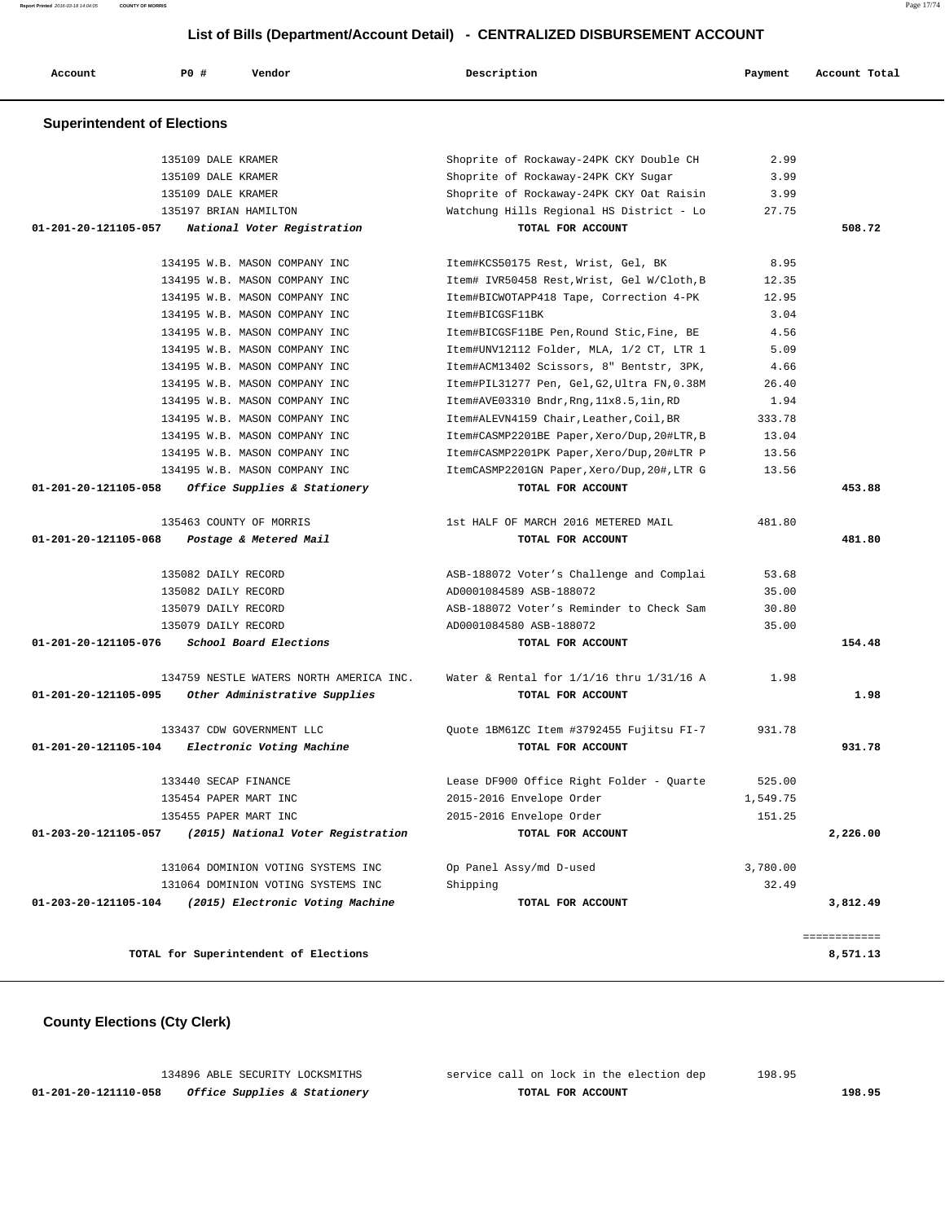| Account                            | P0 #<br>Vendor                                     | Description                                          | Payment            | Account Total |
|------------------------------------|----------------------------------------------------|------------------------------------------------------|--------------------|---------------|
| <b>Superintendent of Elections</b> |                                                    |                                                      |                    |               |
|                                    |                                                    |                                                      |                    |               |
|                                    | 135109 DALE KRAMER                                 | Shoprite of Rockaway-24PK CKY Double CH              | 2.99               |               |
|                                    | 135109 DALE KRAMER                                 | Shoprite of Rockaway-24PK CKY Sugar                  | 3.99               |               |
|                                    | 135109 DALE KRAMER                                 | Shoprite of Rockaway-24PK CKY Oat Raisin             | 3.99               |               |
|                                    | 135197 BRIAN HAMILTON                              | Watchung Hills Regional HS District - Lo             | 27.75              |               |
| 01-201-20-121105-057               | National Voter Registration                        | TOTAL FOR ACCOUNT                                    |                    | 508.72        |
|                                    | 134195 W.B. MASON COMPANY INC                      | Item#KCS50175 Rest, Wrist, Gel, BK                   | 8.95               |               |
|                                    | 134195 W.B. MASON COMPANY INC                      | Item# IVR50458 Rest, Wrist, Gel W/Cloth, B           | 12.35              |               |
|                                    | 134195 W.B. MASON COMPANY INC                      | Item#BICWOTAPP418 Tape, Correction 4-PK              | 12.95              |               |
|                                    | 134195 W.B. MASON COMPANY INC                      | Item#BICGSF11BK                                      | 3.04               |               |
|                                    | 134195 W.B. MASON COMPANY INC                      | Item#BICGSF11BE Pen, Round Stic, Fine, BE            | 4.56               |               |
|                                    | 134195 W.B. MASON COMPANY INC                      | Item#UNV12112 Folder, MLA, 1/2 CT, LTR 1             | 5.09               |               |
|                                    | 134195 W.B. MASON COMPANY INC                      | Item#ACM13402 Scissors, 8" Bentstr, 3PK,             | 4.66               |               |
|                                    | 134195 W.B. MASON COMPANY INC                      | Item#PIL31277 Pen, Gel, G2, Ultra FN, 0.38M          | 26.40              |               |
|                                    | 134195 W.B. MASON COMPANY INC                      | Item#AVE03310 Bndr, Rng, 11x8.5, lin, RD             | 1.94               |               |
|                                    | 134195 W.B. MASON COMPANY INC                      | Item#ALEVN4159 Chair, Leather, Coil, BR              | 333.78             |               |
|                                    | 134195 W.B. MASON COMPANY INC                      | Item#CASMP2201BE Paper, Xero/Dup, 20#LTR, B          | 13.04              |               |
|                                    | 134195 W.B. MASON COMPANY INC                      | Item#CASMP2201PK Paper, Xero/Dup, 20#LTR P           | 13.56              |               |
|                                    | 134195 W.B. MASON COMPANY INC                      | ItemCASMP2201GN Paper, Xero/Dup, 20#, LTR G          | 13.56              |               |
| 01-201-20-121105-058               | Office Supplies & Stationery                       | TOTAL FOR ACCOUNT                                    |                    | 453.88        |
|                                    | 135463 COUNTY OF MORRIS                            | 1st HALF OF MARCH 2016 METERED MAIL                  | 481.80             |               |
| 01-201-20-121105-068               | Postage & Metered Mail                             | TOTAL FOR ACCOUNT                                    |                    | 481.80        |
|                                    | 135082 DAILY RECORD                                | ASB-188072 Voter's Challenge and Complai             | 53.68              |               |
|                                    | 135082 DAILY RECORD                                | AD0001084589 ASB-188072                              | 35.00              |               |
|                                    | 135079 DAILY RECORD                                | ASB-188072 Voter's Reminder to Check Sam             | 30.80              |               |
|                                    | 135079 DAILY RECORD                                | AD0001084580 ASB-188072                              | 35.00              |               |
| 01-201-20-121105-076               | School Board Elections                             | TOTAL FOR ACCOUNT                                    |                    | 154.48        |
|                                    | 134759 NESTLE WATERS NORTH AMERICA INC.            | Water & Rental for $1/1/16$ thru $1/31/16$ A         | 1.98               |               |
|                                    | 01-201-20-121105-095 Other Administrative Supplies | TOTAL FOR ACCOUNT                                    |                    | 1.98          |
|                                    | 133437 CDW GOVERNMENT LLC                          | Quote 1BM61ZC Item #3792455 Fujitsu FI-7             | 931.78             |               |
| 01-201-20-121105-104               | Electronic Voting Machine                          | TOTAL FOR ACCOUNT                                    |                    | 931.78        |
|                                    | 133440 SECAP FINANCE                               | Lease DF900 Office Right Folder - Ouarte             |                    |               |
|                                    |                                                    |                                                      | 525.00             |               |
|                                    | 135454 PAPER MART INC<br>135455 PAPER MART INC     | 2015-2016 Envelope Order<br>2015-2016 Envelope Order | 1,549.75<br>151.25 |               |
| 01-203-20-121105-057               | (2015) National Voter Registration                 | TOTAL FOR ACCOUNT                                    |                    | 2,226.00      |
|                                    |                                                    |                                                      |                    |               |
|                                    | 131064 DOMINION VOTING SYSTEMS INC                 | Op Panel Assy/md D-used                              | 3,780.00           |               |
|                                    | 131064 DOMINION VOTING SYSTEMS INC                 | Shipping                                             | 32.49              |               |

|                      | TITING DOMINION ANTIMA SISIEMS IMC    | <b>PITTHNTIIG</b> | 34.42    |
|----------------------|---------------------------------------|-------------------|----------|
| 01-203-20-121105-104 | (2015) Electronic Voting Machine      | TOTAL FOR ACCOUNT | 3,812.49 |
|                      |                                       |                   |          |
|                      | TOTAL for Superintendent of Elections |                   | 8,571.13 |
|                      |                                       |                   |          |

# **County Elections (Cty Clerk)**

|                      | 134896 ABLE SECURITY LOCKSMITHS         | service call on lock in the election dep | 198.95 |
|----------------------|-----------------------------------------|------------------------------------------|--------|
| 01-201-20-121110-058 | <i>Office Supplies &amp; Stationery</i> | TOTAL FOR ACCOUNT                        | 198.95 |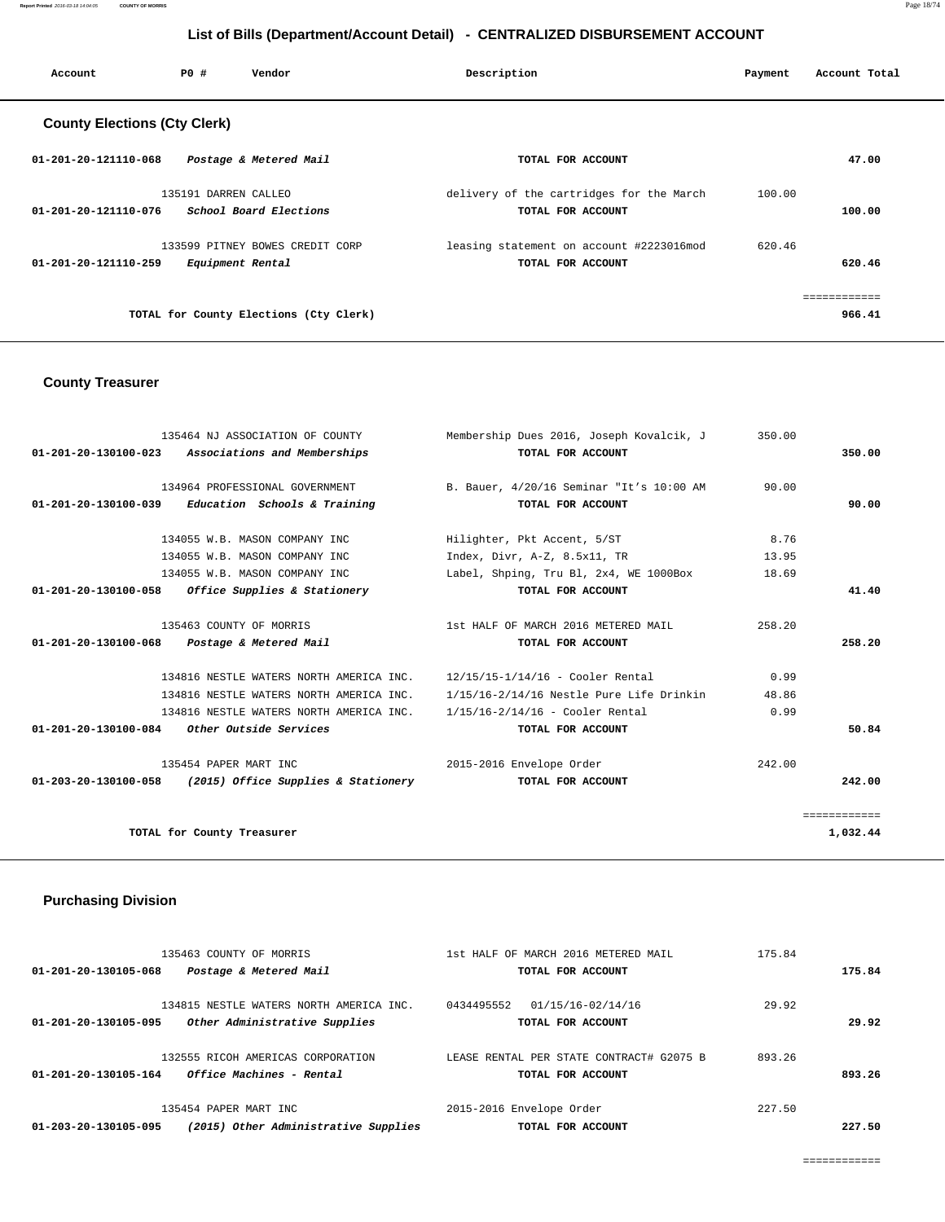**Report Printed** 2016-03-18 14:04:05 **COUNTY OF MORRIS** Page 18/74

## **List of Bills (Department/Account Detail) - CENTRALIZED DISBURSEMENT ACCOUNT**

| Account                             | PO#                  | Vendor                                 | Description                              | Payment | Account Total |
|-------------------------------------|----------------------|----------------------------------------|------------------------------------------|---------|---------------|
| <b>County Elections (Cty Clerk)</b> |                      |                                        |                                          |         |               |
| 01-201-20-121110-068                |                      | Postage & Metered Mail                 | TOTAL FOR ACCOUNT                        |         | 47.00         |
|                                     | 135191 DARREN CALLEO |                                        | delivery of the cartridges for the March | 100.00  |               |
| 01-201-20-121110-076                |                      | School Board Elections                 | TOTAL FOR ACCOUNT                        |         | 100.00        |
|                                     |                      | 133599 PITNEY BOWES CREDIT CORP        | leasing statement on account #2223016mod | 620.46  |               |
| $01 - 201 - 20 - 121110 - 259$      |                      | Equipment Rental                       | TOTAL FOR ACCOUNT                        |         | 620.46        |
|                                     |                      |                                        |                                          |         | ------------  |
|                                     |                      | TOTAL for County Elections (Cty Clerk) |                                          |         | 966.41        |
|                                     |                      |                                        |                                          |         |               |

## **County Treasurer**

| 01-201-20-130100-023 Associations and Memberships<br>TOTAL FOR ACCOUNT                    |              |
|-------------------------------------------------------------------------------------------|--------------|
|                                                                                           | 350.00       |
|                                                                                           |              |
| 134964 PROFESSIONAL GOVERNMENT B. Bauer, 4/20/16 Seminar "It's 10:00 AM<br>90.00          |              |
| $01-201-20-130100-039$ Education Schools & Training<br>TOTAL FOR ACCOUNT                  | 90.00        |
| 8.76<br>134055 W.B. MASON COMPANY INC<br>Hilighter, Pkt Accent, 5/ST                      |              |
| 13.95<br>134055 W.B. MASON COMPANY INC<br>Index, Divr, A-Z, 8.5x11, TR                    |              |
| 134055 W.B. MASON COMPANY INC<br>Label, Shping, Tru Bl, 2x4, WE 1000Box<br>18.69          |              |
| 01-201-20-130100-058 Office Supplies & Stationery<br>TOTAL FOR ACCOUNT                    | 41.40        |
| 135463 COUNTY OF MORRIS<br>1st HALF OF MARCH 2016 METERED MAIL<br>258.20                  |              |
| 01-201-20-130100-068 Postage & Metered Mail<br>TOTAL FOR ACCOUNT                          | 258.20       |
| 134816 NESTLE WATERS NORTH AMERICA INC. 12/15/15-1/14/16 - Cooler Rental<br>0.99          |              |
| 48.86<br>134816 NESTLE WATERS NORTH AMERICA INC. 1/15/16-2/14/16 Nestle Pure Life Drinkin |              |
| 0.99<br>134816 NESTLE WATERS NORTH AMERICA INC. 1/15/16-2/14/16 - Cooler Rental           |              |
| 01-201-20-130100-084 Other Outside Services<br>TOTAL FOR ACCOUNT                          | 50.84        |
| 135454 PAPER MART INC<br>2015-2016 Envelope Order<br>242.00                               |              |
| $01-203-20-130100-058$ (2015) Office Supplies & Stationery<br>TOTAL FOR ACCOUNT           | 242.00       |
|                                                                                           | ============ |
| TOTAL for County Treasurer                                                                | 1,032.44     |

## **Purchasing Division**

|        | 175.84 | 1st HALF OF MARCH 2016 METERED MAIL      | 135463 COUNTY OF MORRIS                 |                      |
|--------|--------|------------------------------------------|-----------------------------------------|----------------------|
| 175.84 |        | TOTAL FOR ACCOUNT                        | Postage & Metered Mail                  | 01-201-20-130105-068 |
|        | 29.92  | 0434495552<br>01/15/16-02/14/16          | 134815 NESTLE WATERS NORTH AMERICA INC. |                      |
| 29.92  |        | TOTAL FOR ACCOUNT                        | Other Administrative Supplies           | 01-201-20-130105-095 |
|        | 893.26 | LEASE RENTAL PER STATE CONTRACT# G2075 B | 132555 RICOH AMERICAS CORPORATION       |                      |
| 893.26 |        | TOTAL FOR ACCOUNT                        | Office Machines - Rental                | 01-201-20-130105-164 |
|        | 227.50 | 2015-2016 Envelope Order                 | 135454 PAPER MART INC                   |                      |
| 227.50 |        | TOTAL FOR ACCOUNT                        | (2015) Other Administrative Supplies    | 01-203-20-130105-095 |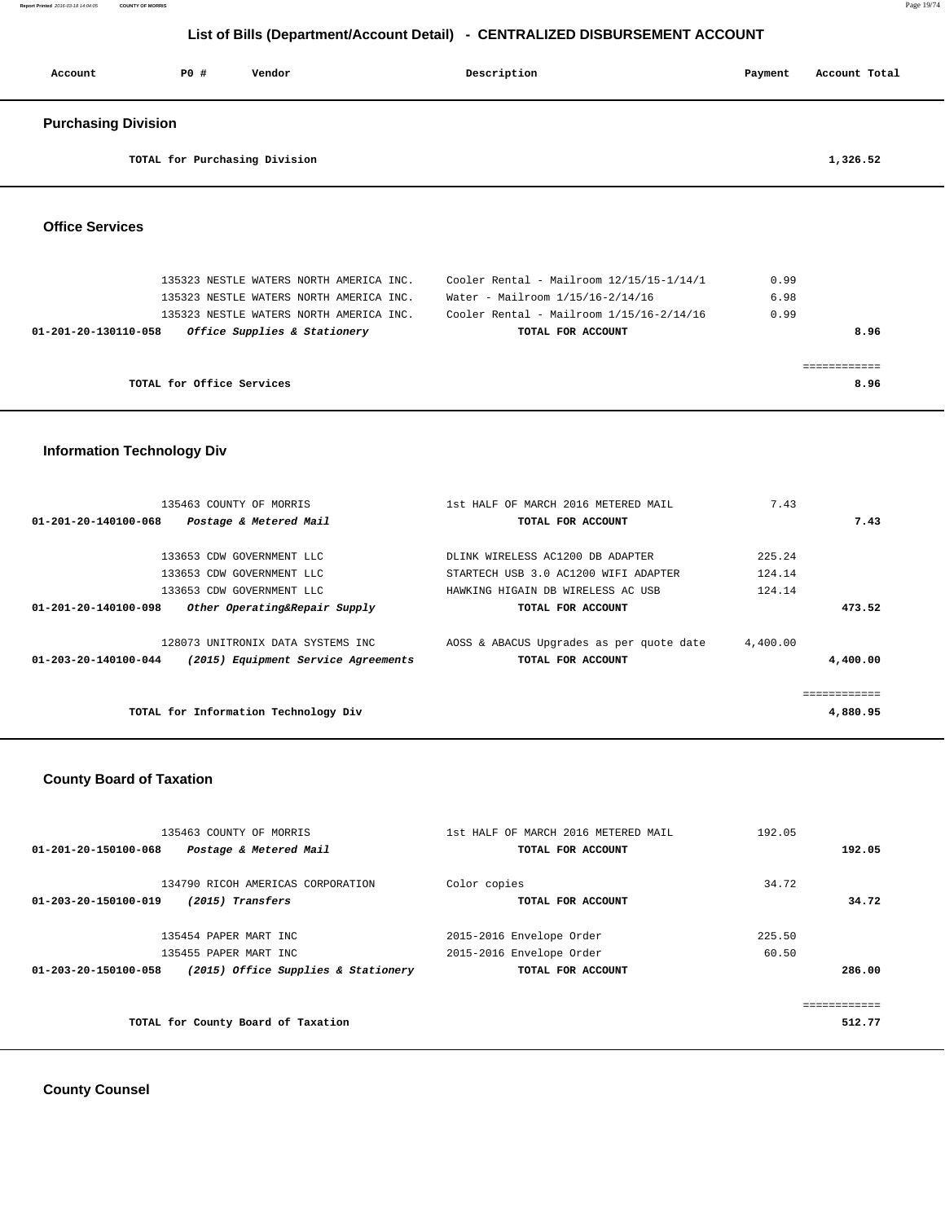| Account                        | PO#                       | Vendor                                  | Description                              | Payment | Account Total |
|--------------------------------|---------------------------|-----------------------------------------|------------------------------------------|---------|---------------|
| <b>Purchasing Division</b>     |                           |                                         |                                          |         |               |
|                                |                           | TOTAL for Purchasing Division           |                                          |         | 1,326.52      |
| <b>Office Services</b>         |                           |                                         |                                          |         |               |
|                                |                           | 135323 NESTLE WATERS NORTH AMERICA INC. | Cooler Rental - Mailroom 12/15/15-1/14/1 | 0.99    |               |
|                                |                           | 135323 NESTLE WATERS NORTH AMERICA INC. | Water - Mailroom 1/15/16-2/14/16         | 6.98    |               |
|                                |                           | 135323 NESTLE WATERS NORTH AMERICA INC. | Cooler Rental - Mailroom 1/15/16-2/14/16 | 0.99    |               |
| $01 - 201 - 20 - 130110 - 058$ |                           | Office Supplies & Stationery            | TOTAL FOR ACCOUNT                        |         | 8.96          |
|                                |                           |                                         |                                          |         | ============  |
|                                | TOTAL for Office Services |                                         |                                          |         | 8.96          |
|                                |                           |                                         |                                          |         |               |

## **Information Technology Div**

| 135463 COUNTY OF MORRIS<br>01-201-20-140100-068<br>Postage & Metered Mail | 1st HALF OF MARCH 2016 METERED MAIL<br>TOTAL FOR ACCOUNT | 7.43     | 7.43                     |
|---------------------------------------------------------------------------|----------------------------------------------------------|----------|--------------------------|
|                                                                           |                                                          |          |                          |
| 133653 CDW GOVERNMENT LLC                                                 | DLINK WIRELESS AC1200 DB ADAPTER                         | 225.24   |                          |
| 133653 CDW GOVERNMENT LLC                                                 | STARTECH USB 3.0 AC1200 WIFI ADAPTER                     | 124.14   |                          |
| 133653 CDW GOVERNMENT LLC                                                 | HAWKING HIGAIN DB WIRELESS AC USB                        | 124.14   |                          |
| 01-201-20-140100-098<br>Other Operating&Repair Supply                     | TOTAL FOR ACCOUNT                                        |          | 473.52                   |
| 128073 UNITRONIX DATA SYSTEMS INC                                         | AOSS & ABACUS Upgrades as per quote date                 | 4,400.00 |                          |
| 01-203-20-140100-044<br>(2015) Equipment Service Agreements               | TOTAL FOR ACCOUNT                                        |          | 4,400,00                 |
| TOTAL for Information Technology Div                                      |                                                          |          | ============<br>4,880.95 |
|                                                                           |                                                          |          |                          |

## **County Board of Taxation**

| 135463 COUNTY OF MORRIS                                     | 1st HALF OF MARCH 2016 METERED MAIL | 192.05 |
|-------------------------------------------------------------|-------------------------------------|--------|
| 01-201-20-150100-068<br>Postage & Metered Mail              | TOTAL FOR ACCOUNT                   | 192.05 |
|                                                             |                                     |        |
| 134790 RICOH AMERICAS CORPORATION                           | Color copies                        | 34.72  |
| 01-203-20-150100-019<br>(2015) Transfers                    | TOTAL FOR ACCOUNT                   | 34.72  |
|                                                             |                                     |        |
| 135454 PAPER MART INC                                       | 2015-2016 Envelope Order            | 225.50 |
| 135455 PAPER MART INC                                       | 2015-2016 Envelope Order            | 60.50  |
| (2015) Office Supplies & Stationery<br>01-203-20-150100-058 | TOTAL FOR ACCOUNT                   | 286.00 |
|                                                             |                                     |        |
|                                                             |                                     |        |
| TOTAL for County Board of Taxation                          |                                     | 512.77 |
|                                                             |                                     |        |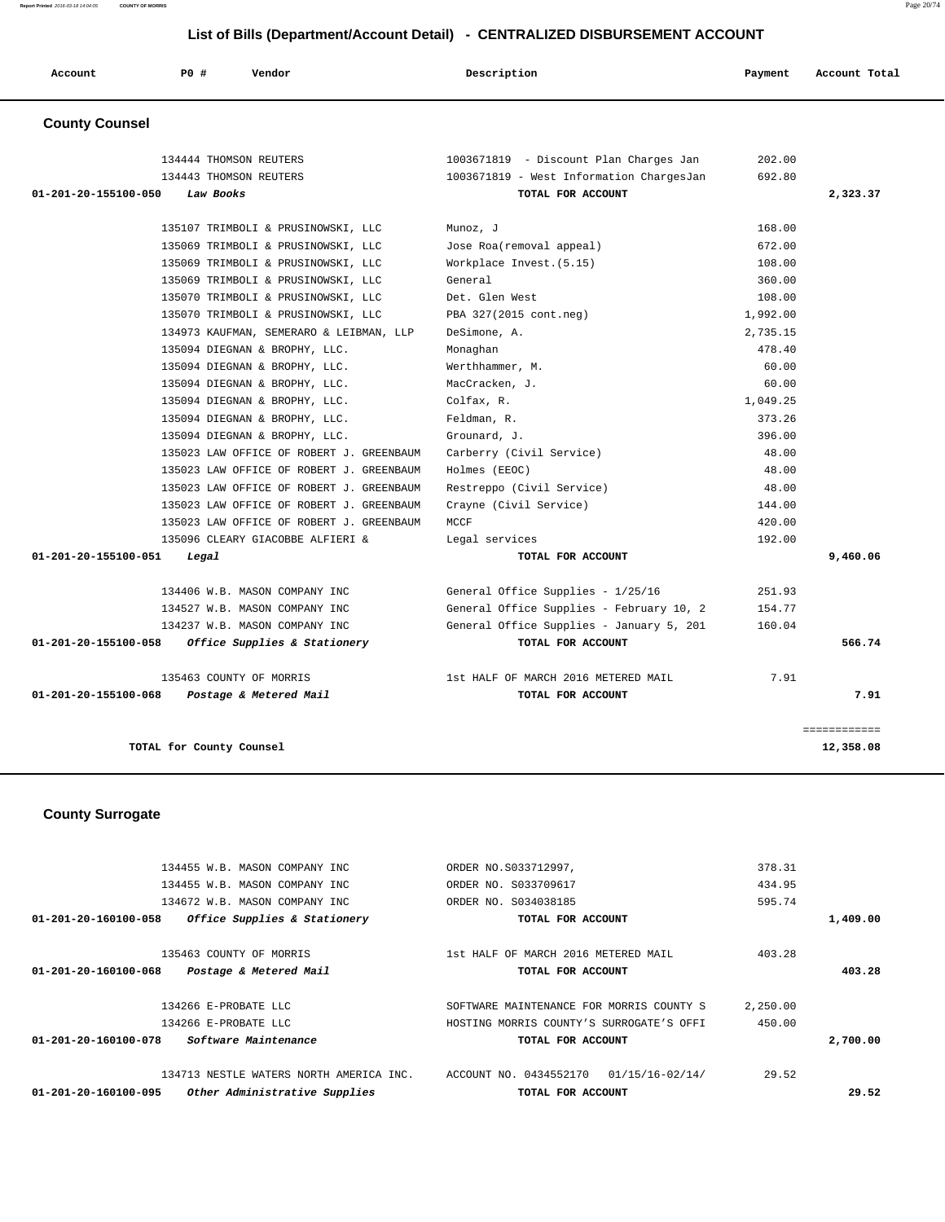**Report Printed** 2016-03-18 14:04:05 **COUNTY OF MORRIS** Page 20/74

## **List of Bills (Department/Account Detail) - CENTRALIZED DISBURSEMENT ACCOUNT**

|                       |                        |                                         | List of Dills (Department/Account Detail) - CLITTIALIZED DIODOROLINENT ACCOUNT |          |               |
|-----------------------|------------------------|-----------------------------------------|--------------------------------------------------------------------------------|----------|---------------|
| Account               | P0 #                   | Vendor                                  | Description                                                                    | Payment  | Account Total |
| <b>County Counsel</b> |                        |                                         |                                                                                |          |               |
|                       | 134444 THOMSON REUTERS |                                         | 1003671819 - Discount Plan Charges Jan                                         | 202.00   |               |
|                       | 134443 THOMSON REUTERS |                                         | 1003671819 - West Information ChargesJan                                       | 692.80   |               |
| 01-201-20-155100-050  | Law Books              |                                         | TOTAL FOR ACCOUNT                                                              |          | 2,323.37      |
|                       |                        |                                         |                                                                                |          |               |
|                       |                        | 135107 TRIMBOLI & PRUSINOWSKI, LLC      | Munoz, J                                                                       | 168.00   |               |
|                       |                        | 135069 TRIMBOLI & PRUSINOWSKI, LLC      | Jose Roa(removal appeal)                                                       | 672.00   |               |
|                       |                        | 135069 TRIMBOLI & PRUSINOWSKI, LLC      | Workplace Invest. (5.15)                                                       | 108.00   |               |
|                       |                        | 135069 TRIMBOLI & PRUSINOWSKI, LLC      | General                                                                        | 360.00   |               |
|                       |                        | 135070 TRIMBOLI & PRUSINOWSKI, LLC      | Det. Glen West                                                                 | 108.00   |               |
|                       |                        | 135070 TRIMBOLI & PRUSINOWSKI, LLC      | PBA 327(2015 cont.neg)                                                         | 1,992.00 |               |
|                       |                        | 134973 KAUFMAN, SEMERARO & LEIBMAN, LLP | DeSimone, A.                                                                   | 2,735.15 |               |
|                       |                        | 135094 DIEGNAN & BROPHY, LLC.           | Monaghan                                                                       | 478.40   |               |

 135094 DIEGNAN & BROPHY, LLC. Werthhammer, M. 60.00 135094 DIEGNAN & BROPHY, LLC. MacCracken, J. 60.00 135094 DIEGNAN & BROPHY, LLC. Colfax, R. 1,049.25 135094 DIEGNAN & BROPHY, LLC. Feldman, R. 373.26 135094 DIEGNAN & BROPHY, LLC. Grounard, J. 396.00 135023 LAW OFFICE OF ROBERT J. GREENBAUM Carberry (Civil Service) 48.00 135023 LAW OFFICE OF ROBERT J. GREENBAUM Holmes (EEOC) 48.00 135023 LAW OFFICE OF ROBERT J. GREENBAUM Restreppo (Civil Service) 48.00 135023 LAW OFFICE OF ROBERT J. GREENBAUM Crayne (Civil Service) 144.00 135023 LAW OFFICE OF ROBERT J. GREENBAUM MCCF 420.00 135096 CLEARY GIACOBBE ALFIERI & Legal services 192.00  **01-201-20-155100-051 Legal TOTAL FOR ACCOUNT 9,460.06**

 134406 W.B. MASON COMPANY INC General Office Supplies - 1/25/16 251.93 134527 W.B. MASON COMPANY INC General Office Supplies - February 10, 2 154.77 134237 W.B. MASON COMPANY INC General Office Supplies - January 5, 201 160.04  **01-201-20-155100-058 Office Supplies & Stationery TOTAL FOR ACCOUNT 566.74**

 135463 COUNTY OF MORRIS 1st HALF OF MARCH 2016 METERED MAIL 7.91  **01-201-20-155100-068 Postage & Metered Mail TOTAL FOR ACCOUNT 7.91**

**TOTAL for County Counsel 12,358.08**

============

|  | <b>County Surrogate</b> |
|--|-------------------------|
|--|-------------------------|

|          | 378.31   | ORDER NO.S033712997,                      | 134455 W.B. MASON COMPANY INC                            |
|----------|----------|-------------------------------------------|----------------------------------------------------------|
|          | 434.95   | ORDER NO. S033709617                      | 134455 W.B. MASON COMPANY INC                            |
|          | 595.74   | ORDER NO. S034038185                      | 134672 W.B. MASON COMPANY INC                            |
| 1,409.00 |          | TOTAL FOR ACCOUNT                         | Office Supplies & Stationery<br>01-201-20-160100-058     |
|          | 403.28   | 1st HALF OF MARCH 2016 METERED MAIL       | 135463 COUNTY OF MORRIS                                  |
| 403.28   |          | TOTAL FOR ACCOUNT                         | $01 - 201 - 20 - 160100 - 068$<br>Postage & Metered Mail |
|          | 2,250.00 | SOFTWARE MAINTENANCE FOR MORRIS COUNTY S  | 134266 E-PROBATE LLC                                     |
|          | 450.00   | HOSTING MORRIS COUNTY'S SURROGATE'S OFFI  | 134266 E-PROBATE LLC                                     |
| 2,700.00 |          | TOTAL FOR ACCOUNT                         | 01-201-20-160100-078<br>Software Maintenance             |
|          | 29.52    | ACCOUNT NO. 0434552170<br>01/15/16-02/14/ | 134713 NESTLE WATERS NORTH AMERICA INC.                  |
| 29.52    |          | TOTAL FOR ACCOUNT                         | Other Administrative Supplies<br>01-201-20-160100-095    |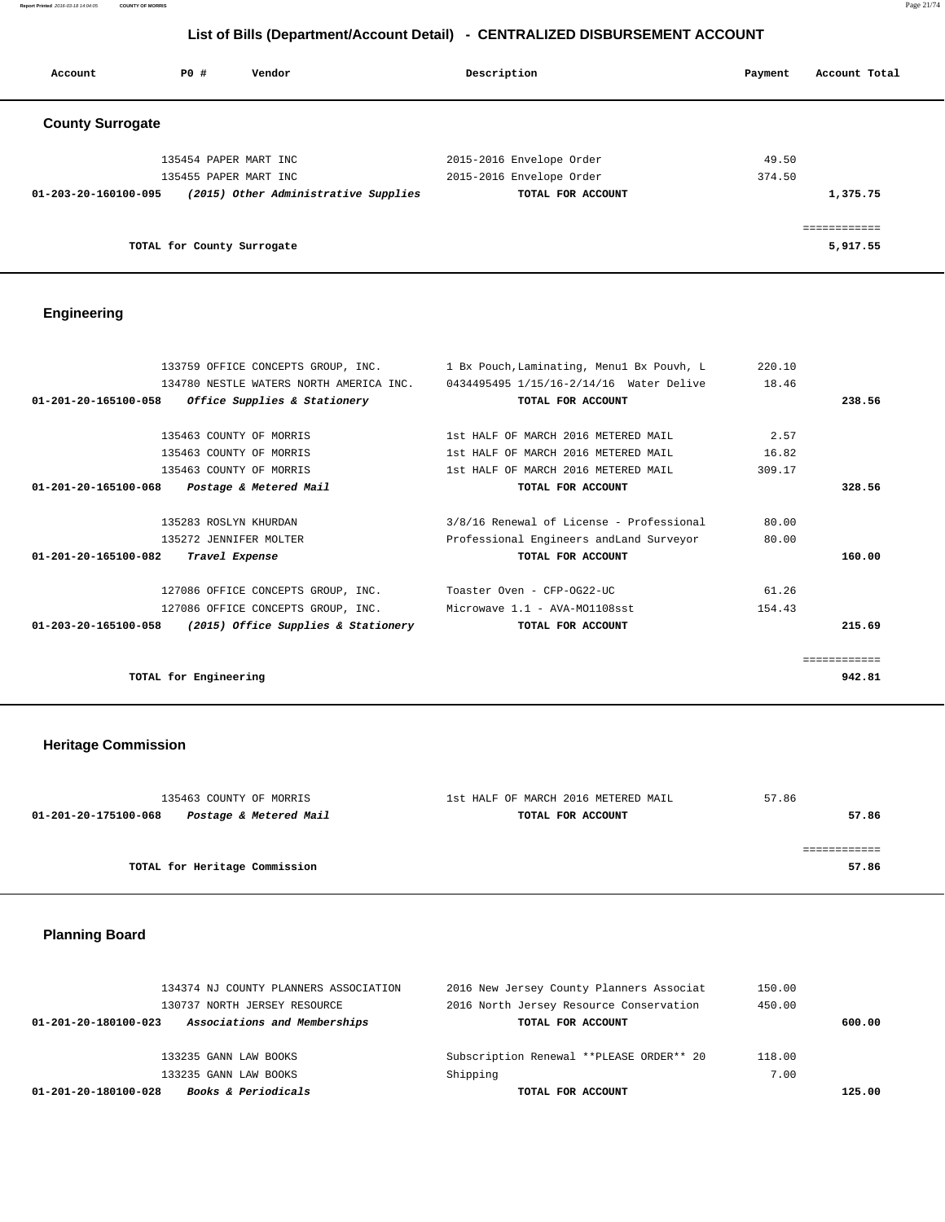**Report Printed** 2016-03-18 14:04:05 **COUNTY OF MORRIS** Page 21/74

## **List of Bills (Department/Account Detail) - CENTRALIZED DISBURSEMENT ACCOUNT**

| Account                        | PO#                        | Vendor                               | Description              | Payment | Account Total |
|--------------------------------|----------------------------|--------------------------------------|--------------------------|---------|---------------|
| <b>County Surrogate</b>        |                            |                                      |                          |         |               |
|                                | 135454 PAPER MART INC      |                                      | 2015-2016 Envelope Order | 49.50   |               |
|                                | 135455 PAPER MART INC      |                                      | 2015-2016 Envelope Order | 374.50  |               |
| $01 - 203 - 20 - 160100 - 095$ |                            | (2015) Other Administrative Supplies | TOTAL FOR ACCOUNT        |         | 1,375.75      |
|                                |                            |                                      |                          |         | ============  |
|                                | TOTAL for County Surrogate |                                      |                          |         | 5,917.55      |

## **Engineering**

| 133759 OFFICE CONCEPTS GROUP, INC.                            | 1 Bx Pouch, Laminating, Menul Bx Pouvh, L                                       | 220.10 |              |
|---------------------------------------------------------------|---------------------------------------------------------------------------------|--------|--------------|
|                                                               | 134780 NESTLE WATERS NORTH AMERICA INC. 0434495495 1/15/16-2/14/16 Water Delive | 18.46  |              |
| 01-201-20-165100-058<br>Office Supplies & Stationery          | TOTAL FOR ACCOUNT                                                               |        | 238.56       |
|                                                               |                                                                                 |        |              |
| 135463 COUNTY OF MORRIS                                       | 1st HALF OF MARCH 2016 METERED MAIL                                             | 2.57   |              |
| 135463 COUNTY OF MORRIS                                       | 1st HALF OF MARCH 2016 METERED MAIL                                             | 16.82  |              |
| 135463 COUNTY OF MORRIS                                       | 1st HALF OF MARCH 2016 METERED MAIL                                             | 309.17 |              |
| $01 - 201 - 20 - 165100 - 068$<br>Postage & Metered Mail      | TOTAL FOR ACCOUNT                                                               |        | 328.56       |
| 135283 ROSLYN KHURDAN                                         | 3/8/16 Renewal of License - Professional                                        | 80.00  |              |
| 135272 JENNIFER MOLTER                                        | Professional Engineers andLand Surveyor                                         | 80.00  |              |
| 01-201-20-165100-082<br>Travel Expense                        | TOTAL FOR ACCOUNT                                                               |        | 160.00       |
| 127086 OFFICE CONCEPTS GROUP, INC. Toaster Oven - CFP-OG22-UC |                                                                                 | 61.26  |              |
| 127086 OFFICE CONCEPTS GROUP, INC.                            | Microwave 1.1 - AVA-MO1108sst                                                   | 154.43 |              |
| $01-203-20-165100-058$ (2015) Office Supplies & Stationery    | TOTAL FOR ACCOUNT                                                               |        | 215.69       |
|                                                               |                                                                                 |        | eessessesses |
| TOTAL for Engineering                                         |                                                                                 |        | 942.81       |

## **Heritage Commission**

| 135463 COUNTY OF MORRIS                        | 1st HALF OF MARCH 2016 METERED MAIL | 57.86 |
|------------------------------------------------|-------------------------------------|-------|
| Postage & Metered Mail<br>01-201-20-175100-068 | TOTAL FOR ACCOUNT                   | 57.86 |
|                                                |                                     |       |
|                                                |                                     |       |
| TOTAL for Heritage Commission                  |                                     | 57.86 |
|                                                |                                     |       |

## **Planning Board**

|                                | 134374 NJ COUNTY PLANNERS ASSOCIATION | 2016 New Jersey County Planners Associat | 150.00 |        |
|--------------------------------|---------------------------------------|------------------------------------------|--------|--------|
|                                | 130737 NORTH JERSEY RESOURCE          | 2016 North Jersey Resource Conservation  | 450.00 |        |
| $01 - 201 - 20 - 180100 - 023$ | Associations and Memberships          | TOTAL FOR ACCOUNT                        |        | 600.00 |
|                                |                                       |                                          |        |        |
|                                | 133235 GANN LAW BOOKS                 | Subscription Renewal **PLEASE ORDER** 20 | 118.00 |        |
|                                | 133235 GANN LAW BOOKS                 | Shipping                                 | 7.00   |        |
| 01-201-20-180100-028           | <b>Books &amp; Periodicals</b>        | TOTAL FOR ACCOUNT                        |        | 125.00 |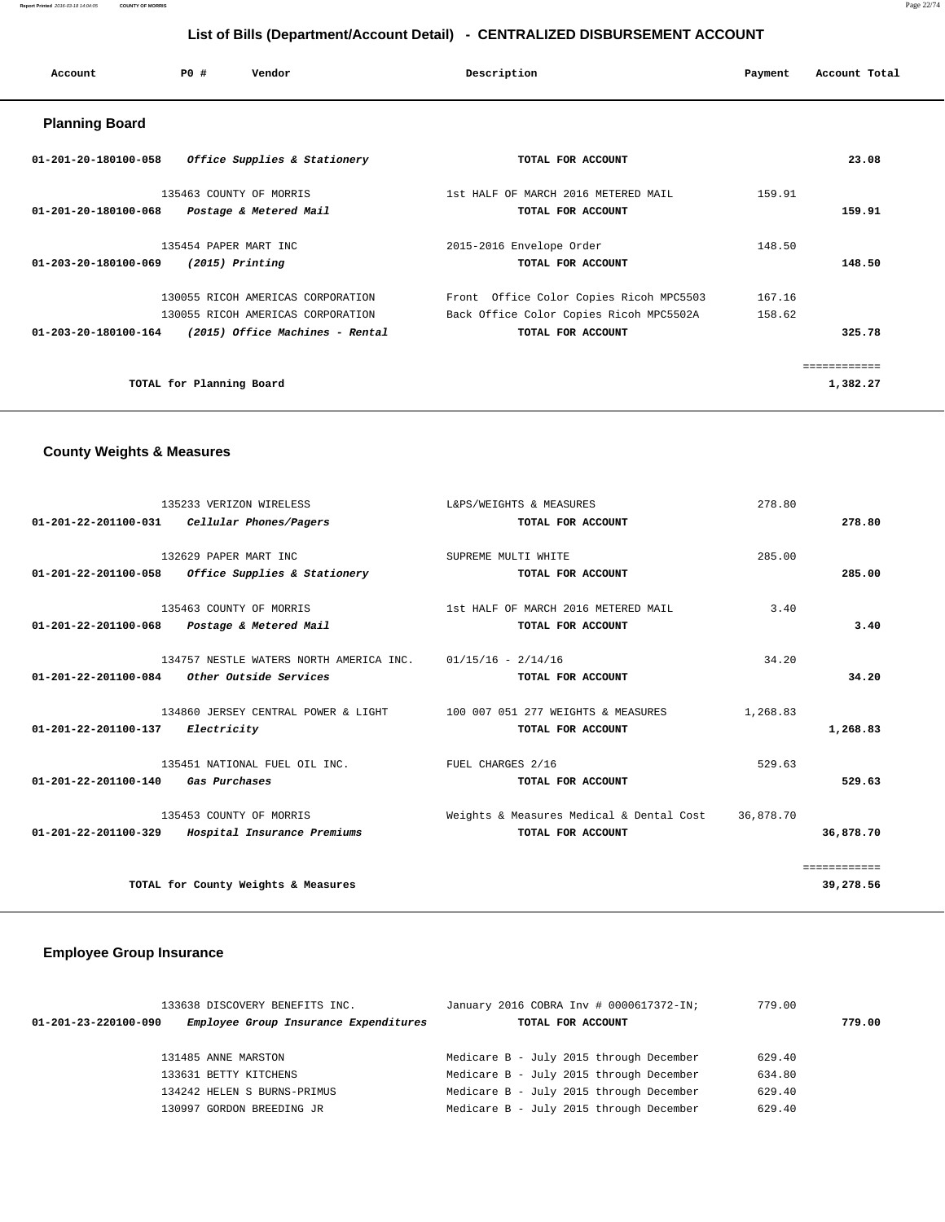| Account               | PO#                      | Vendor                            | Description                             | Payment | Account Total |
|-----------------------|--------------------------|-----------------------------------|-----------------------------------------|---------|---------------|
| <b>Planning Board</b> |                          |                                   |                                         |         |               |
| 01-201-20-180100-058  |                          | Office Supplies & Stationery      | TOTAL FOR ACCOUNT                       |         | 23.08         |
|                       |                          | 135463 COUNTY OF MORRIS           | 1st HALF OF MARCH 2016 METERED MAIL     | 159.91  |               |
| 01-201-20-180100-068  |                          | Postage & Metered Mail            | TOTAL FOR ACCOUNT                       |         | 159.91        |
|                       | 135454 PAPER MART INC    |                                   | 2015-2016 Envelope Order                | 148.50  |               |
| 01-203-20-180100-069  |                          | $(2015)$ Printing                 | TOTAL FOR ACCOUNT                       |         | 148.50        |
|                       |                          | 130055 RICOH AMERICAS CORPORATION | Front Office Color Copies Ricoh MPC5503 | 167.16  |               |
|                       |                          | 130055 RICOH AMERICAS CORPORATION | Back Office Color Copies Ricoh MPC5502A | 158.62  |               |
| 01-203-20-180100-164  |                          | (2015) Office Machines - Rental   | TOTAL FOR ACCOUNT                       |         | 325.78        |
|                       |                          |                                   |                                         |         | ============  |
|                       | TOTAL for Planning Board |                                   |                                         |         | 1,382.27      |

## **County Weights & Measures**

| 135233 VERIZON WIRELESS<br>01-201-22-201100-031<br>Cellular Phones/Pagers                                   | L&PS/WEIGHTS & MEASURES<br>TOTAL FOR ACCOUNT                  | 278.80    | 278.80                    |
|-------------------------------------------------------------------------------------------------------------|---------------------------------------------------------------|-----------|---------------------------|
| 132629 PAPER MART INC<br>$01-201-22-201100-058$ Office Supplies & Stationery                                | SUPREME MULTI WHITE<br>TOTAL FOR ACCOUNT                      | 285.00    | 285.00                    |
| 135463 COUNTY OF MORRIS<br>01-201-22-201100-068<br>Postage & Metered Mail                                   | 1st HALF OF MARCH 2016 METERED MAIL<br>TOTAL FOR ACCOUNT      | 3.40      | 3.40                      |
| 134757 NESTLE WATERS NORTH AMERICA INC. 01/15/16 - 2/14/16<br>$01-201-22-201100-084$ Other Outside Services | TOTAL FOR ACCOUNT                                             | 34.20     | 34.20                     |
| 134860 JERSEY CENTRAL POWER & LIGHT<br>Electricity<br>01-201-22-201100-137                                  | 100 007 051 277 WEIGHTS & MEASURES<br>TOTAL FOR ACCOUNT       | 1,268.83  | 1,268.83                  |
| 135451 NATIONAL FUEL OIL INC.<br>01-201-22-201100-140<br>Gas Purchases                                      | FUEL CHARGES 2/16<br>TOTAL FOR ACCOUNT                        | 529.63    | 529.63                    |
| 135453 COUNTY OF MORRIS<br>Hospital Insurance Premiums<br>01-201-22-201100-329                              | Weights & Measures Medical & Dental Cost<br>TOTAL FOR ACCOUNT | 36,878.70 | 36,878.70                 |
| TOTAL for County Weights & Measures                                                                         |                                                               |           | ============<br>39,278.56 |

## **Employee Group Insurance**

|                                | 133638 DISCOVERY BENEFITS INC.        | January 2016 COBRA Inv # 0000617372-IN; | 779.00 |        |
|--------------------------------|---------------------------------------|-----------------------------------------|--------|--------|
| $01 - 201 - 23 - 220100 - 090$ | Employee Group Insurance Expenditures | TOTAL FOR ACCOUNT                       |        | 779.00 |
|                                |                                       |                                         |        |        |
|                                | 131485 ANNE MARSTON                   | Medicare B - July 2015 through December | 629.40 |        |
|                                | 133631 BETTY KITCHENS                 | Medicare B - July 2015 through December | 634.80 |        |
|                                | 134242 HELEN S BURNS-PRIMUS           | Medicare B - July 2015 through December | 629.40 |        |
|                                | 130997 GORDON BREEDING JR             | Medicare B - July 2015 through December | 629.40 |        |
|                                |                                       |                                         |        |        |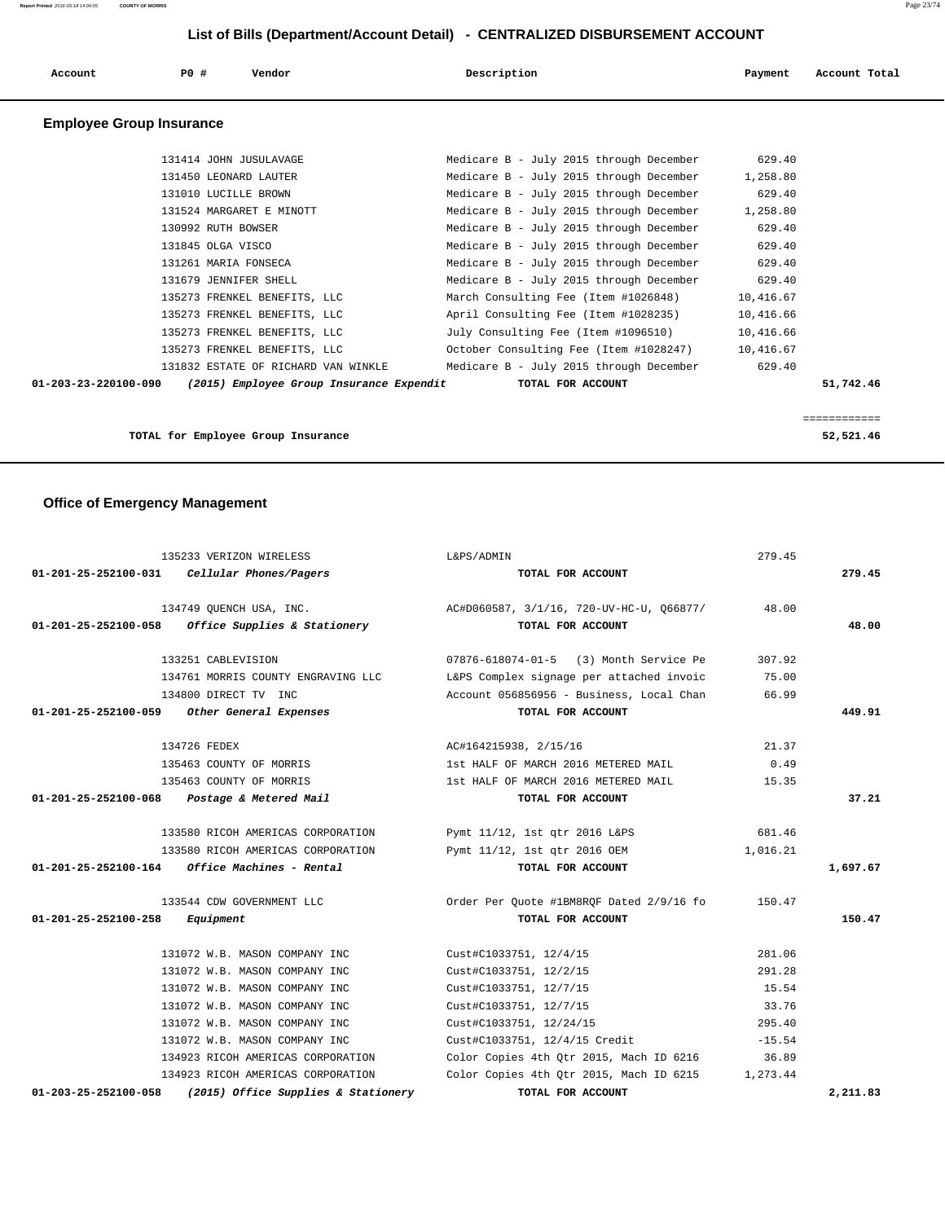| Account                         | PO#<br>Vendor                            | Description                             | Payment   | Account Total |
|---------------------------------|------------------------------------------|-----------------------------------------|-----------|---------------|
| <b>Employee Group Insurance</b> |                                          |                                         |           |               |
|                                 | 131414 JOHN JUSULAVAGE                   | Medicare B - July 2015 through December | 629.40    |               |
|                                 | 131450 LEONARD LAUTER                    | Medicare B - July 2015 through December | 1,258.80  |               |
|                                 | 131010 LUCILLE BROWN                     | Medicare B - July 2015 through December | 629.40    |               |
|                                 | 131524 MARGARET E MINOTT                 | Medicare B - July 2015 through December | 1,258.80  |               |
|                                 | 130992 RUTH BOWSER                       | Medicare B - July 2015 through December | 629.40    |               |
|                                 | 131845 OLGA VISCO                        | Medicare B - July 2015 through December | 629.40    |               |
|                                 | 131261 MARIA FONSECA                     | Medicare B - July 2015 through December | 629.40    |               |
|                                 | 131679 JENNIFER SHELL                    | Medicare B - July 2015 through December | 629.40    |               |
|                                 | 135273 FRENKEL BENEFITS, LLC             | March Consulting Fee (Item #1026848)    | 10,416.67 |               |
|                                 | 135273 FRENKEL BENEFITS, LLC             | April Consulting Fee (Item #1028235)    | 10,416.66 |               |
|                                 | 135273 FRENKEL BENEFITS, LLC             | July Consulting Fee (Item #1096510)     | 10,416.66 |               |
|                                 | 135273 FRENKEL BENEFITS, LLC             | October Consulting Fee (Item #1028247)  | 10,416.67 |               |
|                                 | 131832 ESTATE OF RICHARD VAN WINKLE      | Medicare B - July 2015 through December | 629.40    |               |
| 01-203-23-220100-090            | (2015) Employee Group Insurance Expendit | TOTAL FOR ACCOUNT                       |           | 51,742.46     |
|                                 |                                          |                                         |           |               |
|                                 |                                          |                                         |           | ============  |

**TOTAL for Employee Group Insurance 52,521.46**

## **Office of Emergency Management**

| 135233 VERIZON WIRELESS                                               | L&PS/ADMIN                                                          | 279.45   |          |
|-----------------------------------------------------------------------|---------------------------------------------------------------------|----------|----------|
| $01-201-25-252100-031$ Cellular Phones/Pagers                         | TOTAL FOR ACCOUNT                                                   |          | 279.45   |
|                                                                       | 134749 QUENCH USA, INC. 40 AC#D060587, 3/1/16, 720-UV-HC-U, 066877/ | 48.00    |          |
| 01-201-25-252100-058<br>Office Supplies & Stationery                  | TOTAL FOR ACCOUNT                                                   |          | 48.00    |
| 133251 CABLEVISION                                                    | 07876-618074-01-5 (3) Month Service Pe                              | 307.92   |          |
| 134761 MORRIS COUNTY ENGRAVING LLC                                    | L&PS Complex signage per attached invoic                            | 75.00    |          |
| 134800 DIRECT TV INC                                                  | Account 056856956 - Business, Local Chan                            | 66.99    |          |
| 01-201-25-252100-059 Other General Expenses                           | TOTAL FOR ACCOUNT                                                   |          | 449.91   |
| 134726 FEDEX                                                          | AC#164215938, 2/15/16                                               | 21.37    |          |
| 135463 COUNTY OF MORRIS                                               | 1st HALF OF MARCH 2016 METERED MAIL                                 | 0.49     |          |
| 135463 COUNTY OF MORRIS                                               | 1st HALF OF MARCH 2016 METERED MAIL                                 | 15.35    |          |
| $01 - 201 - 25 - 252100 - 068$ Postage & Metered Mail                 | TOTAL FOR ACCOUNT                                                   |          | 37.21    |
| 133580 RICOH AMERICAS CORPORATION                                     | Pymt 11/12, 1st qtr 2016 L&PS                                       | 681.46   |          |
| 133580 RICOH AMERICAS CORPORATION                                     | Pymt 11/12, 1st qtr 2016 OEM                                        | 1,016.21 |          |
| $01-201-25-252100-164$ Office Machines - Rental                       | TOTAL FOR ACCOUNT                                                   |          | 1,697.67 |
| 133544 CDW GOVERNMENT LLC                                             | Order Per Quote #1BM8ROF Dated 2/9/16 fo                            | 150.47   |          |
| 01-201-25-252100-258<br>Equipment                                     | TOTAL FOR ACCOUNT                                                   |          | 150.47   |
| 131072 W.B. MASON COMPANY INC                                         | Cust#C1033751, 12/4/15                                              | 281.06   |          |
| 131072 W.B. MASON COMPANY INC                                         | Cust#C1033751, 12/2/15                                              | 291.28   |          |
| 131072 W.B. MASON COMPANY INC                                         | Cust#C1033751, 12/7/15                                              | 15.54    |          |
| 131072 W.B. MASON COMPANY INC                                         | Cust#C1033751, 12/7/15                                              | 33.76    |          |
| 131072 W.B. MASON COMPANY INC                                         | Cust#C1033751, 12/24/15                                             | 295.40   |          |
| 131072 W.B. MASON COMPANY INC                                         | Cust#C1033751, 12/4/15 Credit                                       | $-15.54$ |          |
| 134923 RICOH AMERICAS CORPORATION                                     | Color Copies 4th Qtr 2015, Mach ID 6216                             | 36.89    |          |
| 134923 RICOH AMERICAS CORPORATION                                     | Color Copies 4th Qtr 2015, Mach ID 6215                             | 1,273.44 |          |
| $01 - 203 - 25 - 252100 - 058$<br>(2015) Office Supplies & Stationery | TOTAL FOR ACCOUNT                                                   |          | 2,211.83 |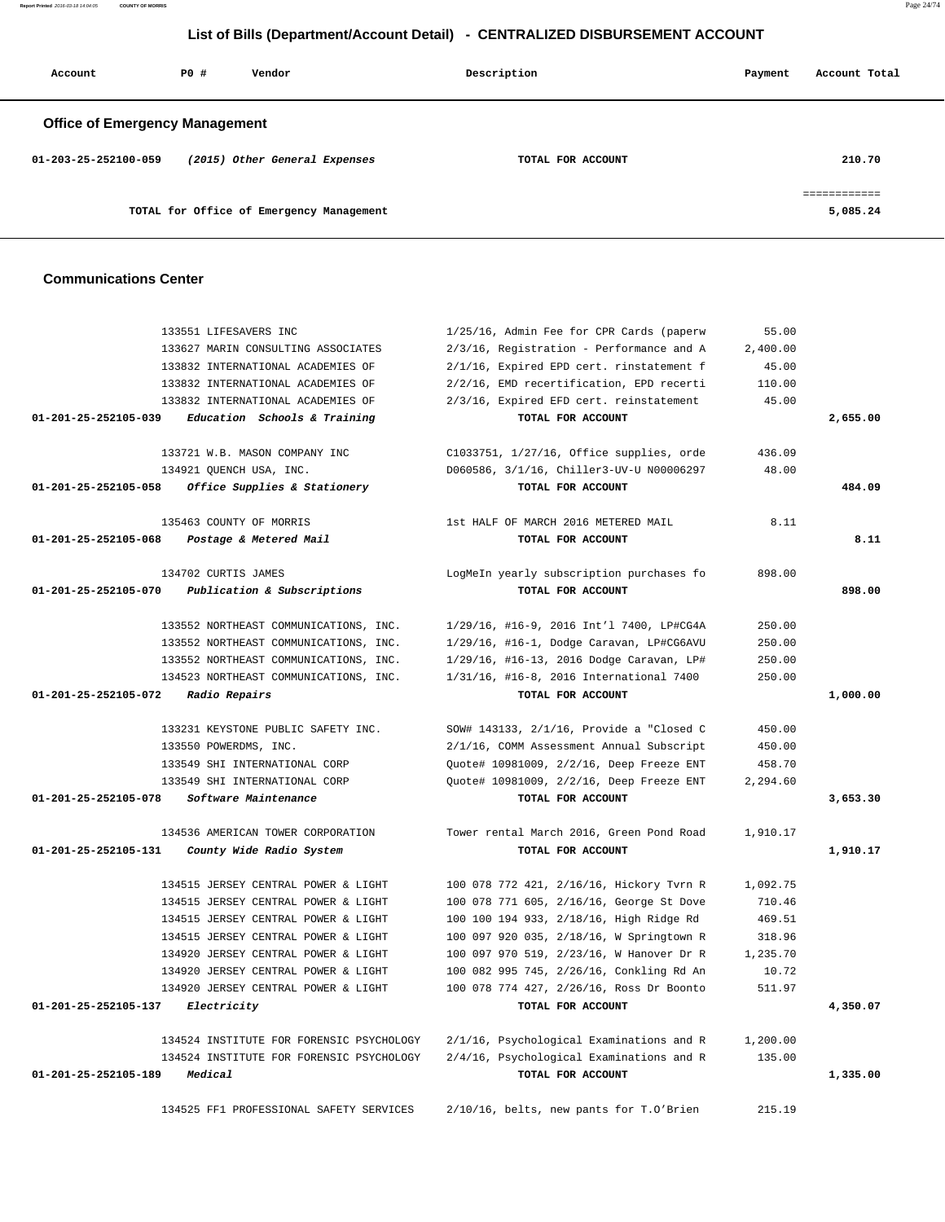**Report Printed** 2016-03-18 14:04:05 **COUNTY OF MORRIS** Page 24/74

## **List of Bills (Department/Account Detail) - CENTRALIZED DISBURSEMENT ACCOUNT**

| Account                               | PO# | Vendor                                   | Description       | Payment | Account Total            |
|---------------------------------------|-----|------------------------------------------|-------------------|---------|--------------------------|
| <b>Office of Emergency Management</b> |     |                                          |                   |         |                          |
| $01 - 203 - 25 - 252100 - 059$        |     | (2015) Other General Expenses            | TOTAL FOR ACCOUNT |         | 210.70                   |
|                                       |     | TOTAL for Office of Emergency Management |                   |         | ============<br>5,085.24 |

### **Communications Center**

|                      | 133551 LIFESAVERS INC                    | 1/25/16, Admin Fee for CPR Cards (paperw | 55.00    |          |
|----------------------|------------------------------------------|------------------------------------------|----------|----------|
|                      | 133627 MARIN CONSULTING ASSOCIATES       | 2/3/16, Registration - Performance and A | 2,400.00 |          |
|                      | 133832 INTERNATIONAL ACADEMIES OF        | 2/1/16, Expired EPD cert. rinstatement f | 45.00    |          |
|                      | 133832 INTERNATIONAL ACADEMIES OF        | 2/2/16, EMD recertification, EPD recerti | 110.00   |          |
|                      | 133832 INTERNATIONAL ACADEMIES OF        | 2/3/16, Expired EFD cert. reinstatement  | 45.00    |          |
| 01-201-25-252105-039 | Education Schools & Training             | TOTAL FOR ACCOUNT                        |          | 2,655.00 |
|                      |                                          |                                          |          |          |
|                      | 133721 W.B. MASON COMPANY INC            | C1033751, 1/27/16, Office supplies, orde | 436.09   |          |
|                      | 134921 QUENCH USA, INC.                  | D060586, 3/1/16, Chiller3-UV-U N00006297 | 48.00    |          |
| 01-201-25-252105-058 | Office Supplies & Stationery             | TOTAL FOR ACCOUNT                        |          | 484.09   |
|                      | 135463 COUNTY OF MORRIS                  | 1st HALF OF MARCH 2016 METERED MAIL      | 8.11     |          |
| 01-201-25-252105-068 | Postage & Metered Mail                   | TOTAL FOR ACCOUNT                        |          | 8.11     |
|                      |                                          |                                          |          |          |
|                      | 134702 CURTIS JAMES                      | LogMeIn yearly subscription purchases fo | 898.00   |          |
| 01-201-25-252105-070 | Publication & Subscriptions              | TOTAL FOR ACCOUNT                        |          | 898.00   |
|                      | 133552 NORTHEAST COMMUNICATIONS, INC.    | 1/29/16, #16-9, 2016 Int'l 7400, LP#CG4A | 250.00   |          |
|                      | 133552 NORTHEAST COMMUNICATIONS, INC.    | 1/29/16, #16-1, Dodge Caravan, LP#CG6AVU | 250.00   |          |
|                      | 133552 NORTHEAST COMMUNICATIONS, INC.    | 1/29/16, #16-13, 2016 Dodge Caravan, LP# | 250.00   |          |
|                      | 134523 NORTHEAST COMMUNICATIONS, INC.    | 1/31/16, #16-8, 2016 International 7400  | 250.00   |          |
| 01-201-25-252105-072 | Radio Repairs                            | TOTAL FOR ACCOUNT                        |          | 1,000.00 |
|                      |                                          |                                          |          |          |
|                      | 133231 KEYSTONE PUBLIC SAFETY INC.       | SOW# 143133, 2/1/16, Provide a "Closed C | 450.00   |          |
|                      | 133550 POWERDMS, INC.                    | 2/1/16, COMM Assessment Annual Subscript | 450.00   |          |
|                      | 133549 SHI INTERNATIONAL CORP            | Quote# 10981009, 2/2/16, Deep Freeze ENT | 458.70   |          |
|                      | 133549 SHI INTERNATIONAL CORP            | Quote# 10981009, 2/2/16, Deep Freeze ENT | 2,294.60 |          |
| 01-201-25-252105-078 | Software Maintenance                     | TOTAL FOR ACCOUNT                        |          | 3,653.30 |
|                      | 134536 AMERICAN TOWER CORPORATION        | Tower rental March 2016, Green Pond Road | 1,910.17 |          |
| 01-201-25-252105-131 | County Wide Radio System                 | TOTAL FOR ACCOUNT                        |          | 1,910.17 |
|                      |                                          |                                          |          |          |
|                      | 134515 JERSEY CENTRAL POWER & LIGHT      | 100 078 772 421, 2/16/16, Hickory Tvrn R | 1,092.75 |          |
|                      | 134515 JERSEY CENTRAL POWER & LIGHT      | 100 078 771 605, 2/16/16, George St Dove | 710.46   |          |
|                      | 134515 JERSEY CENTRAL POWER & LIGHT      | 100 100 194 933, 2/18/16, High Ridge Rd  | 469.51   |          |
|                      | 134515 JERSEY CENTRAL POWER & LIGHT      | 100 097 920 035, 2/18/16, W Springtown R | 318.96   |          |
|                      | 134920 JERSEY CENTRAL POWER & LIGHT      | 100 097 970 519, 2/23/16, W Hanover Dr R | 1,235.70 |          |
|                      | 134920 JERSEY CENTRAL POWER & LIGHT      | 100 082 995 745, 2/26/16, Conkling Rd An | 10.72    |          |
|                      | 134920 JERSEY CENTRAL POWER & LIGHT      | 100 078 774 427, 2/26/16, Ross Dr Boonto | 511.97   |          |
| 01-201-25-252105-137 | Electricity                              | TOTAL FOR ACCOUNT                        |          | 4,350.07 |
|                      | 134524 INSTITUTE FOR FORENSIC PSYCHOLOGY | 2/1/16, Psychological Examinations and R | 1,200.00 |          |
|                      | 134524 INSTITUTE FOR FORENSIC PSYCHOLOGY | 2/4/16, Psychological Examinations and R | 135.00   |          |
| 01-201-25-252105-189 | Medical                                  | TOTAL FOR ACCOUNT                        |          | 1,335.00 |
|                      |                                          |                                          |          |          |
|                      | 134525 FF1 PROFESSIONAL SAFETY SERVICES  | 2/10/16, belts, new pants for T.O'Brien  | 215.19   |          |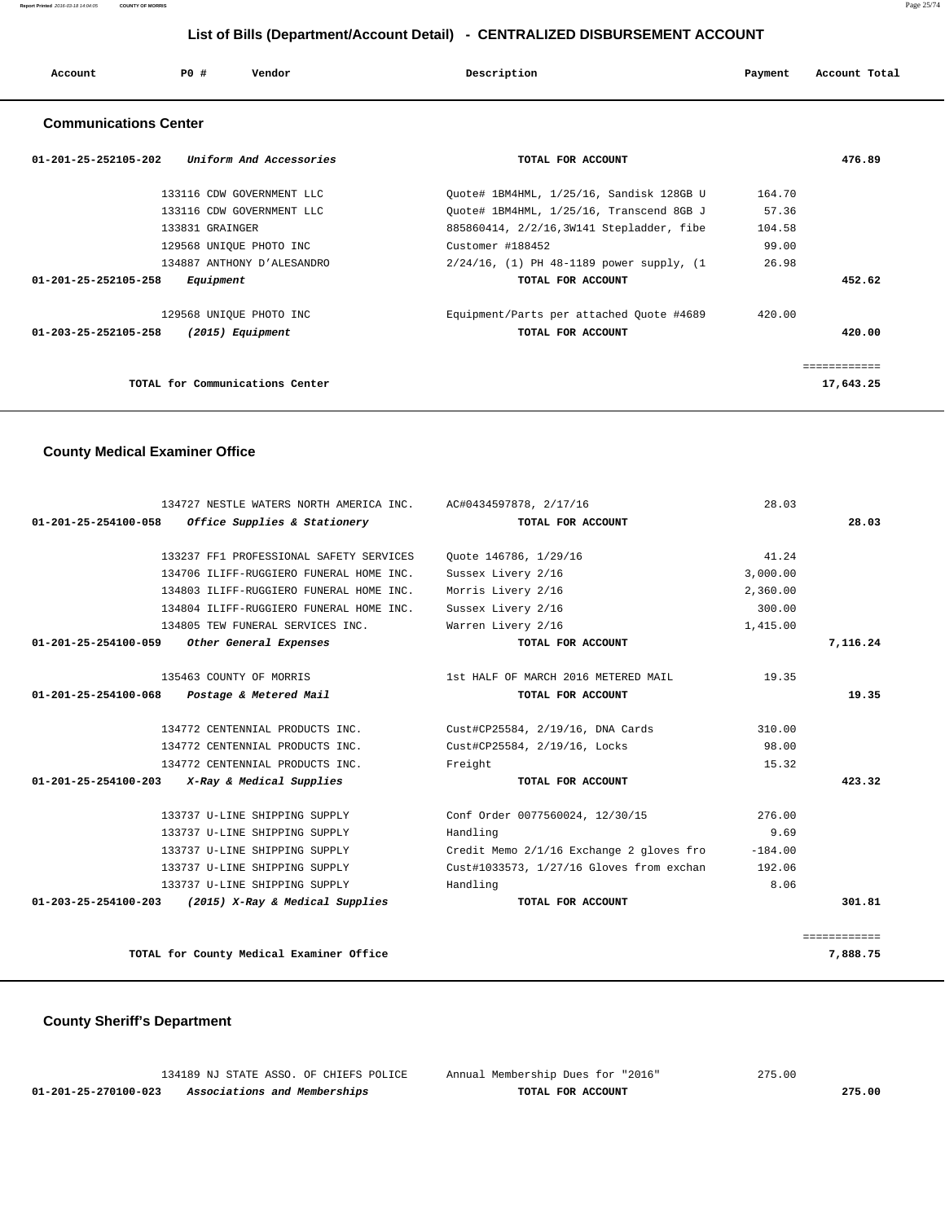| Account | P0 # | Vendor | Description | Payment | Account Total |
|---------|------|--------|-------------|---------|---------------|
|         |      |        |             |         |               |

## **Communications Center**

| $01 - 201 - 25 - 252105 - 202$<br>Uniform And Accessories | TOTAL FOR ACCOUNT                         |        | 476.89       |
|-----------------------------------------------------------|-------------------------------------------|--------|--------------|
| 133116 CDW GOVERNMENT LLC                                 | Ouote# 1BM4HML, 1/25/16, Sandisk 128GB U  | 164.70 |              |
| 133116 CDW GOVERNMENT LLC                                 | Ouote# 1BM4HML, 1/25/16, Transcend 8GB J  | 57.36  |              |
| 133831 GRAINGER                                           | 885860414, 2/2/16,3W141 Stepladder, fibe  | 104.58 |              |
| 129568 UNIQUE PHOTO INC                                   | Customer #188452                          | 99.00  |              |
| 134887 ANTHONY D'ALESANDRO                                | 2/24/16, (1) PH 48-1189 power supply, (1) | 26.98  |              |
| 01-201-25-252105-258<br>Equipment                         | TOTAL FOR ACCOUNT                         |        | 452.62       |
| 129568 UNIQUE PHOTO INC                                   | Equipment/Parts per attached Ouote #4689  | 420.00 |              |
| 01-203-25-252105-258<br>(2015) Equipment                  | TOTAL FOR ACCOUNT                         |        | 420.00       |
|                                                           |                                           |        | ============ |
| TOTAL for Communications Center                           |                                           |        | 17,643.25    |

## **County Medical Examiner Office**

|                      | 134727 NESTLE WATERS NORTH AMERICA INC. AC#0434597878, 2/17/16 |                                          | 28.03     |              |
|----------------------|----------------------------------------------------------------|------------------------------------------|-----------|--------------|
|                      | 01-201-25-254100-058 Office Supplies & Stationery              | TOTAL FOR ACCOUNT                        |           | 28.03        |
|                      | 133237 FF1 PROFESSIONAL SAFETY SERVICES                        | Quote 146786, 1/29/16                    | 41.24     |              |
|                      | 134706 ILIFF-RUGGIERO FUNERAL HOME INC.                        | Sussex Livery 2/16                       | 3.000.00  |              |
|                      | 134803 ILIFF-RUGGIERO FUNERAL HOME INC.                        | Morris Livery 2/16                       | 2,360.00  |              |
|                      | 134804 ILIFF-RUGGIERO FUNERAL HOME INC.                        | Sussex Livery 2/16                       | 300.00    |              |
|                      | 134805 TEW FUNERAL SERVICES INC.                               | Warren Livery 2/16                       | 1,415.00  |              |
| 01-201-25-254100-059 | Other General Expenses                                         | TOTAL FOR ACCOUNT                        |           | 7,116.24     |
|                      | 135463 COUNTY OF MORRIS                                        | 1st HALF OF MARCH 2016 METERED MAIL      | 19.35     |              |
| 01-201-25-254100-068 | Postage & Metered Mail                                         | TOTAL FOR ACCOUNT                        |           | 19.35        |
|                      | 134772 CENTENNIAL PRODUCTS INC.                                | Cust#CP25584, 2/19/16, DNA Cards         | 310.00    |              |
|                      | 134772 CENTENNIAL PRODUCTS INC.                                | Cust#CP25584, 2/19/16, Locks             | 98.00     |              |
|                      | 134772 CENTENNIAL PRODUCTS INC.                                | Freight                                  | 15.32     |              |
|                      | $01-201-25-254100-203$ X-Ray & Medical Supplies                | TOTAL FOR ACCOUNT                        |           | 423.32       |
|                      | 133737 U-LINE SHIPPING SUPPLY                                  | Conf Order 0077560024, 12/30/15          | 276.00    |              |
|                      | 133737 U-LINE SHIPPING SUPPLY                                  | Handling                                 | 9.69      |              |
|                      | 133737 U-LINE SHIPPING SUPPLY                                  | Credit Memo 2/1/16 Exchange 2 gloves fro | $-184.00$ |              |
|                      | 133737 U-LINE SHIPPING SUPPLY                                  | Cust#1033573, 1/27/16 Gloves from exchan | 192.06    |              |
|                      | 133737 U-LINE SHIPPING SUPPLY                                  | Handling                                 | 8.06      |              |
|                      | 01-203-25-254100-203 (2015) X-Ray & Medical Supplies           | TOTAL FOR ACCOUNT                        |           | 301.81       |
|                      |                                                                |                                          |           | ------------ |
|                      | TOTAL for County Medical Examiner Office                       |                                          |           | 7,888.75     |

# **County Sheriff's Department**

|                      | 134189 NJ STATE ASSO. OF CHIEFS POLICE | Annual Membership Dues for "2016" | 275.00 |
|----------------------|----------------------------------------|-----------------------------------|--------|
| 01-201-25-270100-023 | Associations and Memberships           | TOTAL FOR ACCOUNT                 | 275.00 |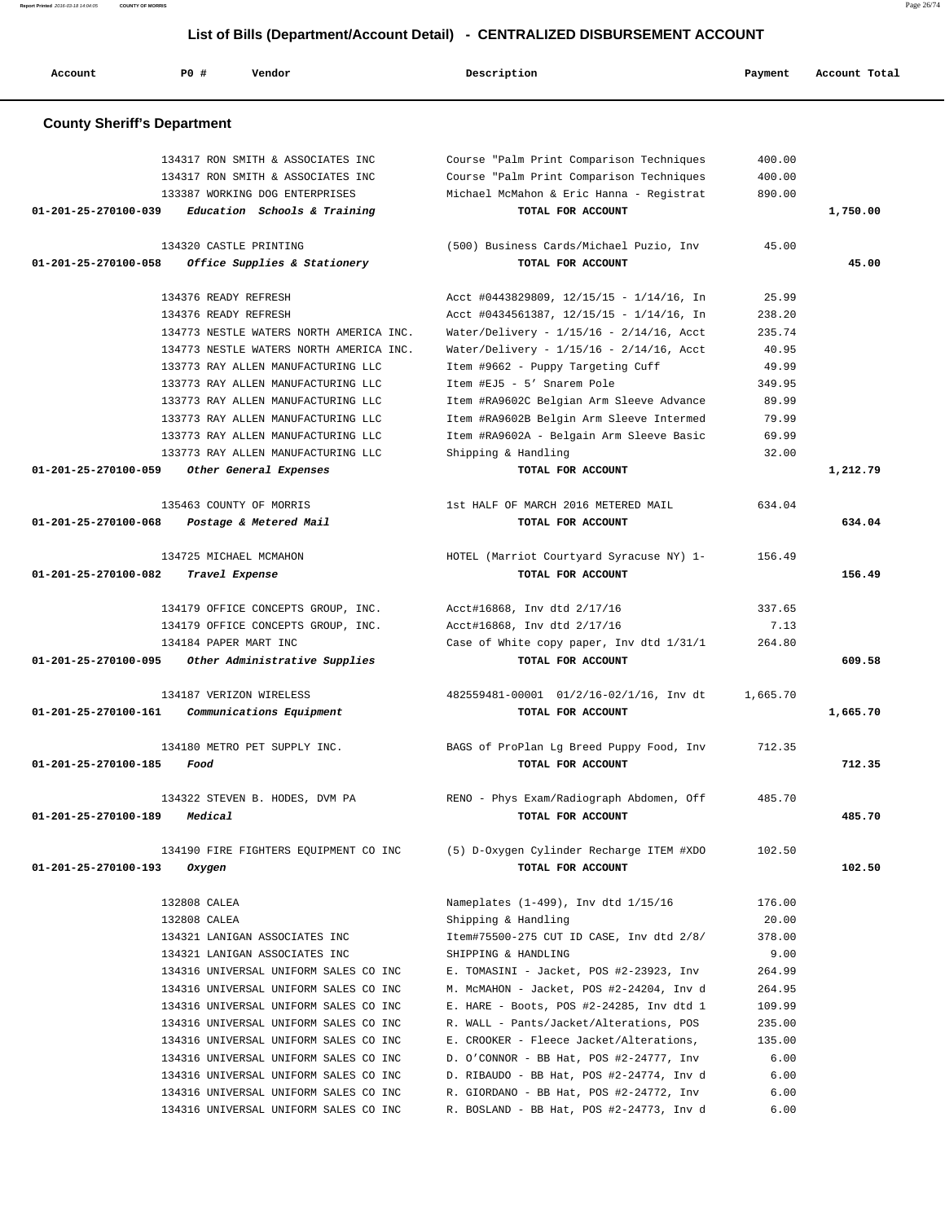| Account              | PO#<br>Vendor                                                          | Description                                                                          | Payment          | Account Total |
|----------------------|------------------------------------------------------------------------|--------------------------------------------------------------------------------------|------------------|---------------|
|                      | <b>County Sheriff's Department</b>                                     |                                                                                      |                  |               |
|                      | 134317 RON SMITH & ASSOCIATES INC<br>134317 RON SMITH & ASSOCIATES INC | Course "Palm Print Comparison Techniques<br>Course "Palm Print Comparison Techniques | 400.00<br>400.00 |               |
| 01-201-25-270100-039 | 133387 WORKING DOG ENTERPRISES<br>Education Schools & Training         | Michael McMahon & Eric Hanna - Registrat<br>TOTAL FOR ACCOUNT                        | 890.00           | 1,750.00      |
|                      | 134320 CASTLE PRINTING                                                 | (500) Business Cards/Michael Puzio, Inv                                              | 45.00            |               |
| 01-201-25-270100-058 | Office Supplies & Stationery                                           | TOTAL FOR ACCOUNT                                                                    |                  | 45.00         |
|                      | 134376 READY REFRESH                                                   | Acct #0443829809, 12/15/15 - 1/14/16, In                                             | 25.99            |               |
|                      | 134376 READY REFRESH                                                   | Acct #0434561387, $12/15/15 - 1/14/16$ , In                                          | 238.20           |               |
|                      | 134773 NESTLE WATERS NORTH AMERICA INC.                                | Water/Delivery - 1/15/16 - 2/14/16, Acct                                             | 235.74           |               |
|                      | 134773 NESTLE WATERS NORTH AMERICA INC.                                | Water/Delivery - 1/15/16 - 2/14/16, Acct                                             | 40.95            |               |
|                      | 133773 RAY ALLEN MANUFACTURING LLC                                     | Item #9662 - Puppy Targeting Cuff                                                    | 49.99            |               |
|                      | 133773 RAY ALLEN MANUFACTURING LLC                                     | Item #EJ5 - 5' Snarem Pole                                                           | 349.95           |               |
|                      | 133773 RAY ALLEN MANUFACTURING LLC                                     | Item #RA9602C Belgian Arm Sleeve Advance                                             | 89.99            |               |
|                      | 133773 RAY ALLEN MANUFACTURING LLC                                     | Item #RA9602B Belgin Arm Sleeve Intermed                                             | 79.99            |               |
|                      | 133773 RAY ALLEN MANUFACTURING LLC                                     | Item #RA9602A - Belgain Arm Sleeve Basic                                             | 69.99            |               |
|                      | 133773 RAY ALLEN MANUFACTURING LLC                                     | Shipping & Handling                                                                  | 32.00            |               |
| 01-201-25-270100-059 | Other General Expenses                                                 | TOTAL FOR ACCOUNT                                                                    |                  | 1,212.79      |
|                      | 135463 COUNTY OF MORRIS                                                | 1st HALF OF MARCH 2016 METERED MAIL                                                  | 634.04           |               |
| 01-201-25-270100-068 | Postage & Metered Mail                                                 | TOTAL FOR ACCOUNT                                                                    |                  | 634.04        |
|                      | 134725 MICHAEL MCMAHON                                                 | HOTEL (Marriot Courtyard Syracuse NY) 1-                                             | 156.49           |               |
| 01-201-25-270100-082 | Travel Expense                                                         | TOTAL FOR ACCOUNT                                                                    |                  | 156.49        |
|                      | 134179 OFFICE CONCEPTS GROUP, INC.                                     | Acct#16868, Inv dtd 2/17/16                                                          | 337.65           |               |
|                      | 134179 OFFICE CONCEPTS GROUP, INC.                                     | Acct#16868, Inv dtd 2/17/16                                                          | 7.13             |               |
|                      | 134184 PAPER MART INC                                                  | Case of White copy paper, Inv dtd 1/31/1                                             | 264.80           |               |
| 01-201-25-270100-095 | Other Administrative Supplies                                          | TOTAL FOR ACCOUNT                                                                    |                  | 609.58        |
|                      | 134187 VERIZON WIRELESS                                                | 482559481-00001 01/2/16-02/1/16, Inv dt                                              | 1,665.70         |               |
| 01-201-25-270100-161 | Communications Equipment                                               | TOTAL FOR ACCOUNT                                                                    |                  | 1,665.70      |
|                      | 134180 METRO PET SUPPLY INC.                                           | BAGS of ProPlan Lg Breed Puppy Food, Inv                                             | 712.35           |               |
| 01-201-25-270100-185 | Food                                                                   | TOTAL FOR ACCOUNT                                                                    |                  | 712.35        |
|                      | 134322 STEVEN B. HODES, DVM PA                                         | RENO - Phys Exam/Radiograph Abdomen, Off                                             | 485.70           |               |
| 01-201-25-270100-189 | Medical                                                                | TOTAL FOR ACCOUNT                                                                    |                  | 485.70        |
|                      | 134190 FIRE FIGHTERS EQUIPMENT CO INC                                  | (5) D-Oxygen Cylinder Recharge ITEM #XDO                                             | 102.50           |               |
| 01-201-25-270100-193 | Oxygen                                                                 | TOTAL FOR ACCOUNT                                                                    |                  | 102.50        |
|                      | 132808 CALEA                                                           | Nameplates (1-499), Inv dtd 1/15/16                                                  | 176.00           |               |
|                      | 132808 CALEA                                                           | Shipping & Handling                                                                  | 20.00            |               |
|                      | 134321 LANIGAN ASSOCIATES INC                                          | Item#75500-275 CUT ID CASE, Inv dtd 2/8/                                             | 378.00           |               |
|                      | 134321 LANIGAN ASSOCIATES INC                                          | SHIPPING & HANDLING                                                                  | 9.00             |               |
|                      | 134316 UNIVERSAL UNIFORM SALES CO INC                                  | E. TOMASINI - Jacket, POS #2-23923, Inv                                              | 264.99           |               |
|                      | 134316 UNIVERSAL UNIFORM SALES CO INC                                  | M. McMAHON - Jacket, POS #2-24204, Inv d                                             | 264.95           |               |
|                      | 134316 UNIVERSAL UNIFORM SALES CO INC                                  | E. HARE - Boots, POS #2-24285, Inv dtd 1                                             | 109.99           |               |
|                      | 134316 UNIVERSAL UNIFORM SALES CO INC                                  | R. WALL - Pants/Jacket/Alterations, POS                                              | 235.00           |               |
|                      | 134316 UNIVERSAL UNIFORM SALES CO INC                                  | E. CROOKER - Fleece Jacket/Alterations,                                              | 135.00           |               |
|                      | 134316 UNIVERSAL UNIFORM SALES CO INC                                  | D. O'CONNOR - BB Hat, POS #2-24777, Inv                                              | 6.00             |               |
|                      | 134316 UNIVERSAL UNIFORM SALES CO INC                                  | D. RIBAUDO - BB Hat, POS #2-24774, Inv d                                             | 6.00             |               |
|                      | 134316 UNIVERSAL UNIFORM SALES CO INC                                  | R. GIORDANO - BB Hat, POS #2-24772, Inv                                              | 6.00<br>6.00     |               |
|                      | 134316 UNIVERSAL UNIFORM SALES CO INC                                  | R. BOSLAND - BB Hat, POS #2-24773, Inv d                                             |                  |               |

**Report Printed** 2016-03-18 14:04:05 **COUNTY OF MORRIS** Page 26/74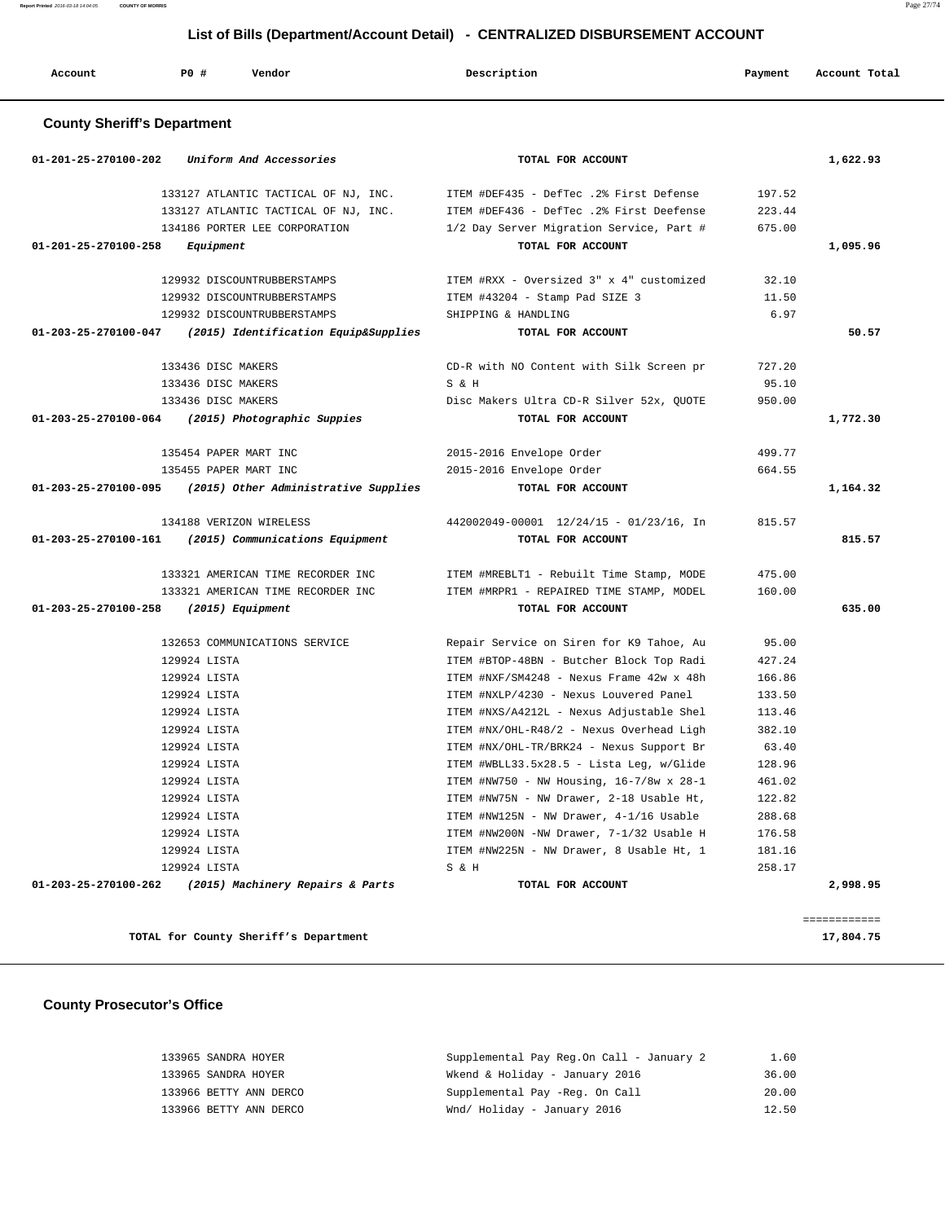**Report Printed** 2016-03-18 14:04:05 **COUNTY OF MORRIS** Page 27/74

### **List of Bills (Department/Account Detail) - CENTRALIZED DISBURSEMENT ACCOUNT**

| Account                            | PO# | Vendor                               | Description                              | Payment | Account Total |
|------------------------------------|-----|--------------------------------------|------------------------------------------|---------|---------------|
| <b>County Sheriff's Department</b> |     |                                      |                                          |         |               |
| $01 - 201 - 25 - 270100 - 202$     |     | Uniform And Accessories              | TOTAL FOR ACCOUNT                        |         | 1,622.93      |
|                                    |     | 133127 ATLANTIC TACTICAL OF NJ, INC. | ITEM #DEF435 - DefTec .2% First Defense  | 197.52  |               |
|                                    |     | 133127 ATLANTIC TACTICAL OF NJ, INC. | ITEM #DEF436 - DefTec .2% First Deefense | 223.44  |               |

134186 PORTER LEE CORPORATION 1/2 Day Server Migration Service, Part # 675.00

 **01-201-25-270100-258 Equipment TOTAL FOR ACCOUNT 1,095.96**

|          | 32.10  | ITEM #RXX - Oversized 3" x 4" customized | 129932 DISCOUNTRUBBERSTAMPS                                    |                                       |
|----------|--------|------------------------------------------|----------------------------------------------------------------|---------------------------------------|
|          | 11.50  | ITEM #43204 - Stamp Pad SIZE 3           | 129932 DISCOUNTRUBBERSTAMPS                                    |                                       |
|          | 6.97   | SHIPPING & HANDLING                      | 129932 DISCOUNTRUBBERSTAMPS                                    |                                       |
| 50.57    |        | TOTAL FOR ACCOUNT                        | $01-203-25-270100-047$ (2015) Identification Equip&Supplies    |                                       |
|          | 727.20 | CD-R with NO Content with Silk Screen pr | 133436 DISC MAKERS                                             |                                       |
|          | 95.10  | S & H                                    | 133436 DISC MAKERS                                             |                                       |
|          | 950.00 | Disc Makers Ultra CD-R Silver 52x, OUOTE | 133436 DISC MAKERS                                             |                                       |
| 1,772.30 |        | TOTAL FOR ACCOUNT                        | 01-203-25-270100-064 (2015) Photographic Suppies               |                                       |
|          | 499.77 | 2015-2016 Envelope Order                 | 135454 PAPER MART INC                                          |                                       |
|          | 664.55 | 2015-2016 Envelope Order                 | 135455 PAPER MART INC                                          |                                       |
| 1,164.32 |        | TOTAL FOR ACCOUNT                        | $01-203-25-270100-095$ (2015) Other Administrative Supplies    |                                       |
|          | 815.57 | 442002049-00001 12/24/15 - 01/23/16, In  | 134188 VERIZON WIRELESS                                        |                                       |
| 815.57   |        | TOTAL FOR ACCOUNT                        | $01 - 203 - 25 - 270100 - 161$ (2015) Communications Equipment |                                       |
|          | 475.00 | ITEM #MREBLT1 - Rebuilt Time Stamp, MODE | 133321 AMERICAN TIME RECORDER INC                              |                                       |
|          | 160.00 | ITEM #MRPR1 - REPAIRED TIME STAMP, MODEL | 133321 AMERICAN TIME RECORDER INC                              |                                       |
| 635.00   |        | TOTAL FOR ACCOUNT                        |                                                                | 01-203-25-270100-258 (2015) Equipment |
|          | 95.00  | Repair Service on Siren for K9 Tahoe, Au | 132653 COMMUNICATIONS SERVICE                                  |                                       |
|          | 427.24 | ITEM #BTOP-48BN - Butcher Block Top Radi | 129924 LISTA                                                   |                                       |
|          | 166.86 | ITEM #NXF/SM4248 - Nexus Frame 42w x 48h | 129924 LISTA                                                   |                                       |
|          |        |                                          |                                                                |                                       |
|          | 133.50 | ITEM #NXLP/4230 - Nexus Louvered Panel   | 129924 LISTA                                                   |                                       |
|          | 113.46 | ITEM #NXS/A4212L - Nexus Adjustable Shel | 129924 LISTA                                                   |                                       |
|          | 382.10 | ITEM #NX/OHL-R48/2 - Nexus Overhead Ligh | 129924 LISTA                                                   |                                       |
|          | 63.40  | ITEM #NX/OHL-TR/BRK24 - Nexus Support Br | 129924 LISTA                                                   |                                       |
|          | 128.96 | ITEM #WBLL33.5x28.5 - Lista Leg, w/Glide | 129924 LISTA                                                   |                                       |
|          | 461.02 | ITEM #NW750 - NW Housing, 16-7/8w x 28-1 | 129924 LISTA                                                   |                                       |
|          | 122.82 | ITEM #NW75N - NW Drawer, 2-18 Usable Ht, | 129924 LISTA                                                   |                                       |
|          | 288.68 | ITEM #NW125N - NW Drawer, 4-1/16 Usable  | 129924 LISTA                                                   |                                       |
|          | 176.58 | ITEM #NW200N -NW Drawer, 7-1/32 Usable H | 129924 LISTA                                                   |                                       |
|          | 181.16 | ITEM #NW225N - NW Drawer, 8 Usable Ht, 1 | 129924 LISTA                                                   |                                       |
|          | 258.17 | S & H                                    | 129924 LISTA                                                   |                                       |

TOTAL for County Sheriff's Department 17,804.75

## **County Prosecutor's Office**

| 133965 SANDRA HOYER    | Supplemental Pay Reg.On Call - January 2 | 1.60  |
|------------------------|------------------------------------------|-------|
| 133965 SANDRA HOYER    | Wkend & Holiday - January 2016           | 36.00 |
| 133966 BETTY ANN DERCO | Supplemental Pay -Req. On Call           | 20.00 |
| 133966 BETTY ANN DERCO | Wnd/ Holiday - January 2016              | 12.50 |
|                        |                                          |       |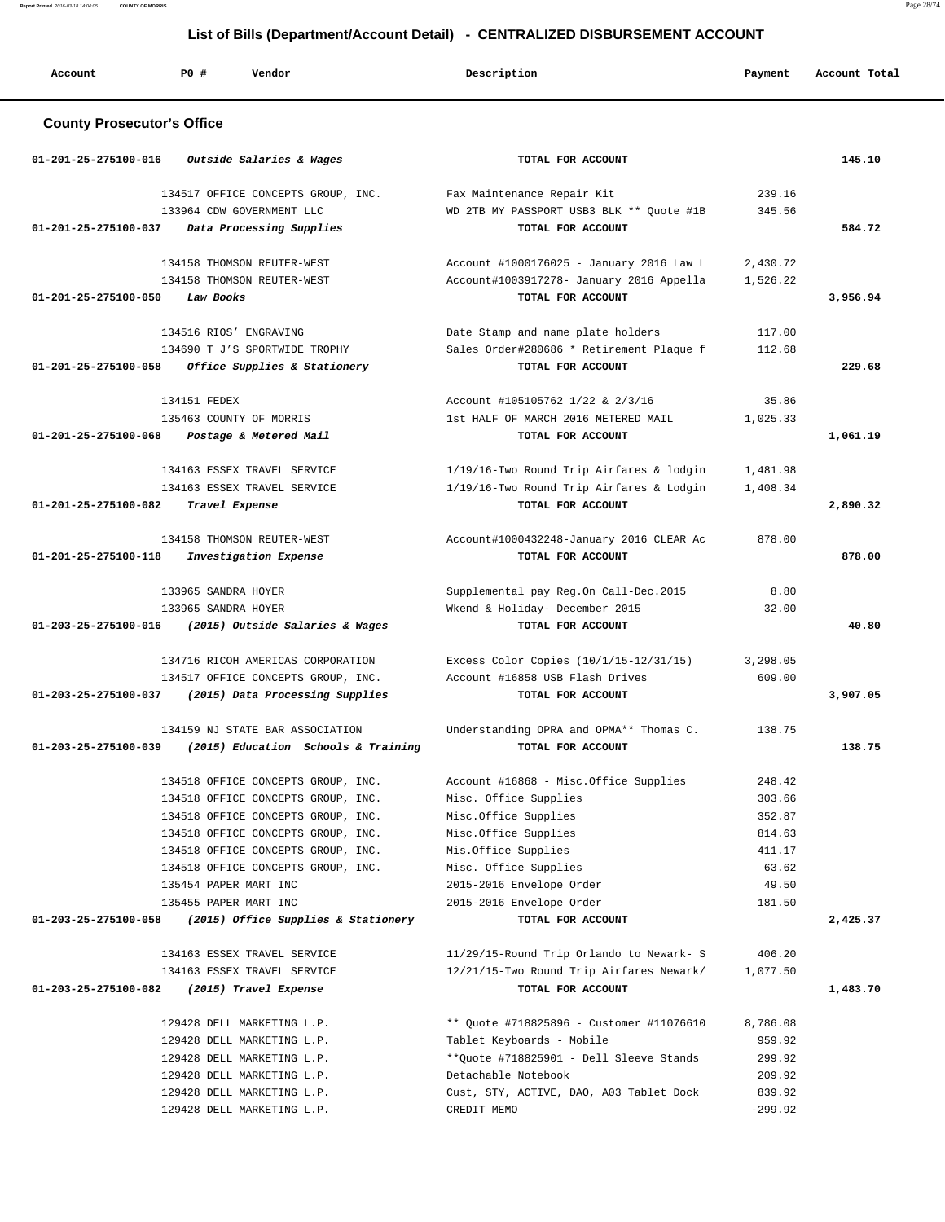**Report Printed** 2016-03-18 14:04:05 **COUNTY OF MORRIS** Page 28/74

## **List of Bills (Department/Account Detail) - CENTRALIZED DISBURSEMENT ACCOUNT**

| Account                           | PO#<br>Vendor                       | Description                              | Payment   | Account Total |
|-----------------------------------|-------------------------------------|------------------------------------------|-----------|---------------|
| <b>County Prosecutor's Office</b> |                                     |                                          |           |               |
| 01-201-25-275100-016              | Outside Salaries & Wages            | TOTAL FOR ACCOUNT                        |           | 145.10        |
|                                   | 134517 OFFICE CONCEPTS GROUP, INC.  | Fax Maintenance Repair Kit               | 239.16    |               |
|                                   | 133964 CDW GOVERNMENT LLC           | WD 2TB MY PASSPORT USB3 BLK ** Quote #1B | 345.56    |               |
| 01-201-25-275100-037              | Data Processing Supplies            | TOTAL FOR ACCOUNT                        |           | 584.72        |
|                                   | 134158 THOMSON REUTER-WEST          | Account #1000176025 - January 2016 Law L | 2,430.72  |               |
|                                   | 134158 THOMSON REUTER-WEST          | Account#1003917278- January 2016 Appella | 1,526.22  |               |
| 01-201-25-275100-050              | Law Books                           | TOTAL FOR ACCOUNT                        |           | 3,956.94      |
|                                   | 134516 RIOS' ENGRAVING              | Date Stamp and name plate holders        | 117.00    |               |
|                                   | 134690 T J'S SPORTWIDE TROPHY       | Sales Order#280686 * Retirement Plaque f | 112.68    |               |
| 01-201-25-275100-058              | Office Supplies & Stationery        | TOTAL FOR ACCOUNT                        |           | 229.68        |
|                                   |                                     |                                          |           |               |
|                                   | 134151 FEDEX                        | Account #105105762 1/22 & 2/3/16         | 35.86     |               |
|                                   | 135463 COUNTY OF MORRIS             | 1st HALF OF MARCH 2016 METERED MAIL      | 1,025.33  |               |
| 01-201-25-275100-068              | Postage & Metered Mail              | TOTAL FOR ACCOUNT                        |           | 1,061.19      |
|                                   | 134163 ESSEX TRAVEL SERVICE         | 1/19/16-Two Round Trip Airfares & lodgin | 1,481.98  |               |
|                                   | 134163 ESSEX TRAVEL SERVICE         | 1/19/16-Two Round Trip Airfares & Lodgin | 1,408.34  |               |
| 01-201-25-275100-082              | Travel Expense                      | TOTAL FOR ACCOUNT                        |           | 2,890.32      |
|                                   | 134158 THOMSON REUTER-WEST          | Account#1000432248-January 2016 CLEAR Ac | 878.00    |               |
| 01-201-25-275100-118              | Investigation Expense               | TOTAL FOR ACCOUNT                        |           | 878.00        |
|                                   |                                     |                                          |           |               |
|                                   | 133965 SANDRA HOYER                 | Supplemental pay Reg.On Call-Dec.2015    | 8.80      |               |
|                                   | 133965 SANDRA HOYER                 | Wkend & Holiday- December 2015           | 32.00     |               |
| 01-203-25-275100-016              | (2015) Outside Salaries & Wages     | TOTAL FOR ACCOUNT                        |           | 40.80         |
|                                   | 134716 RICOH AMERICAS CORPORATION   | Excess Color Copies (10/1/15-12/31/15)   | 3,298.05  |               |
|                                   | 134517 OFFICE CONCEPTS GROUP, INC.  | Account #16858 USB Flash Drives          | 609.00    |               |
| 01-203-25-275100-037              | (2015) Data Processing Supplies     | TOTAL FOR ACCOUNT                        |           | 3,907.05      |
|                                   | 134159 NJ STATE BAR ASSOCIATION     | Understanding OPRA and OPMA** Thomas C.  | 138.75    |               |
| 01-203-25-275100-039              | (2015) Education Schools & Training | TOTAL FOR ACCOUNT                        |           | 138.75        |
|                                   |                                     |                                          |           |               |
|                                   | 134518 OFFICE CONCEPTS GROUP, INC.  | Account #16868 - Misc.Office Supplies    | 248.42    |               |
|                                   | 134518 OFFICE CONCEPTS GROUP, INC.  | Misc. Office Supplies                    | 303.66    |               |
|                                   | 134518 OFFICE CONCEPTS GROUP, INC.  | Misc.Office Supplies                     | 352.87    |               |
|                                   | 134518 OFFICE CONCEPTS GROUP, INC.  | Misc.Office Supplies                     | 814.63    |               |
|                                   | 134518 OFFICE CONCEPTS GROUP, INC.  | Mis.Office Supplies                      | 411.17    |               |
|                                   | 134518 OFFICE CONCEPTS GROUP, INC.  | Misc. Office Supplies                    | 63.62     |               |
|                                   | 135454 PAPER MART INC               | 2015-2016 Envelope Order                 | 49.50     |               |
|                                   | 135455 PAPER MART INC               | 2015-2016 Envelope Order                 | 181.50    |               |
| 01-203-25-275100-058              | (2015) Office Supplies & Stationery | TOTAL FOR ACCOUNT                        |           | 2,425.37      |
|                                   | 134163 ESSEX TRAVEL SERVICE         | 11/29/15-Round Trip Orlando to Newark- S | 406.20    |               |
|                                   | 134163 ESSEX TRAVEL SERVICE         | 12/21/15-Two Round Trip Airfares Newark/ | 1,077.50  |               |
| 01-203-25-275100-082              | (2015) Travel Expense               | TOTAL FOR ACCOUNT                        |           | 1,483.70      |
|                                   | 129428 DELL MARKETING L.P.          | ** Quote #718825896 - Customer #11076610 | 8,786.08  |               |
|                                   | 129428 DELL MARKETING L.P.          | Tablet Keyboards - Mobile                | 959.92    |               |
|                                   | 129428 DELL MARKETING L.P.          | **Quote #718825901 - Dell Sleeve Stands  | 299.92    |               |
|                                   | 129428 DELL MARKETING L.P.          | Detachable Notebook                      | 209.92    |               |
|                                   | 129428 DELL MARKETING L.P.          | Cust, STY, ACTIVE, DAO, A03 Tablet Dock  | 839.92    |               |
|                                   | 129428 DELL MARKETING L.P.          | CREDIT MEMO                              | $-299.92$ |               |
|                                   |                                     |                                          |           |               |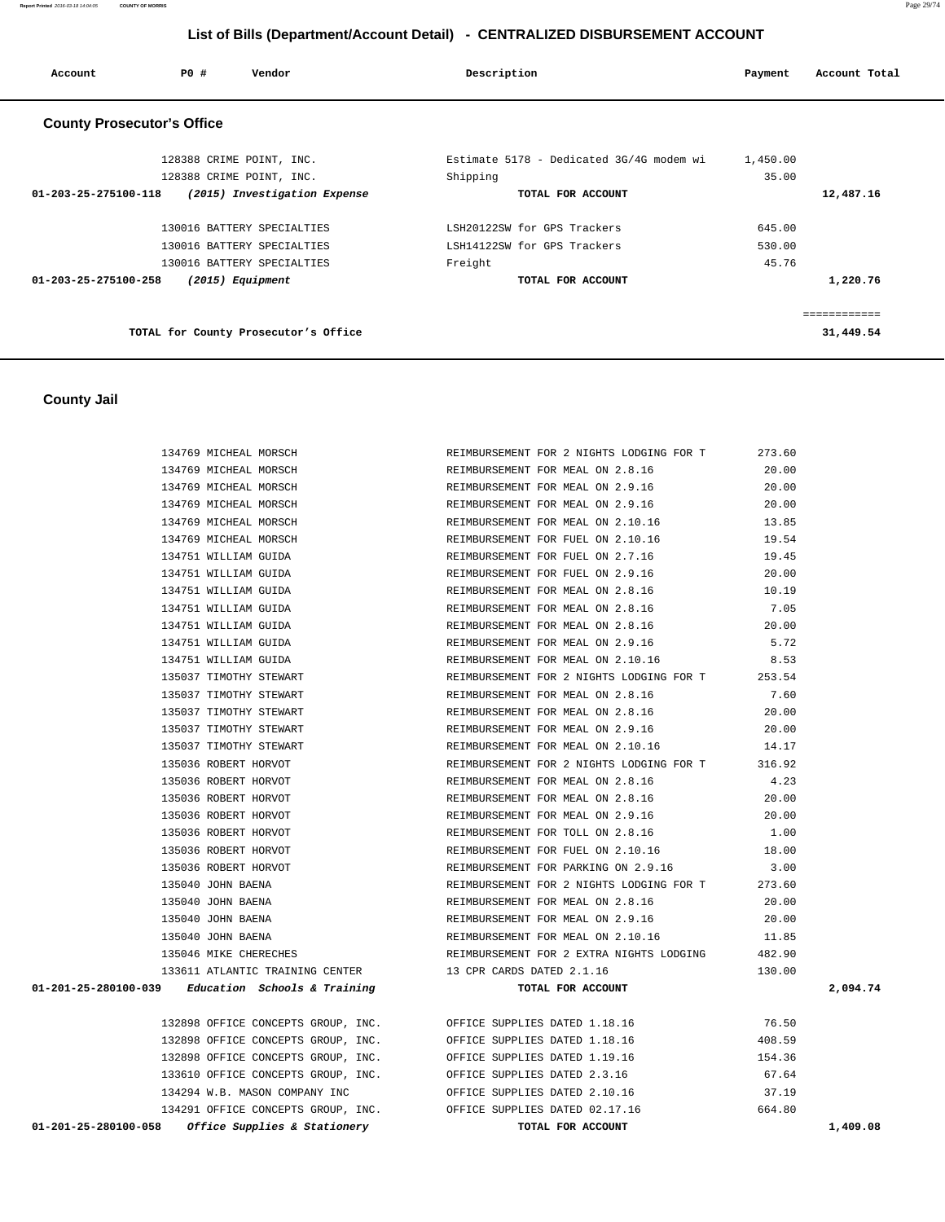**Report Printed** 2016-03-18 14:04:05 **COUNTY OF MORRIS** Page 29/74

## **List of Bills (Department/Account Detail) - CENTRALIZED DISBURSEMENT ACCOUNT**

| Account                           | <b>PO #</b> | Vendor                               | Description                              | Payment  | Account Total |
|-----------------------------------|-------------|--------------------------------------|------------------------------------------|----------|---------------|
| <b>County Prosecutor's Office</b> |             |                                      |                                          |          |               |
|                                   |             | 128388 CRIME POINT, INC.             | Estimate 5178 - Dedicated 3G/4G modem wi | 1,450.00 |               |
|                                   |             | 128388 CRIME POINT, INC.             | Shipping                                 | 35.00    |               |
| 01-203-25-275100-118              |             | (2015) Investigation Expense         | TOTAL FOR ACCOUNT                        |          | 12,487.16     |
|                                   |             | 130016 BATTERY SPECIALTIES           | LSH20122SW for GPS Trackers              | 645.00   |               |
|                                   |             | 130016 BATTERY SPECIALTIES           | LSH14122SW for GPS Trackers              | 530.00   |               |
|                                   |             | 130016 BATTERY SPECIALTIES           | Freight                                  | 45.76    |               |
| 01-203-25-275100-258              |             | $(2015)$ Equipment                   | TOTAL FOR ACCOUNT                        |          | 1,220.76      |
|                                   |             |                                      |                                          |          | ============  |
|                                   |             | TOTAL for County Prosecutor's Office |                                          |          | 31,449.54     |

## **County Jail**

| 134769 MICHEAL MORSCH                                            | REIMBURSEMENT FOR 2 NIGHTS LODGING FOR T                          | 273.60 |          |
|------------------------------------------------------------------|-------------------------------------------------------------------|--------|----------|
| 134769 MICHEAL MORSCH                                            | REIMBURSEMENT FOR MEAL ON 2.8.16                                  | 20.00  |          |
| 134769 MICHEAL MORSCH                                            | REIMBURSEMENT FOR MEAL ON 2.9.16                                  | 20.00  |          |
| 134769 MICHEAL MORSCH                                            | REIMBURSEMENT FOR MEAL ON 2.9.16                                  | 20.00  |          |
|                                                                  | 13.85 134769 MICHEAL MORSCH 2.10.16 13.85                         |        |          |
| 134769 MICHEAL MORSCH                                            | REIMBURSEMENT FOR FUEL ON 2.10.16 19.54                           |        |          |
| 134751 WILLIAM GUIDA                                             | REIMBURSEMENT FOR FUEL ON 2.7.16 19.45                            |        |          |
| 134751 WILLIAM GUIDA                                             | REIMBURSEMENT FOR FUEL ON 2.9.16                                  | 20.00  |          |
| 134751 WILLIAM GUIDA                                             | REIMBURSEMENT FOR MEAL ON 2.8.16                                  | 10.19  |          |
| 134751 WILLIAM GUIDA                                             | REIMBURSEMENT FOR MEAL ON 2.8.16                                  | 7.05   |          |
| 134751 WILLIAM GUIDA                                             | REIMBURSEMENT FOR MEAL ON 2.8.16                                  | 20.00  |          |
| 134751 WILLIAM GUIDA                                             | REIMBURSEMENT FOR MEAL ON 2.9.16                                  | 5.72   |          |
| 134751 WILLIAM GUIDA                                             | REIMBURSEMENT FOR MEAL ON 2.10.16                                 | 8.53   |          |
| 135037 TIMOTHY STEWART                                           | REIMBURSEMENT FOR 2 NIGHTS LODGING FOR T 253.54                   |        |          |
| 135037 TIMOTHY STEWART                                           | REIMBURSEMENT FOR MEAL ON 2.8.16                                  | 7.60   |          |
| 135037 TIMOTHY STEWART                                           | REIMBURSEMENT FOR MEAL ON 2.8.16 20.00                            |        |          |
| 135037 TIMOTHY STEWART                                           | REIMBURSEMENT FOR MEAL ON 2.9.16                                  | 20.00  |          |
| 135037 TIMOTHY STEWART<br>135036 ROBERT HORVOT                   | REIMBURSEMENT FOR MEAL ON 2.10.16                                 | 14.17  |          |
| 135036 ROBERT HORVOT                                             | REIMBURSEMENT FOR 2 NIGHTS LODGING FOR T                          | 316.92 |          |
| 135036 ROBERT HORVOT                                             | REIMBURSEMENT FOR MEAL ON 2.8.16                                  | 4.23   |          |
| 135036 ROBERT HORVOT                                             | REIMBURSEMENT FOR MEAL ON 2.8.16 20.00                            |        |          |
| 135036 ROBERT HORVOT                                             | REIMBURSEMENT FOR MEAL ON 2.9.16 20.00                            |        |          |
| 135036 ROBERT HORVOT                                             | REIMBURSEMENT FOR TOLL ON 2.8.16 1.00                             |        |          |
| 135036 ROBERT HORVOT                                             | REIMBURSEMENT FOR FUEL ON 2.10.16                                 | 18.00  |          |
| 135036 ROBERT HORVOT                                             | REIMBURSEMENT FOR PARKING ON 2.9.16                               | 3.00   |          |
| 135040 JOHN BAENA                                                | REIMBURSEMENT FOR 2 NIGHTS LODGING FOR T                          | 273.60 |          |
| 135040 JOHN BAENA                                                | REIMBURSEMENT FOR MEAL ON 2.8.16                                  | 20.00  |          |
| 135040 JOHN BAENA                                                | REIMBURSEMENT FOR MEAL ON 2.9.16                                  | 20.00  |          |
| 135040 JOHN BAENA                                                | REIMBURSEMENT FOR MEAL ON 2.10.16 11.85                           |        |          |
| 135046 MIKE CHERECHES                                            | REIMBURSEMENT FOR 2 EXTRA NIGHTS LODGING 482.90                   |        |          |
| 133611 ATLANTIC TRAINING CENTER 13 CPR CARDS DATED 2.1.16        |                                                                   | 130.00 |          |
| $01-201-25-280100-039$ Education Schools & Training              | TOTAL FOR ACCOUNT                                                 |        | 2,094.74 |
| 132898 OFFICE CONCEPTS GROUP, INC. OFFICE SUPPLIES DATED 1.18.16 |                                                                   | 76.50  |          |
| 132898 OFFICE CONCEPTS GROUP, INC.                               | OFFICE SUPPLIES DATED 1.18.16                                     | 408.59 |          |
| 132898 OFFICE CONCEPTS GROUP, INC.                               | OFFICE SUPPLIES DATED 1.19.16                                     | 154.36 |          |
| 133610 OFFICE CONCEPTS GROUP, INC. OFFICE SUPPLIES DATED 2.3.16  |                                                                   | 67.64  |          |
| 134294 W.B. MASON COMPANY INC 6 OFFICE SUPPLIES DATED 2.10.16    |                                                                   | 37.19  |          |
|                                                                  | 134291 OFFICE CONCEPTS GROUP, INC. OFFICE SUPPLIES DATED 02.17.16 | 664.80 |          |
| <i>Office Supplies &amp; Stationery</i><br>01-201-25-280100-058  | TOTAL FOR ACCOUNT                                                 |        | 1,409.08 |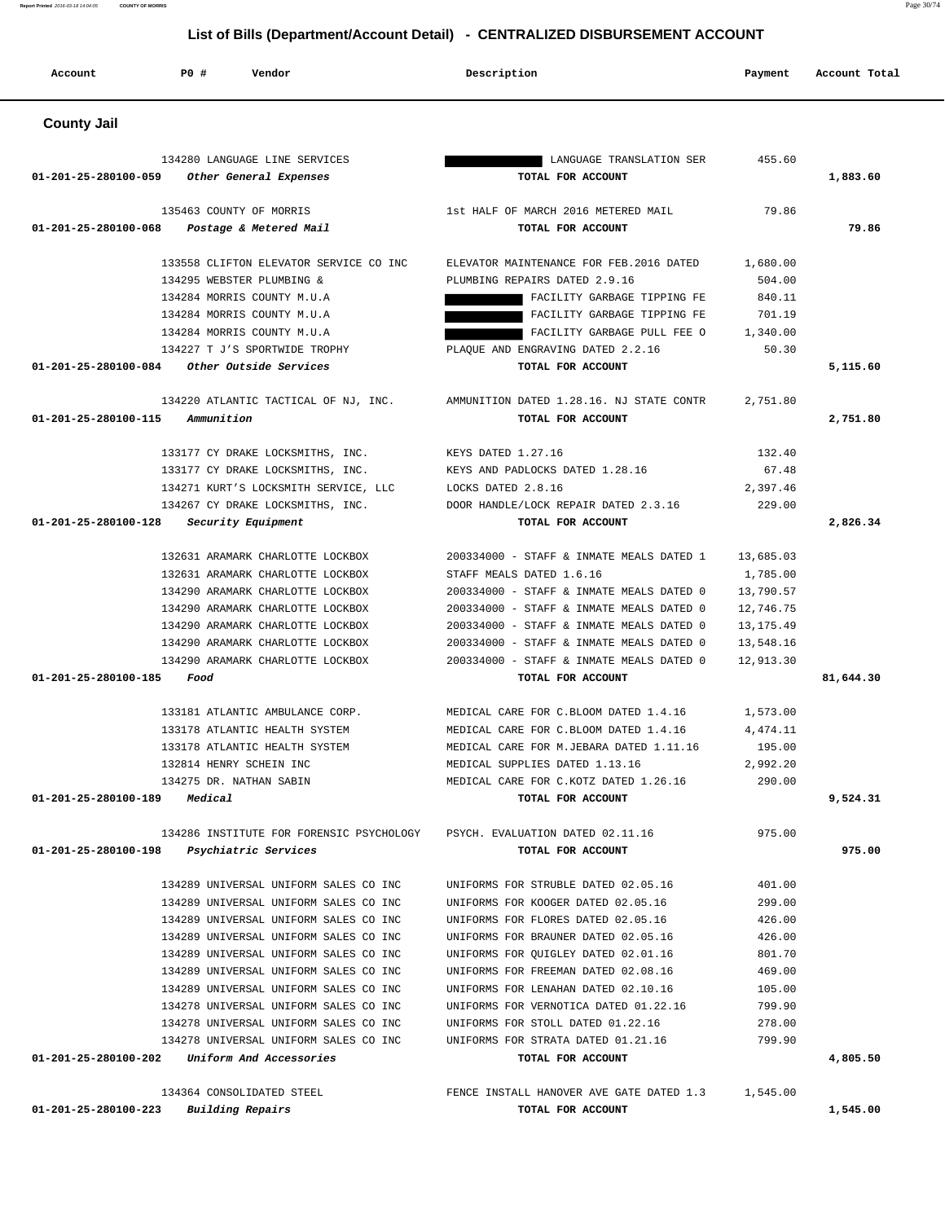**Account P0 # Vendor Description Payment Account Total County Jail**  134280 LANGUAGE LINE SERVICES LANGUAGE TRANSLATION SER 455.60  **01-201-25-280100-059 Other General Expenses TOTAL FOR ACCOUNT 1,883.60** 135463 COUNTY OF MORRIS 1st HALF OF MARCH 2016 METERED MAIL 79.86  **01-201-25-280100-068 Postage & Metered Mail TOTAL FOR ACCOUNT 79.86** 133558 CLIFTON ELEVATOR SERVICE CO INC ELEVATOR MAINTENANCE FOR FEB.2016 DATED 1,680.00 134295 WEBSTER PLUMBING & PLUMBING REPAIRS DATED 2.9.16 504.00 134284 MORRIS COUNTY M.U.A FACILITY GARBAGE TIPPING FE 840.11 134284 MORRIS COUNTY M.U.A FACILITY GARBAGE TIPPING FE 701.19 134284 MORRIS COUNTY M.U.A FACILITY GARBAGE PULL FEE O 1,340.00 134227 T J'S SPORTWIDE TROPHY PLAQUE AND ENGRAVING DATED 2.2.16 50.30  **01-201-25-280100-084 Other Outside Services TOTAL FOR ACCOUNT 5,115.60** 134220 ATLANTIC TACTICAL OF NJ, INC. AMMUNITION DATED 1.28.16. NJ STATE CONTR 2,751.80  **01-201-25-280100-115 Ammunition TOTAL FOR ACCOUNT 2,751.80** 133177 CY DRAKE LOCKSMITHS, INC. KEYS DATED 1.27.16 132.40 133177 CY DRAKE LOCKSMITHS, INC. KEYS AND PADLOCKS DATED 1.28.16 67.48 134271 KURT'S LOCKSMITH SERVICE, LLC LOCKS DATED 2.8.16 2,397.46 134267 CY DRAKE LOCKSMITHS, INC. DOOR HANDLE/LOCK REPAIR DATED 2.3.16 229.00  **01-201-25-280100-128 Security Equipment TOTAL FOR ACCOUNT 2,826.34** 132631 ARAMARK CHARLOTTE LOCKBOX 200334000 - STAFF & INMATE MEALS DATED 1 13,685.03 132631 ARAMARK CHARLOTTE LOCKBOX STAFF MEALS DATED 1.6.16 1,785.00 134290 ARAMARK CHARLOTTE LOCKBOX 200334000 - STAFF & INMATE MEALS DATED 0 13,790.57 134290 ARAMARK CHARLOTTE LOCKBOX 200334000 - STAFF & INMATE MEALS DATED 0 12,746.75 134290 ARAMARK CHARLOTTE LOCKBOX 200334000 - STAFF & INMATE MEALS DATED 0 13,175.49 134290 ARAMARK CHARLOTTE LOCKBOX 200334000 - STAFF & INMATE MEALS DATED 0 13,548.16 134290 ARAMARK CHARLOTTE LOCKBOX 200334000 - STAFF & INMATE MEALS DATED 0 12,913.30  **01-201-25-280100-185 Food TOTAL FOR ACCOUNT 81,644.30** 133181 ATLANTIC AMBULANCE CORP. MEDICAL CARE FOR C.BLOOM DATED 1.4.16 1,573.00 133178 ATLANTIC HEALTH SYSTEM MEDICAL CARE FOR C.BLOOM DATED 1.4.16 4,474.11 133178 ATLANTIC HEALTH SYSTEM MEDICAL CARE FOR M.JEBARA DATED 1.11.16 195.00 132814 HENRY SCHEIN INC MEDICAL SUPPLIES DATED 1.13.16 2,992.20 134275 DR. NATHAN SABIN MEDICAL CARE FOR C.KOTZ DATED 1.26.16 290.00  **01-201-25-280100-189 Medical TOTAL FOR ACCOUNT 9,524.31** 134286 INSTITUTE FOR FORENSIC PSYCHOLOGY PSYCH. EVALUATION DATED 02.11.16 975.00  **01-201-25-280100-198 Psychiatric Services TOTAL FOR ACCOUNT 975.00** 134289 UNIVERSAL UNIFORM SALES CO INC UNIFORMS FOR STRUBLE DATED 02.05.16 401.00 134289 UNIVERSAL UNIFORM SALES CO INC UNIFORMS FOR KOOGER DATED 02.05.16 299.00 134289 UNIVERSAL UNIFORM SALES CO INC UNIFORMS FOR FLORES DATED 02.05.16 426.00 134289 UNIVERSAL UNIFORM SALES CO INC UNIFORMS FOR BRAUNER DATED 02.05.16 426.00 134289 UNIVERSAL UNIFORM SALES CO INC UNIFORMS FOR QUIGLEY DATED 02.01.16 801.70 134289 UNIVERSAL UNIFORM SALES CO INC UNIFORMS FOR FREEMAN DATED 02.08.16 469.00 134289 UNIVERSAL UNIFORM SALES CO INC UNIFORMS FOR LENAHAN DATED 02.10.16 105.00 134278 UNIVERSAL UNIFORM SALES CO INC UNIFORMS FOR VERNOTICA DATED 01.22.16 799.90 134278 UNIVERSAL UNIFORM SALES CO INC UNIFORMS FOR STOLL DATED 01.22.16 278.00

 134278 UNIVERSAL UNIFORM SALES CO INC UNIFORMS FOR STRATA DATED 01.21.16 799.90  **01-201-25-280100-202 Uniform And Accessories TOTAL FOR ACCOUNT 4,805.50**

 134364 CONSOLIDATED STEEL FENCE INSTALL HANOVER AVE GATE DATED 1.3 1,545.00  **01-201-25-280100-223 Building Repairs TOTAL FOR ACCOUNT 1,545.00**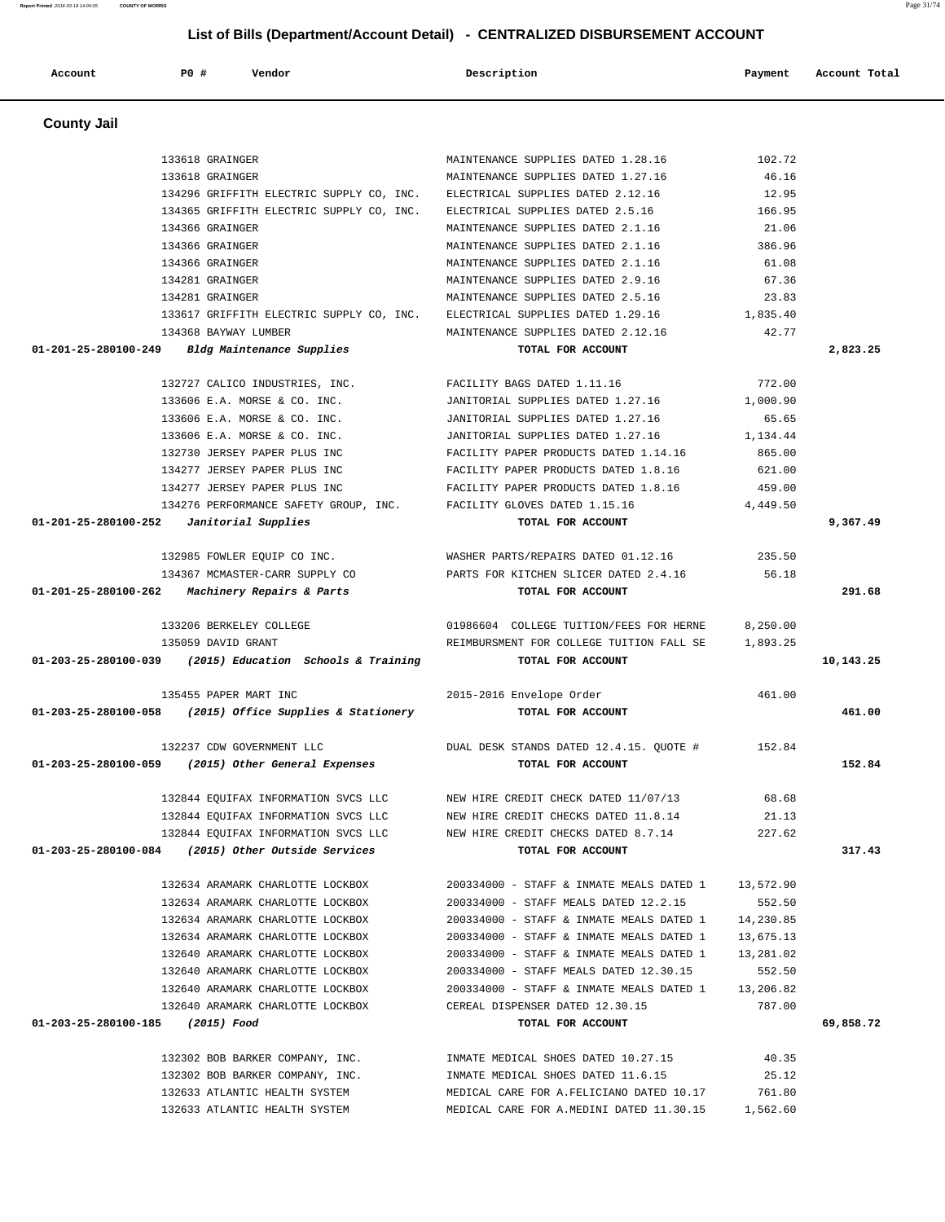| <b>County Jail</b>               |                                                                                  |                                                                                      |                        |           |
|----------------------------------|----------------------------------------------------------------------------------|--------------------------------------------------------------------------------------|------------------------|-----------|
|                                  | 133618 GRAINGER                                                                  | MAINTENANCE SUPPLIES DATED 1.28.16                                                   | 102.72                 |           |
|                                  | 133618 GRAINGER                                                                  | MAINTENANCE SUPPLIES DATED 1.27.16                                                   | 46.16                  |           |
|                                  | 134296 GRIFFITH ELECTRIC SUPPLY CO, INC.                                         | ELECTRICAL SUPPLIES DATED 2.12.16                                                    | 12.95                  |           |
|                                  | 134365 GRIFFITH ELECTRIC SUPPLY CO, INC.                                         | ELECTRICAL SUPPLIES DATED 2.5.16                                                     | 166.95                 |           |
|                                  | 134366 GRAINGER                                                                  | MAINTENANCE SUPPLIES DATED 2.1.16                                                    | 21.06                  |           |
|                                  | 134366 GRAINGER                                                                  | MAINTENANCE SUPPLIES DATED 2.1.16                                                    | 386.96                 |           |
|                                  | 134366 GRAINGER                                                                  | MAINTENANCE SUPPLIES DATED 2.1.16                                                    | 61.08                  |           |
|                                  | 134281 GRAINGER                                                                  | MAINTENANCE SUPPLIES DATED 2.9.16                                                    | 67.36                  |           |
|                                  | 134281 GRAINGER                                                                  | MAINTENANCE SUPPLIES DATED 2.5.16                                                    | 23.83                  |           |
|                                  | 133617 GRIFFITH ELECTRIC SUPPLY CO, INC.                                         | ELECTRICAL SUPPLIES DATED 1.29.16                                                    | 1,835.40               |           |
|                                  | 134368 BAYWAY LUMBER                                                             | MAINTENANCE SUPPLIES DATED 2.12.16                                                   | 42.77                  |           |
| 01-201-25-280100-249             | Bldg Maintenance Supplies                                                        | TOTAL FOR ACCOUNT                                                                    |                        | 2,823.25  |
|                                  | 132727 CALICO INDUSTRIES, INC.                                                   | FACILITY BAGS DATED 1.11.16                                                          | 772.00                 |           |
|                                  | 133606 E.A. MORSE & CO. INC.                                                     | JANITORIAL SUPPLIES DATED 1.27.16                                                    | 1,000.90               |           |
|                                  | 133606 E.A. MORSE & CO. INC.                                                     | JANITORIAL SUPPLIES DATED 1.27.16                                                    | 65.65                  |           |
|                                  | 133606 E.A. MORSE & CO. INC.                                                     | JANITORIAL SUPPLIES DATED 1.27.16                                                    | 1,134.44               |           |
|                                  | 132730 JERSEY PAPER PLUS INC                                                     | FACILITY PAPER PRODUCTS DATED 1.14.16                                                | 865.00                 |           |
|                                  | 134277 JERSEY PAPER PLUS INC                                                     | FACILITY PAPER PRODUCTS DATED 1.8.16                                                 | 621.00                 |           |
|                                  | 134277 JERSEY PAPER PLUS INC                                                     | FACILITY PAPER PRODUCTS DATED 1.8.16                                                 | 459.00                 |           |
|                                  | 134276 PERFORMANCE SAFETY GROUP, INC.                                            | FACILITY GLOVES DATED 1.15.16                                                        | 4,449.50               |           |
|                                  | $01-201-25-280100-252$ Janitorial Supplies                                       | TOTAL FOR ACCOUNT                                                                    |                        | 9,367.49  |
|                                  |                                                                                  |                                                                                      |                        |           |
|                                  | 132985 FOWLER EQUIP CO INC.                                                      | WASHER PARTS/REPAIRS DATED 01.12.16                                                  | 235.50                 |           |
|                                  | 134367 MCMASTER-CARR SUPPLY CO<br>01-201-25-280100-262 Machinery Repairs & Parts | PARTS FOR KITCHEN SLICER DATED 2.4.16<br>TOTAL FOR ACCOUNT                           | 56.18                  | 291.68    |
|                                  |                                                                                  |                                                                                      |                        |           |
|                                  | 133206 BERKELEY COLLEGE                                                          | 01986604 COLLEGE TUITION/FEES FOR HERNE                                              | 8,250.00               |           |
|                                  | 135059 DAVID GRANT                                                               | REIMBURSMENT FOR COLLEGE TUITION FALL SE                                             | 1,893.25               |           |
|                                  | 01-203-25-280100-039 (2015) Education Schools & Training                         | TOTAL FOR ACCOUNT                                                                    |                        | 10,143.25 |
|                                  | 135455 PAPER MART INC                                                            | 2015-2016 Envelope Order                                                             | 461.00                 |           |
|                                  | $01-203-25-280100-058$ (2015) Office Supplies & Stationery                       | TOTAL FOR ACCOUNT                                                                    |                        | 461.00    |
|                                  | 132237 CDW GOVERNMENT LLC                                                        | DUAL DESK STANDS DATED 12.4.15. QUOTE #                                              | 152.84                 |           |
| 01-203-25-280100-059             | (2015) Other General Expenses                                                    | TOTAL FOR ACCOUNT                                                                    |                        | 152.84    |
|                                  | 132844 EQUIFAX INFORMATION SVCS LLC                                              | NEW HIRE CREDIT CHECK DATED 11/07/13                                                 | 68.68                  |           |
|                                  | 132844 EOUIFAX INFORMATION SVCS LLC                                              | NEW HIRE CREDIT CHECKS DATED 11.8.14                                                 | 21.13                  |           |
|                                  | 132844 EOUIFAX INFORMATION SVCS LLC                                              | NEW HIRE CREDIT CHECKS DATED 8.7.14                                                  | 227.62                 |           |
|                                  | 01-203-25-280100-084 (2015) Other Outside Services                               | TOTAL FOR ACCOUNT                                                                    |                        | 317.43    |
|                                  | 132634 ARAMARK CHARLOTTE LOCKBOX                                                 | 200334000 - STAFF & INMATE MEALS DATED 1                                             |                        |           |
|                                  | 132634 ARAMARK CHARLOTTE LOCKBOX                                                 |                                                                                      | 13,572.90              |           |
|                                  |                                                                                  | 200334000 - STAFF MEALS DATED 12.2.15                                                | 552.50                 |           |
|                                  | 132634 ARAMARK CHARLOTTE LOCKBOX<br>132634 ARAMARK CHARLOTTE LOCKBOX             | 200334000 - STAFF & INMATE MEALS DATED 1                                             | 14,230.85              |           |
|                                  |                                                                                  | 200334000 - STAFF & INMATE MEALS DATED 1<br>200334000 - STAFF & INMATE MEALS DATED 1 | 13,675.13<br>13,281.02 |           |
|                                  |                                                                                  |                                                                                      |                        |           |
|                                  | 132640 ARAMARK CHARLOTTE LOCKBOX                                                 |                                                                                      |                        |           |
|                                  | 132640 ARAMARK CHARLOTTE LOCKBOX                                                 | 200334000 - STAFF MEALS DATED 12.30.15                                               | 552.50                 |           |
|                                  | 132640 ARAMARK CHARLOTTE LOCKBOX                                                 | 200334000 - STAFF & INMATE MEALS DATED 1                                             | 13,206.82              |           |
|                                  | 132640 ARAMARK CHARLOTTE LOCKBOX                                                 | CEREAL DISPENSER DATED 12.30.15<br>TOTAL FOR ACCOUNT                                 | 787.00                 |           |
|                                  |                                                                                  |                                                                                      |                        |           |
| 01-203-25-280100-185 (2015) Food | 132302 BOB BARKER COMPANY, INC.                                                  | INMATE MEDICAL SHOES DATED 10.27.15                                                  | 40.35                  | 69,858.72 |
|                                  | 132302 BOB BARKER COMPANY, INC.                                                  | INMATE MEDICAL SHOES DATED 11.6.15                                                   | 25.12                  |           |
|                                  | 132633 ATLANTIC HEALTH SYSTEM                                                    | MEDICAL CARE FOR A. FELICIANO DATED 10.17                                            | 761.80                 |           |

 **Account P0 # Vendor Description Payment Account Total**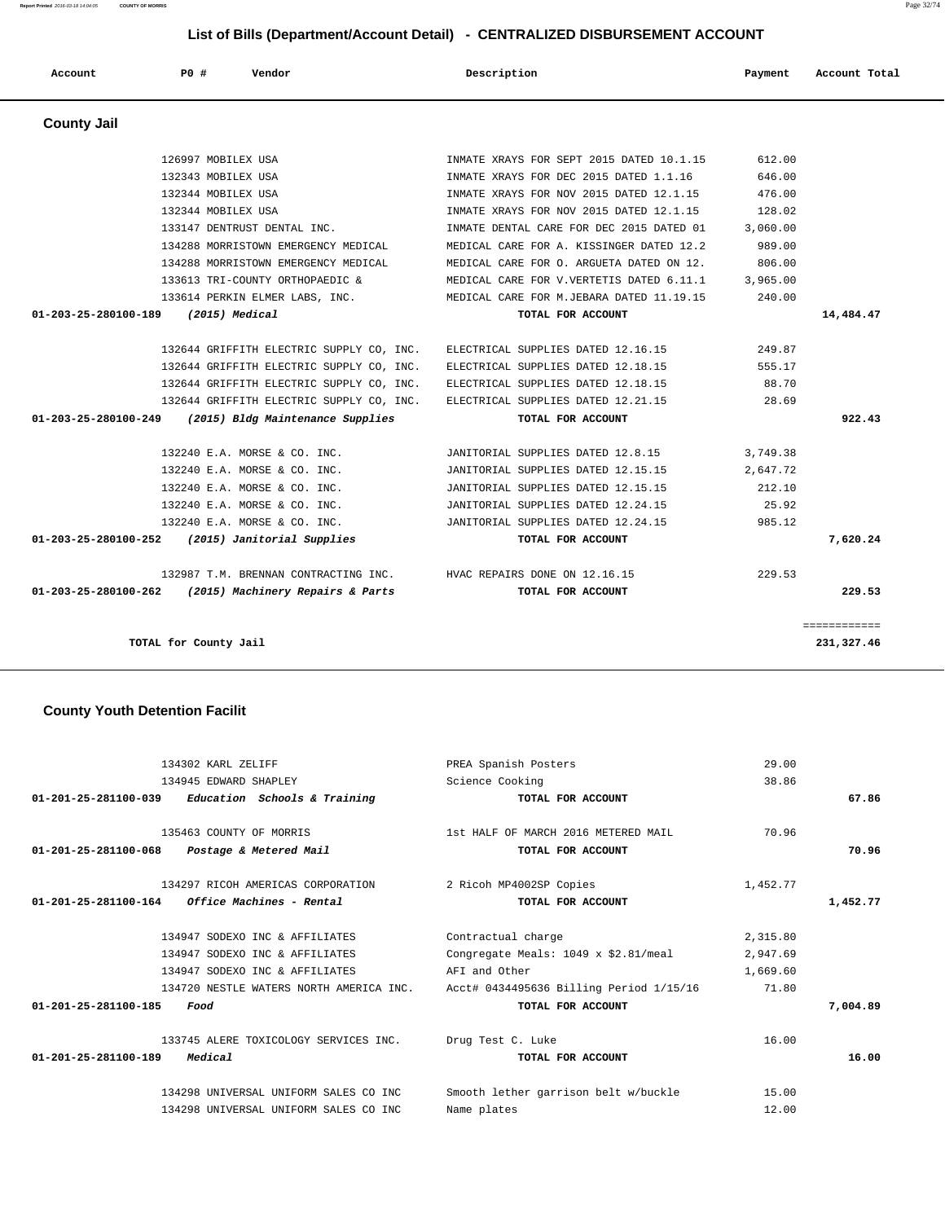| 134302 KARL ZELIFF                                   | PREA Spanish Posters                    | 29.00    |          |
|------------------------------------------------------|-----------------------------------------|----------|----------|
| 134945 EDWARD SHAPLEY                                | Science Cooking                         | 38.86    |          |
| 01-201-25-281100-039<br>Education Schools & Training | TOTAL FOR ACCOUNT                       |          | 67.86    |
| 135463 COUNTY OF MORRIS                              | 1st HALF OF MARCH 2016 METERED MAIL     | 70.96    |          |
| 01-201-25-281100-068<br>Postage & Metered Mail       | TOTAL FOR ACCOUNT                       |          | 70.96    |
| 134297 RICOH AMERICAS CORPORATION                    | 2 Ricoh MP4002SP Copies                 | 1,452.77 |          |
| 01-201-25-281100-164<br>Office Machines - Rental     | TOTAL FOR ACCOUNT                       |          | 1,452.77 |
| 134947 SODEXO INC & AFFILIATES                       | Contractual charge                      | 2,315.80 |          |
| 134947 SODEXO INC & AFFILIATES                       | Congregate Meals: 1049 x \$2.81/meal    | 2,947.69 |          |
| 134947 SODEXO INC & AFFILIATES                       | AFI and Other                           | 1,669.60 |          |
| 134720 NESTLE WATERS NORTH AMERICA INC.              | Acct# 0434495636 Billing Period 1/15/16 | 71.80    |          |
| 01-201-25-281100-185<br>Food                         | TOTAL FOR ACCOUNT                       |          | 7,004.89 |
| 133745 ALERE TOXICOLOGY SERVICES INC.                | Drug Test C. Luke                       | 16.00    |          |
| $01 - 201 - 25 - 281100 - 189$<br>Medical            | TOTAL FOR ACCOUNT                       |          | 16.00    |
| 134298 UNIVERSAL UNIFORM SALES CO INC                | Smooth lether garrison belt w/buckle    | 15.00    |          |
| 134298 UNIVERSAL UNIFORM SALES CO INC                | Name plates                             | 12.00    |          |

### **County Youth Detention Facilit**

| <b>County Jail</b>                                                 |                                           |          |              |
|--------------------------------------------------------------------|-------------------------------------------|----------|--------------|
| 126997 MOBILEX USA                                                 | INMATE XRAYS FOR SEPT 2015 DATED 10.1.15  | 612.00   |              |
| 132343 MOBILEX USA                                                 | INMATE XRAYS FOR DEC 2015 DATED 1.1.16    | 646.00   |              |
| 132344 MOBILEX USA                                                 | INMATE XRAYS FOR NOV 2015 DATED 12.1.15   | 476.00   |              |
| 132344 MOBILEX USA                                                 | INMATE XRAYS FOR NOV 2015 DATED 12.1.15   | 128.02   |              |
| 133147 DENTRUST DENTAL INC.                                        | INMATE DENTAL CARE FOR DEC 2015 DATED 01  | 3,060.00 |              |
| 134288 MORRISTOWN EMERGENCY MEDICAL                                | MEDICAL CARE FOR A. KISSINGER DATED 12.2  | 989.00   |              |
| 134288 MORRISTOWN EMERGENCY MEDICAL                                | MEDICAL CARE FOR O. ARGUETA DATED ON 12.  | 806.00   |              |
| 133613 TRI-COUNTY ORTHOPAEDIC &                                    | MEDICAL CARE FOR V. VERTETIS DATED 6.11.1 | 3,965.00 |              |
| 133614 PERKIN ELMER LABS, INC.                                     | MEDICAL CARE FOR M.JEBARA DATED 11.19.15  | 240.00   |              |
| 01-203-25-280100-189<br>(2015) Medical                             | TOTAL FOR ACCOUNT                         |          | 14,484.47    |
| 132644 GRIFFITH ELECTRIC SUPPLY CO, INC.                           | ELECTRICAL SUPPLIES DATED 12.16.15        | 249.87   |              |
| 132644 GRIFFITH ELECTRIC SUPPLY CO, INC.                           | ELECTRICAL SUPPLIES DATED 12.18.15        | 555.17   |              |
| 132644 GRIFFITH ELECTRIC SUPPLY CO, INC.                           | ELECTRICAL SUPPLIES DATED 12.18.15        | 88.70    |              |
| 132644 GRIFFITH ELECTRIC SUPPLY CO, INC.                           | ELECTRICAL SUPPLIES DATED 12.21.15        | 28.69    |              |
| 01-203-25-280100-249<br>(2015) Bldg Maintenance Supplies           | TOTAL FOR ACCOUNT                         |          | 922.43       |
| 132240 E.A. MORSE & CO. INC.                                       | JANITORIAL SUPPLIES DATED 12.8.15         | 3,749.38 |              |
| 132240 E.A. MORSE & CO. INC.                                       | JANITORIAL SUPPLIES DATED 12.15.15        | 2,647.72 |              |
| 132240 E.A. MORSE & CO. INC.                                       | JANITORIAL SUPPLIES DATED 12.15.15        | 212.10   |              |
| 132240 E.A. MORSE & CO. INC.                                       | JANITORIAL SUPPLIES DATED 12.24.15        | 25.92    |              |
| 132240 E.A. MORSE & CO. INC.                                       | JANITORIAL SUPPLIES DATED 12.24.15        | 985.12   |              |
| 01-203-25-280100-252 (2015) Janitorial Supplies                    | TOTAL FOR ACCOUNT                         |          | 7,620.24     |
|                                                                    |                                           |          |              |
| 132987 T.M. BRENNAN CONTRACTING INC. HVAC REPAIRS DONE ON 12.16.15 |                                           | 229.53   |              |
| 01-203-25-280100-262<br>(2015) Machinery Repairs & Parts           | TOTAL FOR ACCOUNT                         |          | 229.53       |
|                                                                    |                                           |          | ============ |
| TOTAL for County Jail                                              |                                           |          | 231,327.46   |

 **Account P0 # Vendor Description Payment Account Total**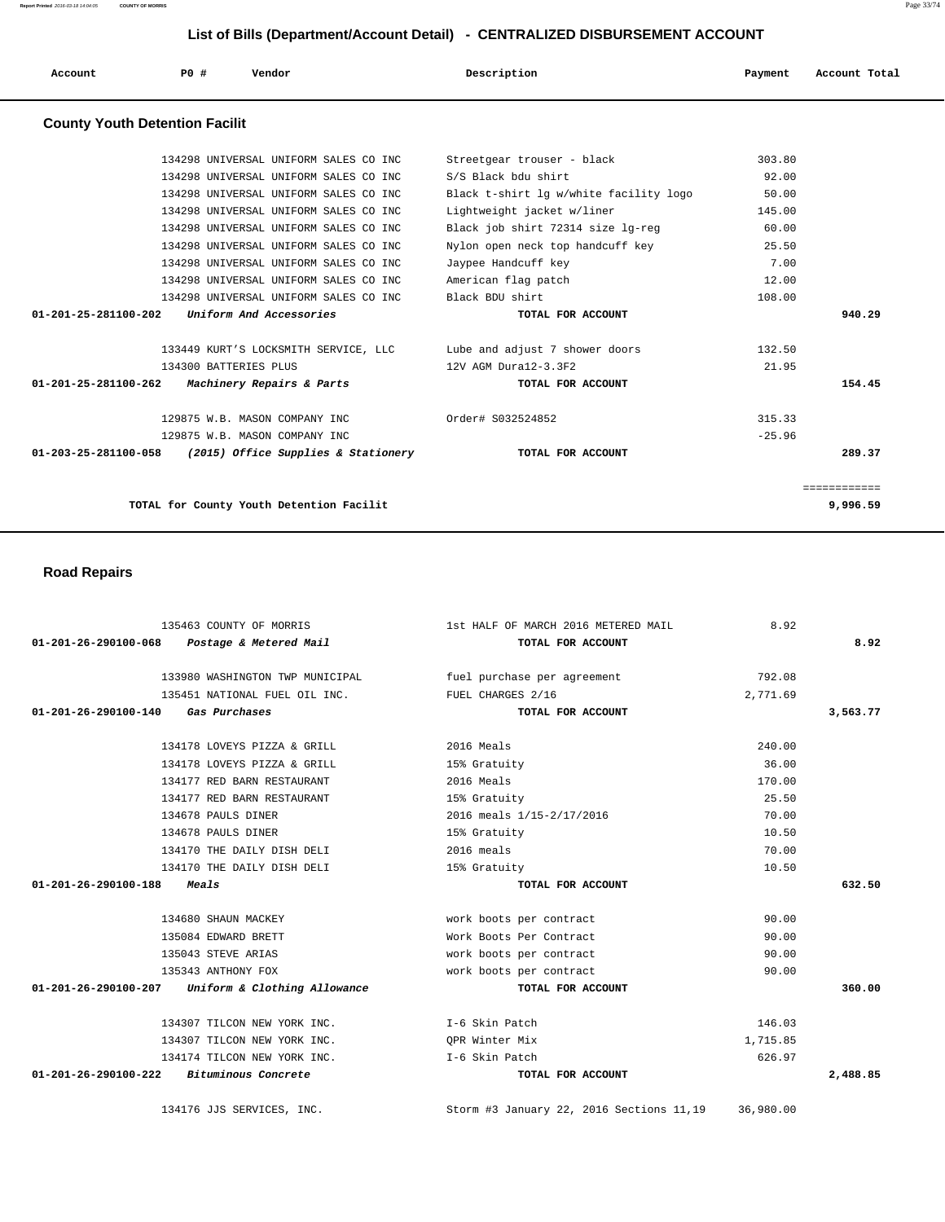**Report Printed** 2016-03-18 14:04:05 **COUNTY OF MORRIS** Page 33/74

## **List of Bills (Department/Account Detail) - CENTRALIZED DISBURSEMENT ACCOUNT**

| Account                               | PO# | Vendor                                | Description                            | Payment | Account Total |
|---------------------------------------|-----|---------------------------------------|----------------------------------------|---------|---------------|
| <b>County Youth Detention Facilit</b> |     |                                       |                                        |         |               |
|                                       |     | 134298 UNIVERSAL UNIFORM SALES CO INC | Streetgear trouser - black             | 303.80  |               |
|                                       |     | 134298 UNIVERSAL UNIFORM SALES CO INC | S/S Black bdu shirt                    | 92.00   |               |
|                                       |     | 134298 UNIVERSAL UNIFORM SALES CO INC | Black t-shirt lg w/white facility logo | 50.00   |               |
|                                       |     | 134298 UNIVERSAL UNIFORM SALES CO INC | Lightweight jacket w/liner             | 145.00  |               |
|                                       |     | 134298 UNIVERSAL UNIFORM SALES CO INC | Black job shirt 72314 size lg-reg      | 60.00   |               |

|              | 25.50    | Nylon open neck top handcuff key | 134298 UNIVERSAL UNIFORM SALES CO INC                                  |
|--------------|----------|----------------------------------|------------------------------------------------------------------------|
|              | 7.00     | Jaypee Handcuff key              | 134298 UNIVERSAL UNIFORM SALES CO INC                                  |
|              | 12.00    | American flag patch              | 134298 UNIVERSAL UNIFORM SALES CO INC                                  |
|              | 108.00   | Black BDU shirt                  | 134298 UNIVERSAL UNIFORM SALES CO INC                                  |
| 940.29       |          | TOTAL FOR ACCOUNT                | Uniform And Accessories<br>01-201-25-281100-202                        |
|              | 132.50   | Lube and adjust 7 shower doors   | 133449 KURT'S LOCKSMITH SERVICE, LLC                                   |
|              | 21.95    | 12V AGM Dura12-3.3F2             | 134300 BATTERIES PLUS                                                  |
| 154.45       |          | TOTAL FOR ACCOUNT                | <i>Machinery Repairs &amp; Parts</i><br>$01 - 201 - 25 - 281100 - 262$ |
|              | 315.33   | Order# S032524852                | 129875 W.B. MASON COMPANY INC                                          |
|              | $-25.96$ |                                  | 129875 W.B. MASON COMPANY INC                                          |
| 289.37       |          | TOTAL FOR ACCOUNT                | 01-203-25-281100-058<br>(2015) Office Supplies & Stationery            |
| ============ |          |                                  |                                                                        |
| 9,996.59     |          |                                  | TOTAL for County Youth Detention Facilit                               |
|              |          |                                  |                                                                        |

## **Road Repairs**

|                                            | 135463 COUNTY OF MORRIS                           | 1st HALF OF MARCH 2016 METERED MAIL                         | 8.92      |          |
|--------------------------------------------|---------------------------------------------------|-------------------------------------------------------------|-----------|----------|
| 01-201-26-290100-068                       | Postage & Metered Mail                            | TOTAL FOR ACCOUNT                                           |           | 8.92     |
|                                            |                                                   | 133980 WASHINGTON TWP MUNICIPAL fuel purchase per agreement | 792.08    |          |
|                                            | 135451 NATIONAL FUEL OIL INC.                     | FUEL CHARGES 2/16                                           | 2,771.69  |          |
| 01-201-26-290100-140 Gas Purchases         |                                                   | TOTAL FOR ACCOUNT                                           |           | 3,563.77 |
|                                            | 134178 LOVEYS PIZZA & GRILL                       | 2016 Meals                                                  | 240.00    |          |
|                                            | 134178 LOVEYS PIZZA & GRILL                       | 15% Gratuity                                                | 36.00     |          |
|                                            | 134177 RED BARN RESTAURANT                        | 2016 Meals                                                  | 170.00    |          |
|                                            | 134177 RED BARN RESTAURANT                        | 15% Gratuity                                                | 25.50     |          |
|                                            | 134678 PAULS DINER                                | 2016 meals 1/15-2/17/2016                                   | 70.00     |          |
|                                            | 134678 PAULS DINER                                | 15% Gratuity                                                | 10.50     |          |
|                                            | 134170 THE DAILY DISH DELI                        | 2016 meals                                                  | 70.00     |          |
|                                            | 134170 THE DAILY DISH DELI                        | 15% Gratuity                                                | 10.50     |          |
| $01 - 201 - 26 - 290100 - 188$             | Meals                                             | TOTAL FOR ACCOUNT                                           |           | 632.50   |
|                                            | 134680 SHAUN MACKEY                               | work boots per contract                                     | 90.00     |          |
|                                            | 135084 EDWARD BRETT                               | Work Boots Per Contract                                     | 90.00     |          |
|                                            | 135043 STEVE ARIAS                                | work boots per contract                                     | 90.00     |          |
|                                            | 135343 ANTHONY FOX                                | work boots per contract                                     | 90.00     |          |
|                                            | 01-201-26-290100-207 Uniform & Clothing Allowance | TOTAL FOR ACCOUNT                                           |           | 360.00   |
|                                            | 134307 TILCON NEW YORK INC.                       | I-6 Skin Patch                                              | 146.03    |          |
|                                            | 134307 TILCON NEW YORK INC.                       | OPR Winter Mix                                              | 1,715.85  |          |
|                                            | 134174 TILCON NEW YORK INC.                       | I-6 Skin Patch                                              | 626.97    |          |
| $01-201-26-290100-222$ Bituminous Concrete |                                                   | TOTAL FOR ACCOUNT                                           |           | 2,488.85 |
|                                            | 134176 JJS SERVICES, INC.                         | Storm #3 January 22, 2016 Sections 11,19                    | 36,980.00 |          |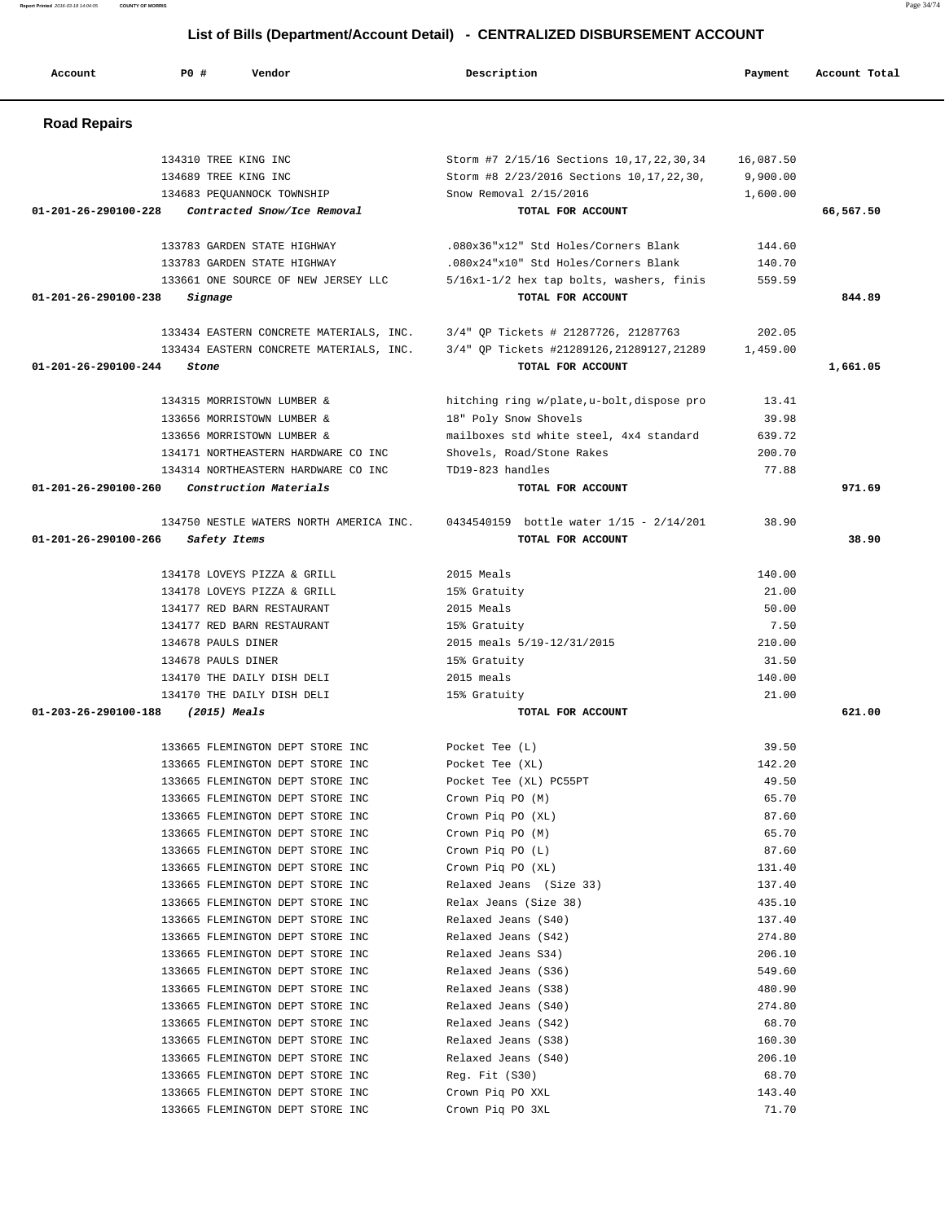| <b>Road Repairs</b>                                 |                                                                              |          |           |
|-----------------------------------------------------|------------------------------------------------------------------------------|----------|-----------|
| 134310 TREE KING INC                                | Storm #7 2/15/16 Sections 10, 17, 22, 30, 34 16, 087.50                      |          |           |
| 134689 TREE KING INC                                | Storm #8 2/23/2016 Sections 10, 17, 22, 30,                                  | 9,900.00 |           |
| 134683 PEQUANNOCK TOWNSHIP                          | Snow Removal 2/15/2016                                                       | 1,600.00 |           |
| Contracted Snow/Ice Removal<br>01-201-26-290100-228 | TOTAL FOR ACCOUNT                                                            |          | 66,567.50 |
|                                                     |                                                                              |          |           |
| 133783 GARDEN STATE HIGHWAY                         | .080x36"x12" Std Holes/Corners Blank                                         | 144.60   |           |
| 133783 GARDEN STATE HIGHWAY                         | .080x24"x10" Std Holes/Corners Blank                                         | 140.70   |           |
| 133661 ONE SOURCE OF NEW JERSEY LLC                 | 5/16x1-1/2 hex tap bolts, washers, finis                                     | 559.59   |           |
| $01 - 201 - 26 - 290100 - 238$<br>Signage           | TOTAL FOR ACCOUNT                                                            |          | 844.89    |
|                                                     |                                                                              |          |           |
|                                                     | 133434 EASTERN CONCRETE MATERIALS, INC. 3/4" QP Tickets # 21287726, 21287763 | 202.05   |           |
| 133434 EASTERN CONCRETE MATERIALS, INC.             | 3/4" QP Tickets #21289126,21289127,21289                                     | 1,459.00 |           |
| 01-201-26-290100-244<br>Stone                       | TOTAL FOR ACCOUNT                                                            |          | 1,661.05  |
|                                                     |                                                                              |          |           |
| 134315 MORRISTOWN LUMBER &                          | hitching ring w/plate, u-bolt, dispose pro                                   | 13.41    |           |
| 133656 MORRISTOWN LUMBER &                          | 18" Poly Snow Shovels                                                        | 39.98    |           |
| 133656 MORRISTOWN LUMBER &                          | mailboxes std white steel, 4x4 standard                                      | 639.72   |           |
| 134171 NORTHEASTERN HARDWARE CO INC                 | Shovels, Road/Stone Rakes                                                    | 200.70   |           |
| 134314 NORTHEASTERN HARDWARE CO INC                 | TD19-823 handles                                                             | 77.88    |           |
| Construction Materials<br>01-201-26-290100-260      | TOTAL FOR ACCOUNT                                                            |          | 971.69    |
| 134750 NESTLE WATERS NORTH AMERICA INC.             | 0434540159 bottle water 1/15 - 2/14/201                                      | 38.90    |           |
| 01-201-26-290100-266<br>Safety Items                | TOTAL FOR ACCOUNT                                                            |          | 38.90     |
|                                                     |                                                                              |          |           |
| 134178 LOVEYS PIZZA & GRILL                         | 2015 Meals                                                                   | 140.00   |           |
| 134178 LOVEYS PIZZA & GRILL                         | 15% Gratuity                                                                 | 21.00    |           |
| 134177 RED BARN RESTAURANT                          | 2015 Meals                                                                   | 50.00    |           |
| 134177 RED BARN RESTAURANT                          | 15% Gratuity                                                                 | 7.50     |           |
| 134678 PAULS DINER                                  | 2015 meals 5/19-12/31/2015                                                   | 210.00   |           |
| 134678 PAULS DINER                                  | 15% Gratuity                                                                 | 31.50    |           |
| 134170 THE DAILY DISH DELI                          | 2015 meals                                                                   | 140.00   |           |
| 134170 THE DAILY DISH DELI                          | 15% Gratuity                                                                 | 21.00    |           |
| $01 - 203 - 26 - 290100 - 188$<br>(2015) Meals      | TOTAL FOR ACCOUNT                                                            |          | 621.00    |
|                                                     |                                                                              |          |           |
| 133665 FLEMINGTON DEPT STORE INC                    | Pocket Tee (L)                                                               | 39.50    |           |
| 133665 FLEMINGTON DEPT STORE INC                    | Pocket Tee (XL)                                                              | 142.20   |           |
| 133665 FLEMINGTON DEPT STORE INC                    | Pocket Tee (XL) PC55PT                                                       | 49.50    |           |
| 133665 FLEMINGTON DEPT STORE INC                    | Crown Piq PO (M)                                                             | 65.70    |           |
| 133665 FLEMINGTON DEPT STORE INC                    | Crown Pig PO (XL)                                                            | 87.60    |           |
| 133665 FLEMINGTON DEPT STORE INC                    | Crown Piq PO (M)                                                             | 65.70    |           |
| 133665 FLEMINGTON DEPT STORE INC                    | Crown Piq PO (L)                                                             | 87.60    |           |
| 133665 FLEMINGTON DEPT STORE INC                    | Crown Pig PO (XL)                                                            | 131.40   |           |
| 133665 FLEMINGTON DEPT STORE INC                    | Relaxed Jeans (Size 33)                                                      | 137.40   |           |
| 133665 FLEMINGTON DEPT STORE INC                    | Relax Jeans (Size 38)                                                        | 435.10   |           |
| 133665 FLEMINGTON DEPT STORE INC                    | Relaxed Jeans (S40)                                                          | 137.40   |           |
| 133665 FLEMINGTON DEPT STORE INC                    | Relaxed Jeans (S42)                                                          | 274.80   |           |
| 133665 FLEMINGTON DEPT STORE INC                    | Relaxed Jeans S34)                                                           | 206.10   |           |
| 133665 FLEMINGTON DEPT STORE INC                    | Relaxed Jeans (S36)                                                          | 549.60   |           |
| 133665 FLEMINGTON DEPT STORE INC                    | Relaxed Jeans (S38)                                                          | 480.90   |           |
| 133665 FLEMINGTON DEPT STORE INC                    | Relaxed Jeans (S40)                                                          | 274.80   |           |
| 133665 FLEMINGTON DEPT STORE INC                    | Relaxed Jeans (S42)                                                          | 68.70    |           |
| 133665 FLEMINGTON DEPT STORE INC                    | Relaxed Jeans (S38)                                                          | 160.30   |           |
| 133665 FLEMINGTON DEPT STORE INC                    | Relaxed Jeans (S40)                                                          | 206.10   |           |
| 133665 FLEMINGTON DEPT STORE INC                    | Reg. Fit (S30)                                                               | 68.70    |           |
| 133665 FLEMINGTON DEPT STORE INC                    | Crown Piq PO XXL                                                             | 143.40   |           |
| 133665 FLEMINGTON DEPT STORE INC                    | Crown Piq PO 3XL                                                             | 71.70    |           |

Account **PO #** Vendor **Description Description Payment** Account Total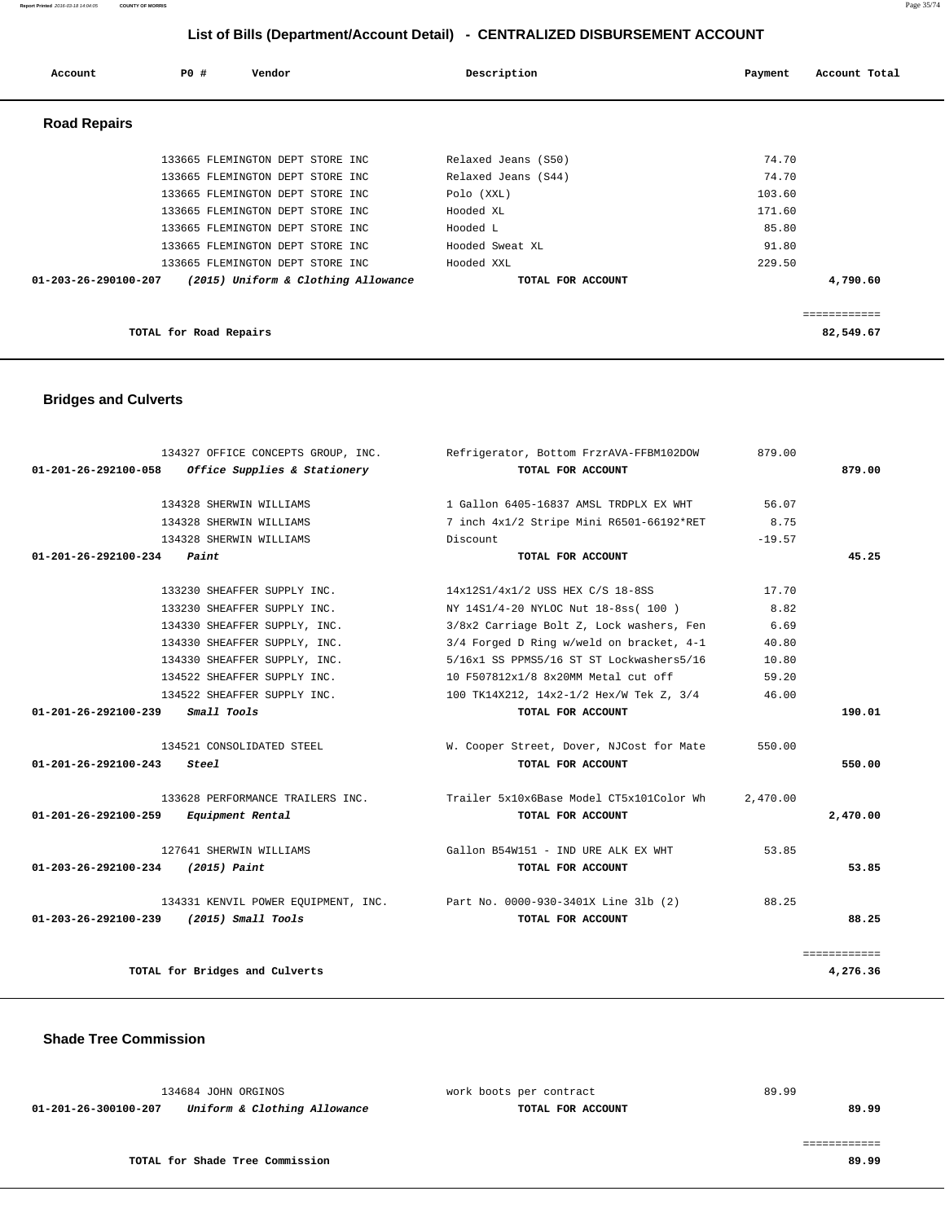| Account              | PO#                    | Vendor                              | Description         | Payment | Account Total |
|----------------------|------------------------|-------------------------------------|---------------------|---------|---------------|
| <b>Road Repairs</b>  |                        |                                     |                     |         |               |
|                      |                        | 133665 FLEMINGTON DEPT STORE INC    | Relaxed Jeans (S50) | 74.70   |               |
|                      |                        | 133665 FLEMINGTON DEPT STORE INC    | Relaxed Jeans (S44) | 74.70   |               |
|                      |                        | 133665 FLEMINGTON DEPT STORE INC    | Polo (XXL)          | 103.60  |               |
|                      |                        | 133665 FLEMINGTON DEPT STORE INC    | Hooded XL           | 171.60  |               |
|                      |                        | 133665 FLEMINGTON DEPT STORE INC    | Hooded L            | 85.80   |               |
|                      |                        | 133665 FLEMINGTON DEPT STORE INC    | Hooded Sweat XL     | 91.80   |               |
|                      |                        | 133665 FLEMINGTON DEPT STORE INC    | Hooded XXL          | 229.50  |               |
| 01-203-26-290100-207 |                        | (2015) Uniform & Clothing Allowance | TOTAL FOR ACCOUNT   |         | 4,790.60      |
|                      |                        |                                     |                     |         | .             |
|                      | TOTAL for Road Repairs |                                     |                     |         | 82,549.67     |

## **Bridges and Culverts**

| 134327 OFFICE CONCEPTS GROUP, INC.                | Refrigerator, Bottom FrzrAVA-FFBM102DOW                                   | 879.00   |              |
|---------------------------------------------------|---------------------------------------------------------------------------|----------|--------------|
| 01-201-26-292100-058 Office Supplies & Stationery | TOTAL FOR ACCOUNT                                                         |          | 879.00       |
| 134328 SHERWIN WILLIAMS                           | 1 Gallon 6405-16837 AMSL TRDPLX EX WHT                                    | 56.07    |              |
| 134328 SHERWIN WILLIAMS                           | 7 inch 4x1/2 Stripe Mini R6501-66192*RET                                  | 8.75     |              |
| 134328 SHERWIN WILLIAMS                           | Discount                                                                  | $-19.57$ |              |
| $01-201-26-292100-234$ Paint                      | TOTAL FOR ACCOUNT                                                         |          | 45.25        |
|                                                   |                                                                           |          |              |
| 133230 SHEAFFER SUPPLY INC.                       | 14x12S1/4x1/2 USS HEX C/S 18-8SS                                          | 17.70    |              |
| 133230 SHEAFFER SUPPLY INC.                       | NY 14S1/4-20 NYLOC Nut 18-8ss( 100 )                                      | 8.82     |              |
| 134330 SHEAFFER SUPPLY, INC.                      | 3/8x2 Carriage Bolt Z, Lock washers, Fen                                  | 6.69     |              |
| 134330 SHEAFFER SUPPLY, INC.                      | 3/4 Forged D Ring w/weld on bracket, 4-1                                  | 40.80    |              |
| 134330 SHEAFFER SUPPLY, INC.                      | 5/16x1 SS PPMS5/16 ST ST Lockwashers5/16                                  | 10.80    |              |
| 134522 SHEAFFER SUPPLY INC.                       | 10 F507812x1/8 8x20MM Metal cut off                                       | 59.20    |              |
| 134522 SHEAFFER SUPPLY INC.                       | 100 TK14X212, 14x2-1/2 Hex/W Tek Z, 3/4                                   | 46.00    |              |
| 01-201-26-292100-239 Small Tools                  | TOTAL FOR ACCOUNT                                                         |          | 190.01       |
|                                                   |                                                                           |          |              |
| 134521 CONSOLIDATED STEEL                         | W. Cooper Street, Dover, NJCost for Mate                                  | 550.00   |              |
| 01-201-26-292100-243<br>Steel                     | TOTAL FOR ACCOUNT                                                         |          | 550.00       |
|                                                   | 133628 PERFORMANCE TRAILERS INC. Trailer 5x10x6Base Model CT5x101Color Wh | 2,470.00 |              |
| 01-201-26-292100-259<br>Equipment Rental          | TOTAL FOR ACCOUNT                                                         |          | 2,470.00     |
|                                                   |                                                                           |          |              |
| 127641 SHERWIN WILLIAMS                           | Gallon B54W151 - IND URE ALK EX WHT                                       | 53.85    |              |
| 01-203-26-292100-234<br>$(2015)$ Paint            | TOTAL FOR ACCOUNT                                                         |          | 53.85        |
|                                                   |                                                                           |          |              |
|                                                   | 134331 KENVIL POWER EQUIPMENT, INC. Part No. 0000-930-3401X Line 31b (2)  | 88.25    |              |
| 01-203-26-292100-239 (2015) Small Tools           | TOTAL FOR ACCOUNT                                                         |          | 88.25        |
|                                                   |                                                                           |          |              |
|                                                   |                                                                           |          | ============ |
| TOTAL for Bridges and Culverts                    |                                                                           |          | 4,276.36     |

### **Shade Tree Commission**

| 134684 JOHN ORGINOS                                  | work boots per contract | 89.99 |
|------------------------------------------------------|-------------------------|-------|
| Uniform & Clothing Allowance<br>01-201-26-300100-207 | TOTAL FOR ACCOUNT       | 89.99 |
|                                                      |                         |       |
|                                                      |                         |       |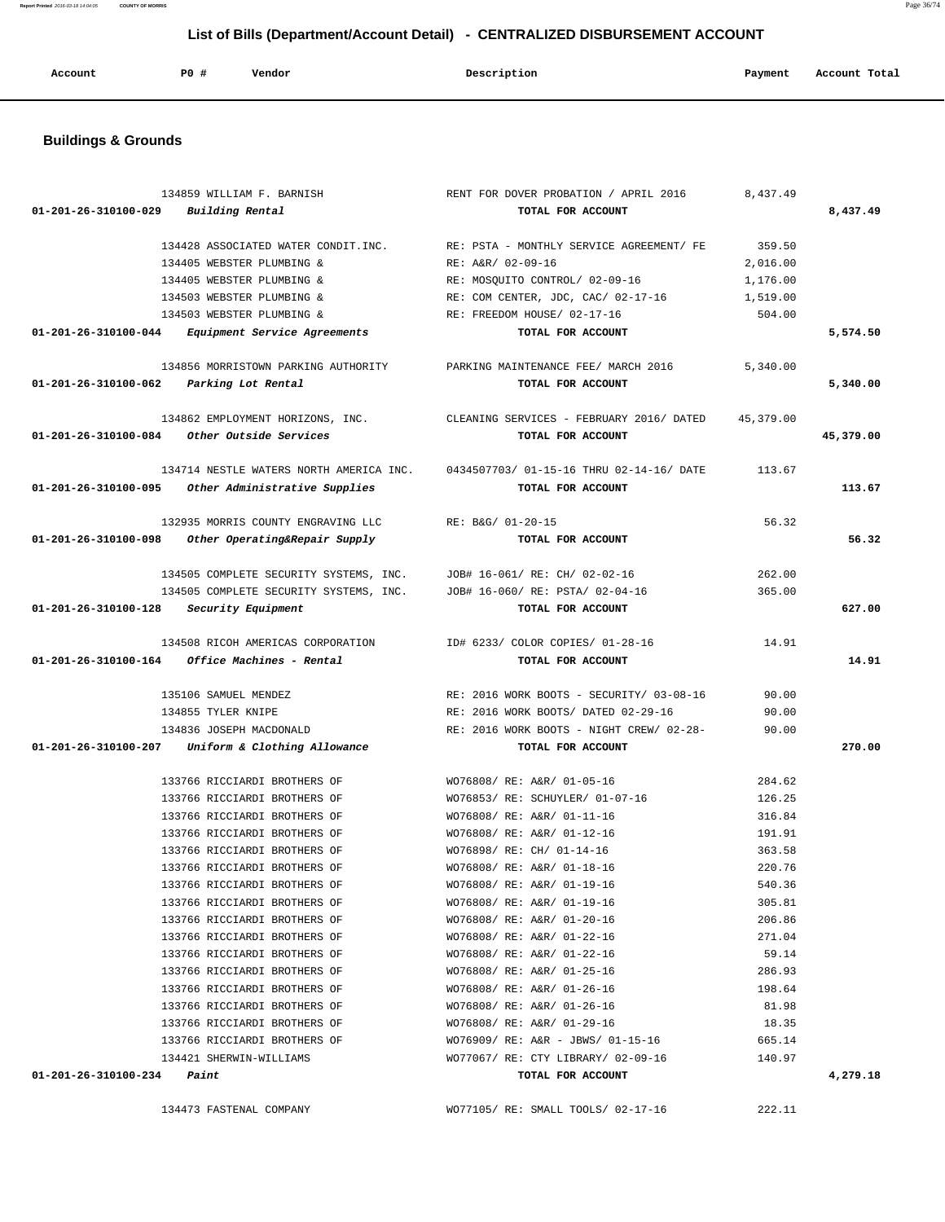| Account | PO# | Vendor | Description | Payment | Account Total<br>. |
|---------|-----|--------|-------------|---------|--------------------|
|         |     |        |             |         |                    |

## **Buildings & Grounds**

|                                      | 134859 WILLIAM F. BARNISH                                               | RENT FOR DOVER PROBATION / APRIL 2016                                          | 8,437.49  |           |
|--------------------------------------|-------------------------------------------------------------------------|--------------------------------------------------------------------------------|-----------|-----------|
| 01-201-26-310100-029 Building Rental |                                                                         | TOTAL FOR ACCOUNT                                                              |           | 8,437.49  |
|                                      |                                                                         |                                                                                |           |           |
|                                      | 134428 ASSOCIATED WATER CONDIT.INC.                                     | RE: PSTA - MONTHLY SERVICE AGREEMENT/ FE                                       | 359.50    |           |
|                                      | 134405 WEBSTER PLUMBING &                                               | RE: A&R/ 02-09-16                                                              | 2,016.00  |           |
|                                      | 134405 WEBSTER PLUMBING &                                               | RE: MOSQUITO CONTROL/ 02-09-16                                                 | 1,176.00  |           |
|                                      | 134503 WEBSTER PLUMBING &                                               | RE: COM CENTER, JDC, CAC/ 02-17-16                                             | 1,519.00  |           |
|                                      | 134503 WEBSTER PLUMBING &                                               | RE: FREEDOM HOUSE/ 02-17-16                                                    | 504.00    |           |
| 01-201-26-310100-044                 | Equipment Service Agreements                                            | TOTAL FOR ACCOUNT                                                              |           | 5,574.50  |
|                                      | 134856 MORRISTOWN PARKING AUTHORITY PARKING MAINTENANCE FEE/ MARCH 2016 |                                                                                | 5,340.00  |           |
| 01-201-26-310100-062                 | Parking Lot Rental                                                      | TOTAL FOR ACCOUNT                                                              |           | 5,340.00  |
|                                      |                                                                         |                                                                                |           |           |
|                                      |                                                                         | 134862 EMPLOYMENT HORIZONS, INC. CLEANING SERVICES - FEBRUARY 2016/ DATED      | 45,379.00 |           |
|                                      | 01-201-26-310100-084 Other Outside Services                             | TOTAL FOR ACCOUNT                                                              |           | 45,379.00 |
|                                      |                                                                         | 134714 NESTLE WATERS NORTH AMERICA INC. 0434507703/01-15-16 THRU 02-14-16/DATE | 113.67    |           |
|                                      | 01-201-26-310100-095 Other Administrative Supplies                      | TOTAL FOR ACCOUNT                                                              |           | 113.67    |
|                                      |                                                                         |                                                                                |           |           |
|                                      | 132935 MORRIS COUNTY ENGRAVING LLC                                      | RE: B&G/ 01-20-15                                                              | 56.32     |           |
| 01-201-26-310100-098                 | Other Operating&Repair Supply                                           | TOTAL FOR ACCOUNT                                                              |           | 56.32     |
|                                      |                                                                         |                                                                                |           |           |
|                                      | 134505 COMPLETE SECURITY SYSTEMS, INC.                                  | JOB# 16-061/ RE: CH/ 02-02-16                                                  | 262.00    |           |
| 01-201-26-310100-128                 | 134505 COMPLETE SECURITY SYSTEMS, INC.                                  | JOB# 16-060/ RE: PSTA/ 02-04-16<br>TOTAL FOR ACCOUNT                           | 365.00    | 627.00    |
|                                      | Security Equipment                                                      |                                                                                |           |           |
|                                      | 134508 RICOH AMERICAS CORPORATION                                       | ID# 6233/ COLOR COPIES/ 01-28-16                                               | 14.91     |           |
| 01-201-26-310100-164                 | Office Machines - Rental                                                | TOTAL FOR ACCOUNT                                                              |           | 14.91     |
|                                      |                                                                         |                                                                                |           |           |
|                                      | 135106 SAMUEL MENDEZ                                                    | RE: 2016 WORK BOOTS - SECURITY/ 03-08-16                                       | 90.00     |           |
|                                      | 134855 TYLER KNIPE                                                      | RE: 2016 WORK BOOTS/ DATED 02-29-16                                            | 90.00     |           |
|                                      | 134836 JOSEPH MACDONALD                                                 | RE: 2016 WORK BOOTS - NIGHT CREW/ 02-28-                                       | 90.00     |           |
|                                      | 01-201-26-310100-207 Uniform & Clothing Allowance                       | TOTAL FOR ACCOUNT                                                              |           | 270.00    |
|                                      | 133766 RICCIARDI BROTHERS OF                                            | WO76808/ RE: A&R/ 01-05-16                                                     | 284.62    |           |
|                                      | 133766 RICCIARDI BROTHERS OF                                            | WO76853/ RE: SCHUYLER/ 01-07-16                                                | 126.25    |           |
|                                      | 133766 RICCIARDI BROTHERS OF                                            | WO76808/ RE: A&R/ 01-11-16                                                     | 316.84    |           |
|                                      | 133766 RICCIARDI BROTHERS OF                                            | WO76808/ RE: A&R/ 01-12-16                                                     | 191.91    |           |
|                                      | 133766 RICCIARDI BROTHERS OF                                            | WO76898/ RE: CH/ 01-14-16                                                      | 363.58    |           |
|                                      | 133766 RICCIARDI BROTHERS OF                                            | WO76808/ RE: A&R/ 01-18-16                                                     | 220.76    |           |
|                                      | 133766 RICCIARDI BROTHERS OF                                            | WO76808/ RE: A&R/ 01-19-16                                                     | 540.36    |           |
|                                      | 133766 RICCIARDI BROTHERS OF                                            | WO76808/ RE: A&R/ 01-19-16                                                     | 305.81    |           |
|                                      | 133766 RICCIARDI BROTHERS OF                                            | WO76808/ RE: A&R/ 01-20-16                                                     | 206.86    |           |
|                                      | 133766 RICCIARDI BROTHERS OF                                            | WO76808/ RE: A&R/ 01-22-16                                                     | 271.04    |           |
|                                      | 133766 RICCIARDI BROTHERS OF                                            | WO76808/ RE: A&R/ 01-22-16                                                     | 59.14     |           |
|                                      | 133766 RICCIARDI BROTHERS OF                                            | WO76808/ RE: A&R/ 01-25-16                                                     | 286.93    |           |
|                                      | 133766 RICCIARDI BROTHERS OF                                            | WO76808/ RE: A&R/ 01-26-16                                                     | 198.64    |           |
|                                      | 133766 RICCIARDI BROTHERS OF                                            | WO76808/ RE: A&R/ 01-26-16                                                     | 81.98     |           |
|                                      | 133766 RICCIARDI BROTHERS OF                                            | WO76808/ RE: A&R/ 01-29-16                                                     | 18.35     |           |
|                                      | 133766 RICCIARDI BROTHERS OF                                            | WO76909/ RE: A&R - JBWS/ 01-15-16                                              | 665.14    |           |
|                                      | 134421 SHERWIN-WILLIAMS                                                 | WO77067/ RE: CTY LIBRARY/ 02-09-16                                             | 140.97    |           |
| $01 - 201 - 26 - 310100 - 234$ Paint |                                                                         |                                                                                |           | 4,279.18  |
|                                      |                                                                         | TOTAL FOR ACCOUNT                                                              |           |           |
|                                      | 134473 FASTENAL COMPANY                                                 | WO77105/ RE: SMALL TOOLS/ 02-17-16                                             | 222.11    |           |

**Report Printed** 2016-03-18 14:04:05 **COUNTY OF MORRIS** Page 36/74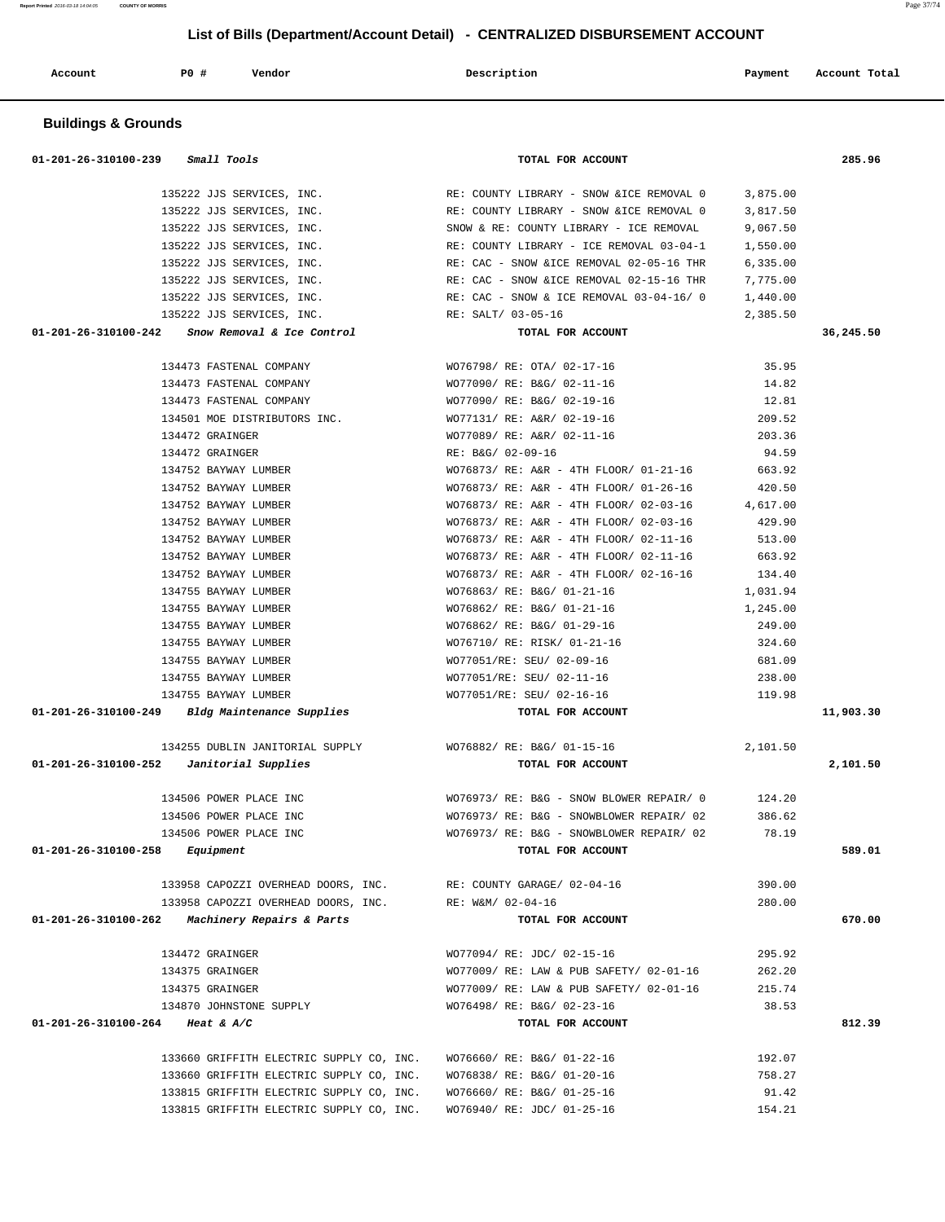| <b>Buildings &amp; Grounds</b>                        |                                                                                  |                  |           |
|-------------------------------------------------------|----------------------------------------------------------------------------------|------------------|-----------|
| 01-201-26-310100-239<br><i>Small Tools</i>            | TOTAL FOR ACCOUNT                                                                |                  | 285.96    |
| 135222 JJS SERVICES, INC.                             | RE: COUNTY LIBRARY - SNOW & ICE REMOVAL 0                                        | 3,875.00         |           |
| 135222 JJS SERVICES, INC.                             | RE: COUNTY LIBRARY - SNOW & ICE REMOVAL 0                                        | 3,817.50         |           |
| 135222 JJS SERVICES, INC.                             | SNOW & RE: COUNTY LIBRARY - ICE REMOVAL                                          | 9,067.50         |           |
| 135222 JJS SERVICES, INC.                             | RE: COUNTY LIBRARY - ICE REMOVAL 03-04-1                                         | 1,550.00         |           |
| 135222 JJS SERVICES, INC.                             | RE: CAC - SNOW & ICE REMOVAL 02-05-16 THR                                        | 6,335.00         |           |
| 135222 JJS SERVICES, INC.                             | RE: CAC - SNOW & ICE REMOVAL 02-15-16 THR                                        | 7,775.00         |           |
| 135222 JJS SERVICES, INC.                             | RE: CAC - SNOW & ICE REMOVAL 03-04-16/0                                          | 1,440.00         |           |
| 135222 JJS SERVICES, INC.                             | RE: SALT/ 03-05-16                                                               | 2,385.50         |           |
| Snow Removal & Ice Control<br>01-201-26-310100-242    | TOTAL FOR ACCOUNT                                                                |                  | 36,245.50 |
| 134473 FASTENAL COMPANY                               | WO76798/ RE: OTA/ 02-17-16                                                       | 35.95            |           |
| 134473 FASTENAL COMPANY                               | WO77090/ RE: B&G/ 02-11-16                                                       | 14.82            |           |
| 134473 FASTENAL COMPANY                               | WO77090/ RE: B&G/ 02-19-16                                                       | 12.81            |           |
| 134501 MOE DISTRIBUTORS INC.                          | WO77131/ RE: A&R/ 02-19-16                                                       | 209.52           |           |
| 134472 GRAINGER                                       | WO77089/ RE: A&R/ 02-11-16                                                       | 203.36           |           |
| 134472 GRAINGER                                       | RE: B&G/ 02-09-16                                                                | 94.59            |           |
| 134752 BAYWAY LUMBER                                  | WO76873/ RE: A&R - 4TH FLOOR/ 01-21-16                                           | 663.92           |           |
| 134752 BAYWAY LUMBER                                  | WO76873/ RE: A&R - 4TH FLOOR/ 01-26-16                                           | 420.50           |           |
| 134752 BAYWAY LUMBER                                  | WO76873/ RE: A&R - 4TH FLOOR/ 02-03-16                                           | 4,617.00         |           |
| 134752 BAYWAY LUMBER<br>134752 BAYWAY LUMBER          | WO76873/ RE: A&R - 4TH FLOOR/ 02-03-16<br>WO76873/ RE: A&R - 4TH FLOOR/ 02-11-16 | 429.90<br>513.00 |           |
| 134752 BAYWAY LUMBER                                  | WO76873/ RE: A&R - 4TH FLOOR/ 02-11-16                                           | 663.92           |           |
| 134752 BAYWAY LUMBER                                  | WO76873/ RE: A&R - 4TH FLOOR/ 02-16-16                                           | 134.40           |           |
| 134755 BAYWAY LUMBER                                  | WO76863/ RE: B&G/ 01-21-16                                                       | 1,031.94         |           |
| 134755 BAYWAY LUMBER                                  | WO76862/ RE: B&G/ 01-21-16                                                       | 1,245.00         |           |
| 134755 BAYWAY LUMBER                                  | WO76862/ RE: B&G/ 01-29-16                                                       | 249.00           |           |
| 134755 BAYWAY LUMBER                                  | WO76710/ RE: RISK/ 01-21-16                                                      | 324.60           |           |
| 134755 BAYWAY LUMBER                                  | WO77051/RE: SEU/ 02-09-16                                                        | 681.09           |           |
| 134755 BAYWAY LUMBER                                  | WO77051/RE: SEU/ 02-11-16                                                        | 238.00           |           |
| 134755 BAYWAY LUMBER                                  | WO77051/RE: SEU/ 02-16-16                                                        | 119.98           |           |
| 01-201-26-310100-249<br>Bldg Maintenance Supplies     | TOTAL FOR ACCOUNT                                                                |                  | 11,903.30 |
| 134255 DUBLIN JANITORIAL SUPPLY                       | WO76882/ RE: B&G/ 01-15-16                                                       | 2,101.50         |           |
| 01-201-26-310100-252<br>Janitorial Supplies           | TOTAL FOR ACCOUNT                                                                |                  | 2,101.50  |
| 134506 POWER PLACE INC                                | WO76973/ RE: B&G - SNOW BLOWER REPAIR/ 0                                         | 124.20           |           |
| 134506 POWER PLACE INC                                | WO76973/ RE: B&G - SNOWBLOWER REPAIR/ 02                                         | 386.62           |           |
| 134506 POWER PLACE INC                                | WO76973/ RE: B&G - SNOWBLOWER REPAIR/ 02                                         | 78.19            |           |
| $01 - 201 - 26 - 310100 - 258$ Equipment              | TOTAL FOR ACCOUNT                                                                |                  | 589.01    |
| 133958 CAPOZZI OVERHEAD DOORS, INC.                   | RE: COUNTY GARAGE/ 02-04-16                                                      | 390.00           |           |
| 133958 CAPOZZI OVERHEAD DOORS, INC. RE: W&M/ 02-04-16 |                                                                                  | 280.00           |           |
| 01-201-26-310100-262 Machinery Repairs & Parts        | TOTAL FOR ACCOUNT                                                                |                  | 670.00    |
| 134472 GRAINGER                                       | WO77094/ RE: JDC/ 02-15-16                                                       | 295.92           |           |
| 134375 GRAINGER                                       | WO77009/ RE: LAW & PUB SAFETY/ 02-01-16                                          | 262.20           |           |
| 134375 GRAINGER                                       | WO77009/ RE: LAW & PUB SAFETY/ 02-01-16                                          | 215.74           |           |
| 134870 JOHNSTONE SUPPLY                               | WO76498/ RE: B&G/ 02-23-16                                                       | 38.53            |           |
| 01-201-26-310100-264 Heat & A/C                       | TOTAL FOR ACCOUNT                                                                |                  | 812.39    |
| 133660 GRIFFITH ELECTRIC SUPPLY CO, INC.              | WO76660/ RE: B&G/ 01-22-16                                                       | 192.07           |           |
| 133660 GRIFFITH ELECTRIC SUPPLY CO, INC.              | WO76838/ RE: B&G/ 01-20-16                                                       | 758.27           |           |
| 133815 GRIFFITH ELECTRIC SUPPLY CO, INC.              | WO76660/ RE: B&G/ 01-25-16                                                       | 91.42            |           |
| 133815 GRIFFITH ELECTRIC SUPPLY CO, INC.              | WO76940/ RE: JDC/ 01-25-16                                                       | 154.21           |           |

 **Account P0 # Vendor Description Payment Account Total**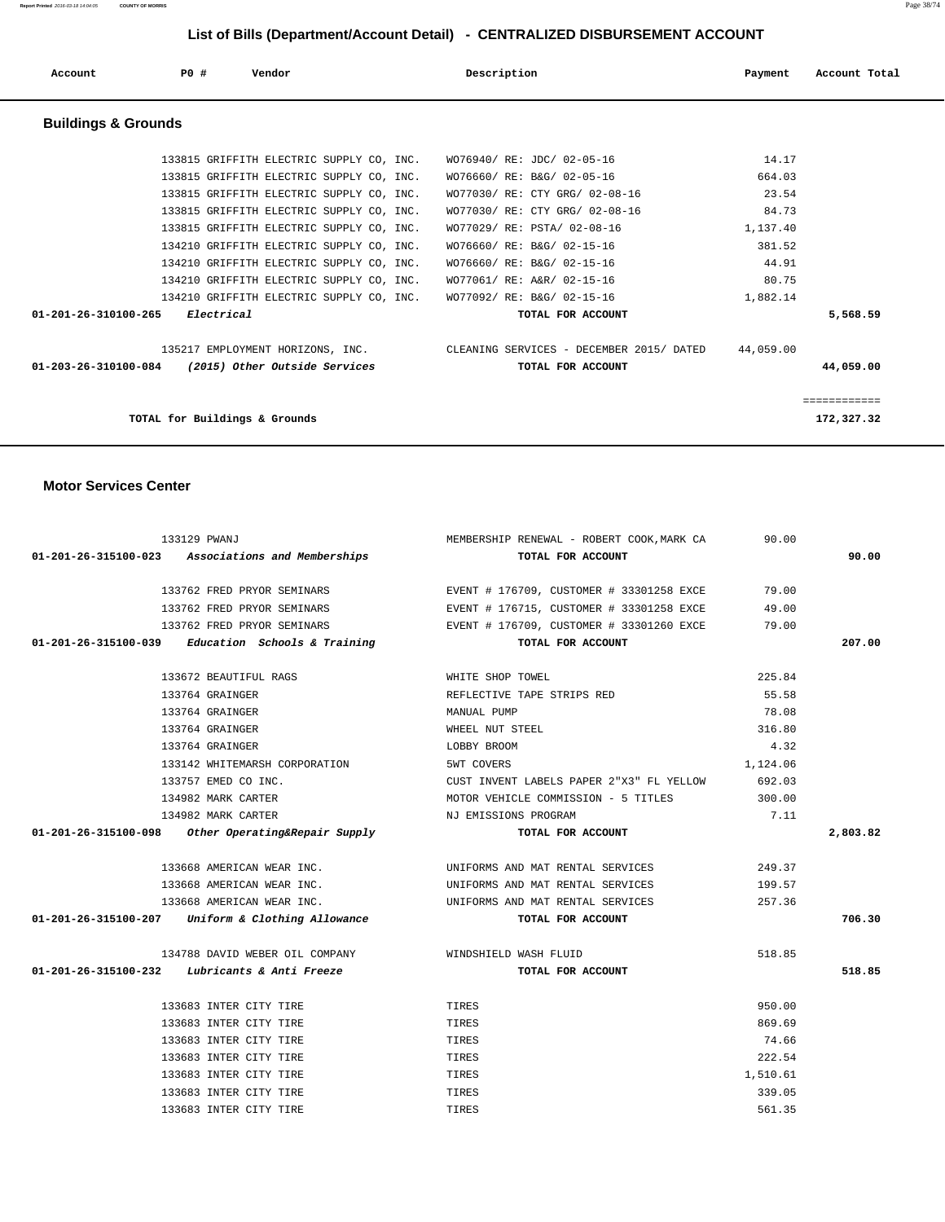| Account                        | PO#                           | Vendor                                   | Description                                                        | Payment   | Account Total |
|--------------------------------|-------------------------------|------------------------------------------|--------------------------------------------------------------------|-----------|---------------|
| <b>Buildings &amp; Grounds</b> |                               |                                          |                                                                    |           |               |
|                                |                               |                                          | 133815 GRIFFITH ELECTRIC SUPPLY CO, INC. WO76940/RE: JDC/ 02-05-16 | 14.17     |               |
|                                |                               | 133815 GRIFFITH ELECTRIC SUPPLY CO, INC. | WO76660/ RE: B&G/ 02-05-16                                         | 664.03    |               |
|                                |                               | 133815 GRIFFITH ELECTRIC SUPPLY CO, INC. | WO77030/ RE: CTY GRG/ 02-08-16                                     | 23.54     |               |
|                                |                               | 133815 GRIFFITH ELECTRIC SUPPLY CO, INC. | WO77030/ RE: CTY GRG/ 02-08-16                                     | 84.73     |               |
|                                |                               | 133815 GRIFFITH ELECTRIC SUPPLY CO, INC. | WO77029/ RE: PSTA/ 02-08-16                                        | 1,137.40  |               |
|                                |                               | 134210 GRIFFITH ELECTRIC SUPPLY CO, INC. | WO76660/ RE: B&G/ 02-15-16                                         | 381.52    |               |
|                                |                               | 134210 GRIFFITH ELECTRIC SUPPLY CO, INC. | WO76660/ RE: B&G/ 02-15-16                                         | 44.91     |               |
|                                |                               | 134210 GRIFFITH ELECTRIC SUPPLY CO, INC. | WO77061/ RE: A&R/ 02-15-16                                         | 80.75     |               |
|                                |                               | 134210 GRIFFITH ELECTRIC SUPPLY CO, INC. | WO77092/ RE: B&G/ 02-15-16                                         | 1,882.14  |               |
| 01-201-26-310100-265           | Electrical                    |                                          | TOTAL FOR ACCOUNT                                                  |           | 5,568.59      |
|                                |                               | 135217 EMPLOYMENT HORIZONS, INC.         | CLEANING SERVICES - DECEMBER 2015/ DATED                           | 44,059.00 |               |
| 01-203-26-310100-084           |                               | (2015) Other Outside Services            | TOTAL FOR ACCOUNT                                                  |           | 44,059.00     |
|                                |                               |                                          |                                                                    |           | ============  |
|                                | TOTAL for Buildings & Grounds |                                          |                                                                    |           | 172,327.32    |

#### **Motor Services Center**

| 133129 PWANJ |                                                      | MEMBERSHIP RENEWAL - ROBERT COOK, MARK CA      | 90.00    |          |  |
|--------------|------------------------------------------------------|------------------------------------------------|----------|----------|--|
|              | 01-201-26-315100-023 Associations and Memberships    | TOTAL FOR ACCOUNT                              |          | 90.00    |  |
|              | 133762 FRED PRYOR SEMINARS                           | EVENT # 176709, CUSTOMER # 33301258 EXCE 79.00 |          |          |  |
|              | 133762 FRED PRYOR SEMINARS                           | EVENT # 176715, CUSTOMER # 33301258 EXCE       | 49.00    |          |  |
|              | 133762 FRED PRYOR SEMINARS                           | EVENT # 176709, CUSTOMER # 33301260 EXCE       | 79.00    |          |  |
|              | $01-201-26-315100-039$ Education Schools & Training  | TOTAL FOR ACCOUNT                              |          | 207.00   |  |
|              | 133672 BEAUTIFUL RAGS                                | WHITE SHOP TOWEL                               | 225.84   |          |  |
|              | 133764 GRAINGER                                      | REFLECTIVE TAPE STRIPS RED                     | 55.58    |          |  |
|              | 133764 GRAINGER                                      | MANUAL PUMP                                    | 78.08    |          |  |
|              | 133764 GRAINGER                                      | WHEEL NUT STEEL                                | 316.80   |          |  |
|              | 133764 GRAINGER                                      | LOBBY BROOM                                    | 4.32     |          |  |
|              | 133142 WHITEMARSH CORPORATION                        | 5WT COVERS                                     | 1,124.06 |          |  |
|              | 133757 EMED CO INC.                                  | CUST INVENT LABELS PAPER 2"X3" FL YELLOW       | 692.03   |          |  |
|              | 134982 MARK CARTER                                   | MOTOR VEHICLE COMMISSION - 5 TITLES            | 300.00   |          |  |
|              | 134982 MARK CARTER                                   | NJ EMISSIONS PROGRAM                           | 7.11     |          |  |
|              | $01-201-26-315100-098$ Other Operating&Repair Supply | TOTAL FOR ACCOUNT                              |          | 2,803.82 |  |
|              | 133668 AMERICAN WEAR INC.                            | UNIFORMS AND MAT RENTAL SERVICES               | 249.37   |          |  |
|              | 133668 AMERICAN WEAR INC.                            | UNIFORMS AND MAT RENTAL SERVICES               | 199.57   |          |  |
|              | 133668 AMERICAN WEAR INC.                            | UNIFORMS AND MAT RENTAL SERVICES               | 257.36   |          |  |
|              | 01-201-26-315100-207 Uniform & Clothing Allowance    | TOTAL FOR ACCOUNT                              |          | 706.30   |  |
|              | 134788 DAVID WEBER OIL COMPANY WINDSHIELD WASH FLUID |                                                | 518.85   |          |  |
|              | $01-201-26-315100-232$ Lubricants & Anti Freeze      | TOTAL FOR ACCOUNT                              |          | 518.85   |  |
|              | 133683 INTER CITY TIRE                               | TIRES                                          | 950.00   |          |  |
|              | 133683 INTER CITY TIRE                               | TIRES                                          | 869.69   |          |  |
|              | 133683 INTER CITY TIRE                               | TIRES                                          | 74.66    |          |  |
|              | 133683 INTER CITY TIRE                               | TIRES                                          | 222.54   |          |  |
|              | 133683 INTER CITY TIRE                               | TIRES                                          | 1,510.61 |          |  |
|              | 133683 INTER CITY TIRE                               | TIRES                                          | 339.05   |          |  |
|              | 133683 INTER CITY TIRE                               | TIRES                                          | 561.35   |          |  |

**Report Printed** 2016-03-18 14:04:05 **COUNTY OF MORRIS** Page 38/74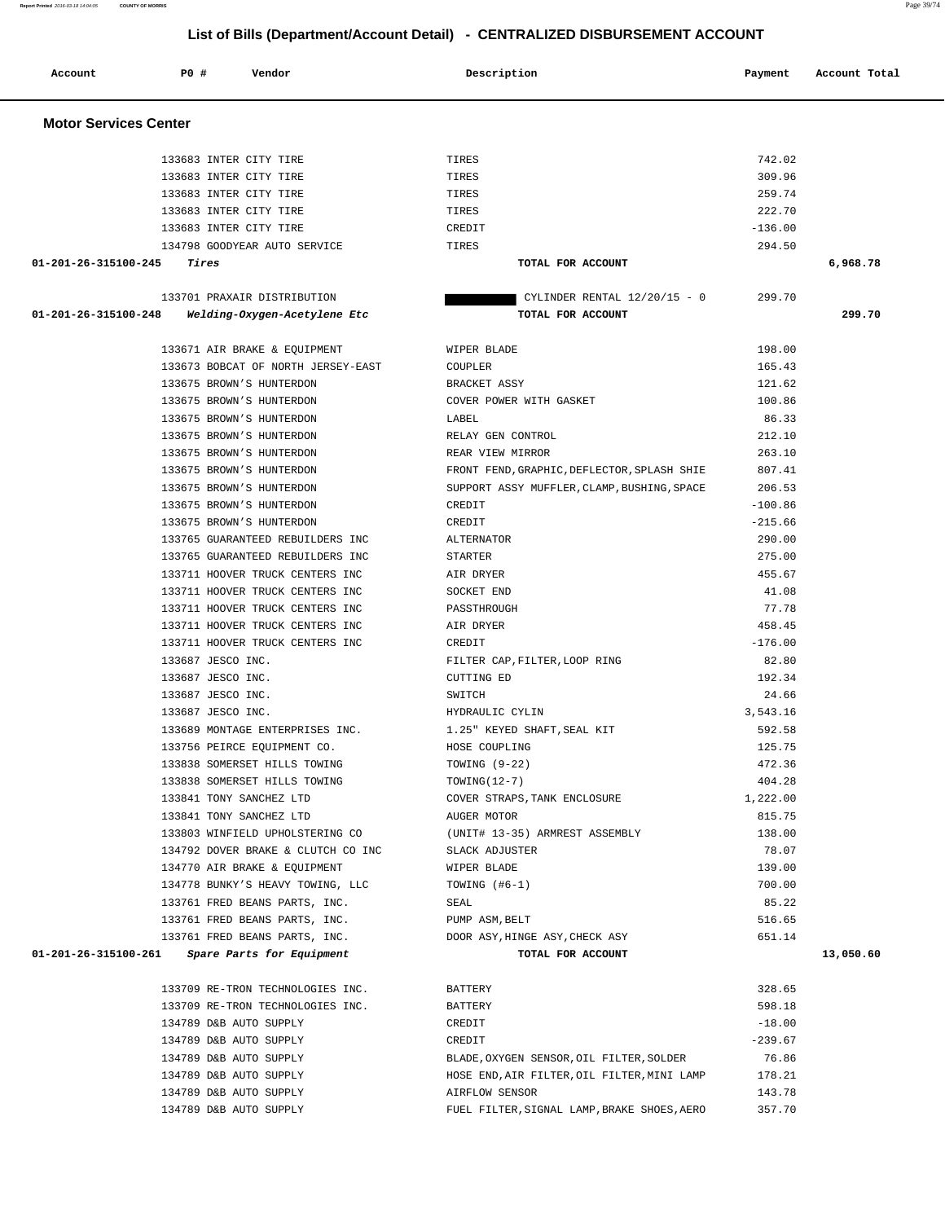| Account                      | PO#   | Vendor                             | Description                                 | Payment   | Account Total |  |  |
|------------------------------|-------|------------------------------------|---------------------------------------------|-----------|---------------|--|--|
| <b>Motor Services Center</b> |       |                                    |                                             |           |               |  |  |
|                              |       | 133683 INTER CITY TIRE             | TIRES                                       | 742.02    |               |  |  |
|                              |       | 133683 INTER CITY TIRE             | TIRES                                       | 309.96    |               |  |  |
|                              |       | 133683 INTER CITY TIRE             | TIRES                                       | 259.74    |               |  |  |
|                              |       | 133683 INTER CITY TIRE             | TIRES                                       | 222.70    |               |  |  |
|                              |       | 133683 INTER CITY TIRE             | CREDIT                                      | $-136.00$ |               |  |  |
|                              |       | 134798 GOODYEAR AUTO SERVICE       | TIRES                                       | 294.50    |               |  |  |
| 01-201-26-315100-245         | Tires |                                    | TOTAL FOR ACCOUNT                           |           | 6,968.78      |  |  |
|                              |       | 133701 PRAXAIR DISTRIBUTION        | CYLINDER RENTAL $12/20/15 - 0$              | 299.70    |               |  |  |
| 01-201-26-315100-248         |       | Welding-Oxygen-Acetylene Etc       | TOTAL FOR ACCOUNT                           |           | 299.70        |  |  |
|                              |       | 133671 AIR BRAKE & EQUIPMENT       | WIPER BLADE                                 | 198.00    |               |  |  |
|                              |       | 133673 BOBCAT OF NORTH JERSEY-EAST | COUPLER                                     | 165.43    |               |  |  |
|                              |       | 133675 BROWN'S HUNTERDON           | BRACKET ASSY                                | 121.62    |               |  |  |
|                              |       | 133675 BROWN'S HUNTERDON           | COVER POWER WITH GASKET                     | 100.86    |               |  |  |
|                              |       | 133675 BROWN'S HUNTERDON           | LABEL                                       | 86.33     |               |  |  |
|                              |       | 133675 BROWN'S HUNTERDON           | RELAY GEN CONTROL                           | 212.10    |               |  |  |
|                              |       | 133675 BROWN'S HUNTERDON           | REAR VIEW MIRROR                            | 263.10    |               |  |  |
|                              |       | 133675 BROWN'S HUNTERDON           | FRONT FEND, GRAPHIC, DEFLECTOR, SPLASH SHIE | 807.41    |               |  |  |
|                              |       | 133675 BROWN'S HUNTERDON           | SUPPORT ASSY MUFFLER, CLAMP, BUSHING, SPACE | 206.53    |               |  |  |
|                              |       | 133675 BROWN'S HUNTERDON           | CREDIT                                      | $-100.86$ |               |  |  |
|                              |       | 133675 BROWN'S HUNTERDON           | CREDIT                                      | $-215.66$ |               |  |  |
|                              |       | 133765 GUARANTEED REBUILDERS INC   | <b>ALTERNATOR</b>                           | 290.00    |               |  |  |
|                              |       | 133765 GUARANTEED REBUILDERS INC   | <b>STARTER</b>                              | 275.00    |               |  |  |
|                              |       | 133711 HOOVER TRUCK CENTERS INC    | AIR DRYER                                   | 455.67    |               |  |  |
|                              |       | 133711 HOOVER TRUCK CENTERS INC    | SOCKET END                                  | 41.08     |               |  |  |
|                              |       | 133711 HOOVER TRUCK CENTERS INC    | PASSTHROUGH                                 | 77.78     |               |  |  |
|                              |       | 133711 HOOVER TRUCK CENTERS INC    | AIR DRYER                                   | 458.45    |               |  |  |
|                              |       | 133711 HOOVER TRUCK CENTERS INC    | CREDIT                                      | $-176.00$ |               |  |  |
|                              |       | 133687 JESCO INC.                  | FILTER CAP, FILTER, LOOP RING               | 82.80     |               |  |  |
|                              |       | 133687 JESCO INC.                  | <b>CUTTING ED</b>                           | 192.34    |               |  |  |
|                              |       | 133687 JESCO INC.                  | SWITCH                                      | 24.66     |               |  |  |
|                              |       | 133687 JESCO INC.                  | HYDRAULIC CYLIN                             | 3,543.16  |               |  |  |
|                              |       | 133689 MONTAGE ENTERPRISES INC.    | 1.25" KEYED SHAFT, SEAL KIT                 | 592.58    |               |  |  |
|                              |       | 133756 PEIRCE EQUIPMENT CO.        | HOSE COUPLING                               | 125.75    |               |  |  |
|                              |       | 133838 SOMERSET HILLS TOWING       | TOWING (9-22)                               | 472.36    |               |  |  |
|                              |       | 133838 SOMERSET HILLS TOWING       | $TOWING(12-7)$                              | 404.28    |               |  |  |
|                              |       | 133841 TONY SANCHEZ LTD            | COVER STRAPS, TANK ENCLOSURE                | 1,222.00  |               |  |  |
|                              |       | 133841 TONY SANCHEZ LTD            | AUGER MOTOR                                 | 815.75    |               |  |  |
|                              |       | 133803 WINFIELD UPHOLSTERING CO    | (UNIT# 13-35) ARMREST ASSEMBLY              | 138.00    |               |  |  |
|                              |       | 134792 DOVER BRAKE & CLUTCH CO INC | SLACK ADJUSTER                              | 78.07     |               |  |  |
|                              |       | 134770 AIR BRAKE & EQUIPMENT       | WIPER BLADE                                 | 139.00    |               |  |  |
|                              |       | 134778 BUNKY'S HEAVY TOWING, LLC   | TOWING (#6-1)                               | 700.00    |               |  |  |
|                              |       | 133761 FRED BEANS PARTS, INC.      | SEAL                                        | 85.22     |               |  |  |
|                              |       | 133761 FRED BEANS PARTS, INC.      | PUMP ASM, BELT                              | 516.65    |               |  |  |
|                              |       | 133761 FRED BEANS PARTS, INC.      | DOOR ASY, HINGE ASY, CHECK ASY              | 651.14    |               |  |  |
| 01-201-26-315100-261         |       | Spare Parts for Equipment          | TOTAL FOR ACCOUNT                           |           | 13,050.60     |  |  |
|                              |       | 133709 RE-TRON TECHNOLOGIES INC.   | <b>BATTERY</b>                              | 328.65    |               |  |  |
|                              |       | 133709 RE-TRON TECHNOLOGIES INC.   | <b>BATTERY</b>                              | 598.18    |               |  |  |
|                              |       | 134789 D&B AUTO SUPPLY             | CREDIT                                      | $-18.00$  |               |  |  |
|                              |       | 134789 D&B AUTO SUPPLY             | CREDIT                                      | $-239.67$ |               |  |  |
|                              |       | 134789 D&B AUTO SUPPLY             | BLADE, OXYGEN SENSOR, OIL FILTER, SOLDER    | 76.86     |               |  |  |
|                              |       | 134789 D&B AUTO SUPPLY             | HOSE END, AIR FILTER, OIL FILTER, MINI LAMP | 178.21    |               |  |  |
|                              |       | 134789 D&B AUTO SUPPLY             | AIRFLOW SENSOR                              | 143.78    |               |  |  |

134789 D&B AUTO SUPPLY FUEL FILTER,SIGNAL LAMP,BRAKE SHOES,AERO 357.70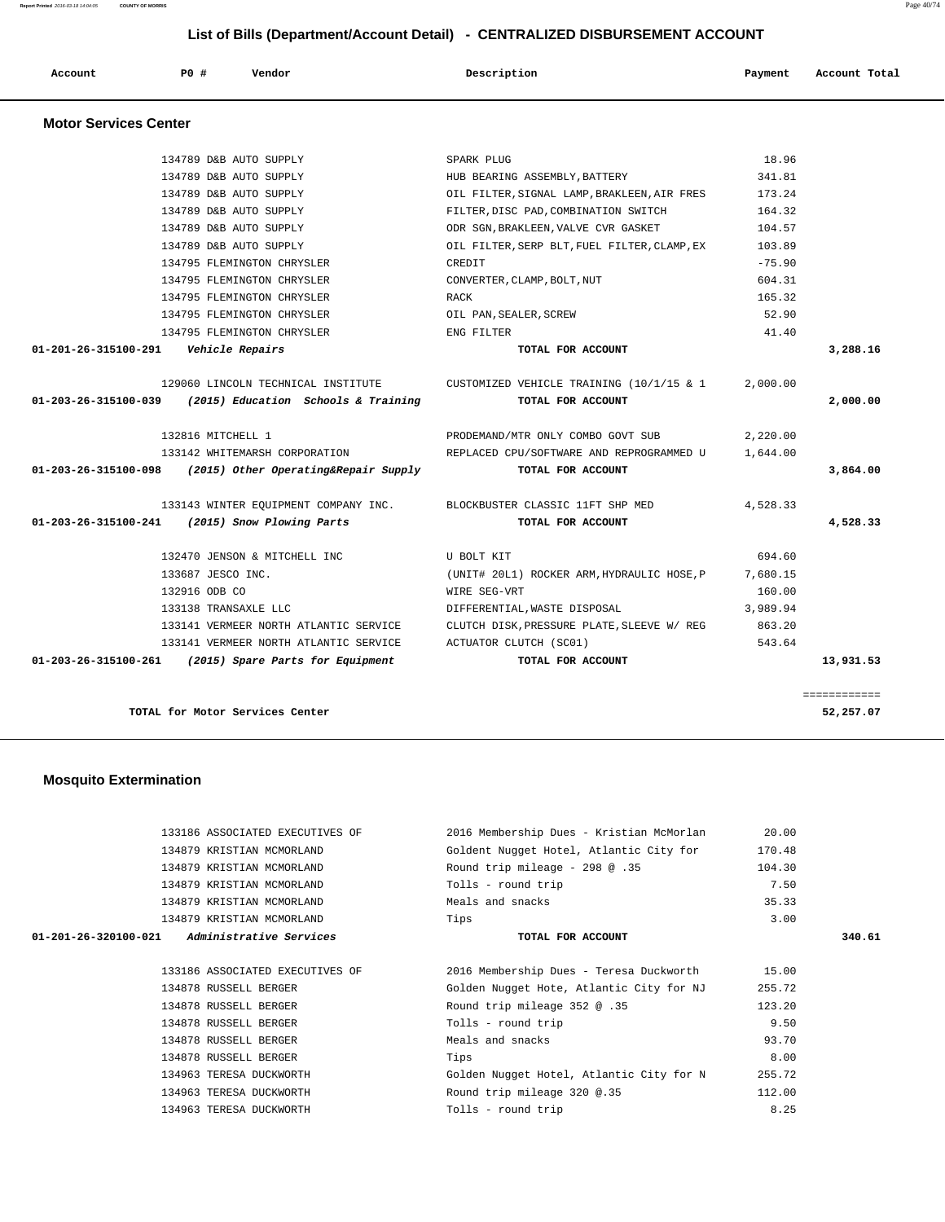| Account<br>. | PO# | Vendor<br>. | Description | Payment<br>$\sim$ $\sim$ | Account Total<br>. |
|--------------|-----|-------------|-------------|--------------------------|--------------------|

| 01-203-26-315100-261 (2015) Spare Parts for Equipment                 | TOTAL FOR ACCOUNT                                                           |          | 13,931.53 |
|-----------------------------------------------------------------------|-----------------------------------------------------------------------------|----------|-----------|
| 133141 VERMEER NORTH ATLANTIC SERVICE                                 | ACTUATOR CLUTCH (SC01)                                                      | 543.64   |           |
| 133141 VERMEER NORTH ATLANTIC SERVICE                                 | CLUTCH DISK, PRESSURE PLATE, SLEEVE W/ REG                                  | 863.20   |           |
| 133138 TRANSAXLE LLC                                                  | DIFFERENTIAL, WASTE DISPOSAL                                                | 3,989.94 |           |
| 132916 ODB CO                                                         | WIRE SEG-VRT                                                                | 160.00   |           |
| 133687 JESCO INC.                                                     | (UNIT# 20L1) ROCKER ARM, HYDRAULIC HOSE, P 7,680.15                         |          |           |
| 132470 JENSON & MITCHELL INC                                          | U BOLT KIT                                                                  | 694.60   |           |
| 01-203-26-315100-241 (2015) Snow Plowing Parts                        | TOTAL FOR ACCOUNT                                                           |          | 4,528.33  |
| 133143 WINTER EQUIPMENT COMPANY INC. BLOCKBUSTER CLASSIC 11FT SHP MED |                                                                             | 4,528.33 |           |
| $01-203-26-315100-098$ (2015) Other Operating&Repair Supply           | TOTAL FOR ACCOUNT                                                           |          | 3,864.00  |
|                                                                       | 133142 WHITEMARSH CORPORATION THE REPLACED CPU/SOFTWARE AND REPROGRAMMED U  | 1,644.00 |           |
| 132816 MITCHELL 1                                                     | PRODEMAND/MTR ONLY COMBO GOVT SUB                                           | 2,220.00 |           |
| $01-203-26-315100-039$ (2015) Education Schools & Training            | TOTAL FOR ACCOUNT                                                           |          | 2,000.00  |
|                                                                       | 129060 LINCOLN TECHNICAL INSTITUTE CUSTOMIZED VEHICLE TRAINING (10/1/15 & 1 | 2,000.00 |           |
| 01-201-26-315100-291    Vehicle Repairs                               | TOTAL FOR ACCOUNT                                                           |          | 3,288.16  |
| 134795 FLEMINGTON CHRYSLER                                            | ENG FILTER                                                                  | 41.40    |           |
| 134795 FLEMINGTON CHRYSLER                                            | OIL PAN, SEALER, SCREW                                                      | 52.90    |           |
| 134795 FLEMINGTON CHRYSLER                                            | RACK                                                                        | 165.32   |           |
| 134795 FLEMINGTON CHRYSLER                                            | CONVERTER, CLAMP, BOLT, NUT                                                 | 604.31   |           |
| 134795 FLEMINGTON CHRYSLER                                            | CREDIT                                                                      | $-75.90$ |           |
| 134789 D&B AUTO SUPPLY                                                | OIL FILTER, SERP BLT, FUEL FILTER, CLAMP, EX                                | 103.89   |           |
| 134789 D&B AUTO SUPPLY                                                | ODR SGN, BRAKLEEN, VALVE CVR GASKET                                         | 104.57   |           |
| 134789 D&B AUTO SUPPLY                                                | FILTER, DISC PAD, COMBINATION SWITCH                                        | 164.32   |           |
| 134789 D&B AUTO SUPPLY                                                | OIL FILTER, SIGNAL LAMP, BRAKLEEN, AIR FRES                                 | 173.24   |           |
| 134789 D&B AUTO SUPPLY                                                | HUB BEARING ASSEMBLY, BATTERY                                               | 341.81   |           |
| 134789 D&B AUTO SUPPLY                                                | SPARK PLUG                                                                  | 18.96    |           |

 133186 ASSOCIATED EXECUTIVES OF 2016 Membership Dues - Kristian McMorlan 20.00 134879 KRISTIAN MCMORLAND Goldent Nugget Hotel, Atlantic City for 170.48 134879 KRISTIAN MCMORLAND Round trip mileage - 298 @ .35 104.30 134879 KRISTIAN MCMORLAND Tolls - round trip 7.50 134879 KRISTIAN MCMORLAND Meals and snacks 35.33 134879 KRISTIAN MCMORLAND Tips 3.00  **01-201-26-320100-021 Administrative Services TOTAL FOR ACCOUNT 340.61**

> 133186 ASSOCIATED EXECUTIVES OF 2016 Membership Dues - Teresa Duckworth 15.00 134878 RUSSELL BERGER Golden Nugget Hote, Atlantic City for NJ 255.72 134878 RUSSELL BERGER Round trip mileage 352 @ .35 123.20 134878 RUSSELL BERGER TOLLS - round trip 9.50 134878 RUSSELL BERGER Meals and snacks 93.70 134878 RUSSELL BERGER Tips 8.00 134963 TERESA DUCKWORTH Golden Nugget Hotel, Atlantic City for N 255.72 134963 TERESA DUCKWORTH Round trip mileage 320 @.35 112.00 134963 TERESA DUCKWORTH Tolls - round trip 8.25

**TOTAL for Motor Services Center 52,257.07**

 **Mosquito Extermination** 

============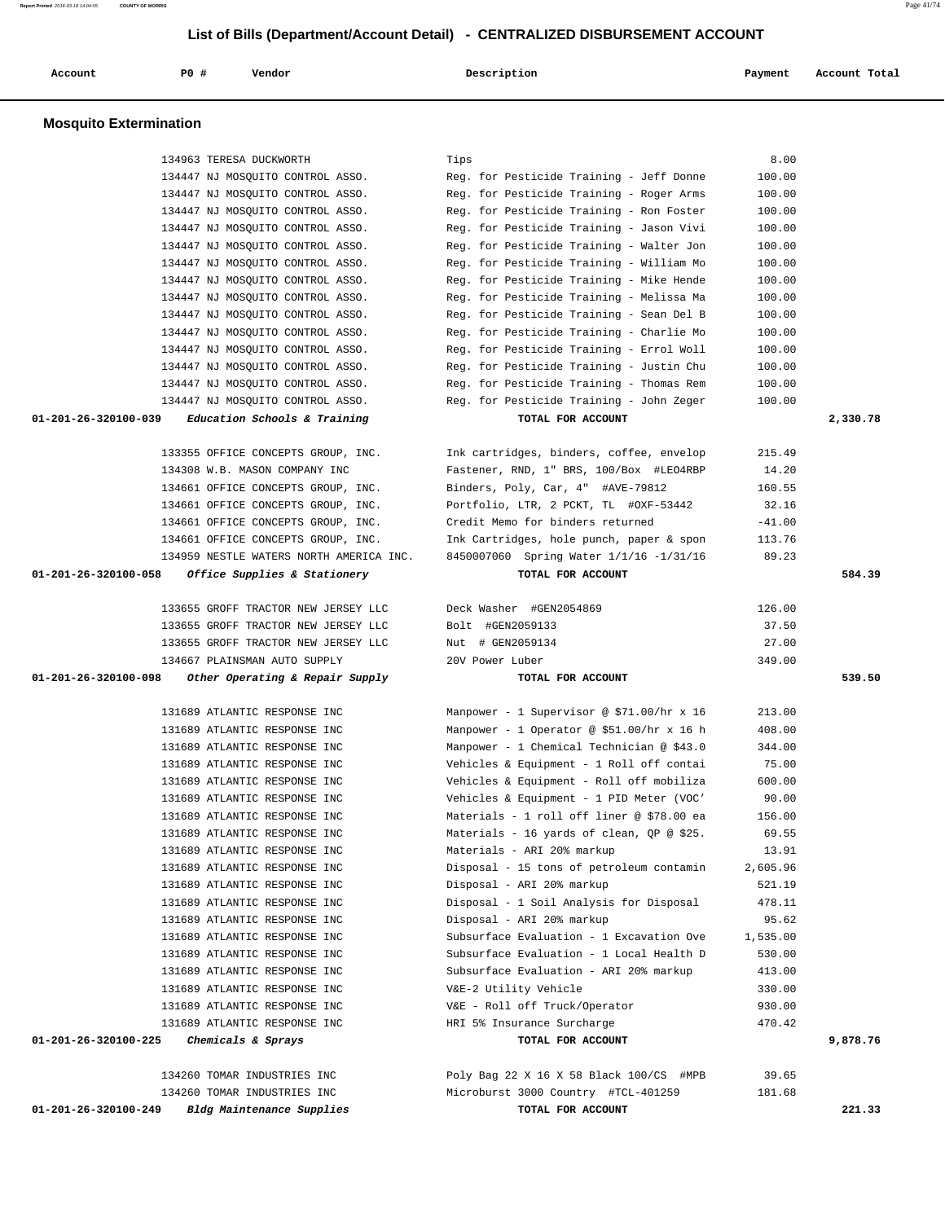134963 TERESA DUCKWORTH Tips 8.00 134447 NJ MOSQUITO CONTROL ASSO. Reg. for Pesticide Training - Jeff Donne 100.00 134447 NJ MOSQUITO CONTROL ASSO. Reg. for Pesticide Training - Roger Arms 100.00 134447 NJ MOSQUITO CONTROL ASSO. Reg. for Pesticide Training - Ron Foster 100.00 134447 NJ MOSQUITO CONTROL ASSO. Reg. for Pesticide Training - Jason Vivi 100.00 134447 NJ MOSQUITO CONTROL ASSO. Reg. for Pesticide Training - Walter Jon 100.00 134447 NJ MOSQUITO CONTROL ASSO. Reg. for Pesticide Training - William Mo 100.00 134447 NJ MOSQUITO CONTROL ASSO. Reg. for Pesticide Training - Mike Hende 100.00 134447 NJ MOSQUITO CONTROL ASSO. Reg. for Pesticide Training - Melissa Ma 100.00 134447 NJ MOSQUITO CONTROL ASSO. Reg. for Pesticide Training - Sean Del B 100.00 134447 NJ MOSQUITO CONTROL ASSO. Reg. for Pesticide Training - Charlie Mo 100.00 134447 NJ MOSQUITO CONTROL ASSO. Reg. for Pesticide Training - Errol Woll 100.00 134447 NJ MOSQUITO CONTROL ASSO. Reg. for Pesticide Training - Justin Chu 100.00 134447 NJ MOSQUITO CONTROL ASSO. Reg. for Pesticide Training - Thomas Rem 100.00 134447 NJ MOSQUITO CONTROL ASSO. Reg. for Pesticide Training - John Zeger 100.00  **01-201-26-320100-039 Education Schools & Training TOTAL FOR ACCOUNT 2,330.78** 133355 OFFICE CONCEPTS GROUP, INC. Ink cartridges, binders, coffee, envelop 215.49 134308 W.B. MASON COMPANY INC Fastener, RND, 1" BRS, 100/Box #LEO4RBP 14.20 134661 OFFICE CONCEPTS GROUP, INC. Binders, Poly, Car, 4" #AVE-79812 160.55 134661 OFFICE CONCEPTS GROUP, INC. Portfolio, LTR, 2 PCKT, TL #OXF-53442 32.16 134661 OFFICE CONCEPTS GROUP, INC. Credit Memo for binders returned -41.00 134661 OFFICE CONCEPTS GROUP, INC. Ink Cartridges, hole punch, paper & spon 113.76 134959 NESTLE WATERS NORTH AMERICA INC. 8450007060 Spring Water 1/1/16 -1/31/16 89.23  **01-201-26-320100-058 Office Supplies & Stationery TOTAL FOR ACCOUNT 584.39** 133655 GROFF TRACTOR NEW JERSEY LLC Deck Washer #GEN2054869 126.00 133655 GROFF TRACTOR NEW JERSEY LLC Bolt #GEN2059133 37.50 133655 GROFF TRACTOR NEW JERSEY LLC Nut # GEN2059134 27.00 134667 PLAINSMAN AUTO SUPPLY 20V Power Luber 349.00  **01-201-26-320100-098 Other Operating & Repair Supply TOTAL FOR ACCOUNT 539.50** 131689 ATLANTIC RESPONSE INC Manpower - 1 Supervisor @ \$71.00/hr x 16 213.00 131689 ATLANTIC RESPONSE INC Manpower - 1 Operator @ \$51.00/hr x 16 h 408.00 131689 ATLANTIC RESPONSE INC Manpower - 1 Chemical Technician @ \$43.0 344.00 131689 ATLANTIC RESPONSE INC Vehicles & Equipment - 1 Roll off contai 75.00 131689 ATLANTIC RESPONSE INC Vehicles & Equipment - Roll off mobiliza 600.00 131689 ATLANTIC RESPONSE INC Vehicles & Equipment - 1 PID Meter (VOC' 90.00 131689 ATLANTIC RESPONSE INC Materials - 1 roll off liner @ \$78.00 ea 156.00 131689 ATLANTIC RESPONSE INC Materials - 16 yards of clean, QP @ \$25. 69.55 131689 ATLANTIC RESPONSE INC Materials - ARI 20% markup 13.91 131689 ATLANTIC RESPONSE INC Disposal - 15 tons of petroleum contamin 2,605.96 131689 ATLANTIC RESPONSE INC Disposal - ARI 20% markup 521.19 131689 ATLANTIC RESPONSE INC Disposal - 1 Soil Analysis for Disposal 478.11 131689 ATLANTIC RESPONSE INC Disposal - ARI 20% markup 95.62 131689 ATLANTIC RESPONSE INC Subsurface Evaluation - 1 Excavation Ove 1,535.00 131689 ATLANTIC RESPONSE INC Subsurface Evaluation - 1 Local Health D 530.00 131689 ATLANTIC RESPONSE INC Subsurface Evaluation - ARI 20% markup 413.00 131689 ATLANTIC RESPONSE INC V&E-2 Utility Vehicle 330.00 131689 ATLANTIC RESPONSE INC V&E - Roll off Truck/Operator 930.00 131689 ATLANTIC RESPONSE INC HRI 5% Insurance Surcharge 470.42  **01-201-26-320100-225 Chemicals & Sprays TOTAL FOR ACCOUNT 9,878.76** 134260 TOMAR INDUSTRIES INC Poly Bag 22 X 16 X 58 Black 100/CS #MPB 39.65 134260 TOMAR INDUSTRIES INC Microburst 3000 Country #TCL-401259 181.68

 **01-201-26-320100-249 Bldg Maintenance Supplies TOTAL FOR ACCOUNT 221.33**

 **List of Bills (Department/Account Detail) - CENTRALIZED DISBURSEMENT ACCOUNT**

 **Account P0 # Vendor Description Payment Account Total**

 **Mosquito Extermination**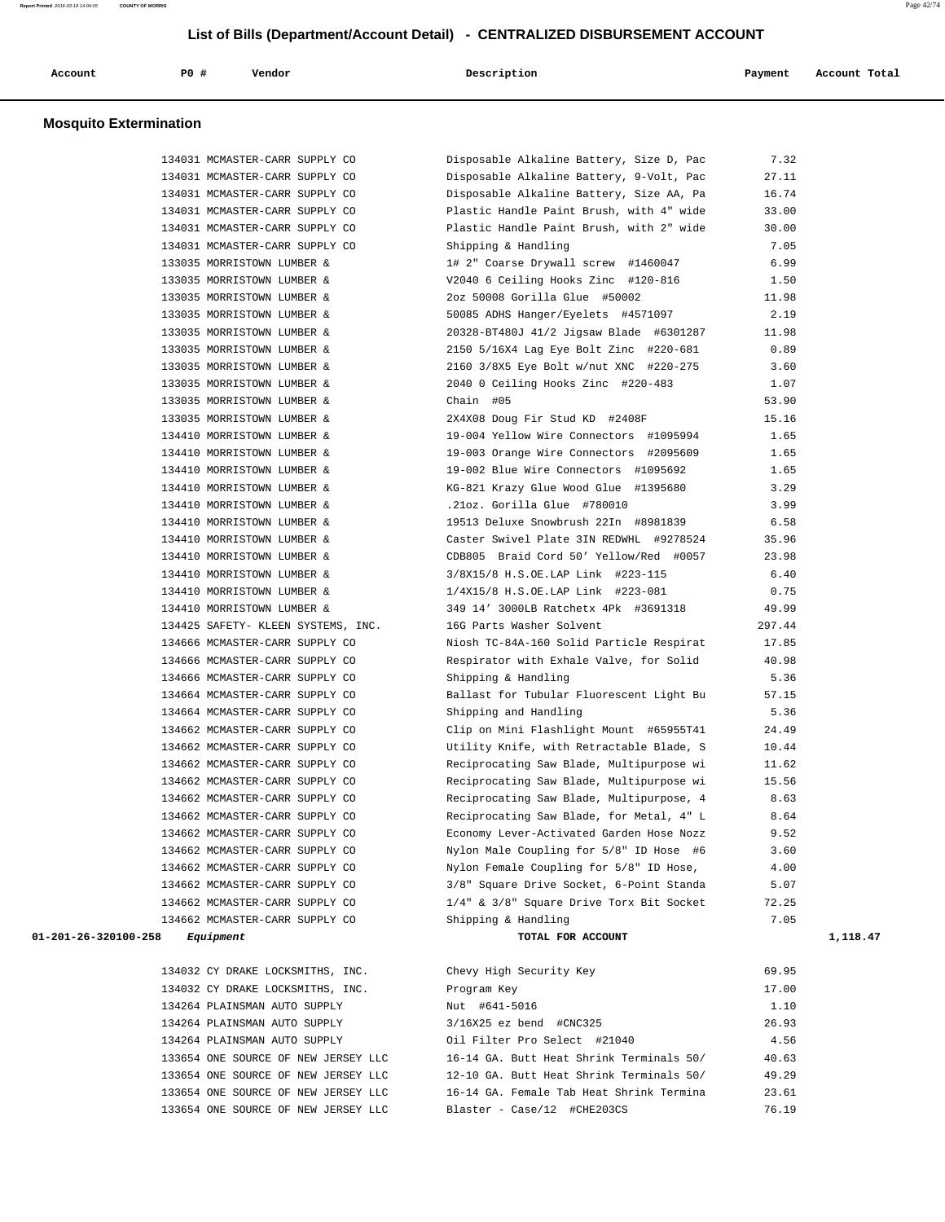| Account | <b>PO #</b> | Vendor | Description | Payment | Account Total |
|---------|-------------|--------|-------------|---------|---------------|
|         |             |        |             |         |               |

#### **Mosquito Extermination**

| 134031 MCMASTER-CARR SUPPLY CO      | Disposable Alkaline Battery, Size D, Pac                        | 7.32   |          |
|-------------------------------------|-----------------------------------------------------------------|--------|----------|
| 134031 MCMASTER-CARR SUPPLY CO      | Disposable Alkaline Battery, 9-Volt, Pac                        | 27.11  |          |
| 134031 MCMASTER-CARR SUPPLY CO      | Disposable Alkaline Battery, Size AA, Pa                        | 16.74  |          |
| 134031 MCMASTER-CARR SUPPLY CO      | Plastic Handle Paint Brush, with 4" wide                        | 33.00  |          |
| 134031 MCMASTER-CARR SUPPLY CO      | Plastic Handle Paint Brush, with 2" wide                        | 30.00  |          |
| 134031 MCMASTER-CARR SUPPLY CO      | Shipping & Handling                                             | 7.05   |          |
| 133035 MORRISTOWN LUMBER &          | 1# 2" Coarse Drywall screw #1460047                             | 6.99   |          |
| 133035 MORRISTOWN LUMBER &          | V2040 6 Ceiling Hooks Zinc #120-816                             | 1.50   |          |
| 133035 MORRISTOWN LUMBER &          | 2oz 50008 Gorilla Glue #50002                                   | 11.98  |          |
| 133035 MORRISTOWN LUMBER &          | 50085 ADHS Hanger/Eyelets #4571097                              | 2.19   |          |
| 133035 MORRISTOWN LUMBER &          | 20328-BT480J 41/2 Jigsaw Blade #6301287                         | 11.98  |          |
| 133035 MORRISTOWN LUMBER &          | 2150 5/16X4 Lag Eye Bolt Zinc #220-681                          | 0.89   |          |
| 133035 MORRISTOWN LUMBER &          | 2160 3/8X5 Eye Bolt w/nut XNC #220-275                          | 3.60   |          |
| 133035 MORRISTOWN LUMBER &          | 2040 0 Ceiling Hooks Zinc #220-483                              | 1.07   |          |
| 133035 MORRISTOWN LUMBER &          | Chain #05                                                       | 53.90  |          |
| 133035 MORRISTOWN LUMBER &          | 2X4X08 Doug Fir Stud KD #2408F                                  | 15.16  |          |
| 134410 MORRISTOWN LUMBER &          | 19-004 Yellow Wire Connectors #1095994                          | 1.65   |          |
| 134410 MORRISTOWN LUMBER &          | 19-003 Orange Wire Connectors #2095609                          | 1.65   |          |
| 134410 MORRISTOWN LUMBER &          | 19-002 Blue Wire Connectors #1095692                            | 1.65   |          |
|                                     | 134410 MORRISTOWN LUMBER & KG-821 Krazy Glue Wood Glue #1395680 | 3.29   |          |
| 134410 MORRISTOWN LUMBER &          | .21oz. Gorilla Glue #780010                                     | 3.99   |          |
| 134410 MORRISTOWN LUMBER &          | 19513 Deluxe Snowbrush 22In #8981839                            | 6.58   |          |
| 134410 MORRISTOWN LUMBER &          | Caster Swivel Plate 3IN REDWHL #9278524                         | 35.96  |          |
| 134410 MORRISTOWN LUMBER &          | CDB805 Braid Cord 50' Yellow/Red #0057                          | 23.98  |          |
| 134410 MORRISTOWN LUMBER &          | 3/8X15/8 H.S.OE.LAP Link #223-115                               | 6.40   |          |
| 134410 MORRISTOWN LUMBER &          | 1/4X15/8 H.S.OE.LAP Link #223-081                               | 0.75   |          |
| 134410 MORRISTOWN LUMBER &          | 349 14' 3000LB Ratchetx 4Pk #3691318                            | 49.99  |          |
| 134425 SAFETY- KLEEN SYSTEMS, INC.  | 16G Parts Washer Solvent                                        | 297.44 |          |
| 134666 MCMASTER-CARR SUPPLY CO      | Niosh TC-84A-160 Solid Particle Respirat                        | 17.85  |          |
| 134666 MCMASTER-CARR SUPPLY CO      | Respirator with Exhale Valve, for Solid                         | 40.98  |          |
| 134666 MCMASTER-CARR SUPPLY CO      | Shipping & Handling                                             | 5.36   |          |
| 134664 MCMASTER-CARR SUPPLY CO      | Ballast for Tubular Fluorescent Light Bu                        | 57.15  |          |
| 134664 MCMASTER-CARR SUPPLY CO      | Shipping and Handling                                           | 5.36   |          |
| 134662 MCMASTER-CARR SUPPLY CO      | Clip on Mini Flashlight Mount #65955T41                         | 24.49  |          |
| 134662 MCMASTER-CARR SUPPLY CO      | Utility Knife, with Retractable Blade, S                        | 10.44  |          |
| 134662 MCMASTER-CARR SUPPLY CO      | Reciprocating Saw Blade, Multipurpose wi                        | 11.62  |          |
| 134662 MCMASTER-CARR SUPPLY CO      | Reciprocating Saw Blade, Multipurpose wi                        | 15.56  |          |
| 134662 MCMASTER-CARR SUPPLY CO      | Reciprocating Saw Blade, Multipurpose, 4                        | 8.63   |          |
| 134662 MCMASTER-CARR SUPPLY CO      | Reciprocating Saw Blade, for Metal, 4" L                        | 8.64   |          |
| 134662 MCMASTER-CARR SUPPLY CO      | Economy Lever-Activated Garden Hose Nozz                        | 9.52   |          |
| 134662 MCMASTER-CARR SUPPLY CO      | Nylon Male Coupling for 5/8" ID Hose #6                         | 3.60   |          |
| 134662 MCMASTER-CARR SUPPLY CO      | Nylon Female Coupling for 5/8" ID Hose,                         | 4.00   |          |
| 134662 MCMASTER-CARR SUPPLY CO      | 3/8" Square Drive Socket, 6-Point Standa                        | 5.07   |          |
| 134662 MCMASTER-CARR SUPPLY CO      | 1/4" & 3/8" Square Drive Torx Bit Socket                        | 72.25  |          |
| 134662 MCMASTER-CARR SUPPLY CO      | Shipping & Handling                                             | 7.05   |          |
| 01-201-26-320100-258<br>Equipment   | TOTAL FOR ACCOUNT                                               |        | 1,118.47 |
|                                     |                                                                 |        |          |
| 134032 CY DRAKE LOCKSMITHS, INC.    | Chevy High Security Key                                         | 69.95  |          |
| 134032 CY DRAKE LOCKSMITHS, INC.    | Program Key                                                     | 17.00  |          |
| 134264 PLAINSMAN AUTO SUPPLY        | Nut #641-5016                                                   | 1.10   |          |
| 134264 PLAINSMAN AUTO SUPPLY        | 3/16X25 ez bend #CNC325                                         | 26.93  |          |
| 134264 PLAINSMAN AUTO SUPPLY        | Oil Filter Pro Select #21040                                    | 4.56   |          |
| 133654 ONE SOURCE OF NEW JERSEY LLC | 16-14 GA. Butt Heat Shrink Terminals 50/                        | 40.63  |          |
| 133654 ONE SOURCE OF NEW JERSEY LLC | 12-10 GA. Butt Heat Shrink Terminals 50/                        | 49.29  |          |
| 133654 ONE SOURCE OF NEW JERSEY LLC | 16-14 GA. Female Tab Heat Shrink Termina                        | 23.61  |          |
| 133654 ONE SOURCE OF NEW JERSEY LLC | Blaster - Case/12 #CHE203CS                                     | 76.19  |          |
|                                     |                                                                 |        |          |

**Report Printed** 2016-03-18 14:04:05 **COUNTY OF MORRIS** Page 42/74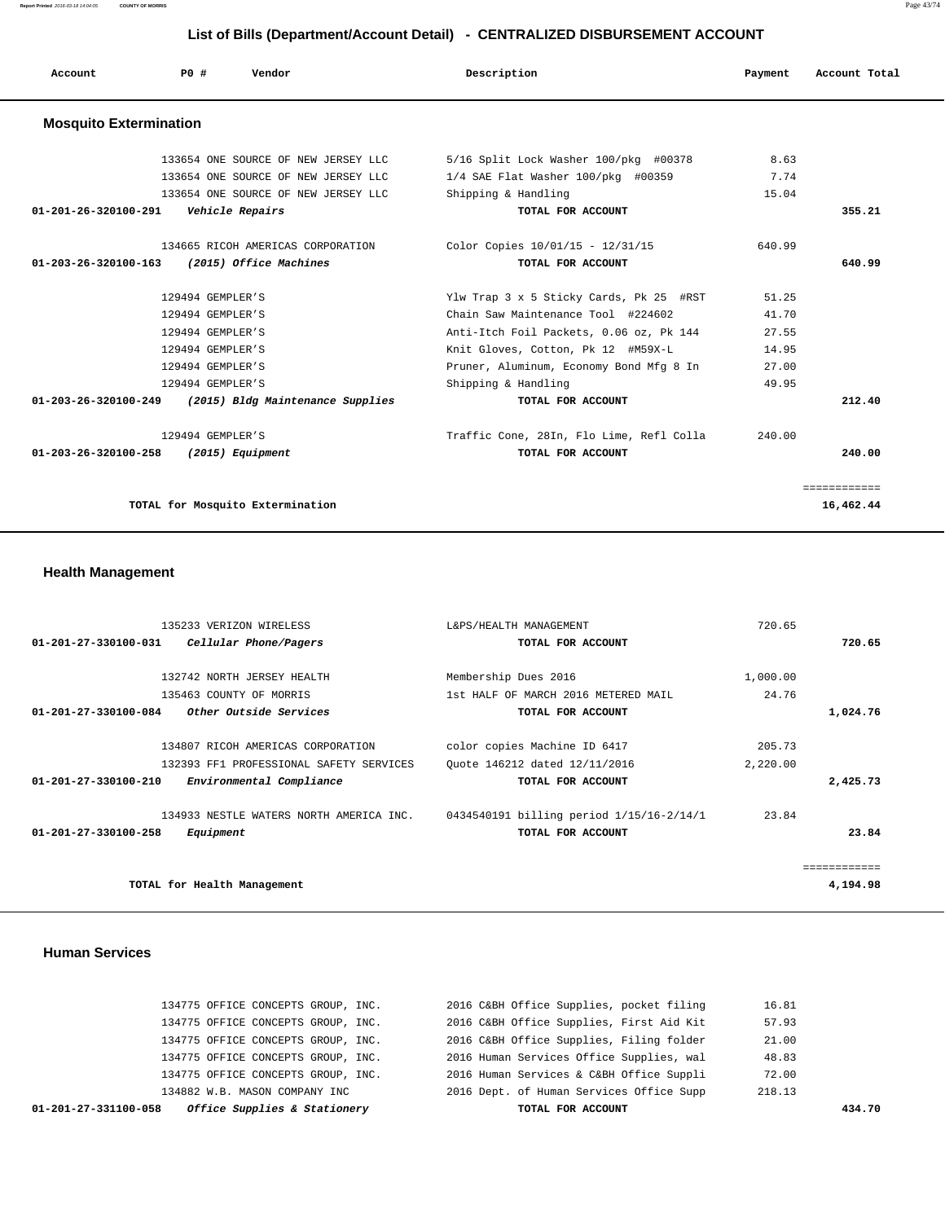**Report Printed** 2016-03-18 14:04:05 **COUNTY OF MORRIS** Page 43/74

### **List of Bills (Department/Account Detail) - CENTRALIZED DISBURSEMENT ACCOUNT**

| Account                       | PO#              | Vendor                              | Description                              | Payment | Account Total |
|-------------------------------|------------------|-------------------------------------|------------------------------------------|---------|---------------|
| <b>Mosquito Extermination</b> |                  |                                     |                                          |         |               |
|                               |                  | 133654 ONE SOURCE OF NEW JERSEY LLC | 5/16 Split Lock Washer 100/pkg #00378    | 8.63    |               |
|                               |                  | 133654 ONE SOURCE OF NEW JERSEY LLC | 1/4 SAE Flat Washer 100/pkg #00359       | 7.74    |               |
|                               |                  | 133654 ONE SOURCE OF NEW JERSEY LLC | Shipping & Handling                      | 15.04   |               |
| 01-201-26-320100-291          |                  | Vehicle Repairs                     | TOTAL FOR ACCOUNT                        |         | 355.21        |
|                               |                  | 134665 RICOH AMERICAS CORPORATION   | Color Copies 10/01/15 - 12/31/15         | 640.99  |               |
| 01-203-26-320100-163          |                  | (2015) Office Machines              | TOTAL FOR ACCOUNT                        |         | 640.99        |
|                               | 129494 GEMPLER'S |                                     | Ylw Trap 3 x 5 Sticky Cards, Pk 25 #RST  | 51.25   |               |
|                               | 129494 GEMPLER'S |                                     | Chain Saw Maintenance Tool #224602       | 41.70   |               |
|                               | 129494 GEMPLER'S |                                     | Anti-Itch Foil Packets, 0.06 oz, Pk 144  | 27.55   |               |
|                               | 129494 GEMPLER'S |                                     | Knit Gloves, Cotton, Pk 12 #M59X-L       | 14.95   |               |
|                               | 129494 GEMPLER'S |                                     | Pruner, Aluminum, Economy Bond Mfg 8 In  | 27.00   |               |
|                               | 129494 GEMPLER'S |                                     | Shipping & Handling                      | 49.95   |               |
| 01-203-26-320100-249          |                  | (2015) Bldg Maintenance Supplies    | TOTAL FOR ACCOUNT                        |         | 212.40        |
|                               | 129494 GEMPLER'S |                                     | Traffic Cone, 28In, Flo Lime, Refl Colla | 240.00  |               |
| 01-203-26-320100-258          |                  | (2015) Equipment                    | TOTAL FOR ACCOUNT                        |         | 240.00        |
|                               |                  |                                     |                                          |         | ============  |
|                               |                  | TOTAL for Mosquito Extermination    |                                          |         | 16,462.44     |

### **Health Management**

| 135233 VERIZON WIRELESS                          | L&PS/HEALTH MANAGEMENT                   | 720.65   |          |
|--------------------------------------------------|------------------------------------------|----------|----------|
| Cellular Phone/Pagers<br>01-201-27-330100-031    | TOTAL FOR ACCOUNT                        |          | 720.65   |
|                                                  |                                          |          |          |
| 132742 NORTH JERSEY HEALTH                       | Membership Dues 2016                     | 1,000.00 |          |
| 135463 COUNTY OF MORRIS                          | 1st HALF OF MARCH 2016 METERED MAIL      | 24.76    |          |
| 01-201-27-330100-084<br>Other Outside Services   | TOTAL FOR ACCOUNT                        |          | 1,024.76 |
| 134807 RICOH AMERICAS CORPORATION                | color copies Machine ID 6417             | 205.73   |          |
| 132393 FF1 PROFESSIONAL SAFETY SERVICES          | Ouote 146212 dated 12/11/2016            | 2,220.00 |          |
| 01-201-27-330100-210<br>Environmental Compliance | TOTAL FOR ACCOUNT                        |          | 2,425.73 |
| 134933 NESTLE WATERS NORTH AMERICA INC.          | 0434540191 billing period 1/15/16-2/14/1 | 23.84    |          |
| $01 - 201 - 27 - 330100 - 258$<br>Equipment      | TOTAL FOR ACCOUNT                        |          | 23.84    |
|                                                  |                                          |          |          |
| TOTAL for Health Management                      |                                          |          | 4,194.98 |

### **Human Services**

| Office Supplies & Stationery<br>01-201-27-331100-058 | TOTAL FOR ACCOUNT                                  | 434.70 |
|------------------------------------------------------|----------------------------------------------------|--------|
| 134882 W.B. MASON COMPANY INC                        | 2016 Dept. of Human Services Office Supp<br>218.13 |        |
| 134775 OFFICE CONCEPTS GROUP, INC.                   | 2016 Human Services & C&BH Office Suppli<br>72.00  |        |
| 134775 OFFICE CONCEPTS GROUP, INC.                   | 2016 Human Services Office Supplies, wal<br>48.83  |        |
| 134775 OFFICE CONCEPTS GROUP, INC.                   | 2016 C&BH Office Supplies, Filing folder<br>21.00  |        |
| 134775 OFFICE CONCEPTS GROUP, INC.                   | 2016 C&BH Office Supplies, First Aid Kit<br>57.93  |        |
| 134775 OFFICE CONCEPTS GROUP, INC.                   | 2016 C&BH Office Supplies, pocket filing<br>16.81  |        |
|                                                      |                                                    |        |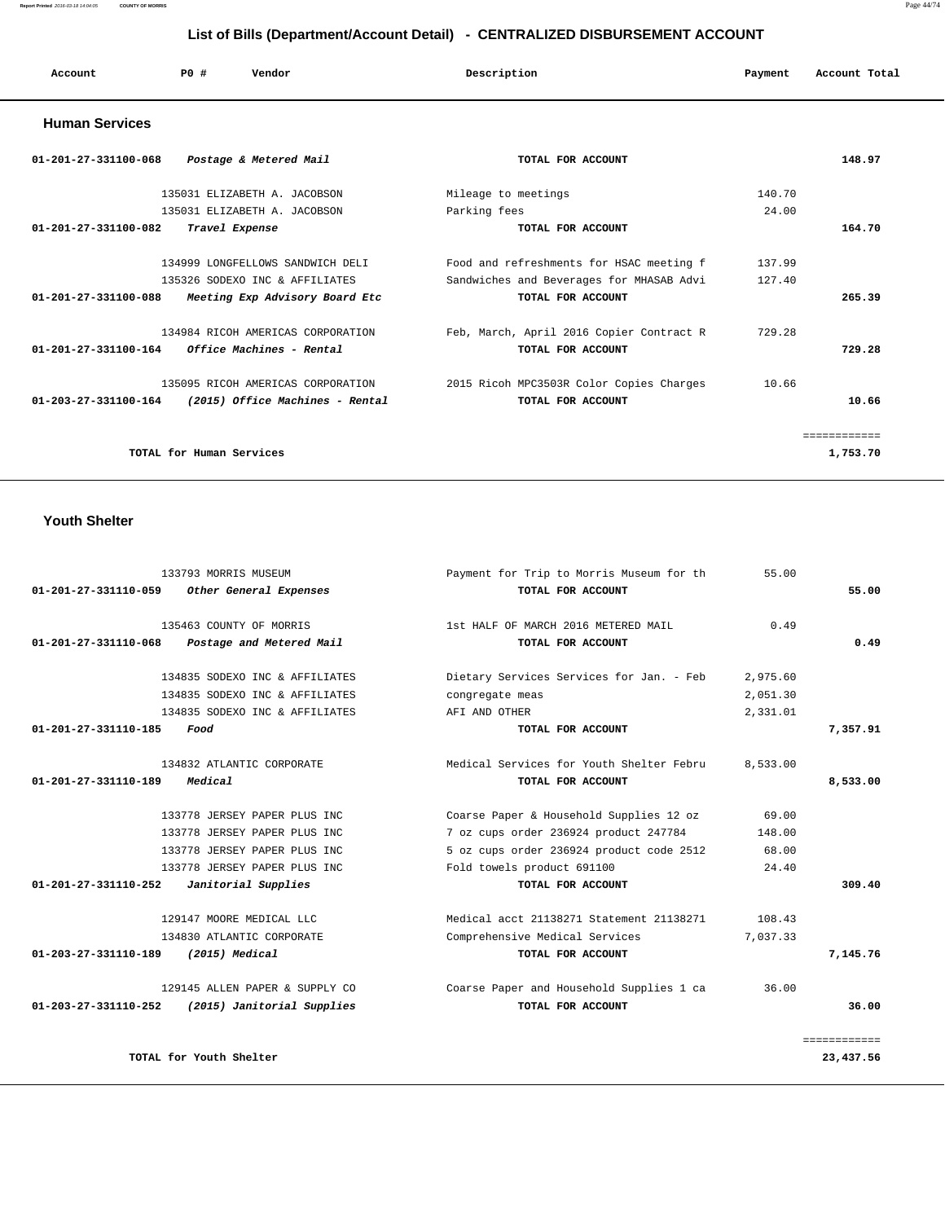#### **Report Printed** 2016-03-18 14:04:05 **COUNTY OF MORRIS** Page 44/74

# **List of Bills (Department/Account Detail) - CENTRALIZED DISBURSEMENT ACCOUNT**

| Account<br>. | PO# | Vendor | Description | Payment | Account Total |
|--------------|-----|--------|-------------|---------|---------------|
|              |     |        |             |         |               |

### **Human Services**

| $01 - 201 - 27 - 331100 - 068$<br>Postage & Metered Mail                 | TOTAL FOR ACCOUNT                        | 148.97       |
|--------------------------------------------------------------------------|------------------------------------------|--------------|
| 135031 ELIZABETH A. JACOBSON                                             | Mileage to meetings                      | 140.70       |
| 135031 ELIZABETH A. JACOBSON                                             | Parking fees                             | 24.00        |
| $01 - 201 - 27 - 331100 - 082$<br>Travel Expense                         | TOTAL FOR ACCOUNT                        | 164.70       |
| 134999 LONGFELLOWS SANDWICH DELI                                         | Food and refreshments for HSAC meeting f | 137.99       |
| 135326 SODEXO INC & AFFILIATES                                           | Sandwiches and Beverages for MHASAB Advi | 127.40       |
| $01 - 201 - 27 - 331100 - 088$<br>Meeting Exp Advisory Board Etc         | TOTAL FOR ACCOUNT                        | 265.39       |
| 134984 RICOH AMERICAS CORPORATION                                        | Feb, March, April 2016 Copier Contract R | 729.28       |
| $01 - 201 - 27 - 331100 - 164$<br><i><b>Office Machines - Rental</b></i> | TOTAL FOR ACCOUNT                        | 729.28       |
| 135095 RICOH AMERICAS CORPORATION                                        | 2015 Ricoh MPC3503R Color Copies Charges | 10.66        |
| $01 - 203 - 27 - 331100 - 164$<br>(2015) Office Machines - Rental        | TOTAL FOR ACCOUNT                        | 10.66        |
|                                                                          |                                          | ============ |
| TOTAL for Human Services                                                 |                                          | 1,753.70     |

# **Youth Shelter**

| 133793 MORRIS MUSEUM                                  | Payment for Trip to Morris Museum for th | 55.00    |              |
|-------------------------------------------------------|------------------------------------------|----------|--------------|
| 01-201-27-331110-059<br>Other General Expenses        | TOTAL FOR ACCOUNT                        |          | 55.00        |
| 135463 COUNTY OF MORRIS                               | 1st HALF OF MARCH 2016 METERED MAIL      | 0.49     |              |
| 01-201-27-331110-068<br>Postage and Metered Mail      | TOTAL FOR ACCOUNT                        |          | 0.49         |
| 134835 SODEXO INC & AFFILIATES                        | Dietary Services Services for Jan. - Feb | 2,975.60 |              |
| 134835 SODEXO INC & AFFILIATES                        | congregate meas                          | 2,051.30 |              |
| 134835 SODEXO INC & AFFILIATES                        | AFI AND OTHER                            | 2,331.01 |              |
| 01-201-27-331110-185<br>Food                          | TOTAL FOR ACCOUNT                        |          | 7,357.91     |
| 134832 ATLANTIC CORPORATE                             | Medical Services for Youth Shelter Febru | 8,533.00 |              |
| $01 - 201 - 27 - 331110 - 189$<br>Medical             | TOTAL FOR ACCOUNT                        |          | 8,533.00     |
| 133778 JERSEY PAPER PLUS INC                          | Coarse Paper & Household Supplies 12 oz  | 69.00    |              |
| 133778 JERSEY PAPER PLUS INC                          | 7 oz cups order 236924 product 247784    | 148.00   |              |
| 133778 JERSEY PAPER PLUS INC                          | 5 oz cups order 236924 product code 2512 | 68.00    |              |
| 133778 JERSEY PAPER PLUS INC                          | Fold towels product 691100               | 24.40    |              |
| $01 - 201 - 27 - 331110 - 252$<br>Janitorial Supplies | TOTAL FOR ACCOUNT                        |          | 309.40       |
| 129147 MOORE MEDICAL LLC                              | Medical acct 21138271 Statement 21138271 | 108.43   |              |
| 134830 ATLANTIC CORPORATE                             | Comprehensive Medical Services           | 7.037.33 |              |
| $(2015)$ Medical<br>01-203-27-331110-189              | TOTAL FOR ACCOUNT                        |          | 7,145.76     |
| 129145 ALLEN PAPER & SUPPLY CO                        | Coarse Paper and Household Supplies 1 ca | 36.00    |              |
| 01-203-27-331110-252<br>(2015) Janitorial Supplies    | TOTAL FOR ACCOUNT                        |          | 36.00        |
|                                                       |                                          |          | ============ |
| TOTAL for Youth Shelter                               |                                          |          | 23,437.56    |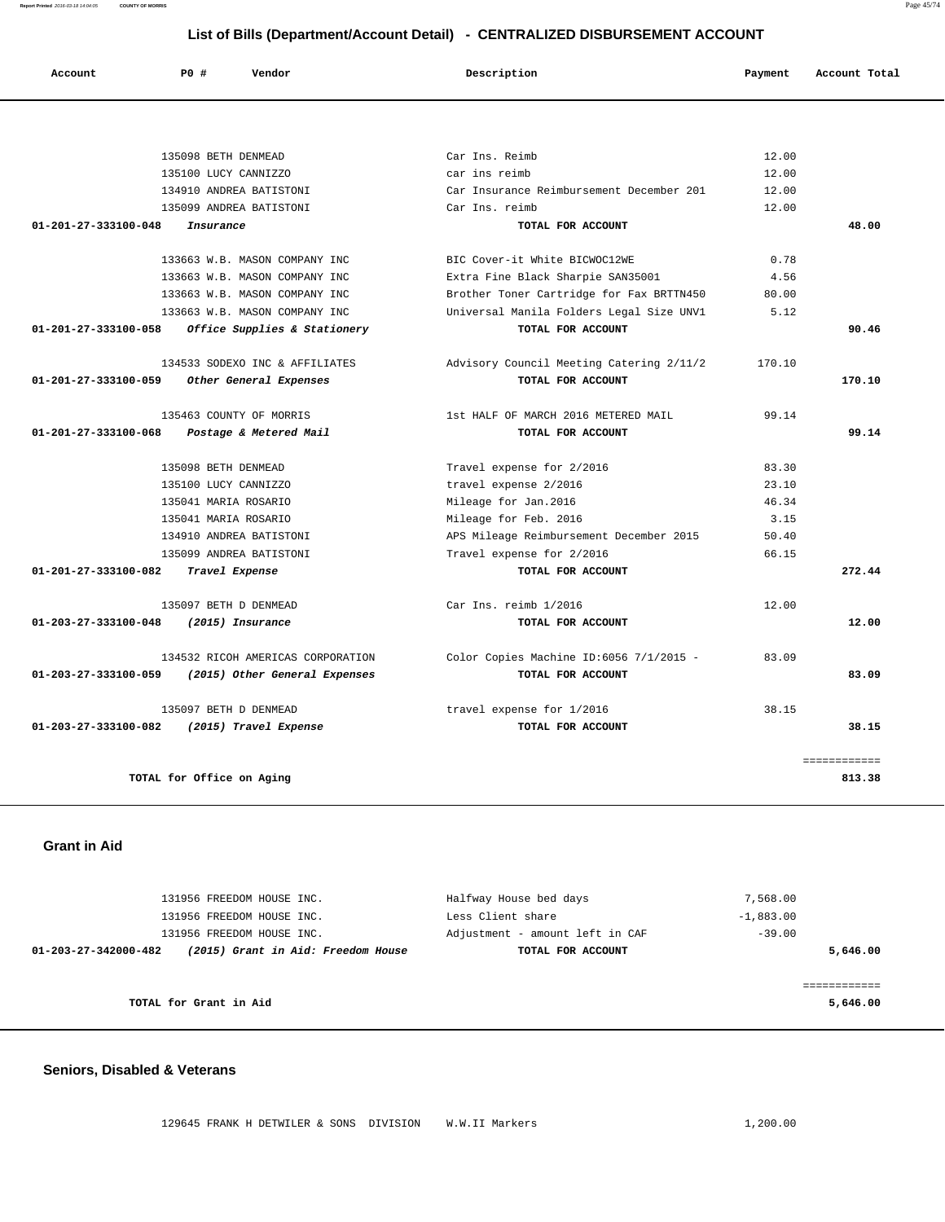**Report Printed** 2016-03-18 14:04:05 **COUNTY OF MORRIS** Page 45/74

# **List of Bills (Department/Account Detail) - CENTRALIZED DISBURSEMENT ACCOUNT**

| Account                        | $P()$ #<br>Vendor                 | Description                              | Payment | Account Total |
|--------------------------------|-----------------------------------|------------------------------------------|---------|---------------|
|                                |                                   |                                          |         |               |
|                                | 135098 BETH DENMEAD               | Car Ins. Reimb                           | 12.00   |               |
|                                | 135100 LUCY CANNIZZO              | car ins reimb                            | 12.00   |               |
|                                | 134910 ANDREA BATISTONI           | Car Insurance Reimbursement December 201 | 12.00   |               |
|                                | 135099 ANDREA BATISTONI           | Car Ins. reimb                           | 12.00   |               |
| $01 - 201 - 27 - 333100 - 048$ | Insurance                         | TOTAL FOR ACCOUNT                        |         | 48.00         |
|                                | 133663 W.B. MASON COMPANY INC     | BIC Cover-it White BICWOC12WE            | 0.78    |               |
|                                | 133663 W.B. MASON COMPANY INC     | Extra Fine Black Sharpie SAN35001        | 4.56    |               |
|                                | 133663 W.B. MASON COMPANY INC     | Brother Toner Cartridge for Fax BRTTN450 | 80.00   |               |
|                                | 133663 W.B. MASON COMPANY INC     | Universal Manila Folders Legal Size UNV1 | 5.12    |               |
| 01-201-27-333100-058           | Office Supplies & Stationery      | TOTAL FOR ACCOUNT                        |         | 90.46         |
|                                | 134533 SODEXO INC & AFFILIATES    | Advisory Council Meeting Catering 2/11/2 | 170.10  |               |
| 01-201-27-333100-059           | Other General Expenses            | TOTAL FOR ACCOUNT                        |         | 170.10        |
|                                | 135463 COUNTY OF MORRIS           | 1st HALF OF MARCH 2016 METERED MAIL      | 99.14   |               |
| 01-201-27-333100-068           | Postage & Metered Mail            | TOTAL FOR ACCOUNT                        |         | 99.14         |
|                                | 135098 BETH DENMEAD               | Travel expense for 2/2016                | 83.30   |               |
|                                | 135100 LUCY CANNIZZO              | travel expense 2/2016                    | 23.10   |               |
|                                | 135041 MARIA ROSARIO              | Mileage for Jan.2016                     | 46.34   |               |
|                                | 135041 MARIA ROSARIO              | Mileage for Feb. 2016                    | 3.15    |               |
|                                | 134910 ANDREA BATISTONI           | APS Mileage Reimbursement December 2015  | 50.40   |               |
|                                | 135099 ANDREA BATISTONI           | Travel expense for 2/2016                | 66.15   |               |
| 01-201-27-333100-082           | Travel Expense                    | TOTAL FOR ACCOUNT                        |         | 272.44        |
|                                | 135097 BETH D DENMEAD             | Car Ins. reimb 1/2016                    | 12.00   |               |
| $01 - 203 - 27 - 333100 - 048$ | (2015) Insurance                  | TOTAL FOR ACCOUNT                        |         | 12.00         |
|                                | 134532 RICOH AMERICAS CORPORATION | Color Copies Machine ID:6056 7/1/2015 -  | 83.09   |               |
| $01 - 203 - 27 - 333100 - 059$ | (2015) Other General Expenses     | TOTAL FOR ACCOUNT                        |         | 83.09         |
|                                | 135097 BETH D DENMEAD             | travel expense for 1/2016                | 38.15   |               |
| $01 - 203 - 27 - 333100 - 082$ | (2015) Travel Expense             | TOTAL FOR ACCOUNT                        |         | 38.15         |
|                                |                                   |                                          |         | ============  |
|                                | TOTAL for Office on Aging         |                                          |         | 813.38        |
|                                |                                   |                                          |         |               |

 **Grant in Aid** 

| 131956 FREEDOM HOUSE INC.                                  | Halfway House bed days          | 7,568.00    |
|------------------------------------------------------------|---------------------------------|-------------|
| 131956 FREEDOM HOUSE INC.                                  | Less Client share               | $-1,883.00$ |
| 131956 FREEDOM HOUSE INC.                                  | Adjustment - amount left in CAF | $-39.00$    |
| (2015) Grant in Aid: Freedom House<br>01-203-27-342000-482 | TOTAL FOR ACCOUNT               | 5,646.00    |
|                                                            |                                 |             |
|                                                            |                                 |             |
| TOTAL for Grant in Aid                                     |                                 | 5,646.00    |
|                                                            |                                 |             |

#### **Seniors, Disabled & Veterans**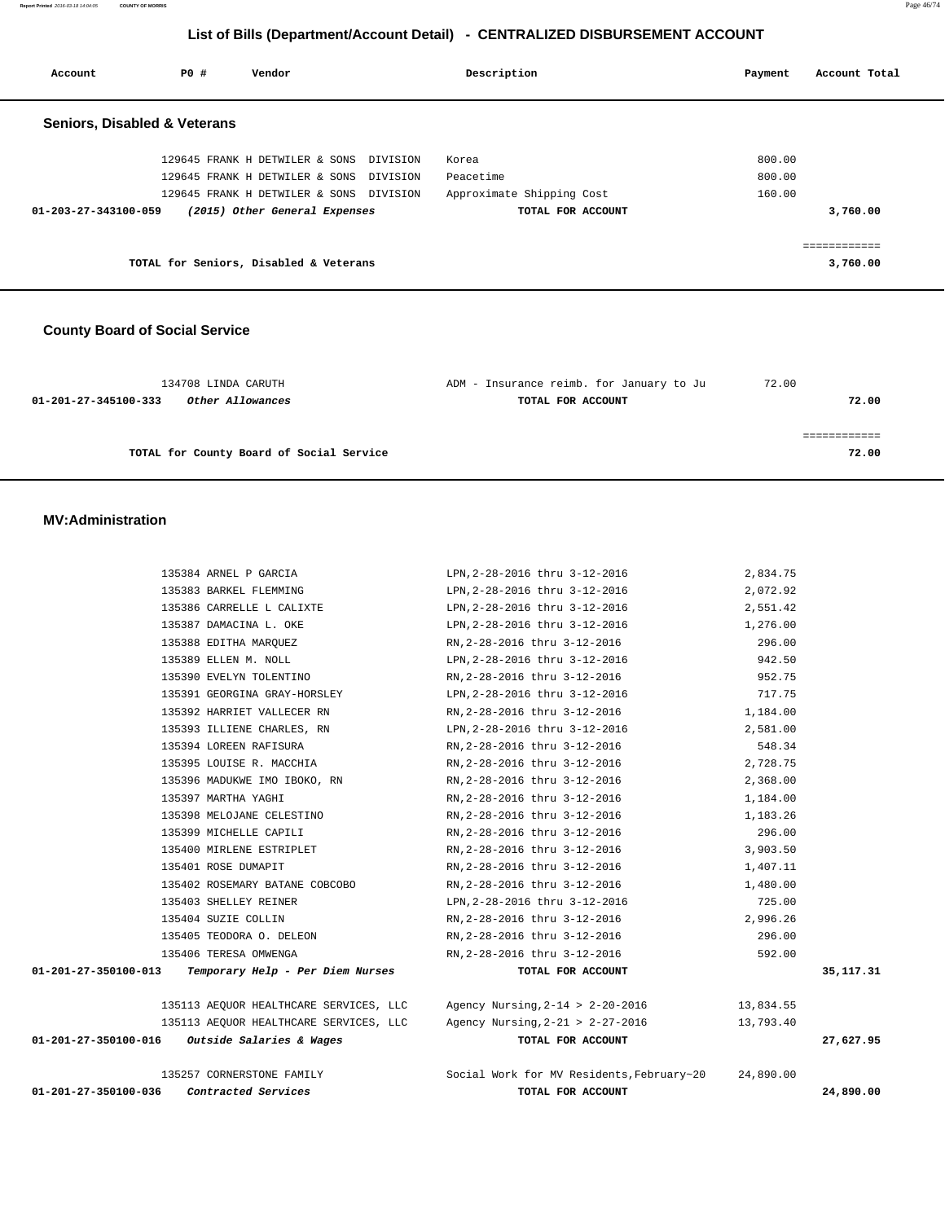**Report Printed** 2016-03-18 14:04:05 **COUNTY OF MORRIS** Page 46/74

# **List of Bills (Department/Account Detail) - CENTRALIZED DISBURSEMENT ACCOUNT**

| Account                                 | PO# | Vendor                                  |          | Description               | Payment | Account Total |
|-----------------------------------------|-----|-----------------------------------------|----------|---------------------------|---------|---------------|
| <b>Seniors, Disabled &amp; Veterans</b> |     |                                         |          |                           |         |               |
|                                         |     | 129645 FRANK H DETWILER & SONS          | DIVISION | Korea                     | 800.00  |               |
|                                         |     | 129645 FRANK H DETWILER & SONS          | DIVISION | Peacetime                 | 800.00  |               |
|                                         |     | 129645 FRANK H DETWILER & SONS DIVISION |          | Approximate Shipping Cost | 160.00  |               |
| $01 - 203 - 27 - 343100 - 059$          |     | (2015) Other General Expenses           |          | TOTAL FOR ACCOUNT         |         | 3,760.00      |
|                                         |     |                                         |          |                           |         |               |
|                                         |     | TOTAL for Seniors, Disabled & Veterans  |          |                           |         | 3,760.00      |
|                                         |     |                                         |          |                           |         |               |
|                                         |     |                                         |          |                           |         |               |

### **County Board of Social Service**

| 134708 LINDA CARUTH                      | ADM - Insurance reimb. for January to Ju | 72.00 |
|------------------------------------------|------------------------------------------|-------|
| 01-201-27-345100-333<br>Other Allowances | TOTAL FOR ACCOUNT                        | 72.00 |
|                                          |                                          |       |
|                                          |                                          |       |
| TOTAL for County Board of Social Service |                                          | 72.00 |

#### **MV:Administration**

| 01-201-27-350100-036 | Contracted Services                                       | TOTAL FOR ACCOUNT                                                                 |           | 24,890.00   |
|----------------------|-----------------------------------------------------------|-----------------------------------------------------------------------------------|-----------|-------------|
|                      | 135257 CORNERSTONE FAMILY                                 | Social Work for MV Residents, February~20 24,890.00                               |           |             |
| 01-201-27-350100-016 | Outside Salaries & Wages                                  | TOTAL FOR ACCOUNT                                                                 |           | 27,627.95   |
|                      |                                                           | 135113 AEQUOR HEALTHCARE SERVICES, LLC Agency Nursing, 2-21 > 2-27-2016           | 13,793.40 |             |
|                      |                                                           | 135113 AEQUOR HEALTHCARE SERVICES, LLC Agency Nursing, 2-14 > 2-20-2016 13,834.55 |           |             |
|                      | $01-201-27-350100-013$ Temporary Help - Per Diem Nurses   | TOTAL FOR ACCOUNT                                                                 |           | 35, 117. 31 |
|                      | 135406 TERESA OMWENGA                                     | 592.00<br>RN, 2-28-2016 thru 3-12-2016                                            |           |             |
|                      | 135405 TEODORA O. DELEON                                  | RN,2-28-2016 thru 3-12-2016                                                       | 296.00    |             |
|                      | 135404 SUZIE COLLIN                                       | RN,2-28-2016 thru 3-12-2016 2,996.26                                              |           |             |
|                      | 135403 SHELLEY REINER                                     | LPN, 2-28-2016 thru 3-12-2016                                                     | 725.00    |             |
|                      |                                                           | 135402 ROSEMARY BATANE COBCOBO RN, 2-28-2016 thru 3-12-2016                       | 1,480.00  |             |
|                      | 135401 ROSE DUMAPIT                                       | RN, 2-28-2016 thru 3-12-2016<br>1,407.11                                          |           |             |
|                      | 135400 MIRLENE ESTRIPLET                                  | RN, 2-28-2016 thru 3-12-2016                                                      | 3,903.50  |             |
|                      | 135399 MICHELLE CAPILI                                    | RN,2-28-2016 thru 3-12-2016                                                       | 296.00    |             |
|                      | 135398 MELOJANE CELESTINO                                 | RN, 2-28-2016 thru 3-12-2016                                                      | 1,183.26  |             |
|                      | 135397 MARTHA YAGHI                                       | 1,184.00<br>RN,2-28-2016 thru 3-12-2016                                           |           |             |
|                      | 135396 MADUKWE IMO IBOKO, RN RN, 2-28-2016 thru 3-12-2016 | 2,368.00                                                                          |           |             |
|                      | 135395 LOUISE R. MACCHIA                                  | RN, 2-28-2016 thru 3-12-2016 2, 728.75                                            |           |             |
|                      | 135394 LOREEN RAFISURA                                    | RN, 2-28-2016 thru 3-12-2016                                                      | 548.34    |             |
|                      |                                                           | 135393 ILLIENE CHARLES, RN LPN, 2-28-2016 thru 3-12-2016                          | 2,581.00  |             |
|                      | 135392 HARRIET VALLECER RN                                | RN, 2-28-2016 thru 3-12-2016 1, 184.00                                            |           |             |
|                      | 135391 GEORGINA GRAY-HORSLEY                              | LPN,2-28-2016 thru 3-12-2016                                                      | 717.75    |             |
|                      | 135390 EVELYN TOLENTINO                                   | RN, 2-28-2016 thru 3-12-2016                                                      | 952.75    |             |
|                      | 135389 ELLEN M. NOLL                                      | LPN, 2-28-2016 thru 3-12-2016 342.50                                              |           |             |
|                      | 135388 EDITHA MARQUEZ                                     | RN, 2-28-2016 thru 3-12-2016                                                      | 296.00    |             |
|                      | 135387 DAMACINA L. OKE                                    | LPN, 2-28-2016 thru 3-12-2016 1, 276.00                                           |           |             |
|                      | 135386 CARRELLE L CALIXTE                                 | LPN, 2-28-2016 thru 3-12-2016 2, 551.42                                           |           |             |
|                      | 135383 BARKEL FLEMMING                                    | LPN, 2-28-2016 thru 3-12-2016 2,072.92                                            |           |             |
|                      | 135384 ARNEL P GARCIA                                     | LPN, 2-28-2016 thru 3-12-2016                                                     | 2,834.75  |             |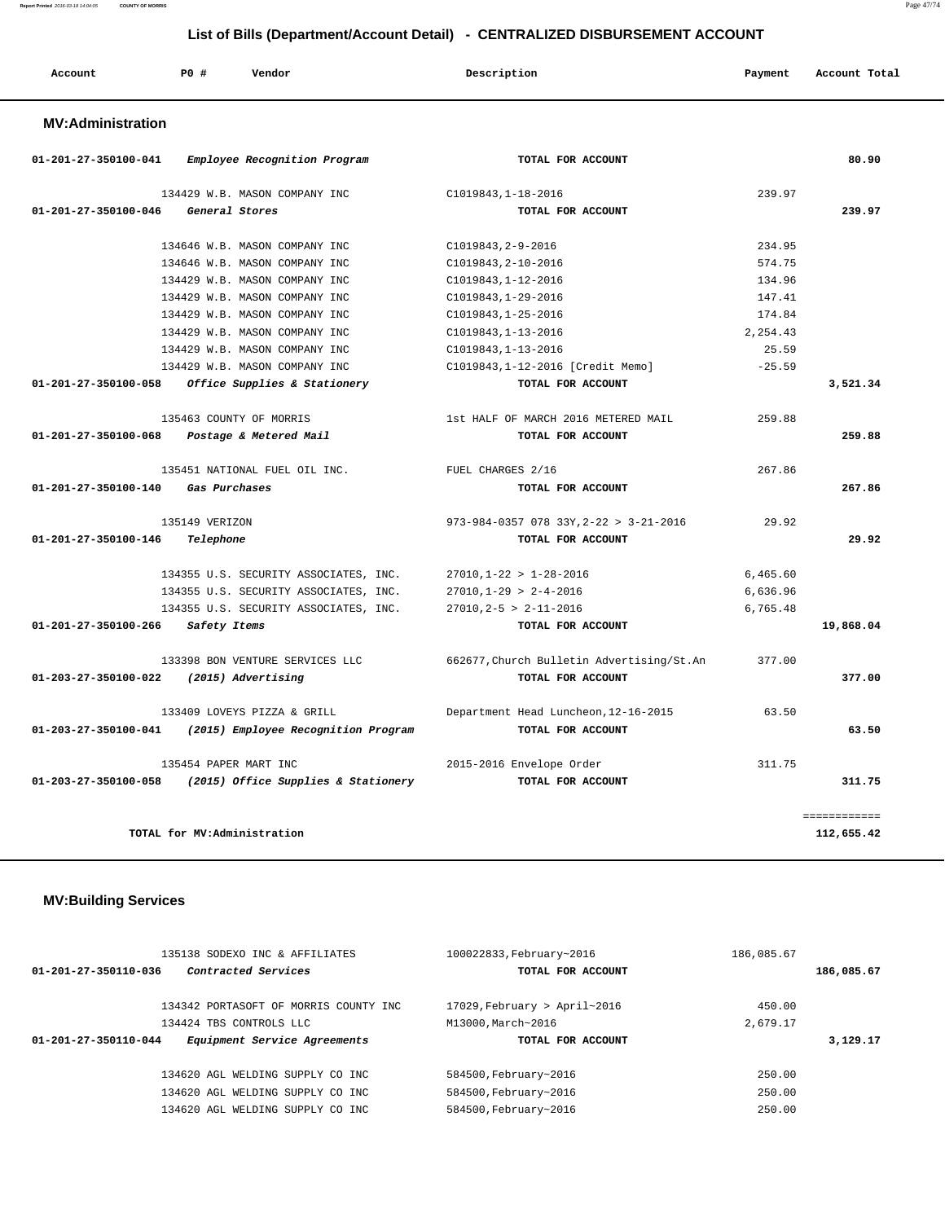| Account<br>. | P0 # | Vendor | Description | Payment | Account Total |
|--------------|------|--------|-------------|---------|---------------|
|              |      |        |             |         |               |

#### **MV:Administration**

| 01-201-27-350100-041 | Employee Recognition Program          | TOTAL FOR ACCOUNT                         |          | 80.90        |
|----------------------|---------------------------------------|-------------------------------------------|----------|--------------|
|                      | 134429 W.B. MASON COMPANY INC         | C1019843, 1-18-2016                       | 239.97   |              |
| 01-201-27-350100-046 | General Stores                        | TOTAL FOR ACCOUNT                         |          | 239.97       |
|                      | 134646 W.B. MASON COMPANY INC         | C1019843, 2-9-2016                        | 234.95   |              |
|                      | 134646 W.B. MASON COMPANY INC         | C1019843, 2-10-2016                       | 574.75   |              |
|                      | 134429 W.B. MASON COMPANY INC         | C1019843, 1-12-2016                       | 134.96   |              |
|                      | 134429 W.B. MASON COMPANY INC         | $C1019843.1 - 29 - 2016$                  | 147.41   |              |
|                      | 134429 W.B. MASON COMPANY INC         | C1019843, 1-25-2016                       | 174.84   |              |
|                      | 134429 W.B. MASON COMPANY INC         | C1019843, 1-13-2016                       | 2,254.43 |              |
|                      | 134429 W.B. MASON COMPANY INC         | C1019843, 1-13-2016                       | 25.59    |              |
|                      | 134429 W.B. MASON COMPANY INC         | C1019843, 1-12-2016 [Credit Memo]         | $-25.59$ |              |
| 01-201-27-350100-058 | Office Supplies & Stationery          | TOTAL FOR ACCOUNT                         |          | 3,521.34     |
|                      | 135463 COUNTY OF MORRIS               | 1st HALF OF MARCH 2016 METERED MAIL       | 259.88   |              |
| 01-201-27-350100-068 | Postage & Metered Mail                | TOTAL FOR ACCOUNT                         |          | 259.88       |
|                      | 135451 NATIONAL FUEL OIL INC.         | FUEL CHARGES 2/16                         | 267.86   |              |
| 01-201-27-350100-140 | Gas Purchases                         | TOTAL FOR ACCOUNT                         |          | 267.86       |
|                      | 135149 VERIZON                        | 973-984-0357 078 33Y, 2-22 > 3-21-2016    | 29.92    |              |
| 01-201-27-350100-146 | Telephone                             | TOTAL FOR ACCOUNT                         |          | 29.92        |
|                      | 134355 U.S. SECURITY ASSOCIATES, INC. | $27010, 1 - 22 > 1 - 28 - 2016$           | 6,465.60 |              |
|                      | 134355 U.S. SECURITY ASSOCIATES, INC. | $27010, 1-29 > 2-4-2016$                  | 6,636.96 |              |
|                      | 134355 U.S. SECURITY ASSOCIATES, INC. | $27010.2 - 5 > 2 - 11 - 2016$             | 6,765.48 |              |
| 01-201-27-350100-266 | Safety Items                          | TOTAL FOR ACCOUNT                         |          | 19,868.04    |
|                      | 133398 BON VENTURE SERVICES LLC       | 662677, Church Bulletin Advertising/St.An | 377.00   |              |
| 01-203-27-350100-022 | (2015) Advertising                    | TOTAL FOR ACCOUNT                         |          | 377.00       |
|                      | 133409 LOVEYS PIZZA & GRILL           | Department Head Luncheon, 12-16-2015      | 63.50    |              |
| 01-203-27-350100-041 | (2015) Employee Recognition Program   | TOTAL FOR ACCOUNT                         |          | 63.50        |
|                      | 135454 PAPER MART INC                 | 2015-2016 Envelope Order                  | 311.75   |              |
| 01-203-27-350100-058 | (2015) Office Supplies & Stationery   | TOTAL FOR ACCOUNT                         |          | 311.75       |
|                      |                                       |                                           |          | ============ |
|                      | TOTAL for MV:Administration           |                                           |          | 112,655.42   |

### **MV:Building Services**

|                      | 135138 SODEXO INC & AFFILIATES         | 100022833, February~2016        | 186,085.67 |
|----------------------|----------------------------------------|---------------------------------|------------|
| 01-201-27-350110-036 | Contracted Services                    | TOTAL FOR ACCOUNT               | 186,085.67 |
|                      | 134342 PORTASOFT OF MORRIS COUNTY INC. | $17029$ , February > April~2016 | 450.00     |
|                      | 134424 TBS CONTROLS LLC                | M13000, March~2016              | 2,679.17   |
| 01-201-27-350110-044 | Equipment Service Agreements           | TOTAL FOR ACCOUNT               | 3,129.17   |
|                      |                                        |                                 |            |
|                      | 134620 AGL WELDING SUPPLY CO INC       | 584500, February~2016           | 250.00     |
|                      | 134620 AGL WELDING SUPPLY CO INC       | 584500, February~2016           | 250.00     |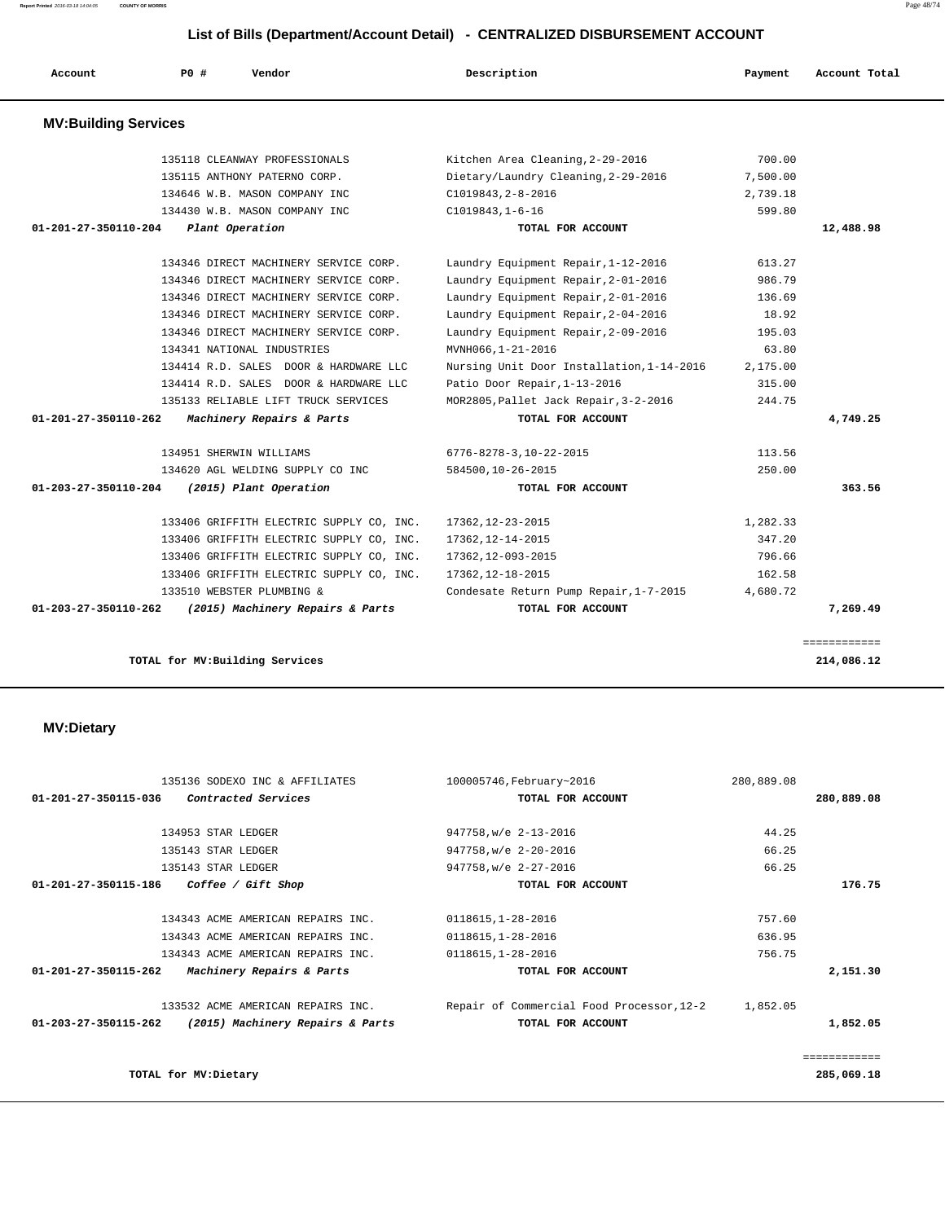135136 SODEXO INC & AFFILIATES 100005746,February~2016 280,889.08  **01-201-27-350115-036 Contracted Services TOTAL FOR ACCOUNT 280,889.08** 134953 STAR LEDGER 947758,w/e 2-13-2016 44.25 135143 STAR LEDGER 947758,w/e 2-20-2016 66.25 135143 STAR LEDGER 947758,w/e 2-27-2016 66.25  **01-201-27-350115-186 Coffee / Gift Shop TOTAL FOR ACCOUNT 176.75** 134343 ACME AMERICAN REPAIRS INC. 0118615,1-28-2016 757.60 134343 ACME AMERICAN REPAIRS INC. 0118615,1-28-2016 636.95 134343 ACME AMERICAN REPAIRS INC. 0118615,1-28-2016 756.75  **01-201-27-350115-262 Machinery Repairs & Parts TOTAL FOR ACCOUNT 2,151.30** 133532 ACME AMERICAN REPAIRS INC. Repair of Commercial Food Processor,12-2 1,852.05  **01-203-27-350115-262 (2015) Machinery Repairs & Parts TOTAL FOR ACCOUNT 1,852.05** ============ **TOTAL for MV:Dietary 285,069.18**

#### **MV:Dietary**

| <b>MV:Building Services</b>    |                                          |                                           |          |                    |
|--------------------------------|------------------------------------------|-------------------------------------------|----------|--------------------|
|                                | 135118 CLEANWAY PROFESSIONALS            | Kitchen Area Cleaning, 2-29-2016          | 700.00   |                    |
|                                | 135115 ANTHONY PATERNO CORP.             | Dietary/Laundry Cleaning, 2-29-2016       | 7,500.00 |                    |
|                                | 134646 W.B. MASON COMPANY INC            | C1019843, 2-8-2016                        | 2,739.18 |                    |
|                                | 134430 W.B. MASON COMPANY INC            | $C1019843, 1-6-16$                        | 599.80   |                    |
| $01 - 201 - 27 - 350110 - 204$ | Plant Operation                          | TOTAL FOR ACCOUNT                         |          | 12,488.98          |
|                                | 134346 DIRECT MACHINERY SERVICE CORP.    | Laundry Equipment Repair, 1-12-2016       | 613.27   |                    |
|                                | 134346 DIRECT MACHINERY SERVICE CORP.    | Laundry Equipment Repair, 2-01-2016       | 986.79   |                    |
|                                | 134346 DIRECT MACHINERY SERVICE CORP.    | Laundry Equipment Repair, 2-01-2016       | 136.69   |                    |
|                                | 134346 DIRECT MACHINERY SERVICE CORP.    | Laundry Equipment Repair, 2-04-2016       | 18.92    |                    |
|                                | 134346 DIRECT MACHINERY SERVICE CORP.    | Laundry Equipment Repair, 2-09-2016       | 195.03   |                    |
|                                | 134341 NATIONAL INDUSTRIES               | MVNH066,1-21-2016                         | 63.80    |                    |
|                                | 134414 R.D. SALES DOOR & HARDWARE LLC    | Nursing Unit Door Installation, 1-14-2016 | 2,175.00 |                    |
|                                | 134414 R.D. SALES DOOR & HARDWARE LLC    | Patio Door Repair, 1-13-2016              | 315.00   |                    |
|                                | 135133 RELIABLE LIFT TRUCK SERVICES      | MOR2805, Pallet Jack Repair, 3-2-2016     | 244.75   |                    |
| $01 - 201 - 27 - 350110 - 262$ | Machinery Repairs & Parts                | TOTAL FOR ACCOUNT                         |          | 4,749.25           |
|                                | 134951 SHERWIN WILLIAMS                  | 6776-8278-3,10-22-2015                    | 113.56   |                    |
|                                | 134620 AGL WELDING SUPPLY CO INC         | 584500,10-26-2015                         | 250.00   |                    |
| 01-203-27-350110-204           | (2015) Plant Operation                   | TOTAL FOR ACCOUNT                         |          | 363.56             |
|                                | 133406 GRIFFITH ELECTRIC SUPPLY CO, INC. | 17362,12-23-2015                          | 1,282.33 |                    |
|                                | 133406 GRIFFITH ELECTRIC SUPPLY CO, INC. | 17362, 12-14-2015                         | 347.20   |                    |
|                                | 133406 GRIFFITH ELECTRIC SUPPLY CO, INC. | 17362, 12-093-2015                        | 796.66   |                    |
|                                | 133406 GRIFFITH ELECTRIC SUPPLY CO, INC. | 17362, 12-18-2015                         | 162.58   |                    |
|                                | 133510 WEBSTER PLUMBING &                | Condesate Return Pump Repair, 1-7-2015    | 4,680.72 |                    |
| $01 - 203 - 27 - 350110 - 262$ | (2015) Machinery Repairs & Parts         | TOTAL FOR ACCOUNT                         |          | 7,269.49           |
|                                |                                          |                                           |          | <b>EEEEEEEEEEE</b> |
|                                |                                          |                                           |          |                    |

 **Account P0 # Vendor Description Payment Account Total**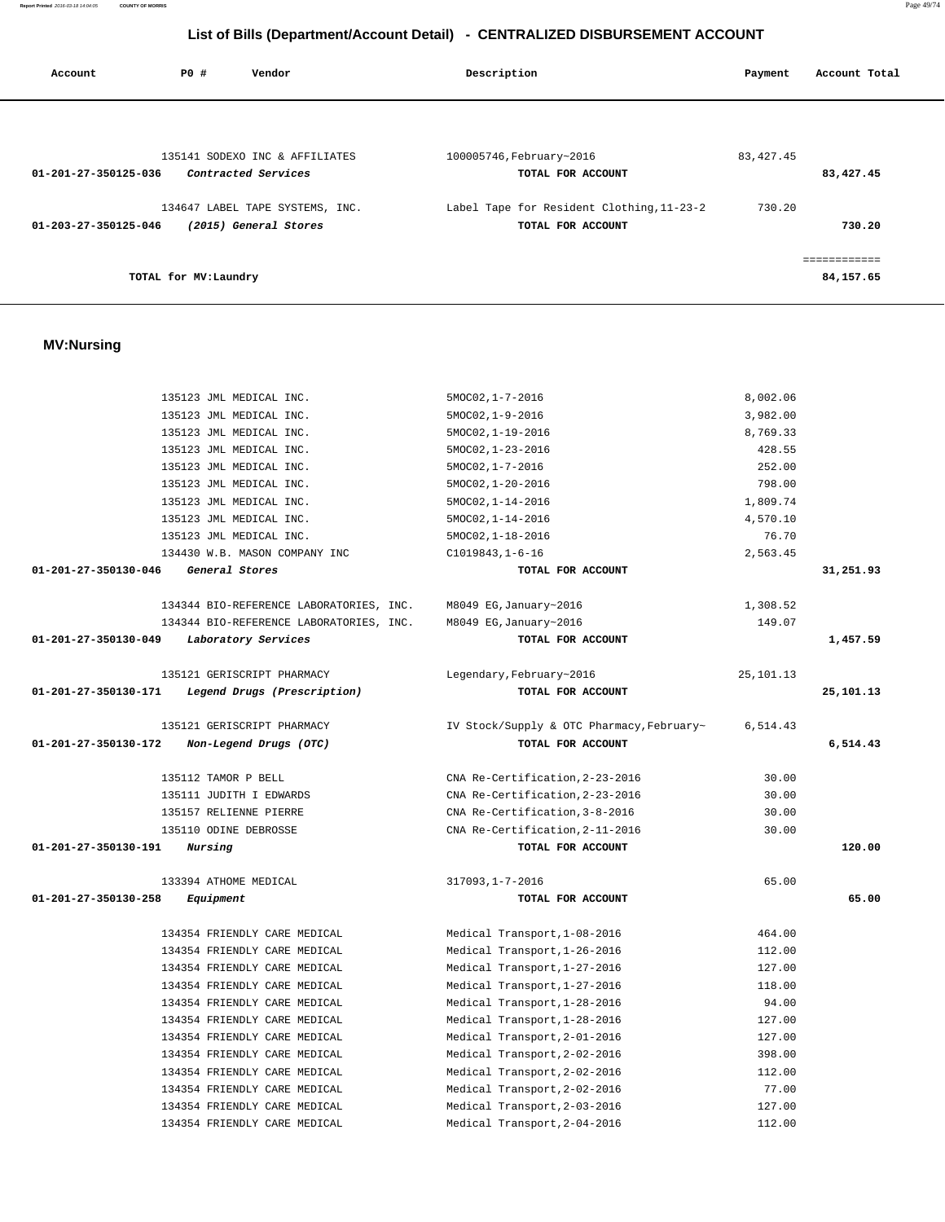|                      | 135123 JML MEDICAL INC.                 | $5MOC02, 1-19-2016$                       | 8,769.33    |           |
|----------------------|-----------------------------------------|-------------------------------------------|-------------|-----------|
|                      | 135123 JML MEDICAL INC.                 | 5MOC02, 1-23-2016                         | 428.55      |           |
|                      | 135123 JML MEDICAL INC.                 | $5MOCO2, 1-7-2016$                        | 252.00      |           |
|                      | 135123 JML MEDICAL INC.                 | $5MOCO2, 1-20-2016$                       | 798.00      |           |
|                      | 135123 JML MEDICAL INC.                 | $5MOCO2, 1-14-2016$                       | 1,809.74    |           |
|                      | 135123 JML MEDICAL INC.                 | $5MOCO2, 1-14-2016$                       | 4,570.10    |           |
|                      | 135123 JML MEDICAL INC.                 | 5MOC02, 1-18-2016                         | 76.70       |           |
|                      | 134430 W.B. MASON COMPANY INC           | $C1019843, 1-6-16$                        | 2,563.45    |           |
| 01-201-27-350130-046 | General Stores                          | TOTAL FOR ACCOUNT                         |             | 31,251.93 |
|                      | 134344 BIO-REFERENCE LABORATORIES, INC. | M8049 EG, January~2016                    | 1,308.52    |           |
|                      | 134344 BIO-REFERENCE LABORATORIES, INC. | M8049 EG, January~2016                    | 149.07      |           |
| 01-201-27-350130-049 | Laboratory Services                     | TOTAL FOR ACCOUNT                         |             | 1,457.59  |
|                      | 135121 GERISCRIPT PHARMACY              | Legendary, February~2016                  | 25, 101. 13 |           |
| 01-201-27-350130-171 | Legend Drugs (Prescription)             | TOTAL FOR ACCOUNT                         |             | 25,101.13 |
|                      | 135121 GERISCRIPT PHARMACY              | IV Stock/Supply & OTC Pharmacy, February~ | 6,514.43    |           |
| 01-201-27-350130-172 | Non-Legend Drugs (OTC)                  | TOTAL FOR ACCOUNT                         |             | 6,514.43  |
|                      | 135112 TAMOR P BELL                     | CNA Re-Certification, 2-23-2016           | 30.00       |           |
|                      | 135111 JUDITH I EDWARDS                 | CNA Re-Certification, 2-23-2016           | 30.00       |           |
|                      | 135157 RELIENNE PIERRE                  | CNA Re-Certification, 3-8-2016            | 30.00       |           |
|                      | 135110 ODINE DEBROSSE                   | CNA Re-Certification, 2-11-2016           | 30.00       |           |
| 01-201-27-350130-191 | <i>Nursing</i>                          | TOTAL FOR ACCOUNT                         |             | 120.00    |
|                      | 133394 ATHOME MEDICAL                   | 317093, 1-7-2016                          | 65.00       |           |
| 01-201-27-350130-258 | Equipment                               | TOTAL FOR ACCOUNT                         |             | 65.00     |
|                      | 134354 FRIENDLY CARE MEDICAL            | Medical Transport, 1-08-2016              | 464.00      |           |
|                      | 134354 FRIENDLY CARE MEDICAL            | Medical Transport, 1-26-2016              | 112.00      |           |
|                      | 134354 FRIENDLY CARE MEDICAL            | Medical Transport, 1-27-2016              | 127.00      |           |
|                      | 134354 FRIENDLY CARE MEDICAL            | Medical Transport, 1-27-2016              | 118.00      |           |
|                      | 134354 FRIENDLY CARE MEDICAL            | Medical Transport, 1-28-2016              | 94.00       |           |
|                      | 134354 FRIENDLY CARE MEDICAL            | Medical Transport, 1-28-2016              | 127.00      |           |
|                      | 134354 FRIENDLY CARE MEDICAL            | Medical Transport, 2-01-2016              | 127.00      |           |
|                      | 134354 FRIENDLY CARE MEDICAL            | Medical Transport, 2-02-2016              | 398.00      |           |
|                      | 134354 FRIENDLY CARE MEDICAL            | Medical Transport, 2-02-2016              | 112.00      |           |
|                      | 134354 FRIENDLY CARE MEDICAL            | Medical Transport, 2-02-2016              | 77.00       |           |
|                      | 134354 FRIENDLY CARE MEDICAL            | Medical Transport, 2-03-2016              | 127.00      |           |
|                      | 134354 FRIENDLY CARE MEDICAL            | Medical Transport, 2-04-2016              | 112.00      |           |

### **MV:Nursing**

| Account              | PO#                   | Vendor                          | Description                               | Payment     | Account Total |
|----------------------|-----------------------|---------------------------------|-------------------------------------------|-------------|---------------|
|                      |                       |                                 |                                           |             |               |
|                      |                       |                                 |                                           |             |               |
|                      |                       |                                 |                                           |             |               |
|                      |                       | 135141 SODEXO INC & AFFILIATES  | 100005746, February~2016                  | 83, 427. 45 |               |
| 01-201-27-350125-036 |                       | Contracted Services             | TOTAL FOR ACCOUNT                         |             | 83,427.45     |
|                      |                       |                                 |                                           |             |               |
|                      |                       | 134647 LABEL TAPE SYSTEMS, INC. | Label Tape for Resident Clothing, 11-23-2 | 730.20      |               |
| 01-203-27-350125-046 |                       | (2015) General Stores           | TOTAL FOR ACCOUNT                         |             | 730.20        |
|                      |                       |                                 |                                           |             |               |
|                      |                       |                                 |                                           |             |               |
|                      | TOTAL for MV: Laundry |                                 |                                           |             | 84,157.65     |

 135123 JML MEDICAL INC. 5MOC02,1-7-2016 8,002.06 135123 JML MEDICAL INC. 5MOC02,1-9-2016 3,982.00

# **List of Bills (Department/Account Detail) - CENTRALIZED DISBURSEMENT ACCOUNT**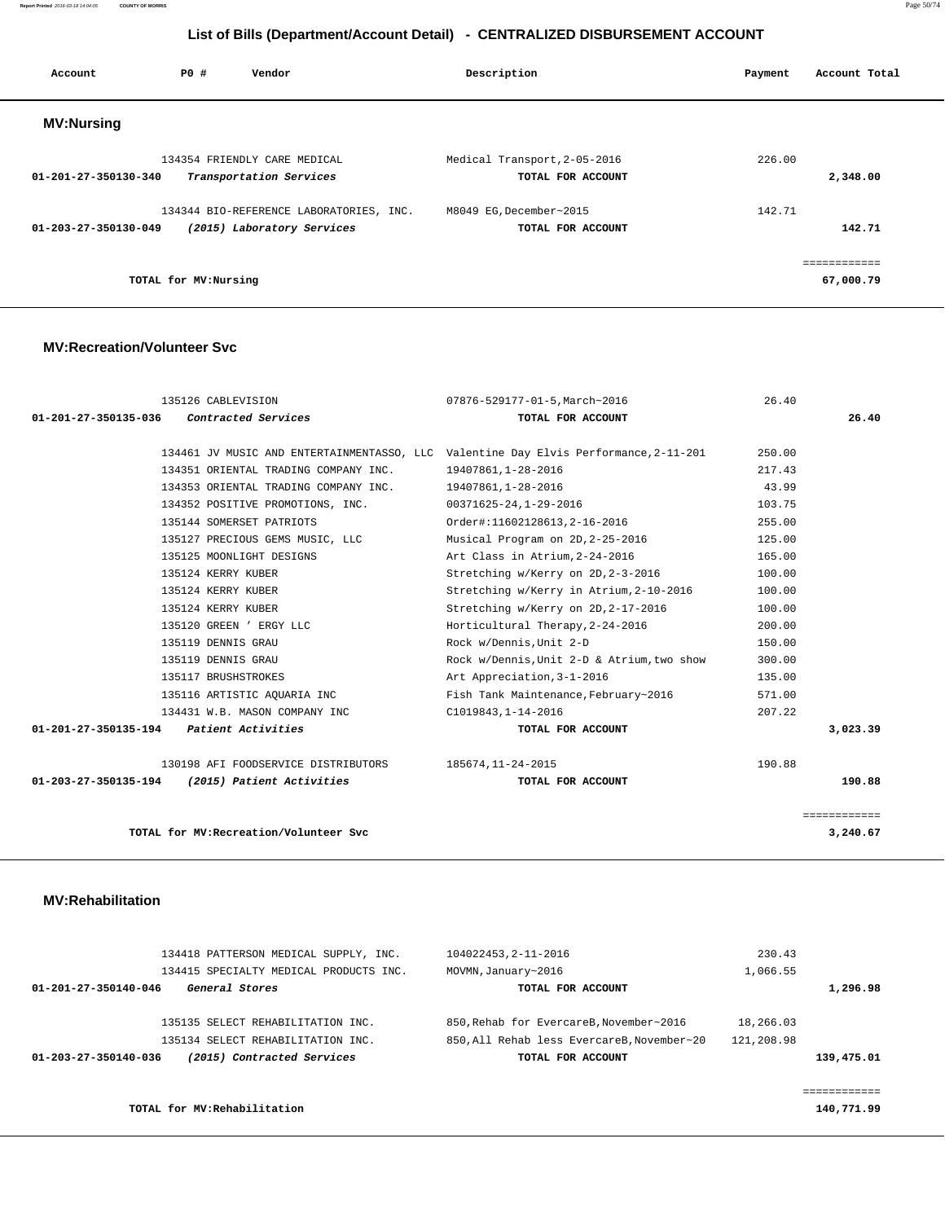**Report Printed** 2016-03-18 14:04:05 **COUNTY OF MORRIS** Page 50/74

# **List of Bills (Department/Account Detail) - CENTRALIZED DISBURSEMENT ACCOUNT**

| Account                        | PO#                  | Vendor                                  | Description                  | Payment | Account Total |
|--------------------------------|----------------------|-----------------------------------------|------------------------------|---------|---------------|
| <b>MV:Nursing</b>              |                      |                                         |                              |         |               |
|                                |                      | 134354 FRIENDLY CARE MEDICAL            | Medical Transport, 2-05-2016 | 226.00  |               |
| $01 - 201 - 27 - 350130 - 340$ |                      | Transportation Services                 | TOTAL FOR ACCOUNT            |         | 2,348.00      |
|                                |                      | 134344 BIO-REFERENCE LABORATORIES, INC. | M8049 EG.December~2015       | 142.71  |               |
| $01 - 203 - 27 - 350130 - 049$ |                      | (2015) Laboratory Services              | TOTAL FOR ACCOUNT            |         | 142.71        |
|                                |                      |                                         |                              |         | ------------  |
|                                | TOTAL for MV:Nursing |                                         |                              |         | 67,000.79     |

### **MV:Recreation/Volunteer Svc**

| 135126 CABLEVISION                                                                   | 07876-529177-01-5, March~2016              | 26.40        |
|--------------------------------------------------------------------------------------|--------------------------------------------|--------------|
| 01-201-27-350135-036 Contracted Services                                             | TOTAL FOR ACCOUNT                          | 26.40        |
|                                                                                      |                                            |              |
| 134461 JV MUSIC AND ENTERTAINMENTASSO, LLC Valentine Day Elvis Performance, 2-11-201 |                                            | 250.00       |
| 134351 ORIENTAL TRADING COMPANY INC.                                                 | 19407861,1-28-2016                         | 217.43       |
| 134353 ORIENTAL TRADING COMPANY INC.                                                 | 19407861,1-28-2016                         | 43.99        |
| 134352 POSITIVE PROMOTIONS, INC.                                                     | 00371625-24,1-29-2016                      | 103.75       |
| 135144 SOMERSET PATRIOTS                                                             | Order#:11602128613, 2-16-2016              | 255.00       |
| 135127 PRECIOUS GEMS MUSIC, LLC                                                      | Musical Program on 2D, 2-25-2016           | 125.00       |
| 135125 MOONLIGHT DESIGNS                                                             | Art Class in Atrium, 2-24-2016             | 165.00       |
| 135124 KERRY KUBER                                                                   | Stretching w/Kerry on 2D, 2-3-2016         | 100.00       |
| 135124 KERRY KUBER                                                                   | Stretching w/Kerry in Atrium, 2-10-2016    | 100.00       |
| 135124 KERRY KUBER                                                                   | Stretching w/Kerry on 2D, 2-17-2016        | 100.00       |
| 135120 GREEN ' ERGY LLC                                                              | Horticultural Therapy, 2-24-2016           | 200.00       |
| 135119 DENNIS GRAU                                                                   | Rock w/Dennis, Unit 2-D                    | 150.00       |
| 135119 DENNIS GRAU                                                                   | Rock w/Dennis, Unit 2-D & Atrium, two show | 300.00       |
| 135117 BRUSHSTROKES                                                                  | Art Appreciation, 3-1-2016                 | 135.00       |
| 135116 ARTISTIC AQUARIA INC                                                          | Fish Tank Maintenance, February~2016       | 571.00       |
| 134431 W.B. MASON COMPANY INC                                                        | C1019843, 1-14-2016                        | 207.22       |
| $01-201-27-350135-194$ Patient Activities                                            | TOTAL FOR ACCOUNT                          | 3,023.39     |
| 130198 AFI FOODSERVICE DISTRIBUTORS 185674, 11-24-2015                               |                                            | 190.88       |
| 01-203-27-350135-194 (2015) Patient Activities                                       | TOTAL FOR ACCOUNT                          | 190.88       |
|                                                                                      |                                            | ============ |
| TOTAL for MV: Recreation/Volunteer Svc                                               |                                            | 3,240.67     |

#### **MV:Rehabilitation**

| 134418 PATTERSON MEDICAL SUPPLY, INC.<br>134415 SPECIALTY MEDICAL PRODUCTS INC. | 104022453.2-11-2016<br>MOVMN, January~2016 | 230.43<br>1,066.55 |
|---------------------------------------------------------------------------------|--------------------------------------------|--------------------|
| 01-201-27-350140-046<br>General Stores                                          | TOTAL FOR ACCOUNT                          | 1,296.98           |
| 135135 SELECT REHABILITATION INC.                                               | 850. Rehab for EvercareB. November~2016    | 18,266.03          |
| 135134 SELECT REHABILITATION INC.                                               | 850.All Rehab less EvercareB.November~20   | 121,208.98         |
| (2015) Contracted Services<br>01-203-27-350140-036                              | TOTAL FOR ACCOUNT                          | 139,475.01         |
|                                                                                 |                                            |                    |
| TOTAL for MV: Rehabilitation                                                    |                                            | 140,771.99         |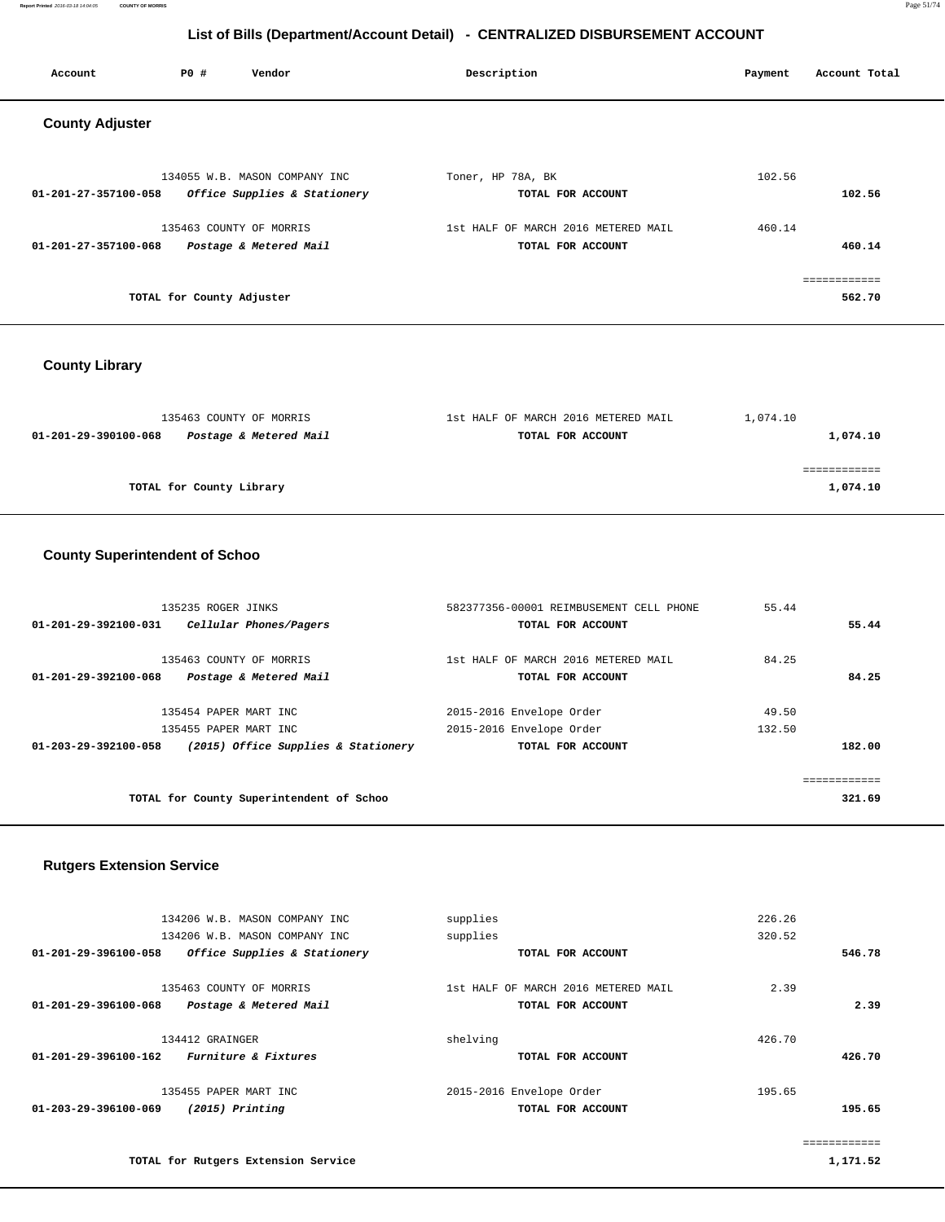**Report Printed** 2016-03-18 14:04:05 **COUNTY OF MORRIS** Page 51/74

# **List of Bills (Department/Account Detail) - CENTRALIZED DISBURSEMENT ACCOUNT**

| Account                | <b>PO #</b>               | Vendor                                                        | Description                                              | Payment | Account Total          |
|------------------------|---------------------------|---------------------------------------------------------------|----------------------------------------------------------|---------|------------------------|
| <b>County Adjuster</b> |                           |                                                               |                                                          |         |                        |
| 01-201-27-357100-058   |                           | 134055 W.B. MASON COMPANY INC<br>Office Supplies & Stationery | Toner, HP 78A, BK<br>TOTAL FOR ACCOUNT                   | 102.56  | 102.56                 |
| 01-201-27-357100-068   |                           | 135463 COUNTY OF MORRIS<br>Postage & Metered Mail             | 1st HALF OF MARCH 2016 METERED MAIL<br>TOTAL FOR ACCOUNT | 460.14  | 460.14                 |
|                        | TOTAL for County Adjuster |                                                               |                                                          |         | ============<br>562.70 |

# **County Library**

| 135463 COUNTY OF MORRIS                        | 1st HALF OF MARCH 2016 METERED MAIL | 1,074.10 |
|------------------------------------------------|-------------------------------------|----------|
| Postage & Metered Mail<br>01-201-29-390100-068 | TOTAL FOR ACCOUNT                   | 1,074.10 |
|                                                |                                     |          |
|                                                |                                     |          |
| TOTAL for County Library                       |                                     | 1,074.10 |
|                                                |                                     |          |

### **County Superintendent of Schoo**

| 135235 ROGER JINKS                                          | 582377356-00001 REIMBUSEMENT CELL PHONE | 55.44  |        |
|-------------------------------------------------------------|-----------------------------------------|--------|--------|
| 01-201-29-392100-031<br>Cellular Phones/Pagers              | TOTAL FOR ACCOUNT                       |        | 55.44  |
|                                                             |                                         |        |        |
| 135463 COUNTY OF MORRIS                                     | 1st HALF OF MARCH 2016 METERED MAIL     | 84.25  |        |
| Postage & Metered Mail<br>$01 - 201 - 29 - 392100 - 068$    | TOTAL FOR ACCOUNT                       |        | 84.25  |
|                                                             |                                         |        |        |
| 135454 PAPER MART INC                                       | 2015-2016 Envelope Order                | 49.50  |        |
| 135455 PAPER MART INC                                       | 2015-2016 Envelope Order                | 132.50 |        |
| (2015) Office Supplies & Stationery<br>01-203-29-392100-058 | TOTAL FOR ACCOUNT                       |        | 182.00 |
|                                                             |                                         |        |        |
|                                                             |                                         |        |        |
| TOTAL for County Superintendent of Schoo                    |                                         |        | 321.69 |
|                                                             |                                         |        |        |

### **Rutgers Extension Service**

| 134206 W.B. MASON COMPANY INC<br>134206 W.B. MASON COMPANY INC             | supplies<br>supplies                                     | 226.26<br>320.52 |        |
|----------------------------------------------------------------------------|----------------------------------------------------------|------------------|--------|
| Office Supplies & Stationery<br>01-201-29-396100-058                       | TOTAL FOR ACCOUNT                                        |                  | 546.78 |
| 135463 COUNTY OF MORRIS<br>Postage & Metered Mail<br>01-201-29-396100-068  | 1st HALF OF MARCH 2016 METERED MAIL<br>TOTAL FOR ACCOUNT | 2.39             | 2.39   |
| 134412 GRAINGER<br><i>Furniture &amp; Fixtures</i><br>01-201-29-396100-162 | shelving<br>TOTAL FOR ACCOUNT                            | 426.70           | 426.70 |
| 135455 PAPER MART INC<br>01-203-29-396100-069<br>$(2015)$ Printing         | 2015-2016 Envelope Order<br>TOTAL FOR ACCOUNT            | 195.65           | 195.65 |

============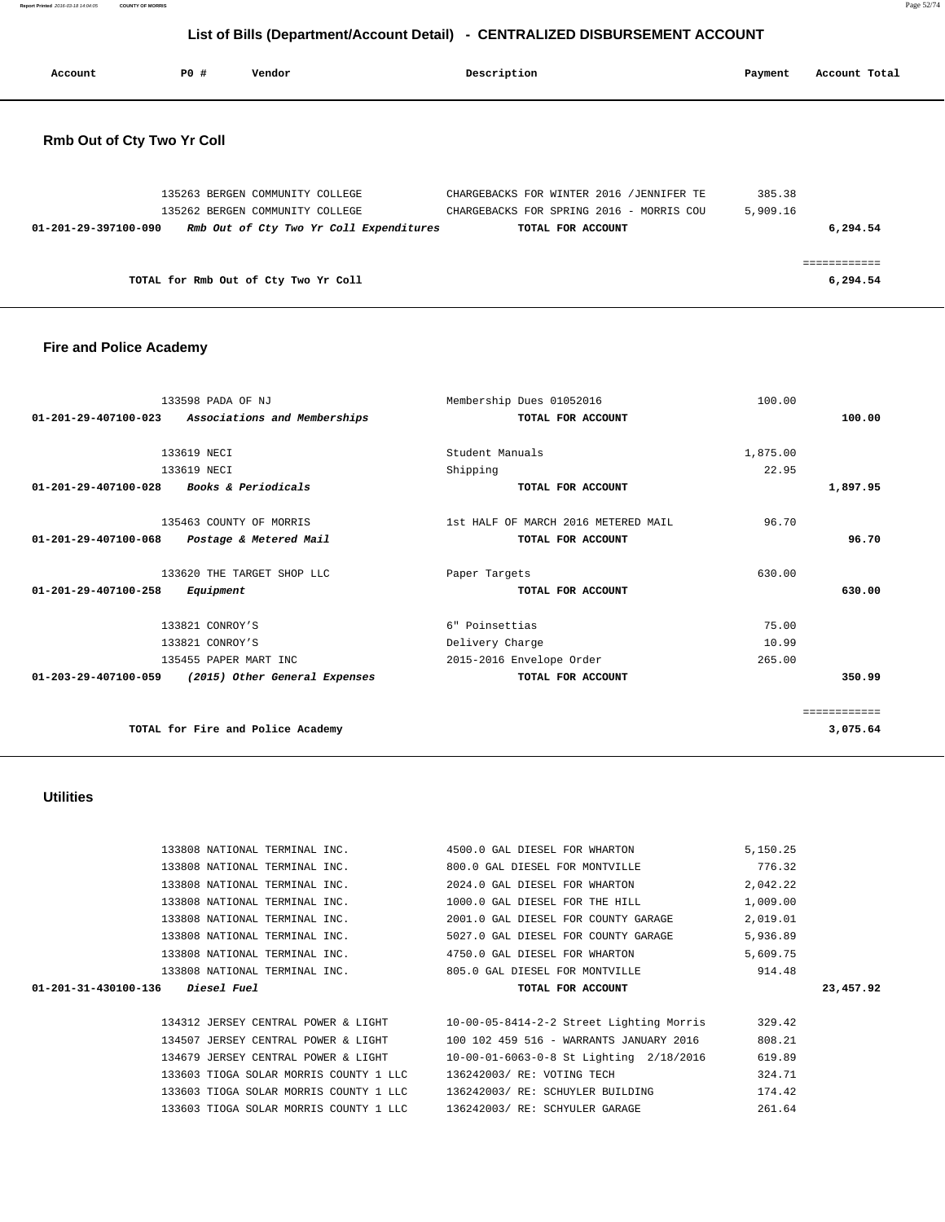**Report Printed** 2016-03-18 14:04:05 **COUNTY OF MORRIS** Page 52/74

# **List of Bills (Department/Account Detail) - CENTRALIZED DISBURSEMENT ACCOUNT**

| Account                           | PO# | Vendor | Description | Payment | Account Total |
|-----------------------------------|-----|--------|-------------|---------|---------------|
| <b>Rmb Out of Cty Two Yr Coll</b> |     |        |             |         |               |

|                                      | 135263 BERGEN COMMUNITY COLLEGE         | CHARGEBACKS FOR WINTER 2016 / JENNIFER TE | 385.38   |
|--------------------------------------|-----------------------------------------|-------------------------------------------|----------|
|                                      | 135262 BERGEN COMMUNITY COLLEGE         | CHARGEBACKS FOR SPRING 2016 - MORRIS COU  | 5,909.16 |
| 01-201-29-397100-090                 | Rmb Out of Cty Two Yr Coll Expenditures | TOTAL FOR ACCOUNT                         | 6,294.54 |
|                                      |                                         |                                           |          |
|                                      |                                         |                                           |          |
| TOTAL for Rmb Out of Cty Two Yr Coll |                                         |                                           | 6,294.54 |

### **Fire and Police Academy**

|          | 100.00   | Membership Dues 01052016            | 133598 PADA OF NJ                 |                                |
|----------|----------|-------------------------------------|-----------------------------------|--------------------------------|
| 100.00   |          | TOTAL FOR ACCOUNT                   | Associations and Memberships      | $01 - 201 - 29 - 407100 - 023$ |
|          |          |                                     |                                   |                                |
|          | 1,875.00 | Student Manuals                     | 133619 NECI                       |                                |
|          | 22.95    | Shipping                            | 133619 NECI                       |                                |
| 1,897.95 |          | TOTAL FOR ACCOUNT                   | <i>Books &amp; Periodicals</i>    | 01-201-29-407100-028           |
|          | 96.70    | 1st HALF OF MARCH 2016 METERED MAIL | 135463 COUNTY OF MORRIS           |                                |
| 96.70    |          | TOTAL FOR ACCOUNT                   |                                   | 01-201-29-407100-068           |
|          |          |                                     | Postage & Metered Mail            |                                |
|          | 630.00   | Paper Targets                       | 133620 THE TARGET SHOP LLC        |                                |
| 630.00   |          | TOTAL FOR ACCOUNT                   | Equipment                         | 01-201-29-407100-258           |
|          | 75.00    | 6" Poinsettias                      | 133821 CONROY'S                   |                                |
|          | 10.99    | Delivery Charge                     | 133821 CONROY'S                   |                                |
|          | 265.00   | 2015-2016 Envelope Order            | 135455 PAPER MART INC             |                                |
| 350.99   |          | TOTAL FOR ACCOUNT                   | (2015) Other General Expenses     | $01 - 203 - 29 - 407100 - 059$ |
|          |          |                                     |                                   |                                |
|          |          |                                     |                                   |                                |
| 3,075.64 |          |                                     | TOTAL for Fire and Police Academy |                                |
|          |          |                                     |                                   |                                |

### **Utilities**

|                                    | 133808 NATIONAL TERMINAL INC.          | 4500.0 GAL DIESEL FOR WHARTON                                                | 5,150.25 |           |
|------------------------------------|----------------------------------------|------------------------------------------------------------------------------|----------|-----------|
|                                    | 133808 NATIONAL TERMINAL INC.          | 800.0 GAL DIESEL FOR MONTVILLE                                               | 776.32   |           |
|                                    | 133808 NATIONAL TERMINAL INC.          | 2024.0 GAL DIESEL FOR WHARTON                                                | 2,042.22 |           |
|                                    | 133808 NATIONAL TERMINAL INC.          | 1000.0 GAL DIESEL FOR THE HILL                                               | 1,009.00 |           |
|                                    | 133808 NATIONAL TERMINAL INC.          | 2001.0 GAL DIESEL FOR COUNTY GARAGE                                          | 2,019.01 |           |
|                                    | 133808 NATIONAL TERMINAL INC.          | 5027.0 GAL DIESEL FOR COUNTY GARAGE                                          | 5,936.89 |           |
|                                    |                                        | 133808 NATIONAL TERMINAL INC. 4750.0 GAL DIESEL FOR WHARTON                  | 5,609.75 |           |
|                                    |                                        |                                                                              |          |           |
|                                    | 133808 NATIONAL TERMINAL INC.          | 805.0 GAL DIESEL FOR MONTVILLE                                               | 914.48   |           |
| $01-201-31-430100-136$ Diesel Fuel |                                        | TOTAL FOR ACCOUNT                                                            |          | 23,457.92 |
|                                    |                                        |                                                                              |          |           |
|                                    |                                        | 134312 JERSEY CENTRAL POWER & LIGHT 10-00-05-8414-2-2 Street Lighting Morris | 329.42   |           |
|                                    | 134507 JERSEY CENTRAL POWER & LIGHT    | 100 102 459 516 - WARRANTS JANUARY 2016                                      | 808.21   |           |
|                                    | 134679 JERSEY CENTRAL POWER & LIGHT    | 10-00-01-6063-0-8 St Lighting 2/18/2016                                      | 619.89   |           |
|                                    | 133603 TIOGA SOLAR MORRIS COUNTY 1 LLC | 136242003/ RE: VOTING TECH                                                   | 324.71   |           |
|                                    | 133603 TIOGA SOLAR MORRIS COUNTY 1 LLC | 136242003/ RE: SCHUYLER BUILDING                                             | 174.42   |           |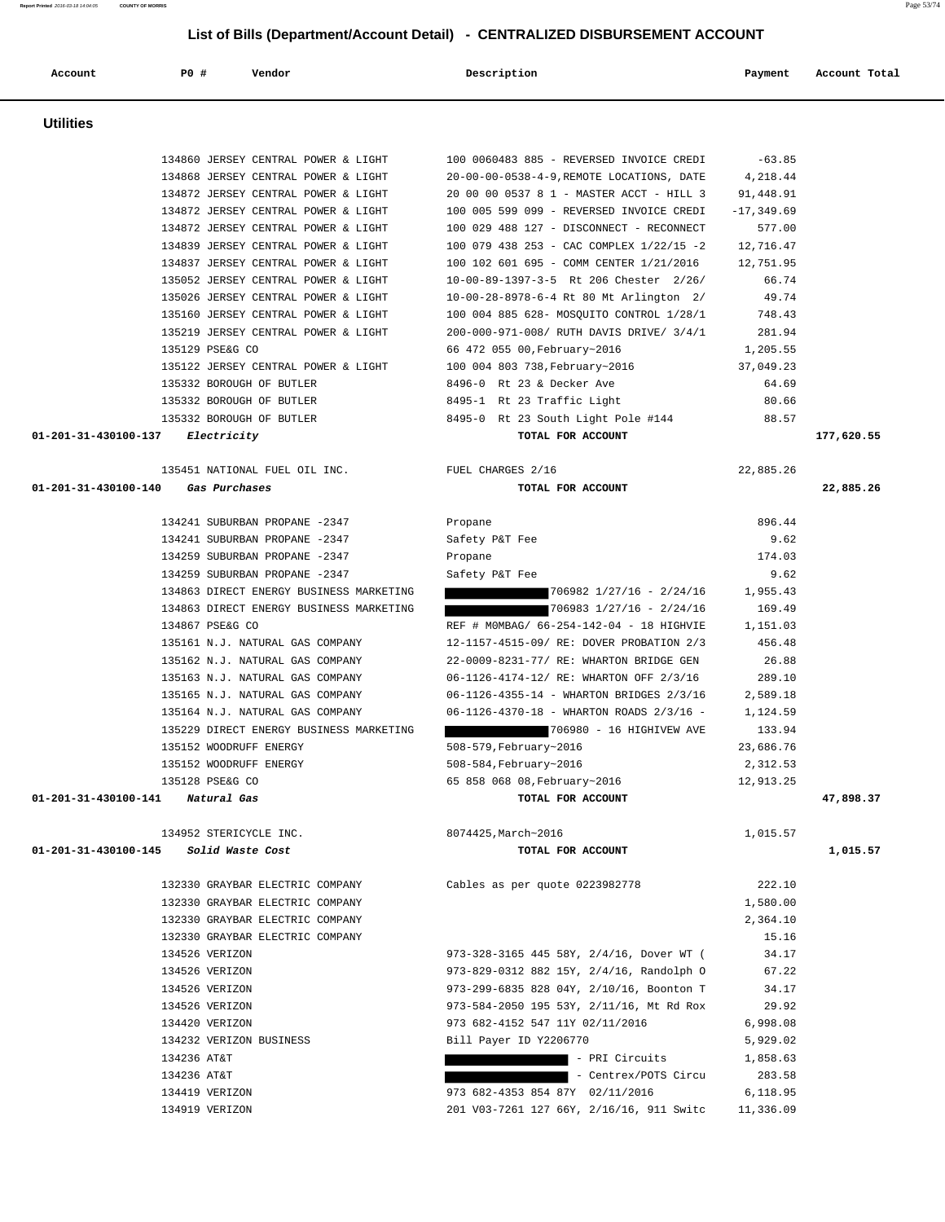| Account              | P0 #<br>Vendor                                                             | Description                                                                           | Payment               | Account Total |
|----------------------|----------------------------------------------------------------------------|---------------------------------------------------------------------------------------|-----------------------|---------------|
|                      |                                                                            |                                                                                       |                       |               |
|                      |                                                                            |                                                                                       |                       |               |
| <b>Utilities</b>     |                                                                            |                                                                                       |                       |               |
|                      |                                                                            |                                                                                       |                       |               |
|                      | 134860 JERSEY CENTRAL POWER & LIGHT                                        | 100 0060483 885 - REVERSED INVOICE CREDI                                              | $-63.85$              |               |
|                      | 134868 JERSEY CENTRAL POWER & LIGHT<br>134872 JERSEY CENTRAL POWER & LIGHT | 20-00-00-0538-4-9, REMOTE LOCATIONS, DATE<br>20 00 00 0537 8 1 - MASTER ACCT - HILL 3 | 4,218.44<br>91,448.91 |               |
|                      | 134872 JERSEY CENTRAL POWER & LIGHT                                        | 100 005 599 099 - REVERSED INVOICE CREDI                                              | $-17, 349.69$         |               |
|                      | 134872 JERSEY CENTRAL POWER & LIGHT                                        | 100 029 488 127 - DISCONNECT - RECONNECT                                              | 577.00                |               |
|                      | 134839 JERSEY CENTRAL POWER & LIGHT                                        | 100 079 438 253 - CAC COMPLEX 1/22/15 -2                                              | 12,716.47             |               |
|                      | 134837 JERSEY CENTRAL POWER & LIGHT                                        | 100 102 601 695 - COMM CENTER 1/21/2016                                               | 12,751.95             |               |
|                      | 135052 JERSEY CENTRAL POWER & LIGHT                                        | 10-00-89-1397-3-5 Rt 206 Chester 2/26/                                                | 66.74                 |               |
|                      | 135026 JERSEY CENTRAL POWER & LIGHT                                        | 10-00-28-8978-6-4 Rt 80 Mt Arlington 2/                                               | 49.74                 |               |
|                      | 135160 JERSEY CENTRAL POWER & LIGHT                                        | 100 004 885 628- MOSQUITO CONTROL 1/28/1                                              | 748.43                |               |
|                      | 135219 JERSEY CENTRAL POWER & LIGHT                                        | 200-000-971-008/ RUTH DAVIS DRIVE/ 3/4/1                                              | 281.94                |               |
|                      | 135129 PSE&G CO                                                            | 66 472 055 00, February~2016                                                          | 1,205.55              |               |
|                      | 135122 JERSEY CENTRAL POWER & LIGHT                                        | 100 004 803 738, February~2016                                                        | 37,049.23             |               |
|                      | 135332 BOROUGH OF BUTLER                                                   | 8496-0 Rt 23 & Decker Ave                                                             | 64.69                 |               |
|                      | 135332 BOROUGH OF BUTLER                                                   | 8495-1 Rt 23 Traffic Light                                                            | 80.66                 |               |
|                      | 135332 BOROUGH OF BUTLER                                                   | 8495-0 Rt 23 South Light Pole #144                                                    | 88.57                 |               |
| 01-201-31-430100-137 | Electricity                                                                | TOTAL FOR ACCOUNT                                                                     |                       | 177,620.55    |
|                      |                                                                            |                                                                                       |                       |               |
|                      | 135451 NATIONAL FUEL OIL INC.                                              | FUEL CHARGES 2/16                                                                     | 22,885.26             |               |
| 01-201-31-430100-140 | Gas Purchases                                                              | TOTAL FOR ACCOUNT                                                                     |                       | 22,885.26     |
|                      | 134241 SUBURBAN PROPANE -2347                                              | Propane                                                                               | 896.44                |               |
|                      | 134241 SUBURBAN PROPANE -2347                                              | Safety P&T Fee                                                                        | 9.62                  |               |
|                      | 134259 SUBURBAN PROPANE -2347                                              | Propane                                                                               | 174.03                |               |
|                      | 134259 SUBURBAN PROPANE -2347                                              | Safety P&T Fee                                                                        | 9.62                  |               |
|                      | 134863 DIRECT ENERGY BUSINESS MARKETING                                    | $706982$ $1/27/16$ - 2/24/16                                                          | 1,955.43              |               |
|                      | 134863 DIRECT ENERGY BUSINESS MARKETING                                    | $706983$ $1/27/16$ - 2/24/16                                                          | 169.49                |               |
|                      | 134867 PSE&G CO                                                            | REF # MOMBAG/ 66-254-142-04 - 18 HIGHVIE                                              | 1,151.03              |               |
|                      | 135161 N.J. NATURAL GAS COMPANY                                            | 12-1157-4515-09/ RE: DOVER PROBATION 2/3                                              | 456.48                |               |
|                      | 135162 N.J. NATURAL GAS COMPANY                                            | 22-0009-8231-77/ RE: WHARTON BRIDGE GEN                                               | 26.88                 |               |
|                      | 135163 N.J. NATURAL GAS COMPANY                                            | 06-1126-4174-12/ RE: WHARTON OFF 2/3/16                                               | 289.10                |               |
|                      | 135165 N.J. NATURAL GAS COMPANY                                            | 06-1126-4355-14 - WHARTON BRIDGES 2/3/16                                              | 2,589.18              |               |
|                      | 135164 N.J. NATURAL GAS COMPANY                                            | 06-1126-4370-18 - WHARTON ROADS 2/3/16 -                                              | 1,124.59              |               |
|                      | 135229 DIRECT ENERGY BUSINESS MARKETING                                    | 706980 - 16 HIGHIVEW AVE                                                              | 133.94                |               |
|                      | 135152 WOODRUFF ENERGY                                                     | 508-579, February~2016                                                                | 23,686.76             |               |
|                      | 135152 WOODRUFF ENERGY                                                     | 508-584, February~2016                                                                | 2,312.53              |               |
|                      | 135128 PSE&G CO                                                            | 65 858 068 08, February~2016                                                          | 12,913.25             |               |
|                      | 01-201-31-430100-141 Natural Gas                                           | TOTAL FOR ACCOUNT                                                                     |                       | 47,898.37     |
|                      |                                                                            |                                                                                       |                       |               |
|                      | 134952 STERICYCLE INC.                                                     | 8074425, March~2016                                                                   | 1,015.57              |               |
|                      | 01-201-31-430100-145 Solid Waste Cost                                      | TOTAL FOR ACCOUNT                                                                     |                       | 1,015.57      |
|                      | 132330 GRAYBAR ELECTRIC COMPANY                                            | Cables as per quote 0223982778                                                        | 222.10                |               |
|                      | 132330 GRAYBAR ELECTRIC COMPANY                                            |                                                                                       | 1,580.00              |               |
|                      | 132330 GRAYBAR ELECTRIC COMPANY                                            |                                                                                       | 2,364.10              |               |
|                      | 132330 GRAYBAR ELECTRIC COMPANY                                            |                                                                                       | 15.16                 |               |
|                      | 134526 VERIZON                                                             | 973-328-3165 445 58Y, 2/4/16, Dover WT (                                              | 34.17                 |               |
|                      | 134526 VERIZON                                                             | 973-829-0312 882 15Y, 2/4/16, Randolph O                                              | 67.22                 |               |
|                      | 134526 VERIZON                                                             | 973-299-6835 828 04Y, 2/10/16, Boonton T                                              | 34.17                 |               |
|                      | 134526 VERIZON                                                             | 973-584-2050 195 53Y, 2/11/16, Mt Rd Rox                                              | 29.92                 |               |
|                      | 134420 VERIZON                                                             | 973 682-4152 547 11Y 02/11/2016                                                       | 6,998.08              |               |
|                      | 134232 VERIZON BUSINESS                                                    | Bill Payer ID Y2206770                                                                | 5,929.02              |               |
|                      | 134236 AT&T                                                                | - PRI Circuits                                                                        | 1,858.63              |               |
|                      | 134236 AT&T                                                                | - Centrex/POTS Circu                                                                  | 283.58                |               |
|                      | 134419 VERIZON                                                             | 973 682-4353 854 87Y 02/11/2016                                                       | 6,118.95              |               |
|                      | 134919 VERIZON                                                             | 201 V03-7261 127 66Y, 2/16/16, 911 Switc                                              | 11,336.09             |               |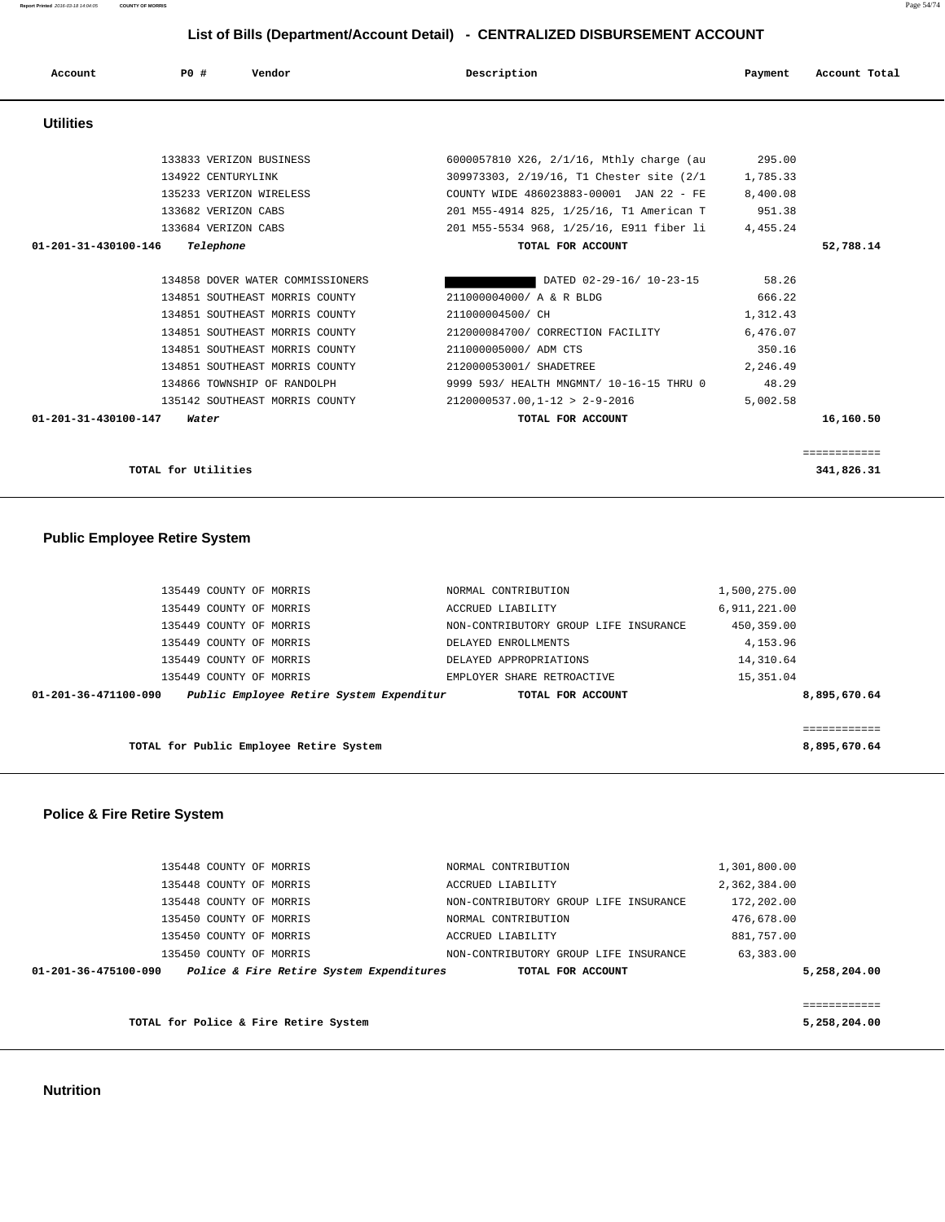#### **Nutrition**

| 476,678.00<br>NORMAL CONTRIBUTION<br>881,757.00<br>ACCRUED LIABILITY<br>63,383.00<br>NON-CONTRIBUTORY GROUP LIFE INSURANCE<br>TOTAL FOR ACCOUNT | 5,258,204.00 |
|-------------------------------------------------------------------------------------------------------------------------------------------------|--------------|
|                                                                                                                                                 |              |
|                                                                                                                                                 |              |
|                                                                                                                                                 |              |
|                                                                                                                                                 |              |
|                                                                                                                                                 |              |
| 172,202.00<br>NON-CONTRIBUTORY GROUP LIFE INSURANCE                                                                                             |              |
| 2,362,384.00<br>ACCRUED LIABILITY                                                                                                               |              |
| 1,301,800.00<br>NORMAL CONTRIBUTION                                                                                                             |              |
|                                                                                                                                                 |              |

#### **Police & Fire Retire System**

|                      | ISSIIS CUUNII UP MURRIS                  | DELAIED APPROPRIAIIONS     | 14, JIU 04   |
|----------------------|------------------------------------------|----------------------------|--------------|
|                      | 135449 COUNTY OF MORRIS                  | EMPLOYER SHARE RETROACTIVE | 15,351.04    |
| 01-201-36-471100-090 | Public Employee Retire System Expenditur | TOTAL FOR ACCOUNT          | 8,895,670.64 |
|                      |                                          |                            |              |
|                      |                                          |                            |              |
|                      | TOTAL for Public Employee Retire System  |                            | 8,895,670.64 |
|                      |                                          |                            |              |

| 135449 COUNTY OF MORRIS | NORMAL CONTRIBUTION                   | 1,500,275.00 |  |
|-------------------------|---------------------------------------|--------------|--|
| 135449 COUNTY OF MORRIS | ACCRUED LIABILITY                     | 6,911,221.00 |  |
| 135449 COUNTY OF MORRIS | NON-CONTRIBUTORY GROUP LIFE INSURANCE | 450,359.00   |  |
| 135449 COUNTY OF MORRIS | DELAYED ENROLLMENTS                   | 4, 153.96    |  |
| 135449 COUNTY OF MORRIS | DELAYED APPROPRIATIONS                | 14,310.64    |  |
| 135449 COUNTY OF MORRIS | EMPLOYER SHARE RETROACTIVE            | 15, 351.04   |  |

#### **Public Employee Retire System**

|              | 951.38   | 201 M55-4914 825, 1/25/16, T1 American T | 133682 VERIZON CABS               |
|--------------|----------|------------------------------------------|-----------------------------------|
|              | 4,455.24 | 201 M55-5534 968, 1/25/16, E911 fiber li | 133684 VERIZON CABS               |
| 52,788.14    |          | TOTAL FOR ACCOUNT                        | 01-201-31-430100-146<br>Telephone |
|              | 58.26    | DATED 02-29-16/ 10-23-15                 | 134858 DOVER WATER COMMISSIONERS  |
|              | 666.22   | 211000004000/ A & R BLDG                 | 134851 SOUTHEAST MORRIS COUNTY    |
|              | 1,312.43 | 211000004500/ CH                         | 134851 SOUTHEAST MORRIS COUNTY    |
|              | 6,476.07 | 212000084700/ CORRECTION FACILITY        | 134851 SOUTHEAST MORRIS COUNTY    |
|              | 350.16   | 211000005000/ ADM CTS                    | 134851 SOUTHEAST MORRIS COUNTY    |
|              | 2,246.49 | 212000053001/ SHADETREE                  | 134851 SOUTHEAST MORRIS COUNTY    |
|              | 48.29    | 9999 593/ HEALTH MNGMNT/ 10-16-15 THRU 0 | 134866 TOWNSHIP OF RANDOLPH       |
|              | 5,002.58 | $2120000537.00.1 - 12 > 2 - 9 - 2016$    | 135142 SOUTHEAST MORRIS COUNTY    |
| 16,160.50    |          | TOTAL FOR ACCOUNT                        | 01-201-31-430100-147<br>Water     |
|              |          |                                          |                                   |
| ============ |          |                                          |                                   |

**TOTAL for Utilities** 341,826.31

# **Utilities**  133833 VERIZON BUSINESS 6000057810 X26, 2/1/16, Mthly charge (au 295.00 134922 CENTURYLINK 309973303, 2/19/16, T1 Chester site (2/1 1,785.33 135233 VERIZON WIRELESS COUNTY WIDE 486023883-00001 JAN 22 - FE 8,400.08 133682 VERIZON CABS 201 M55-4914 825, 1/25/16, T1 American T 951.38

 **Account P0 # Vendor Description Payment Account Total**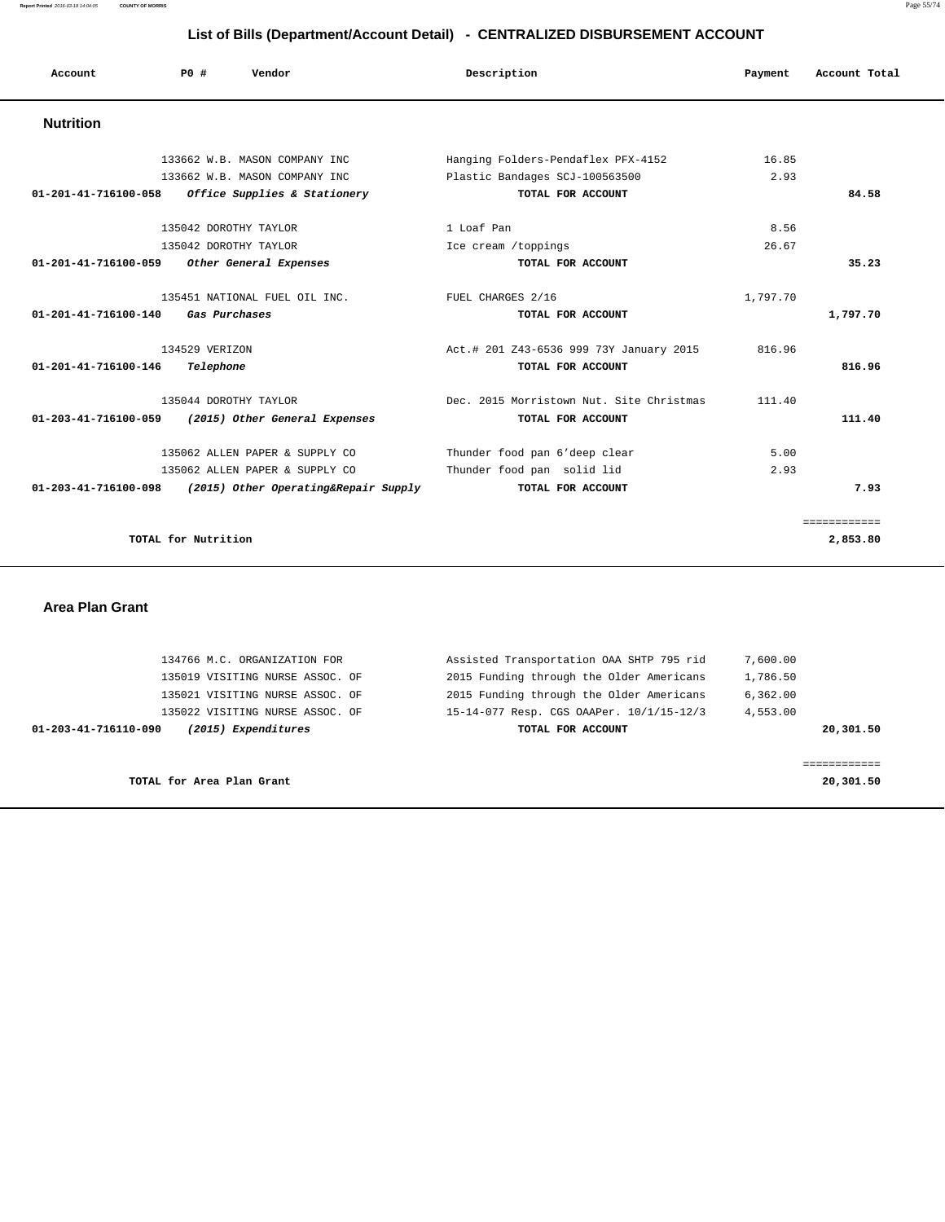| Account              | Vendor<br>PO#                        | Description                              | Payment  | Account Total |
|----------------------|--------------------------------------|------------------------------------------|----------|---------------|
| <b>Nutrition</b>     |                                      |                                          |          |               |
|                      | 133662 W.B. MASON COMPANY INC        | Hanging Folders-Pendaflex PFX-4152       | 16.85    |               |
|                      | 133662 W.B. MASON COMPANY INC        | Plastic Bandages SCJ-100563500           | 2.93     |               |
| 01-201-41-716100-058 | Office Supplies & Stationery         | TOTAL FOR ACCOUNT                        |          | 84.58         |
|                      | 135042 DOROTHY TAYLOR                | 1 Loaf Pan                               | 8.56     |               |
|                      | 135042 DOROTHY TAYLOR                | Ice cream /toppings                      | 26.67    |               |
| 01-201-41-716100-059 | Other General Expenses               | TOTAL FOR ACCOUNT                        |          | 35.23         |
|                      | 135451 NATIONAL FUEL OIL INC.        | FUEL CHARGES 2/16                        | 1,797.70 |               |
| 01-201-41-716100-140 | Gas Purchases                        | TOTAL FOR ACCOUNT                        |          | 1,797.70      |
|                      | 134529 VERIZON                       | Act.# 201 Z43-6536 999 73Y January 2015  | 816.96   |               |
| 01-201-41-716100-146 | Telephone                            | TOTAL FOR ACCOUNT                        |          | 816.96        |
|                      | 135044 DOROTHY TAYLOR                | Dec. 2015 Morristown Nut. Site Christmas | 111.40   |               |
| 01-203-41-716100-059 | (2015) Other General Expenses        | TOTAL FOR ACCOUNT                        |          | 111.40        |
|                      | 135062 ALLEN PAPER & SUPPLY CO       | Thunder food pan 6'deep clear            | 5.00     |               |
|                      | 135062 ALLEN PAPER & SUPPLY CO       | Thunder food pan solid lid               | 2.93     |               |
| 01-203-41-716100-098 | (2015) Other Operating&Repair Supply | TOTAL FOR ACCOUNT                        |          | 7.93          |
|                      |                                      |                                          |          | ============  |
|                      | TOTAL for Nutrition                  |                                          |          | 2,853.80      |
|                      |                                      |                                          |          |               |

#### **Area Plan Grant**

| 134766 M.C. ORGANIZATION FOR                | Assisted Transportation OAA SHTP 795 rid | 7,600.00  |
|---------------------------------------------|------------------------------------------|-----------|
| 135019 VISITING NURSE ASSOC. OF             | 2015 Funding through the Older Americans | 1,786.50  |
| 135021 VISITING NURSE ASSOC. OF             | 2015 Funding through the Older Americans | 6,362.00  |
| 135022 VISITING NURSE ASSOC. OF             | 15-14-077 Resp. CGS OAAPer. 10/1/15-12/3 | 4,553.00  |
| (2015) Expenditures<br>01-203-41-716110-090 | TOTAL FOR ACCOUNT                        | 20,301.50 |
|                                             |                                          |           |
|                                             |                                          |           |
| TOTAL for Area Plan Grant                   |                                          | 20,301.50 |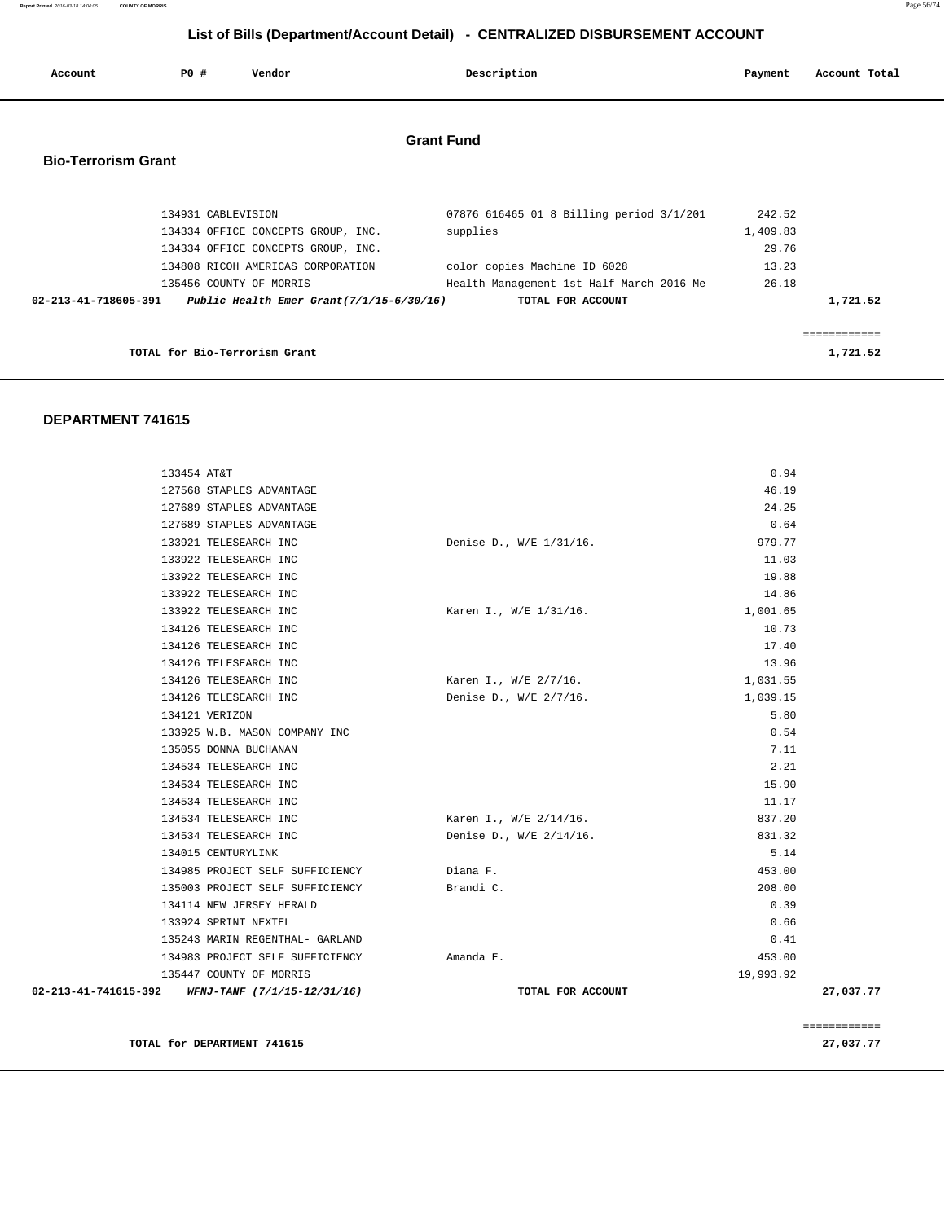**Report Printed** 2016-03-18 14:04:05 **COUNTY OF MORRIS** Page 56/74

# **List of Bills (Department/Account Detail) - CENTRALIZED DISBURSEMENT ACCOUNT**

| Account                    | PO#                | Vendor                                                                                             |                   | Description                                                              | Payment                     | Account Total           |
|----------------------------|--------------------|----------------------------------------------------------------------------------------------------|-------------------|--------------------------------------------------------------------------|-----------------------------|-------------------------|
| <b>Bio-Terrorism Grant</b> |                    |                                                                                                    | <b>Grant Fund</b> |                                                                          |                             |                         |
|                            | 134931 CABLEVISION | 134334 OFFICE CONCEPTS GROUP, INC.                                                                 | supplies          | 07876 616465 01 8 Billing period 3/1/201                                 | 242.52<br>1,409.83<br>29.76 |                         |
|                            |                    | 134334 OFFICE CONCEPTS GROUP, INC.<br>134808 RICOH AMERICAS CORPORATION<br>135456 COUNTY OF MORRIS |                   | color copies Machine ID 6028<br>Health Management 1st Half March 2016 Me | 13.23<br>26.18              |                         |
| 02-213-41-718605-391       |                    | Public Health Emer Grant $(7/1/15-6/30/16)$                                                        |                   | TOTAL FOR ACCOUNT                                                        |                             | 1,721.52<br>----------- |
|                            |                    | TOTAL for Bio-Terrorism Grant                                                                      |                   |                                                                          |                             | 1,721.52                |

#### **DEPARTMENT 741615**

|                                                                    |                         |                  | ============ |
|--------------------------------------------------------------------|-------------------------|------------------|--------------|
| 02-213-41-741615-392 WFNJ-TANF (7/1/15-12/31/16)                   | TOTAL FOR ACCOUNT       |                  | 27,037.77    |
| 135447 COUNTY OF MORRIS                                            |                         | 19,993.92        |              |
| 134983 PROJECT SELF SUFFICIENCY                                    | Amanda E.               | 453.00           |              |
| 135243 MARIN REGENTHAL- GARLAND                                    |                         | 0.41             |              |
| 133924 SPRINT NEXTEL                                               |                         | 0.66             |              |
| 134114 NEW JERSEY HERALD                                           |                         | 0.39             |              |
| 134985 PROJECT SELF SUFFICIENCY<br>135003 PROJECT SELF SUFFICIENCY | Diana F.<br>Brandi C.   | 453.00<br>208.00 |              |
| 134015 CENTURYLINK                                                 |                         |                  |              |
| 134534 TELESEARCH INC                                              | Denise D., W/E 2/14/16. | 831.32<br>5.14   |              |
| 134534 TELESEARCH INC                                              | Karen I., W/E 2/14/16.  | 837.20           |              |
| 134534 TELESEARCH INC                                              |                         | 11.17            |              |
| 134534 TELESEARCH INC                                              |                         | 15.90            |              |
| 134534 TELESEARCH INC                                              |                         | 2.21             |              |
| 135055 DONNA BUCHANAN                                              |                         | 7.11             |              |
| 133925 W.B. MASON COMPANY INC                                      |                         | 0.54             |              |
| 134121 VERIZON                                                     |                         | 5.80             |              |
| 134126 TELESEARCH INC                                              | Denise D., W/E 2/7/16.  | 1,039.15         |              |
| 134126 TELESEARCH INC                                              | Karen I., W/E 2/7/16.   | 1,031.55         |              |
| 134126 TELESEARCH INC                                              |                         | 13.96            |              |
| 134126 TELESEARCH INC                                              |                         | 17.40            |              |
| 134126 TELESEARCH INC                                              |                         | 10.73            |              |
| 133922 TELESEARCH INC                                              | Karen I., W/E 1/31/16.  | 1,001.65         |              |
| 133922 TELESEARCH INC                                              |                         | 14.86            |              |
| 133922 TELESEARCH INC                                              |                         | 19.88            |              |
| 133922 TELESEARCH INC                                              |                         | 11.03            |              |
| 133921 TELESEARCH INC                                              | Denise D., W/E 1/31/16. | 979.77           |              |
| 127689 STAPLES ADVANTAGE                                           |                         | 0.64             |              |
| 127689 STAPLES ADVANTAGE                                           |                         | 24.25            |              |
| 127568 STAPLES ADVANTAGE                                           |                         | 46.19            |              |
| 133454 AT&T                                                        |                         | 0.94             |              |
|                                                                    |                         |                  |              |

**TOTAL for DEPARTMENT 741615** 27,037.77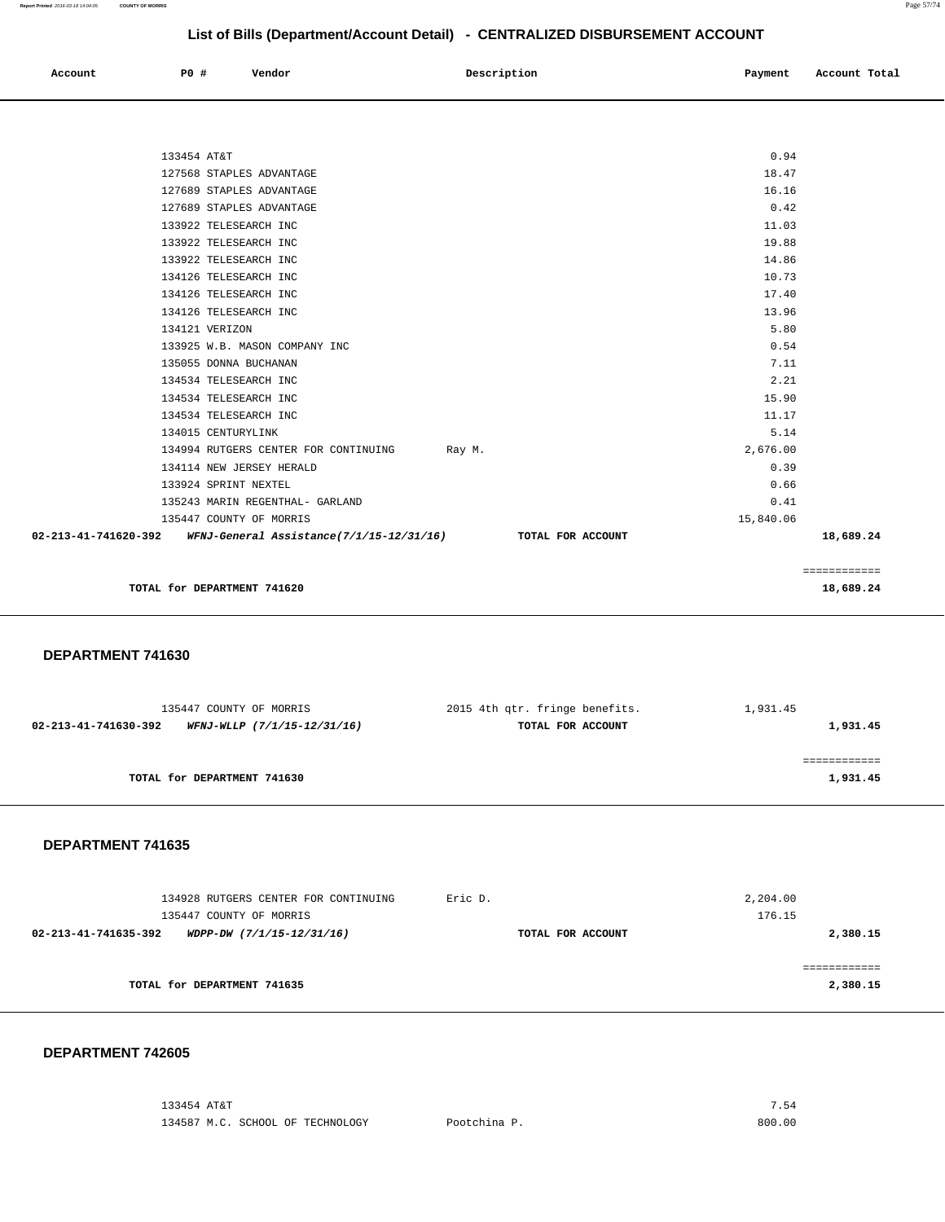| Account | <b>PO #</b> | Vendor | Description | Payment | Account Total |
|---------|-------------|--------|-------------|---------|---------------|
|         |             |        |             |         |               |

| $02-213-41-741620-392$ WFNJ-General Assistance(7/1/15-12/31/16) TOTAL FOR ACCOUNT |           | 18,689.24 |
|-----------------------------------------------------------------------------------|-----------|-----------|
| 135447 COUNTY OF MORRIS                                                           | 15,840.06 |           |
| 135243 MARIN REGENTHAL- GARLAND                                                   | 0.41      |           |
| 133924 SPRINT NEXTEL                                                              | 0.66      |           |
| 134114 NEW JERSEY HERALD                                                          | 0.39      |           |
| 134994 RUTGERS CENTER FOR CONTINUING Ray M.                                       | 2,676.00  |           |
| 134015 CENTURYLINK                                                                | 5.14      |           |
| 134534 TELESEARCH INC                                                             | 11.17     |           |
| 134534 TELESEARCH INC                                                             | 15.90     |           |
| 134534 TELESEARCH INC                                                             | 2.21      |           |
| 135055 DONNA BUCHANAN                                                             | 7.11      |           |
| 133925 W.B. MASON COMPANY INC                                                     | 0.54      |           |
| 134121 VERIZON                                                                    | 5.80      |           |
| 134126 TELESEARCH INC                                                             | 13.96     |           |
| 134126 TELESEARCH INC                                                             | 17.40     |           |
| 134126 TELESEARCH INC                                                             | 10.73     |           |
| 133922 TELESEARCH INC                                                             | 14.86     |           |
| 133922 TELESEARCH INC                                                             | 19.88     |           |
| 133922 TELESEARCH INC                                                             | 11.03     |           |
| 127689 STAPLES ADVANTAGE                                                          | 0.42      |           |
| 127689 STAPLES ADVANTAGE                                                          | 16.16     |           |
| 127568 STAPLES ADVANTAGE                                                          | 18.47     |           |
| 133454 AT&T                                                                       | 0.94      |           |

 **DEPARTMENT 741630** 

| 135447 COUNTY OF MORRIS     |                             | 2015 4th qtr. fringe benefits. | 1,931.45 |
|-----------------------------|-----------------------------|--------------------------------|----------|
| 02-213-41-741630-392        | WFNJ-WLLP (7/1/15-12/31/16) | TOTAL FOR ACCOUNT              | 1,931.45 |
|                             |                             |                                |          |
|                             |                             |                                |          |
| TOTAL for DEPARTMENT 741630 |                             |                                | 1,931.45 |
|                             |                             |                                |          |

 **DEPARTMENT 741635** 

| 134928 RUTGERS CENTER FOR CONTINUING<br>135447 COUNTY OF MORRIS | Eric D.           | 2,204.00<br>176.15 |
|-----------------------------------------------------------------|-------------------|--------------------|
| 02-213-41-741635-392<br>WDPP-DW (7/1/15-12/31/16)               | TOTAL FOR ACCOUNT | 2,380.15           |
|                                                                 |                   |                    |
| TOTAL for DEPARTMENT 741635                                     |                   | 2,380.15           |

#### **DEPARTMENT 742605**

 133454 AT&T 7.54 134587 M.C. SCHOOL OF TECHNOLOGY Pootchina P. 800.00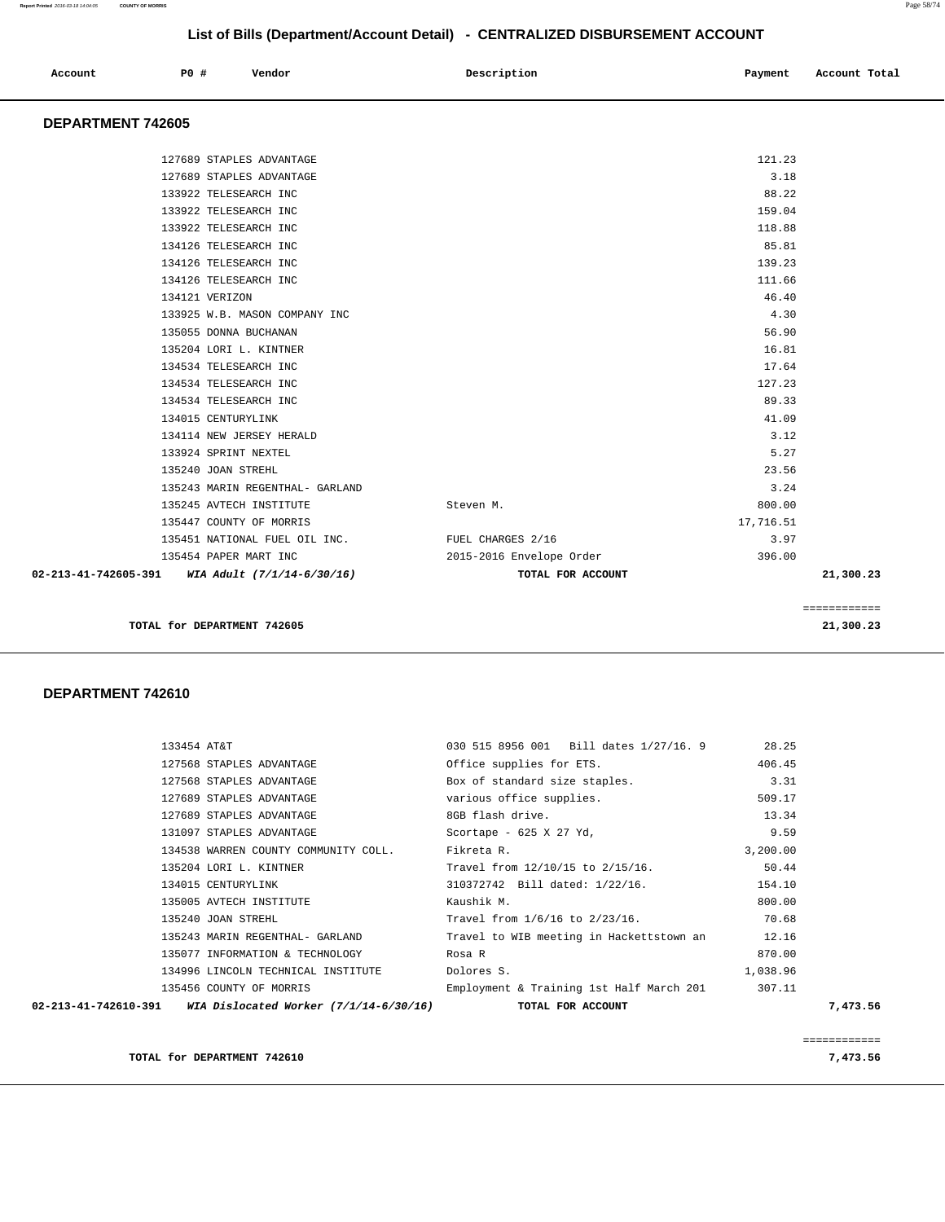| Account | PO# | Vendor | Description | Payment | Account Total |
|---------|-----|--------|-------------|---------|---------------|
|         |     |        |             |         |               |

### **DEPARTMENT 742605**

| 02-213-41-742605-391<br>WIA Adult (7/1/14-6/30/16) | TOTAL FOR ACCOUNT        |           | 21,300.23 |
|----------------------------------------------------|--------------------------|-----------|-----------|
| 135454 PAPER MART INC                              | 2015-2016 Envelope Order | 396.00    |           |
| 135451 NATIONAL FUEL OIL INC.                      | FUEL CHARGES 2/16        | 3.97      |           |
| 135447 COUNTY OF MORRIS                            |                          | 17,716.51 |           |
| 135245 AVTECH INSTITUTE                            | Steven M.                | 800.00    |           |
| 135243 MARIN REGENTHAL- GARLAND                    |                          | 3.24      |           |
| 135240 JOAN STREHL                                 |                          | 23.56     |           |
| 133924 SPRINT NEXTEL                               |                          | 5.27      |           |
| 134114 NEW JERSEY HERALD                           |                          | 3.12      |           |
| 134015 CENTURYLINK                                 |                          | 41.09     |           |
| 134534 TELESEARCH INC                              |                          | 89.33     |           |
| 134534 TELESEARCH INC                              |                          | 127.23    |           |
| 134534 TELESEARCH INC                              |                          | 17.64     |           |
| 135204 LORI L. KINTNER                             |                          | 16.81     |           |
| 135055 DONNA BUCHANAN                              |                          | 56.90     |           |
| 133925 W.B. MASON COMPANY INC                      |                          | 4.30      |           |
| 134121 VERIZON                                     |                          | 46.40     |           |
| 134126 TELESEARCH INC                              |                          | 111.66    |           |
| 134126 TELESEARCH INC                              |                          | 139.23    |           |
| 134126 TELESEARCH INC                              |                          | 85.81     |           |
| 133922 TELESEARCH INC                              |                          | 118.88    |           |
| 133922 TELESEARCH INC                              |                          | 159.04    |           |
| 133922 TELESEARCH INC                              |                          | 88.22     |           |
| 127689 STAPLES ADVANTAGE                           |                          | 3.18      |           |
| 127689 STAPLES ADVANTAGE                           |                          | 121.23    |           |
|                                                    |                          |           |           |

**TOTAL for DEPARTMENT 742605 21,300.23**

#### **DEPARTMENT 742610**

| WIA Dislocated Worker $(7/1/14-6/30/16)$<br>02-213-41-742610-391 | TOTAL FOR ACCOUNT                               |          | 7,473.56 |
|------------------------------------------------------------------|-------------------------------------------------|----------|----------|
| 135456 COUNTY OF MORRIS                                          | Employment & Training 1st Half March 201 307.11 |          |          |
| 134996 LINCOLN TECHNICAL INSTITUTE                               | Dolores S.                                      | 1,038.96 |          |
| 135077 INFORMATION & TECHNOLOGY                                  | Rosa R                                          | 870.00   |          |
| 135243 MARIN REGENTHAL- GARLAND                                  | Travel to WIB meeting in Hackettstown an 12.16  |          |          |
| 135240 JOAN STREHL                                               | Travel from 1/6/16 to 2/23/16.                  | 70.68    |          |
| 135005 AVTECH INSTITUTE                                          | Kaushik M.                                      | 800.00   |          |
| 134015 CENTURYLINK                                               | 310372742 Bill dated: 1/22/16.                  | 154.10   |          |
| 135204 LORI L. KINTNER                                           | Travel from 12/10/15 to 2/15/16.                | 50.44    |          |
| 134538 WARREN COUNTY COMMUNITY COLL.                             | Fikreta R.                                      | 3,200.00 |          |
| 131097 STAPLES ADVANTAGE                                         | Scortape - 625 X 27 Yd,                         | 9.59     |          |
| 127689 STAPLES ADVANTAGE                                         | 8GB flash drive.                                | 13.34    |          |
| 127689 STAPLES ADVANTAGE                                         | various office supplies.                        | 509.17   |          |
| 127568 STAPLES ADVANTAGE                                         | Box of standard size staples.                   | 3.31     |          |
| 127568 STAPLES ADVANTAGE                                         | Office supplies for ETS.                        | 406.45   |          |
| 133454 AT&T                                                      | 030 515 8956 001 Bill dates 1/27/16. 9 28.25    |          |          |
|                                                                  |                                                 |          |          |

============

 ============ **TOTAL for DEPARTMENT 742610** 7,473.56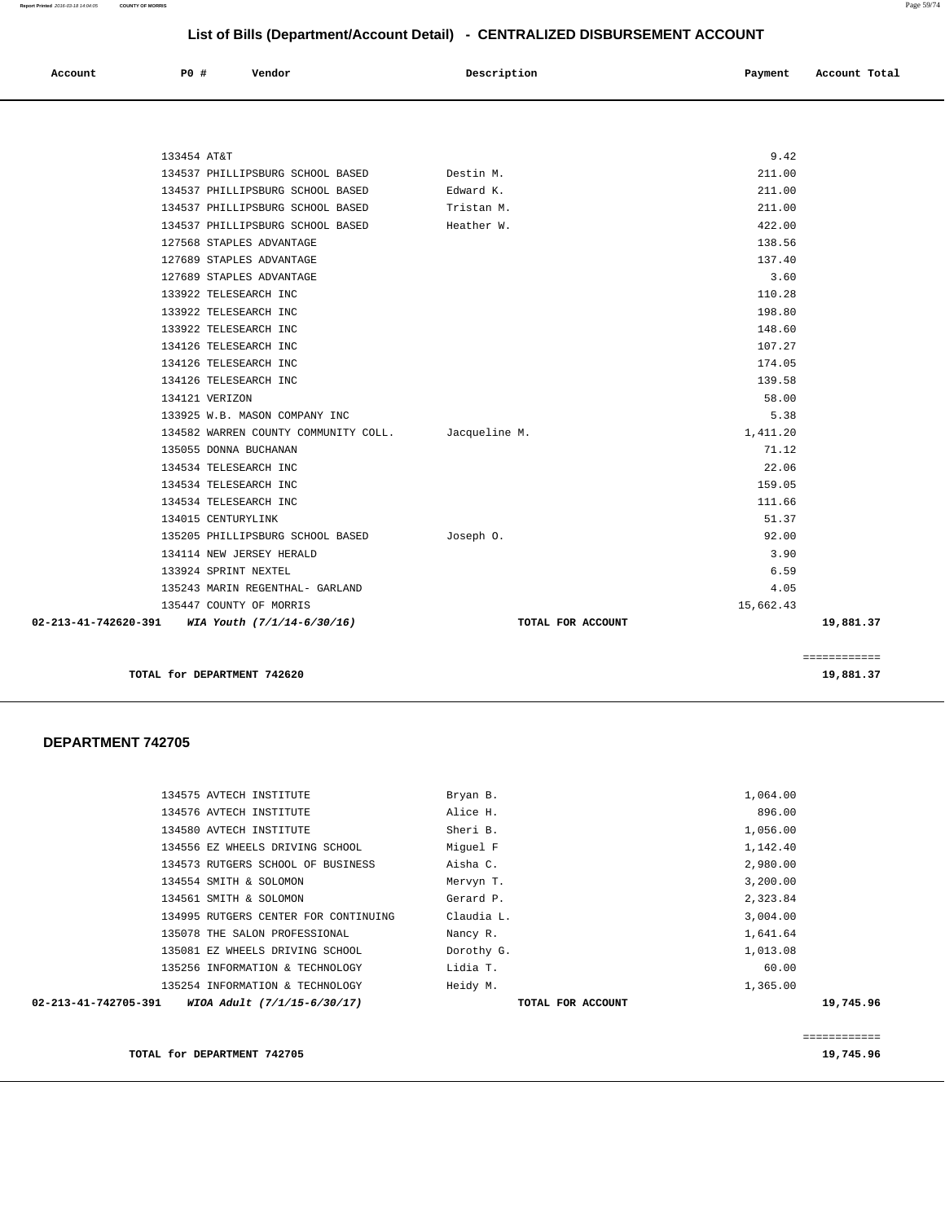**Report Printed** 2016-03-18 14:04:05 **COUNTY OF MORRIS** Page 59/74

# **List of Bills (Department/Account Detail) - CENTRALIZED DISBURSEMENT ACCOUNT**

| $\sim$ $\sim$<br>. | Account | P0 # | Vendor | Description | Payment | Account Total |
|--------------------|---------|------|--------|-------------|---------|---------------|
|                    |         |      |        |             |         |               |

| 02-213-41-742620-391 WIA Youth (7/1/14-6/30/16) | TOTAL FOR ACCOUNT                                                                                                                                                                                                                                                                                                                                                                                                                                                                                                                                                                                                                                                                                                                        |                                                                                             | 19,881.37                                              |
|-------------------------------------------------|------------------------------------------------------------------------------------------------------------------------------------------------------------------------------------------------------------------------------------------------------------------------------------------------------------------------------------------------------------------------------------------------------------------------------------------------------------------------------------------------------------------------------------------------------------------------------------------------------------------------------------------------------------------------------------------------------------------------------------------|---------------------------------------------------------------------------------------------|--------------------------------------------------------|
|                                                 |                                                                                                                                                                                                                                                                                                                                                                                                                                                                                                                                                                                                                                                                                                                                          | 15,662.43                                                                                   |                                                        |
|                                                 |                                                                                                                                                                                                                                                                                                                                                                                                                                                                                                                                                                                                                                                                                                                                          | 4.05                                                                                        |                                                        |
|                                                 |                                                                                                                                                                                                                                                                                                                                                                                                                                                                                                                                                                                                                                                                                                                                          | 6.59                                                                                        |                                                        |
|                                                 |                                                                                                                                                                                                                                                                                                                                                                                                                                                                                                                                                                                                                                                                                                                                          | 3.90                                                                                        |                                                        |
|                                                 | Joseph 0.                                                                                                                                                                                                                                                                                                                                                                                                                                                                                                                                                                                                                                                                                                                                | 92.00                                                                                       |                                                        |
|                                                 |                                                                                                                                                                                                                                                                                                                                                                                                                                                                                                                                                                                                                                                                                                                                          | 51.37                                                                                       |                                                        |
|                                                 |                                                                                                                                                                                                                                                                                                                                                                                                                                                                                                                                                                                                                                                                                                                                          | 111.66                                                                                      |                                                        |
|                                                 |                                                                                                                                                                                                                                                                                                                                                                                                                                                                                                                                                                                                                                                                                                                                          | 159.05                                                                                      |                                                        |
|                                                 |                                                                                                                                                                                                                                                                                                                                                                                                                                                                                                                                                                                                                                                                                                                                          | 22.06                                                                                       |                                                        |
|                                                 |                                                                                                                                                                                                                                                                                                                                                                                                                                                                                                                                                                                                                                                                                                                                          | 71.12                                                                                       |                                                        |
|                                                 |                                                                                                                                                                                                                                                                                                                                                                                                                                                                                                                                                                                                                                                                                                                                          | 1,411.20                                                                                    |                                                        |
|                                                 |                                                                                                                                                                                                                                                                                                                                                                                                                                                                                                                                                                                                                                                                                                                                          | 5.38                                                                                        |                                                        |
|                                                 |                                                                                                                                                                                                                                                                                                                                                                                                                                                                                                                                                                                                                                                                                                                                          | 58.00                                                                                       |                                                        |
|                                                 |                                                                                                                                                                                                                                                                                                                                                                                                                                                                                                                                                                                                                                                                                                                                          | 139.58                                                                                      |                                                        |
|                                                 |                                                                                                                                                                                                                                                                                                                                                                                                                                                                                                                                                                                                                                                                                                                                          | 174.05                                                                                      |                                                        |
|                                                 |                                                                                                                                                                                                                                                                                                                                                                                                                                                                                                                                                                                                                                                                                                                                          | 107.27                                                                                      |                                                        |
|                                                 |                                                                                                                                                                                                                                                                                                                                                                                                                                                                                                                                                                                                                                                                                                                                          | 148.60                                                                                      |                                                        |
|                                                 |                                                                                                                                                                                                                                                                                                                                                                                                                                                                                                                                                                                                                                                                                                                                          | 198.80                                                                                      |                                                        |
|                                                 |                                                                                                                                                                                                                                                                                                                                                                                                                                                                                                                                                                                                                                                                                                                                          | 110.28                                                                                      |                                                        |
|                                                 |                                                                                                                                                                                                                                                                                                                                                                                                                                                                                                                                                                                                                                                                                                                                          | 3.60                                                                                        |                                                        |
|                                                 |                                                                                                                                                                                                                                                                                                                                                                                                                                                                                                                                                                                                                                                                                                                                          |                                                                                             |                                                        |
|                                                 |                                                                                                                                                                                                                                                                                                                                                                                                                                                                                                                                                                                                                                                                                                                                          |                                                                                             |                                                        |
|                                                 |                                                                                                                                                                                                                                                                                                                                                                                                                                                                                                                                                                                                                                                                                                                                          |                                                                                             |                                                        |
|                                                 |                                                                                                                                                                                                                                                                                                                                                                                                                                                                                                                                                                                                                                                                                                                                          |                                                                                             |                                                        |
|                                                 | Edward K.                                                                                                                                                                                                                                                                                                                                                                                                                                                                                                                                                                                                                                                                                                                                | 211.00                                                                                      |                                                        |
|                                                 |                                                                                                                                                                                                                                                                                                                                                                                                                                                                                                                                                                                                                                                                                                                                          |                                                                                             |                                                        |
|                                                 | 133454 AT&T<br>134537 PHILLIPSBURG SCHOOL BASED<br>134537 PHILLIPSBURG SCHOOL BASED<br>134537 PHILLIPSBURG SCHOOL BASED<br>134537 PHILLIPSBURG SCHOOL BASED<br>127568 STAPLES ADVANTAGE<br>127689 STAPLES ADVANTAGE<br>127689 STAPLES ADVANTAGE<br>133922 TELESEARCH INC<br>133922 TELESEARCH INC<br>133922 TELESEARCH INC<br>134126 TELESEARCH INC<br>134126 TELESEARCH INC<br>134126 TELESEARCH INC<br>134121 VERIZON<br>133925 W.B. MASON COMPANY INC<br>135055 DONNA BUCHANAN<br>134534 TELESEARCH INC<br>134534 TELESEARCH INC<br>134534 TELESEARCH INC<br>134015 CENTURYLINK<br>135205 PHILLIPSBURG SCHOOL BASED<br>134114 NEW JERSEY HERALD<br>133924 SPRINT NEXTEL<br>135243 MARIN REGENTHAL- GARLAND<br>135447 COUNTY OF MORRIS | Destin M.<br>Tristan M.<br>Heather W.<br>134582 WARREN COUNTY COMMUNITY COLL. Jacqueline M. | 9.42<br>211.00<br>211.00<br>422.00<br>138.56<br>137.40 |

**TOTAL for DEPARTMENT 742620 19,881.37** 

#### **DEPARTMENT 742705**

| 02-213-41-742705-391 | WIOA Adult (7/1/15-6/30/17)          | TOTAL FOR ACCOUNT | 19,745.96 |
|----------------------|--------------------------------------|-------------------|-----------|
|                      | 135254 INFORMATION & TECHNOLOGY      | Heidy M.          | 1,365.00  |
|                      | 135256 INFORMATION & TECHNOLOGY      | Lidia T.          | 60.00     |
|                      | 135081 EZ WHEELS DRIVING SCHOOL      | Dorothy G.        | 1,013.08  |
|                      | 135078 THE SALON PROFESSIONAL        | Nancy R.          | 1,641.64  |
|                      | 134995 RUTGERS CENTER FOR CONTINUING | Claudia L.        | 3,004.00  |
|                      | 134561 SMITH & SOLOMON               | Gerard P.         | 2,323.84  |
|                      | 134554 SMITH & SOLOMON               | Mervyn T.         | 3,200.00  |
|                      | 134573 RUTGERS SCHOOL OF BUSINESS    | Aisha C.          | 2,980.00  |
|                      | 134556 EZ WHEELS DRIVING SCHOOL      | Miquel F          | 1,142.40  |
|                      | 134580 AVTECH INSTITUTE              | Sheri B.          | 1,056.00  |
|                      | 134576 AVTECH INSTITUTE              | Alice H.          | 896.00    |
|                      | 134575 AVTECH INSTITUTE              | Bryan B.          | 1,064.00  |
|                      |                                      |                   |           |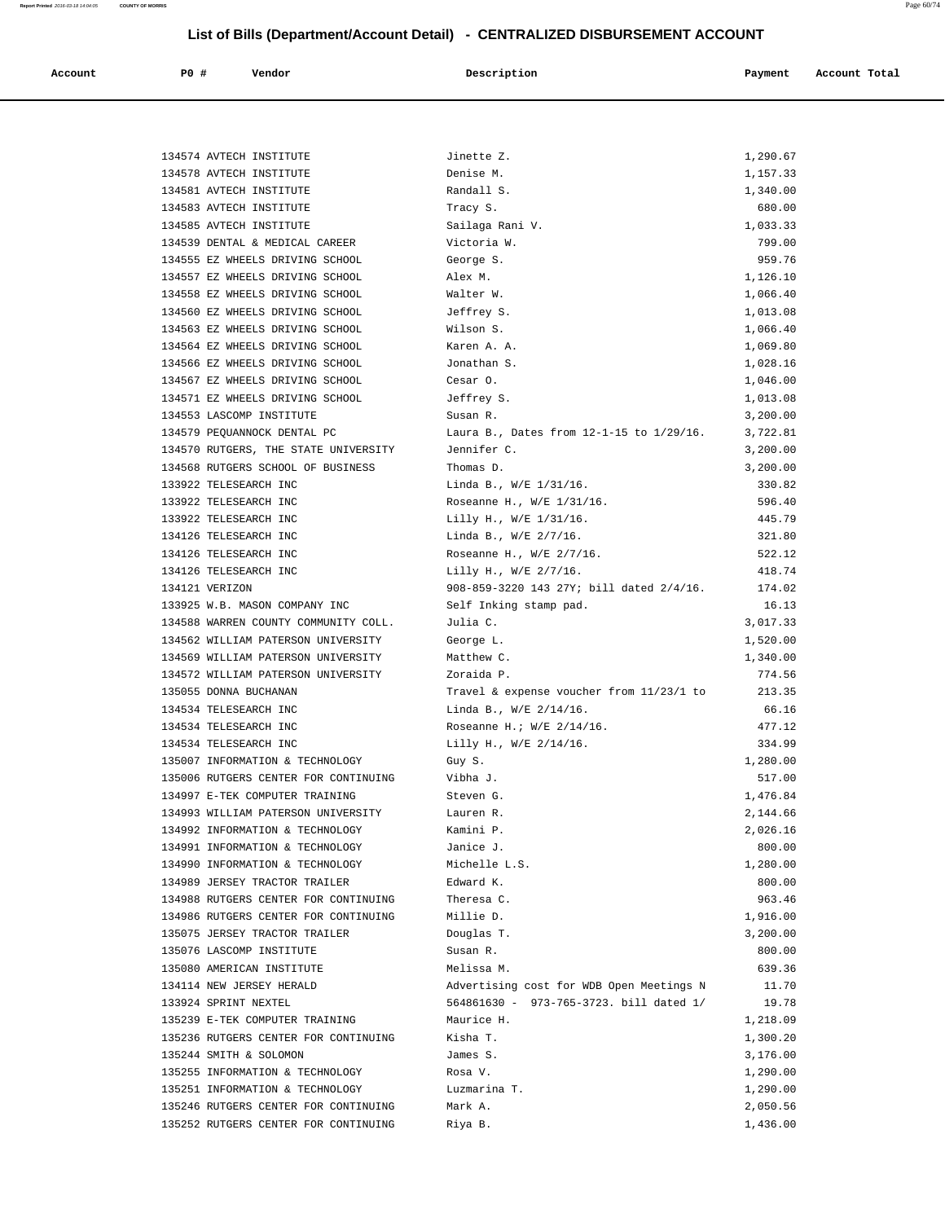| Account | P0 # | Vendor | Description | Payment | Account Total |
|---------|------|--------|-------------|---------|---------------|

| 134574 AVTECH INSTITUTE                                            | Jinette Z.                               | 1,290.67             |
|--------------------------------------------------------------------|------------------------------------------|----------------------|
| 134578 AVTECH INSTITUTE                                            | Denise M.                                | 1,157.33             |
| 134581 AVTECH INSTITUTE                                            | Randall S.                               | 1,340.00             |
| 134583 AVTECH INSTITUTE                                            | Tracy S.                                 | 680.00               |
| 134585 AVTECH INSTITUTE                                            | Sailaga Rani V.                          | 1,033.33             |
| 134539 DENTAL & MEDICAL CAREER<br>134555 EZ WHEELS DRIVING SCHOOL  | Victoria W.<br>George S.                 | 799.00<br>959.76     |
| 134557 EZ WHEELS DRIVING SCHOOL                                    | Alex M.                                  | 1,126.10             |
| 134558 EZ WHEELS DRIVING SCHOOL                                    | Walter W.                                | 1,066.40             |
| 134560 EZ WHEELS DRIVING SCHOOL                                    | Jeffrey S.                               | 1,013.08             |
| 134563 EZ WHEELS DRIVING SCHOOL                                    | Wilson S.                                | 1,066.40             |
| 134564 EZ WHEELS DRIVING SCHOOL                                    | Karen A. A.                              | 1,069.80             |
| 134566 EZ WHEELS DRIVING SCHOOL                                    | Jonathan S.                              | 1,028.16             |
| 134567 EZ WHEELS DRIVING SCHOOL                                    | Cesar O.                                 | 1,046.00             |
| 134571 EZ WHEELS DRIVING SCHOOL                                    | Jeffrey S.                               | 1,013.08             |
| 134553 LASCOMP INSTITUTE                                           | Susan R.                                 | 3,200.00             |
| 134579 PEQUANNOCK DENTAL PC                                        | Laura B., Dates from 12-1-15 to 1/29/16. | 3,722.81             |
| 134570 RUTGERS, THE STATE UNIVERSITY                               | Jennifer C.                              | 3,200.00             |
| 134568 RUTGERS SCHOOL OF BUSINESS                                  | Thomas D.                                | 3,200.00             |
| 133922 TELESEARCH INC                                              | Linda B., W/E 1/31/16.                   | 330.82               |
| 133922 TELESEARCH INC                                              | Roseanne H., W/E 1/31/16.                | 596.40               |
| 133922 TELESEARCH INC                                              | Lilly H., W/E 1/31/16.                   | 445.79               |
| 134126 TELESEARCH INC                                              | Linda B., W/E 2/7/16.                    | 321.80               |
| 134126 TELESEARCH INC                                              | Roseanne H., W/E 2/7/16.                 | 522.12               |
| 134126 TELESEARCH INC                                              | Lilly H., W/E 2/7/16.                    | 418.74               |
| 134121 VERIZON                                                     | 908-859-3220 143 27Y; bill dated 2/4/16. | 174.02               |
| 133925 W.B. MASON COMPANY INC                                      | Self Inking stamp pad.                   | 16.13                |
| 134588 WARREN COUNTY COMMUNITY COLL.                               | Julia C.                                 | 3,017.33             |
| 134562 WILLIAM PATERSON UNIVERSITY                                 | George L.                                | 1,520.00             |
| 134569 WILLIAM PATERSON UNIVERSITY                                 | Matthew C.                               | 1,340.00             |
| 134572 WILLIAM PATERSON UNIVERSITY                                 | Zoraida P.                               | 774.56               |
| 135055 DONNA BUCHANAN                                              | Travel & expense voucher from 11/23/1 to | 213.35               |
| 134534 TELESEARCH INC                                              | Linda B., W/E 2/14/16.                   | 66.16                |
| 134534 TELESEARCH INC                                              | Roseanne H.; $W/E$ 2/14/16.              | 477.12               |
| 134534 TELESEARCH INC                                              | Lilly H., W/E 2/14/16.                   | 334.99               |
| 135007 INFORMATION & TECHNOLOGY                                    | Guy S.                                   | 1,280.00             |
| 135006 RUTGERS CENTER FOR CONTINUING                               | Vibha J.                                 | 517.00               |
| 134997 E-TEK COMPUTER TRAINING                                     | Steven G.                                | 1,476.84             |
| 134993 WILLIAM PATERSON UNIVERSITY                                 | Lauren R.                                | 2,144.66<br>2,026.16 |
| 134992 INFORMATION & TECHNOLOGY<br>134991 INFORMATION & TECHNOLOGY | Kamini P.<br>Janice J.                   | 800.00               |
| 134990 INFORMATION & TECHNOLOGY                                    | Michelle L.S.                            | 1,280.00             |
| 134989 JERSEY TRACTOR TRAILER                                      | Edward K.                                | 800.00               |
| 134988 RUTGERS CENTER FOR CONTINUING                               | Theresa C.                               | 963.46               |
| 134986 RUTGERS CENTER FOR CONTINUING                               | Millie D.                                | 1,916.00             |
| 135075 JERSEY TRACTOR TRAILER                                      | Douglas T.                               | 3,200.00             |
| 135076 LASCOMP INSTITUTE                                           | Susan R.                                 | 800.00               |
| 135080 AMERICAN INSTITUTE                                          | Melissa M.                               | 639.36               |
| 134114 NEW JERSEY HERALD                                           | Advertising cost for WDB Open Meetings N | 11.70                |
| 133924 SPRINT NEXTEL                                               | 564861630 - 973-765-3723. bill dated 1/  | 19.78                |
| 135239 E-TEK COMPUTER TRAINING                                     | Maurice H.                               | 1,218.09             |
| 135236 RUTGERS CENTER FOR CONTINUING                               | Kisha T.                                 | 1,300.20             |
| 135244 SMITH & SOLOMON                                             | James S.                                 | 3,176.00             |
| 135255 INFORMATION & TECHNOLOGY                                    | Rosa V.                                  | 1,290.00             |
| 135251 INFORMATION & TECHNOLOGY                                    | Luzmarina T.                             | 1,290.00             |
| 135246 RUTGERS CENTER FOR CONTINUING                               | Mark A.                                  | 2,050.56             |
| 135252 RUTGERS CENTER FOR CONTINUING                               | Riya B.                                  | 1,436.00             |
|                                                                    |                                          |                      |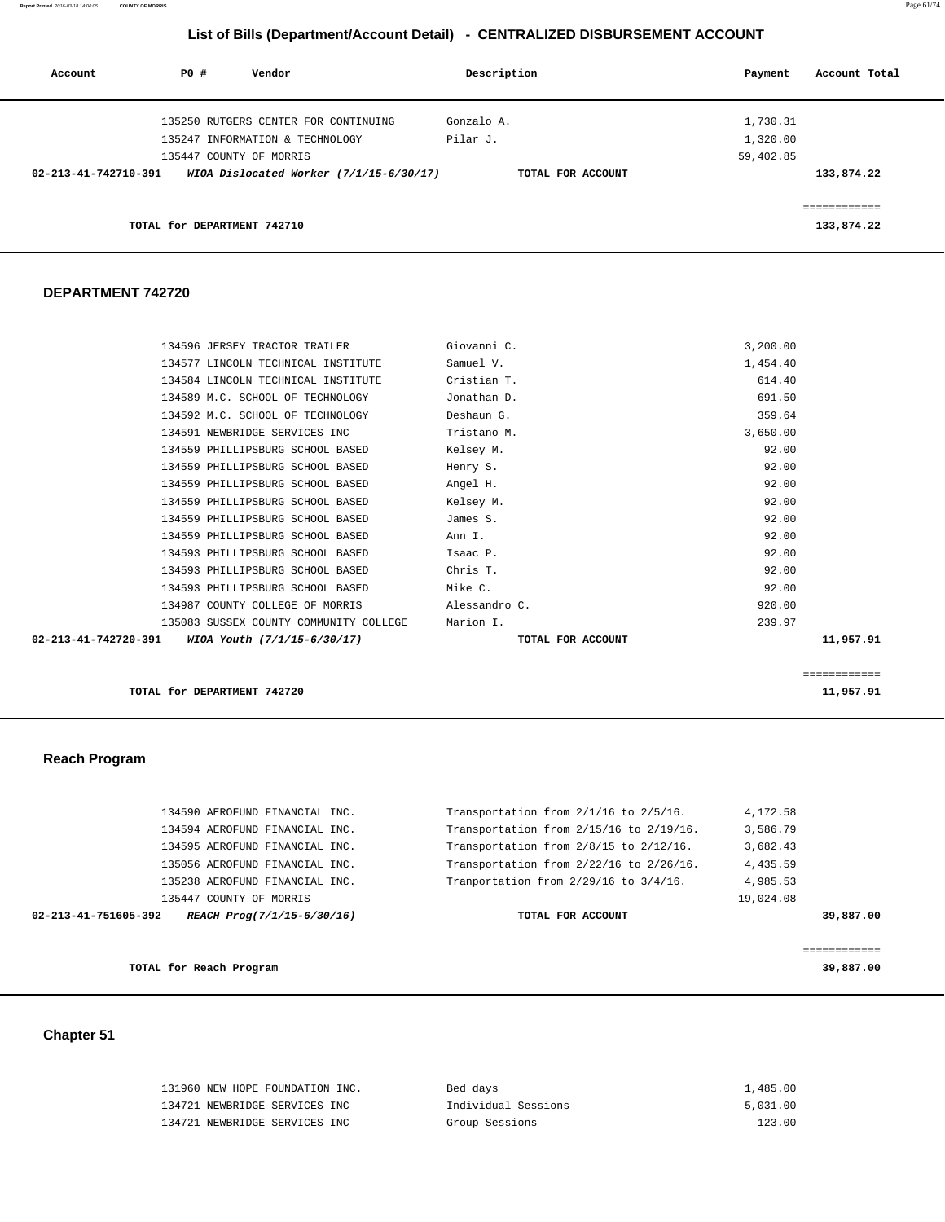**Report Printed** 2016-03-18 14:04:05 **COUNTY OF MORRIS** Page 61/74

# **List of Bills (Department/Account Detail) - CENTRALIZED DISBURSEMENT ACCOUNT**

| Account              | PO# | Vendor                                  | Description       | Payment   | Account Total           |
|----------------------|-----|-----------------------------------------|-------------------|-----------|-------------------------|
|                      |     | 135250 RUTGERS CENTER FOR CONTINUING    | Gonzalo A.        | 1,730.31  |                         |
|                      |     | 135247 INFORMATION & TECHNOLOGY         | Pilar J.          | 1,320.00  |                         |
|                      |     | 135447 COUNTY OF MORRIS                 |                   | 59,402.85 |                         |
| 02-213-41-742710-391 |     | WIOA Dislocated Worker (7/1/15-6/30/17) | TOTAL FOR ACCOUNT |           | 133,874.22              |
|                      |     |                                         |                   |           | . = = = = = = = = = = = |
|                      |     | TOTAL for DEPARTMENT 742710             |                   |           | 133,874.22              |

#### **DEPARTMENT 742720**

| 02-213-41-742720-391 WIOA Youth $(7/1/15-6/30/17)$ | TOTAL FOR ACCOUNT | 11,957.91 |
|----------------------------------------------------|-------------------|-----------|
| 135083 SUSSEX COUNTY COMMUNITY COLLEGE             | Marion I.         | 239.97    |
| 134987 COUNTY COLLEGE OF MORRIS                    | Alessandro C.     | 920.00    |
| 134593 PHILLIPSBURG SCHOOL BASED                   | Mike C.           | 92.00     |
| 134593 PHILLIPSBURG SCHOOL BASED                   | Chris T.          | 92.00     |
| 134593 PHILLIPSBURG SCHOOL BASED                   | Isaac P.          | 92.00     |
| 134559 PHILLIPSBURG SCHOOL BASED                   | Ann I.            | 92.00     |
| 134559 PHILLIPSBURG SCHOOL BASED                   | James S.          | 92.00     |
| 134559 PHILLIPSBURG SCHOOL BASED                   | Kelsey M.         | 92.00     |
| 134559 PHILLIPSBURG SCHOOL BASED                   | Angel H.          | 92.00     |
| 134559 PHILLIPSBURG SCHOOL BASED                   | Henry S.          | 92.00     |
| 134559 PHILLIPSBURG SCHOOL BASED                   | Kelsey M.         | 92.00     |
| 134591 NEWBRIDGE SERVICES INC                      | Tristano M.       | 3,650.00  |
| 134592 M.C. SCHOOL OF TECHNOLOGY                   | Deshaun G.        | 359.64    |
| 134589 M.C. SCHOOL OF TECHNOLOGY                   | Jonathan D.       | 691.50    |
| 134584 LINCOLN TECHNICAL INSTITUTE                 | Cristian T.       | 614.40    |
| 134577 LINCOLN TECHNICAL INSTITUTE                 | Samuel V.         | 1,454.40  |
| 134596 JERSEY TRACTOR TRAILER                      | Giovanni C.       | 3,200.00  |

**TOTAL for DEPARTMENT 742720** 11,957.91

#### **Reach Program**

|                      | TOTAL for Reach Program        |                                              | 39,887,00 |
|----------------------|--------------------------------|----------------------------------------------|-----------|
|                      |                                |                                              |           |
| 02-213-41-751605-392 | REACH Prog(7/1/15-6/30/16)     | TOTAL FOR ACCOUNT                            | 39,887.00 |
|                      | 135447 COUNTY OF MORRIS        |                                              | 19,024.08 |
|                      | 135238 AEROFUND FINANCIAL INC. | Tranportation from 2/29/16 to 3/4/16.        | 4,985.53  |
|                      | 135056 AEROFUND FINANCIAL INC. | Transportation from $2/22/16$ to $2/26/16$ . | 4,435.59  |
|                      | 134595 AEROFUND FINANCIAL INC. | Transportation from 2/8/15 to 2/12/16.       | 3,682.43  |
|                      | 134594 AEROFUND FINANCIAL INC. | Transportation from $2/15/16$ to $2/19/16$ . | 3,586.79  |
|                      | 134590 AEROFUND FINANCIAL INC. | Transportation from $2/1/16$ to $2/5/16$ .   | 4,172.58  |

============

### **Chapter 51**

| 131960 NEW HOPE FOUNDATION INC. | Bed days            | 1,485.00 |
|---------------------------------|---------------------|----------|
| 134721 NEWBRIDGE SERVICES INC   | Individual Sessions | 5,031.00 |
| 134721 NEWBRIDGE SERVICES INC   | Group Sessions      | 123.00   |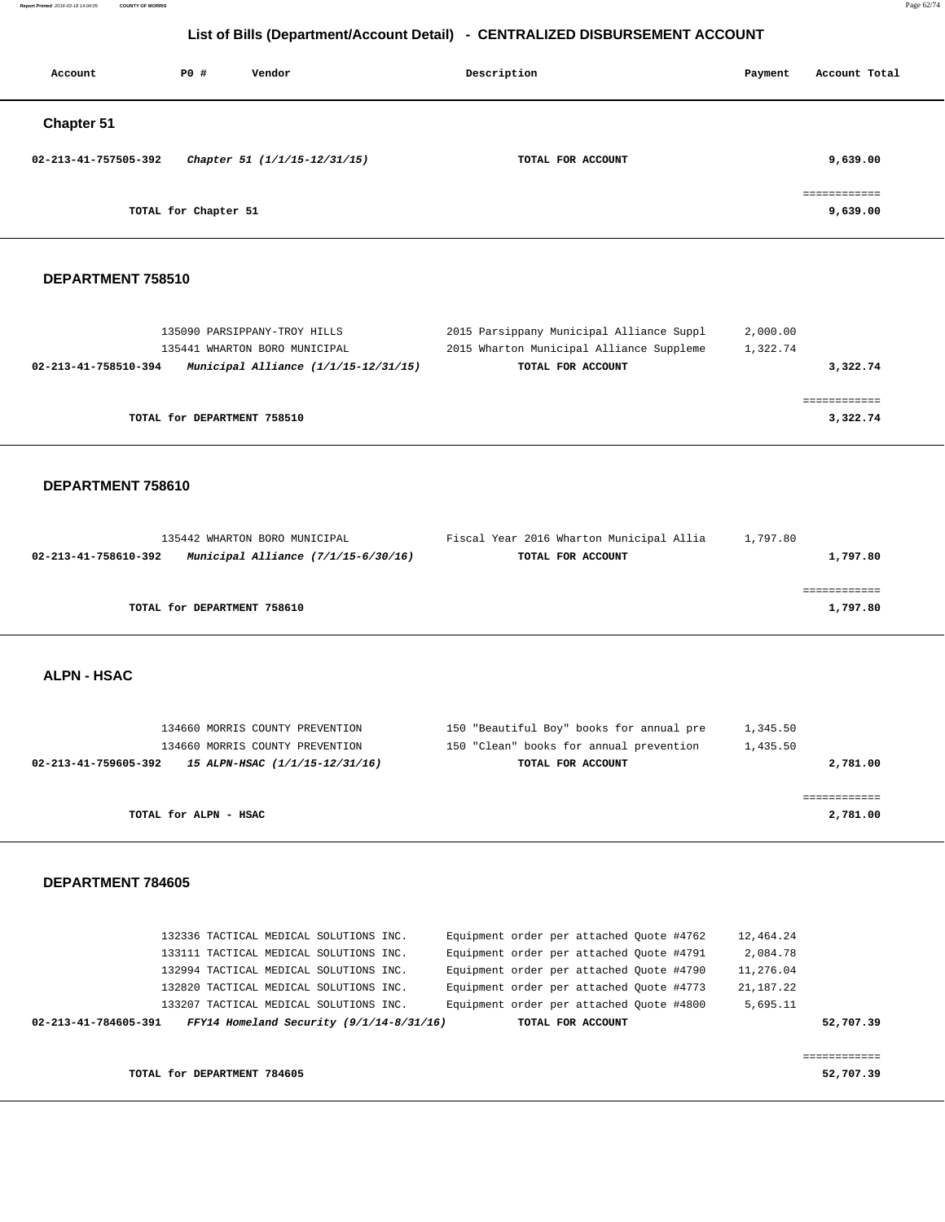**Report Printed** 2016-03-18 14:04:05 **COUNTY OF MORRIS** Page 62/74

# **List of Bills (Department/Account Detail) - CENTRALIZED DISBURSEMENT ACCOUNT**

| Account              | P0 #                 | Vendor                       | Description       | Account Total<br>Payment |
|----------------------|----------------------|------------------------------|-------------------|--------------------------|
| Chapter 51           |                      |                              |                   |                          |
| 02-213-41-757505-392 |                      | Chapter 51 (1/1/15-12/31/15) | TOTAL FOR ACCOUNT | 9,639.00                 |
|                      | TOTAL for Chapter 51 |                              |                   | ============<br>9,639.00 |
|                      |                      |                              |                   |                          |

#### **DEPARTMENT 758510**

| 135090 PARSIPPANY-TROY HILLS                                   | 2015 Parsippany Municipal Alliance Suppl | 2,000.00 |
|----------------------------------------------------------------|------------------------------------------|----------|
| 135441 WHARTON BORO MUNICIPAL                                  | 2015 Wharton Municipal Alliance Suppleme | 1,322.74 |
| Municipal Alliance $(1/1/15-12/31/15)$<br>02-213-41-758510-394 | TOTAL FOR ACCOUNT                        | 3,322.74 |
|                                                                |                                          |          |
|                                                                |                                          |          |
| TOTAL for DEPARTMENT 758510                                    |                                          | 3,322.74 |
|                                                                |                                          |          |

#### **DEPARTMENT 758610**

| 135442 WHARTON BORO MUNICIPAL                               | Fiscal Year 2016 Wharton Municipal Allia | 1,797.80 |
|-------------------------------------------------------------|------------------------------------------|----------|
| Municipal Alliance (7/1/15-6/30/16)<br>02-213-41-758610-392 | TOTAL FOR ACCOUNT                        | 1,797.80 |
|                                                             |                                          |          |
|                                                             |                                          |          |
| TOTAL for DEPARTMENT 758610                                 |                                          | 1,797.80 |
|                                                             |                                          |          |

#### **ALPN - HSAC**

| 134660 MORRIS COUNTY PREVENTION                        | 150 "Beautiful Boy" books for annual pre | 1,345.50 |
|--------------------------------------------------------|------------------------------------------|----------|
| 134660 MORRIS COUNTY PREVENTION                        | 150 "Clean" books for annual prevention  | 1,435.50 |
| 15 ALPN-HSAC (1/1/15-12/31/16)<br>02-213-41-759605-392 | TOTAL FOR ACCOUNT                        | 2,781.00 |
|                                                        |                                          |          |
|                                                        |                                          |          |
| TOTAL for ALPN - HSAC                                  |                                          | 2,781.00 |

#### **DEPARTMENT 784605**

| 02-213-41-784605-391 |  |                                        | FFY14 Homeland Security $(9/1/14-8/31/16)$ |                                          |  | TOTAL FOR ACCOUNT |  |             | 52,707.39 |
|----------------------|--|----------------------------------------|--------------------------------------------|------------------------------------------|--|-------------------|--|-------------|-----------|
|                      |  |                                        |                                            |                                          |  |                   |  |             |           |
|                      |  | 133207 TACTICAL MEDICAL SOLUTIONS INC. |                                            | Equipment order per attached Quote #4800 |  |                   |  | 5,695.11    |           |
|                      |  | 132820 TACTICAL MEDICAL SOLUTIONS INC. |                                            | Equipment order per attached Quote #4773 |  |                   |  | 21, 187. 22 |           |
|                      |  | 132994 TACTICAL MEDICAL SOLUTIONS INC. |                                            | Equipment order per attached Quote #4790 |  |                   |  | 11,276.04   |           |
|                      |  | 133111 TACTICAL MEDICAL SOLUTIONS INC. |                                            | Equipment order per attached Quote #4791 |  |                   |  | 2,084.78    |           |
|                      |  | 132336 TACTICAL MEDICAL SOLUTIONS INC. |                                            | Equipment order per attached Quote #4762 |  |                   |  | 12,464.24   |           |

**TOTAL for DEPARTMENT 784605 52,707.39**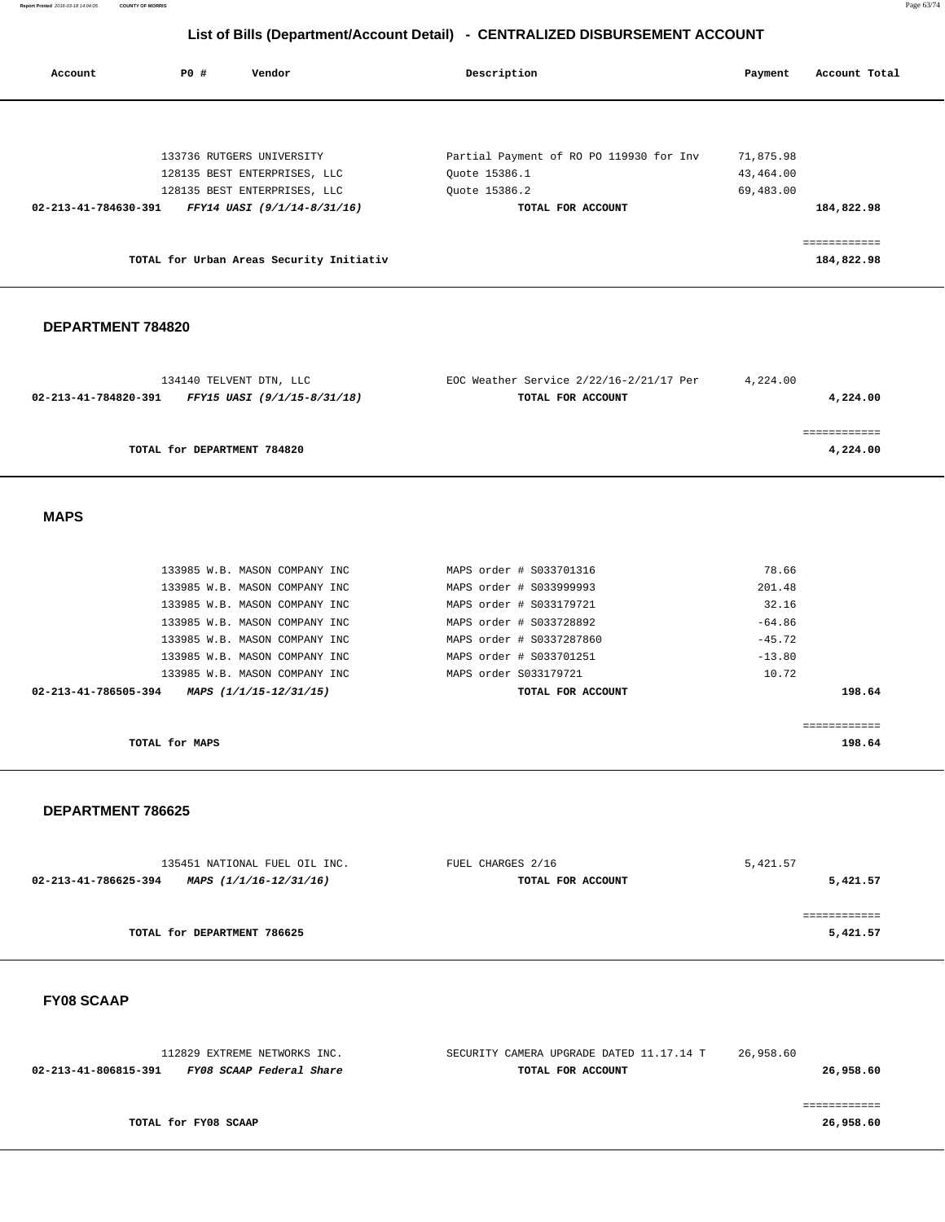**Report Printed** 2016-03-18 14:04:05 **COUNTY OF MORRIS** Page 63/74

# **List of Bills (Department/Account Detail) - CENTRALIZED DISBURSEMENT ACCOUNT**

| Account                        | PO# | Vendor                                   | Description                             | Payment   | Account Total |
|--------------------------------|-----|------------------------------------------|-----------------------------------------|-----------|---------------|
|                                |     |                                          |                                         |           |               |
|                                |     | 133736 RUTGERS UNIVERSITY                | Partial Payment of RO PO 119930 for Inv | 71,875.98 |               |
|                                |     | 128135 BEST ENTERPRISES, LLC             | Ouote 15386.1                           | 43,464.00 |               |
|                                |     | 128135 BEST ENTERPRISES, LLC             | Ouote 15386.2                           | 69,483.00 |               |
| $02 - 213 - 41 - 784630 - 391$ |     | FFY14 UASI (9/1/14-8/31/16)              | TOTAL FOR ACCOUNT                       |           | 184,822.98    |
|                                |     |                                          |                                         |           | eessessesses  |
|                                |     | TOTAL for Urban Areas Security Initiativ |                                         |           | 184,822.98    |
|                                |     |                                          |                                         |           |               |

#### **DEPARTMENT 784820**

| 134140 TELVENT DTN, LLC                             | EOC Weather Service $2/22/16-2/21/17$ Per | 4,224.00 |
|-----------------------------------------------------|-------------------------------------------|----------|
| FFY15 UASI (9/1/15-8/31/18)<br>02-213-41-784820-391 | TOTAL FOR ACCOUNT                         | 4,224.00 |
|                                                     |                                           |          |
|                                                     |                                           |          |
| TOTAL for DEPARTMENT 784820                         |                                           | 4,224.00 |
|                                                     |                                           |          |

 **MAPS** 

| TOTAL for MAPS                                 |                           | 198.64       |
|------------------------------------------------|---------------------------|--------------|
|                                                |                           | ------------ |
| 02-213-41-786505-394<br>MAPS (1/1/15-12/31/15) | TOTAL FOR ACCOUNT         | 198.64       |
| 133985 W.B. MASON COMPANY INC                  | MAPS order S033179721     | 10.72        |
| 133985 W.B. MASON COMPANY INC                  | MAPS order # \$033701251  | $-13.80$     |
| 133985 W.B. MASON COMPANY INC                  | MAPS order # \$0337287860 | $-45.72$     |
| 133985 W.B. MASON COMPANY INC                  | MAPS order # S033728892   | $-64.86$     |
| 133985 W.B. MASON COMPANY INC                  | MAPS order # S033179721   | 32.16        |
| 133985 W.B. MASON COMPANY INC                  | MAPS order # S033999993   | 201.48       |
| 133985 W.B. MASON COMPANY INC                  | MAPS order # S033701316   | 78.66        |

#### **DEPARTMENT 786625**

| 135451 NATIONAL FUEL OIL INC.                  | FUEL CHARGES 2/16 | 5,421.57 |
|------------------------------------------------|-------------------|----------|
| 02-213-41-786625-394<br>MAPS (1/1/16-12/31/16) | TOTAL FOR ACCOUNT | 5,421.57 |
|                                                |                   |          |
|                                                |                   |          |
| TOTAL for DEPARTMENT 786625                    |                   | 5,421.57 |
|                                                |                   |          |

 **FY08 SCAAP** 

| 112829 EXTREME NETWORKS INC.                     | SECURITY CAMERA UPGRADE DATED 11.17.14 T | 26,958.60 |
|--------------------------------------------------|------------------------------------------|-----------|
| FY08 SCAAP Federal Share<br>02-213-41-806815-391 | TOTAL FOR ACCOUNT                        | 26,958.60 |
|                                                  |                                          |           |
|                                                  |                                          |           |
| TOTAL for FY08 SCAAP                             |                                          | 26,958.60 |
|                                                  |                                          |           |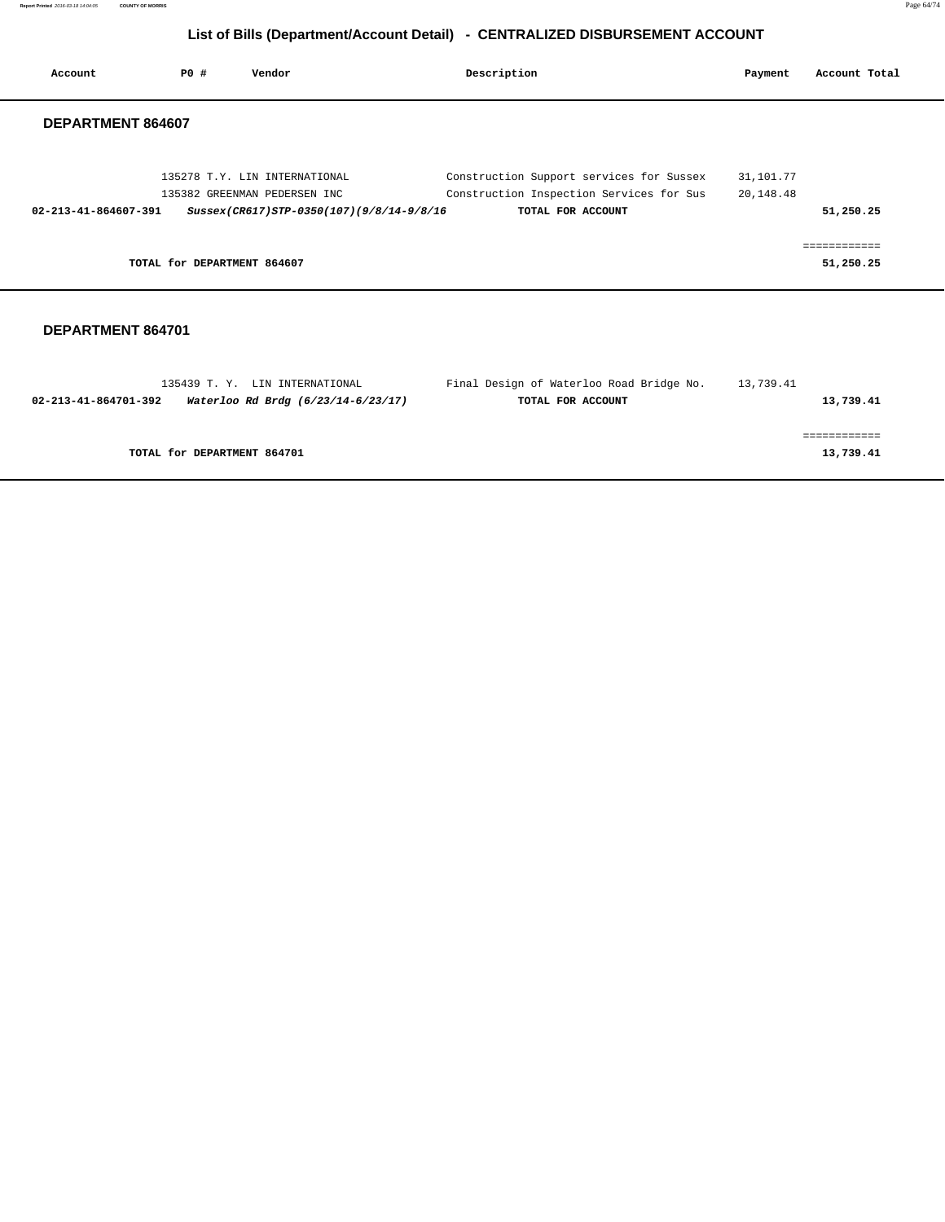**Report Printed** 2016-03-18 14:04:05 **COUNTY OF MORRIS** Page 64/74

# **List of Bills (Department/Account Detail) - CENTRALIZED DISBURSEMENT ACCOUNT**

| Account                        | PO#                         | Vendor                                                                                                    | Description                                                                                               | Payment                | Account Total             |
|--------------------------------|-----------------------------|-----------------------------------------------------------------------------------------------------------|-----------------------------------------------------------------------------------------------------------|------------------------|---------------------------|
| DEPARTMENT 864607              |                             |                                                                                                           |                                                                                                           |                        |                           |
| $02 - 213 - 41 - 864607 - 391$ |                             | 135278 T.Y. LIN INTERNATIONAL<br>135382 GREENMAN PEDERSEN INC<br>Sussex(CR617)STP-0350(107)(9/8/14-9/8/16 | Construction Support services for Sussex<br>Construction Inspection Services for Sus<br>TOTAL FOR ACCOUNT | 31,101.77<br>20,148.48 | 51,250.25                 |
|                                | TOTAL for DEPARTMENT 864607 |                                                                                                           |                                                                                                           |                        | ============<br>51,250.25 |
| DEPARTMENT 864701              |                             |                                                                                                           |                                                                                                           |                        |                           |
| $02 - 213 - 41 - 864701 - 392$ |                             | 135439 T.Y. LIN INTERNATIONAL<br>Waterloo Rd Brdg (6/23/14-6/23/17)                                       | Final Design of Waterloo Road Bridge No.<br>TOTAL FOR ACCOUNT                                             | 13,739.41              | 13,739.41                 |

 ============ **TOTAL for DEPARTMENT 864701 13,739.41 13,739.41**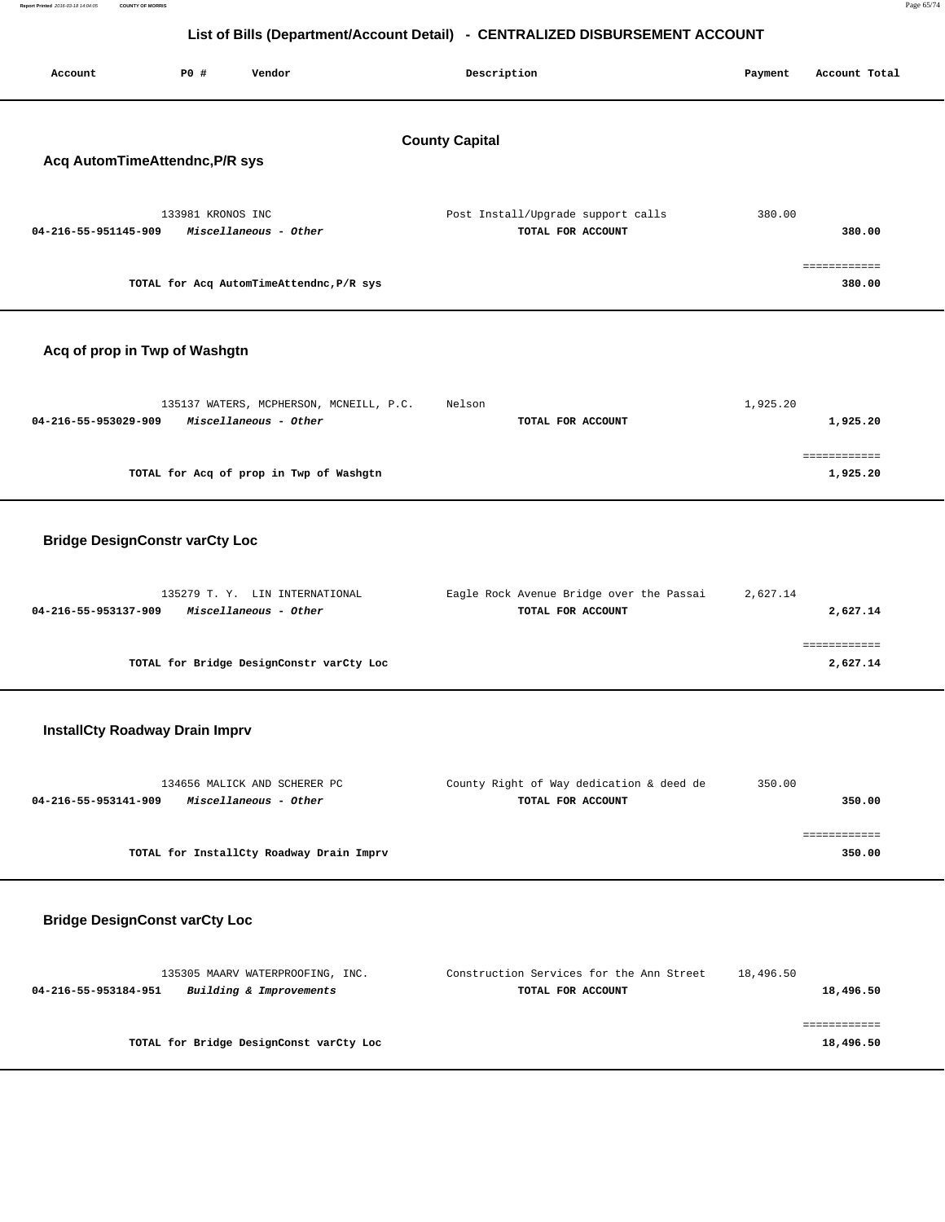| Report Printed 2016-03-18 14:04:05 | <b>COUNTY OF MORRIS</b> |                                                                              | Page 65/74 |
|------------------------------------|-------------------------|------------------------------------------------------------------------------|------------|
|                                    |                         |                                                                              |            |
|                                    |                         | List of Bills (Department/Account Detail) - CENTRALIZED DISBURSEMENT ACCOUNT |            |
|                                    |                         |                                                                              |            |
|                                    |                         |                                                                              |            |

# **List of Bills (Department/Account Detail) - CENTRALIZED DISB**

| Account                                                 | P0 #              | Vendor                                                           | Description                                                   | Payment   | Account Total            |  |  |  |
|---------------------------------------------------------|-------------------|------------------------------------------------------------------|---------------------------------------------------------------|-----------|--------------------------|--|--|--|
| <b>County Capital</b><br>Acq AutomTimeAttendnc, P/R sys |                   |                                                                  |                                                               |           |                          |  |  |  |
| 04-216-55-951145-909                                    | 133981 KRONOS INC | Miscellaneous - Other                                            | Post Install/Upgrade support calls<br>TOTAL FOR ACCOUNT       | 380.00    | 380.00                   |  |  |  |
|                                                         |                   | TOTAL for Acq AutomTimeAttendnc, P/R sys                         |                                                               |           | ============<br>380.00   |  |  |  |
| Acq of prop in Twp of Washgtn                           |                   |                                                                  |                                                               |           |                          |  |  |  |
| 04-216-55-953029-909                                    |                   | 135137 WATERS, MCPHERSON, MCNEILL, P.C.<br>Miscellaneous - Other | Nelson<br>TOTAL FOR ACCOUNT                                   | 1,925.20  | 1,925.20                 |  |  |  |
|                                                         |                   | TOTAL for Acq of prop in Twp of Washgtn                          |                                                               |           | ------------<br>1,925.20 |  |  |  |
| <b>Bridge DesignConstr varCty Loc</b>                   |                   |                                                                  |                                                               |           |                          |  |  |  |
| 04-216-55-953137-909                                    |                   | 135279 T. Y. LIN INTERNATIONAL<br>Miscellaneous - Other          | Eagle Rock Avenue Bridge over the Passai<br>TOTAL FOR ACCOUNT | 2,627.14  | 2,627.14                 |  |  |  |
|                                                         |                   | TOTAL for Bridge DesignConstr varCty Loc                         |                                                               |           | ============<br>2,627.14 |  |  |  |
| <b>InstallCty Roadway Drain Imprv</b>                   |                   |                                                                  |                                                               |           |                          |  |  |  |
| 04-216-55-953141-909                                    |                   | 134656 MALICK AND SCHERER PC<br>Miscellaneous - Other            | County Right of Way dedication & deed de<br>TOTAL FOR ACCOUNT | 350.00    | 350.00                   |  |  |  |
|                                                         |                   | TOTAL for InstallCty Roadway Drain Imprv                         |                                                               |           | ============<br>350.00   |  |  |  |
| <b>Bridge DesignConst varCty Loc</b>                    |                   |                                                                  |                                                               |           |                          |  |  |  |
| 04-216-55-953184-951                                    |                   | 135305 MAARV WATERPROOFING, INC.<br>Building & Improvements      | Construction Services for the Ann Street<br>TOTAL FOR ACCOUNT | 18,496.50 | 18,496.50                |  |  |  |

============

**TOTAL for Bridge DesignConst varCty Loc 18,496.50**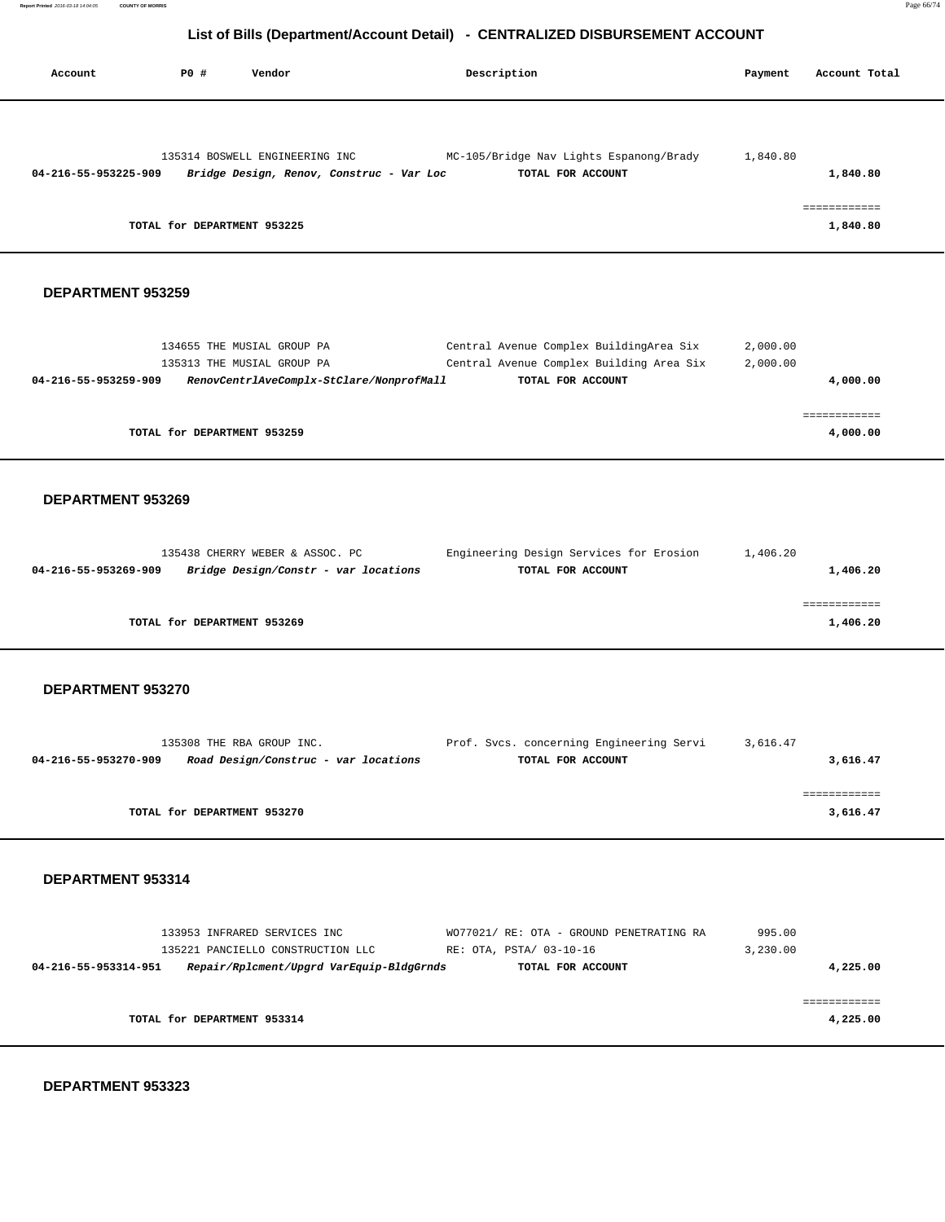| Account              | P0 #<br>Vendor                                                                          |                                          | Description                                                                                                                | Payment              | Account Total                        |
|----------------------|-----------------------------------------------------------------------------------------|------------------------------------------|----------------------------------------------------------------------------------------------------------------------------|----------------------|--------------------------------------|
| 04-216-55-953225-909 | 135314 BOSWELL ENGINEERING INC<br>TOTAL for DEPARTMENT 953225                           | Bridge Design, Renov, Construc - Var Loc | MC-105/Bridge Nav Lights Espanong/Brady<br>TOTAL FOR ACCOUNT                                                               | 1,840.80             | 1,840.80<br>============<br>1,840.80 |
| DEPARTMENT 953259    |                                                                                         |                                          |                                                                                                                            |                      |                                      |
| 04-216-55-953259-909 | 134655 THE MUSIAL GROUP PA<br>135313 THE MUSIAL GROUP PA<br>TOTAL for DEPARTMENT 953259 | RenovCentrlAveComplx-StClare/NonprofMall | Central Avenue Complex BuildingArea Six<br>Central Avenue Complex Building Area Six<br>TOTAL FOR ACCOUNT                   | 2,000.00<br>2,000.00 | 4,000.00<br>============<br>4,000.00 |
| DEPARTMENT 953269    |                                                                                         |                                          |                                                                                                                            |                      |                                      |
| 04-216-55-953269-909 | 135438 CHERRY WEBER & ASSOC. PC                                                         | Bridge Design/Constr - var locations     | Engineering Design Services for Erosion<br>TOTAL FOR ACCOUNT                                                               | 1,406.20             | 1,406.20<br>============             |
|                      | TOTAL for DEPARTMENT 953269                                                             |                                          |                                                                                                                            |                      | 1,406.20                             |
| DEPARTMENT 953270    |                                                                                         |                                          |                                                                                                                            |                      |                                      |
| 04-216-55-953270-909 | 135308 THE RBA GROUP INC.                                                               | Road Design/Construc - var locations     | Prof. Svcs. concerning Engineering Servi<br>TOTAL FOR ACCOUNT                                                              | 3,616.47             | 3,616.47                             |
|                      | TOTAL for DEPARTMENT 953270                                                             |                                          |                                                                                                                            |                      | 3,616.47                             |
| DEPARTMENT 953314    |                                                                                         |                                          |                                                                                                                            |                      |                                      |
| 04-216-55-953314-951 | 133953 INFRARED SERVICES INC                                                            | Repair/Rplcment/Upgrd VarEquip-BldgGrnds | WO77021/ RE: OTA - GROUND PENETRATING RA<br>135221 PANCIELLO CONSTRUCTION LLC RE: OTA, PSTA/ 03-10-16<br>TOTAL FOR ACCOUNT | 995.00<br>3,230.00   | 4,225.00                             |
|                      | TOTAL for DEPARTMENT 953314                                                             |                                          |                                                                                                                            |                      | ============<br>4,225.00             |

 **DEPARTMENT 953323**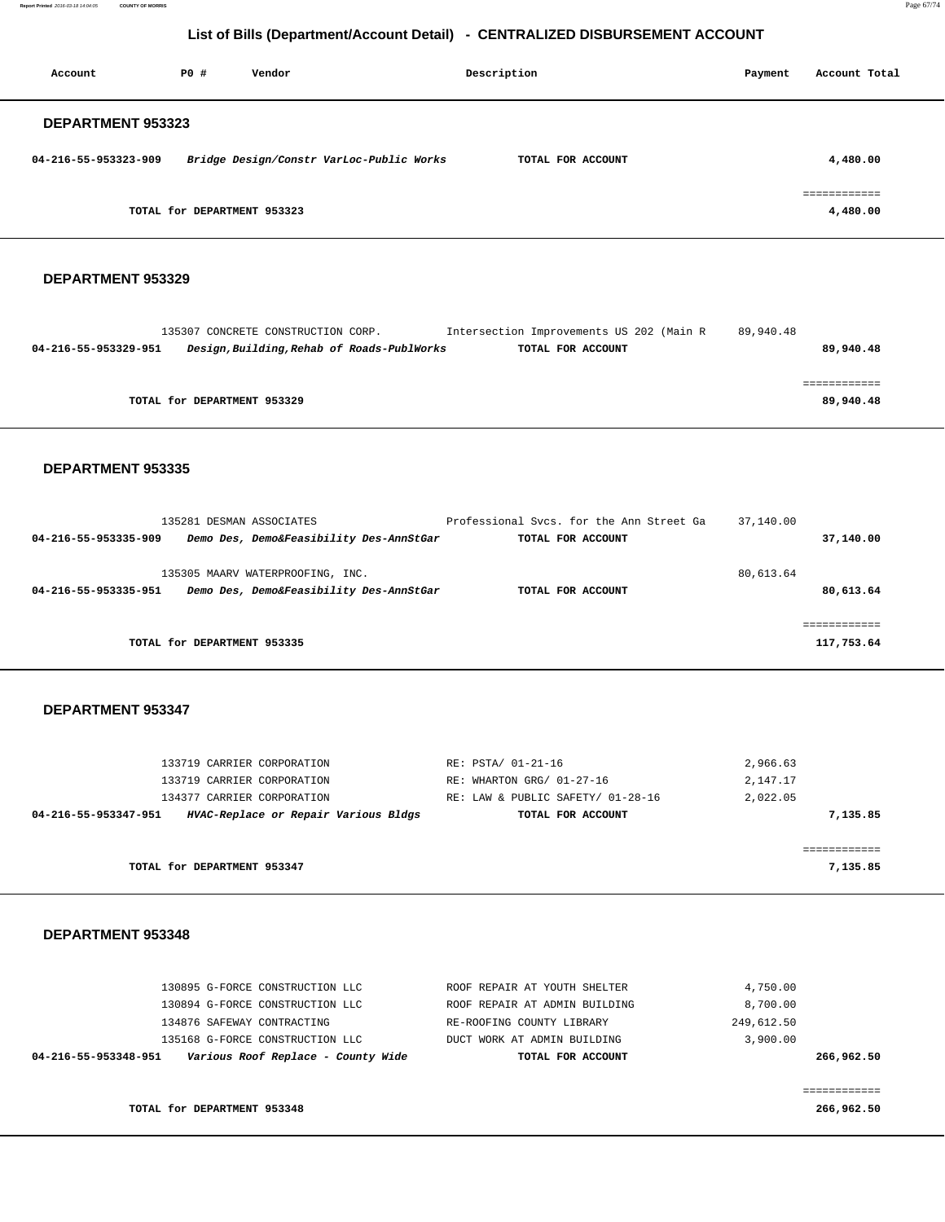**Report Printed** 2016-03-18 14:04:05 **COUNTY OF MORRIS** Page 67/74

# **List of Bills (Department/Account Detail) - CENTRALIZED DISBURSEMENT ACCOUNT**

| Account                  | PO#                         | Vendor                                   | Description       | Payment | Account Total          |
|--------------------------|-----------------------------|------------------------------------------|-------------------|---------|------------------------|
| <b>DEPARTMENT 953323</b> |                             |                                          |                   |         |                        |
| 04-216-55-953323-909     |                             | Bridge Design/Constr VarLoc-Public Works | TOTAL FOR ACCOUNT |         | 4,480.00               |
|                          | TOTAL for DEPARTMENT 953323 |                                          |                   |         | eeeeeeeeee<br>4,480.00 |

#### **DEPARTMENT 953329**

|                      | 135307 CONCRETE CONSTRUCTION CORP. |                                            | Intersection Improvements US 202 (Main R | 89,940.48 |           |
|----------------------|------------------------------------|--------------------------------------------|------------------------------------------|-----------|-----------|
| 04-216-55-953329-951 |                                    | Design, Building, Rehab of Roads-PublWorks | TOTAL FOR ACCOUNT                        |           | 89,940.48 |
|                      |                                    |                                            |                                          |           |           |
|                      |                                    |                                            |                                          |           |           |
|                      | TOTAL for DEPARTMENT 953329        |                                            |                                          |           | 89,940.48 |
|                      |                                    |                                            |                                          |           |           |

#### **DEPARTMENT 953335**

| 135281 DESMAN ASSOCIATES<br>04-216-55-953335-909 |                                                                             | Professional Sycs. for the Ann Street Ga | 37,140.00              |
|--------------------------------------------------|-----------------------------------------------------------------------------|------------------------------------------|------------------------|
|                                                  | Demo Des, Demo&Feasibility Des-AnnStGar                                     | TOTAL FOR ACCOUNT                        | 37,140.00              |
| 04-216-55-953335-951                             | 135305 MAARV WATERPROOFING, INC.<br>Demo Des, Demo&Feasibility Des-AnnStGar | TOTAL FOR ACCOUNT                        | 80,613.64<br>80,613.64 |
|                                                  |                                                                             |                                          |                        |
|                                                  |                                                                             |                                          |                        |
| TOTAL for DEPARTMENT 953335                      |                                                                             |                                          | 117,753.64             |

#### **DEPARTMENT 953347**

| 04-216-55-953347-951 | HVAC-Replace or Repair Various Bldgs | TOTAL FOR ACCOUNT                 |          | 7,135.85 |
|----------------------|--------------------------------------|-----------------------------------|----------|----------|
|                      | 134377 CARRIER CORPORATION           | RE: LAW & PUBLIC SAFETY/ 01-28-16 | 2,022.05 |          |
|                      | 133719 CARRIER CORPORATION           | RE: WHARTON GRG/ 01-27-16         | 2,147.17 |          |
|                      | 133719 CARRIER CORPORATION           | RE: PSTA/ 01-21-16                | 2,966.63 |          |
|                      |                                      |                                   |          |          |

============

**TOTAL for DEPARTMENT 953347 7,135.85**

#### **DEPARTMENT 953348**

| Various Roof Replace - County Wide<br>04-216-55-953348-951 | TOTAL FOR ACCOUNT             | 266,962.50 |
|------------------------------------------------------------|-------------------------------|------------|
| 135168 G-FORCE CONSTRUCTION LLC                            | DUCT WORK AT ADMIN BUILDING   | 3,900.00   |
| 134876 SAFEWAY CONTRACTING                                 | RE-ROOFING COUNTY LIBRARY     | 249,612.50 |
| 130894 G-FORCE CONSTRUCTION LLC                            | ROOF REPAIR AT ADMIN BUILDING | 8,700.00   |
| 130895 G-FORCE CONSTRUCTION LLC                            | ROOF REPAIR AT YOUTH SHELTER  | 4,750.00   |
|                                                            |                               |            |

**TOTAL for DEPARTMENT 953348 266,962.50**

============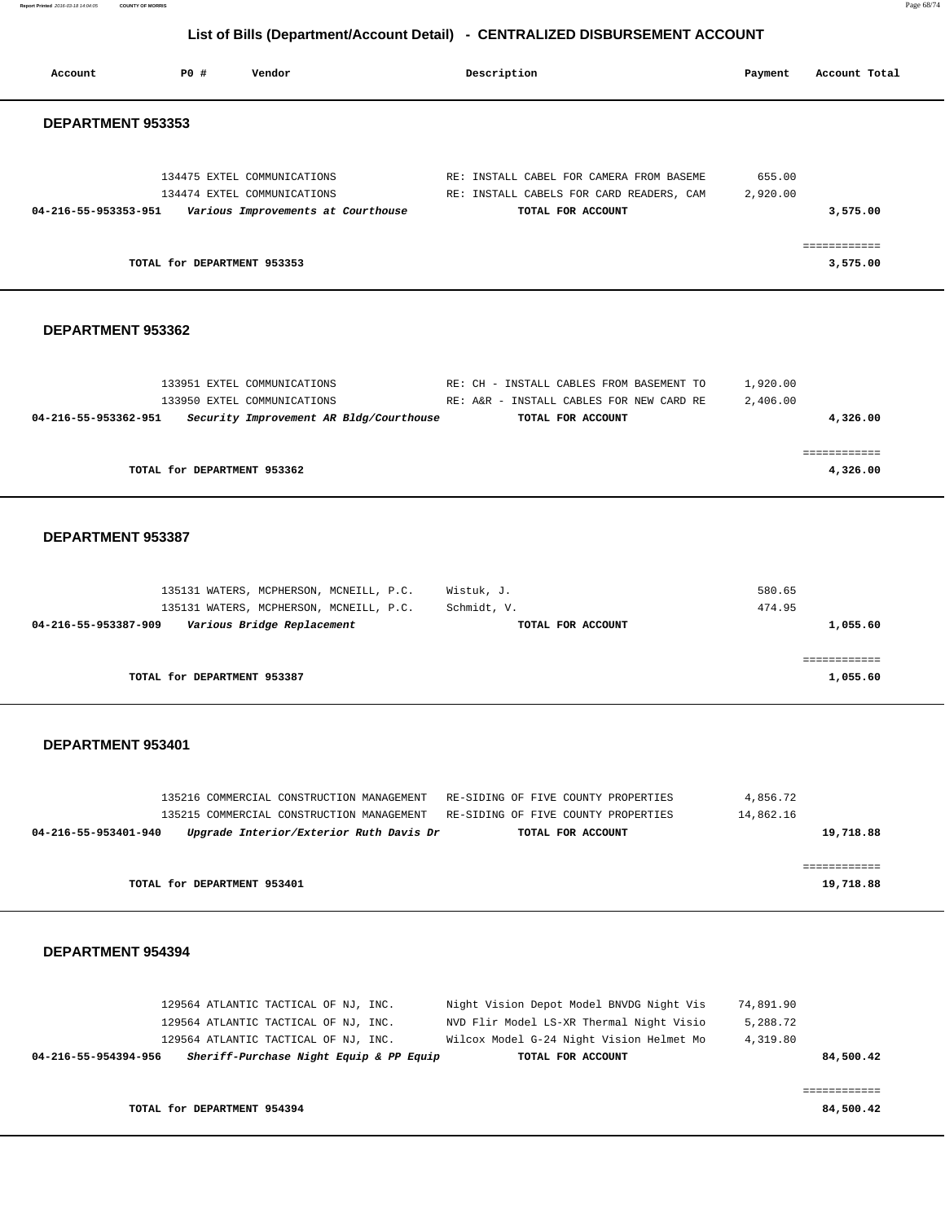**Report Printed** 2016-03-18 14:04:05 **COUNTY OF MORRIS** Page 68/74

# **List of Bills (Department/Account Detail) - CENTRALIZED DISBURSEMENT ACCOUNT**

| Account                  | P0 #                        | Vendor                                                                                                                                                          | Description                                                                                     |                                                                                                                                  | Payment                           | Account Total             |
|--------------------------|-----------------------------|-----------------------------------------------------------------------------------------------------------------------------------------------------------------|-------------------------------------------------------------------------------------------------|----------------------------------------------------------------------------------------------------------------------------------|-----------------------------------|---------------------------|
| DEPARTMENT 953353        |                             |                                                                                                                                                                 |                                                                                                 |                                                                                                                                  |                                   |                           |
| 04-216-55-953353-951     |                             | 134475 EXTEL COMMUNICATIONS<br>134474 EXTEL COMMUNICATIONS<br>Various Improvements at Courthouse                                                                | TOTAL FOR ACCOUNT                                                                               | RE: INSTALL CABEL FOR CAMERA FROM BASEME<br>RE: INSTALL CABELS FOR CARD READERS, CAM                                             | 655.00<br>2,920.00                | 3,575.00<br>============  |
|                          | TOTAL for DEPARTMENT 953353 |                                                                                                                                                                 |                                                                                                 |                                                                                                                                  |                                   | 3,575.00                  |
| DEPARTMENT 953362        |                             |                                                                                                                                                                 |                                                                                                 |                                                                                                                                  |                                   |                           |
| 04-216-55-953362-951     |                             | 133951 EXTEL COMMUNICATIONS<br>133950 EXTEL COMMUNICATIONS<br>Security Improvement AR Bldg/Courthouse                                                           | TOTAL FOR ACCOUNT                                                                               | RE: CH - INSTALL CABLES FROM BASEMENT TO<br>RE: A&R - INSTALL CABLES FOR NEW CARD RE                                             | 1,920.00<br>2,406.00              | 4,326.00                  |
|                          | TOTAL for DEPARTMENT 953362 |                                                                                                                                                                 |                                                                                                 |                                                                                                                                  |                                   | ============<br>4,326.00  |
| DEPARTMENT 953387        |                             |                                                                                                                                                                 |                                                                                                 |                                                                                                                                  |                                   |                           |
| 04-216-55-953387-909     |                             | 135131 WATERS, MCPHERSON, MCNEILL, P.C.<br>135131 WATERS, MCPHERSON, MCNEILL, P.C.<br>Various Bridge Replacement                                                | Wistuk, J.<br>Schmidt, V.<br>TOTAL FOR ACCOUNT                                                  |                                                                                                                                  | 580.65<br>474.95                  | 1,055.60                  |
|                          | TOTAL for DEPARTMENT 953387 |                                                                                                                                                                 |                                                                                                 |                                                                                                                                  |                                   | ============<br>1,055.60  |
| DEPARTMENT 953401        |                             |                                                                                                                                                                 |                                                                                                 |                                                                                                                                  |                                   |                           |
| 04-216-55-953401-940     |                             | 135216 COMMERCIAL CONSTRUCTION MANAGEMENT<br>135215 COMMERCIAL CONSTRUCTION MANAGEMENT<br>Upgrade Interior/Exterior Ruth Davis Dr                               | RE-SIDING OF FIVE COUNTY PROPERTIES<br>RE-SIDING OF FIVE COUNTY PROPERTIES<br>TOTAL FOR ACCOUNT |                                                                                                                                  | 4,856.72<br>14,862.16             | 19,718.88                 |
|                          | TOTAL for DEPARTMENT 953401 |                                                                                                                                                                 |                                                                                                 |                                                                                                                                  |                                   | ============<br>19,718.88 |
| <b>DEPARTMENT 954394</b> |                             |                                                                                                                                                                 |                                                                                                 |                                                                                                                                  |                                   |                           |
| 04-216-55-954394-956     |                             | 129564 ATLANTIC TACTICAL OF NJ, INC.<br>129564 ATLANTIC TACTICAL OF NJ, INC.<br>129564 ATLANTIC TACTICAL OF NJ, INC.<br>Sheriff-Purchase Night Equip & PP Equip | TOTAL FOR ACCOUNT                                                                               | Night Vision Depot Model BNVDG Night Vis<br>NVD Flir Model LS-XR Thermal Night Visio<br>Wilcox Model G-24 Night Vision Helmet Mo | 74,891.90<br>5,288.72<br>4,319.80 | 84,500.42                 |
|                          | TOTAL for DEPARTMENT 954394 |                                                                                                                                                                 |                                                                                                 |                                                                                                                                  |                                   | ============<br>84,500.42 |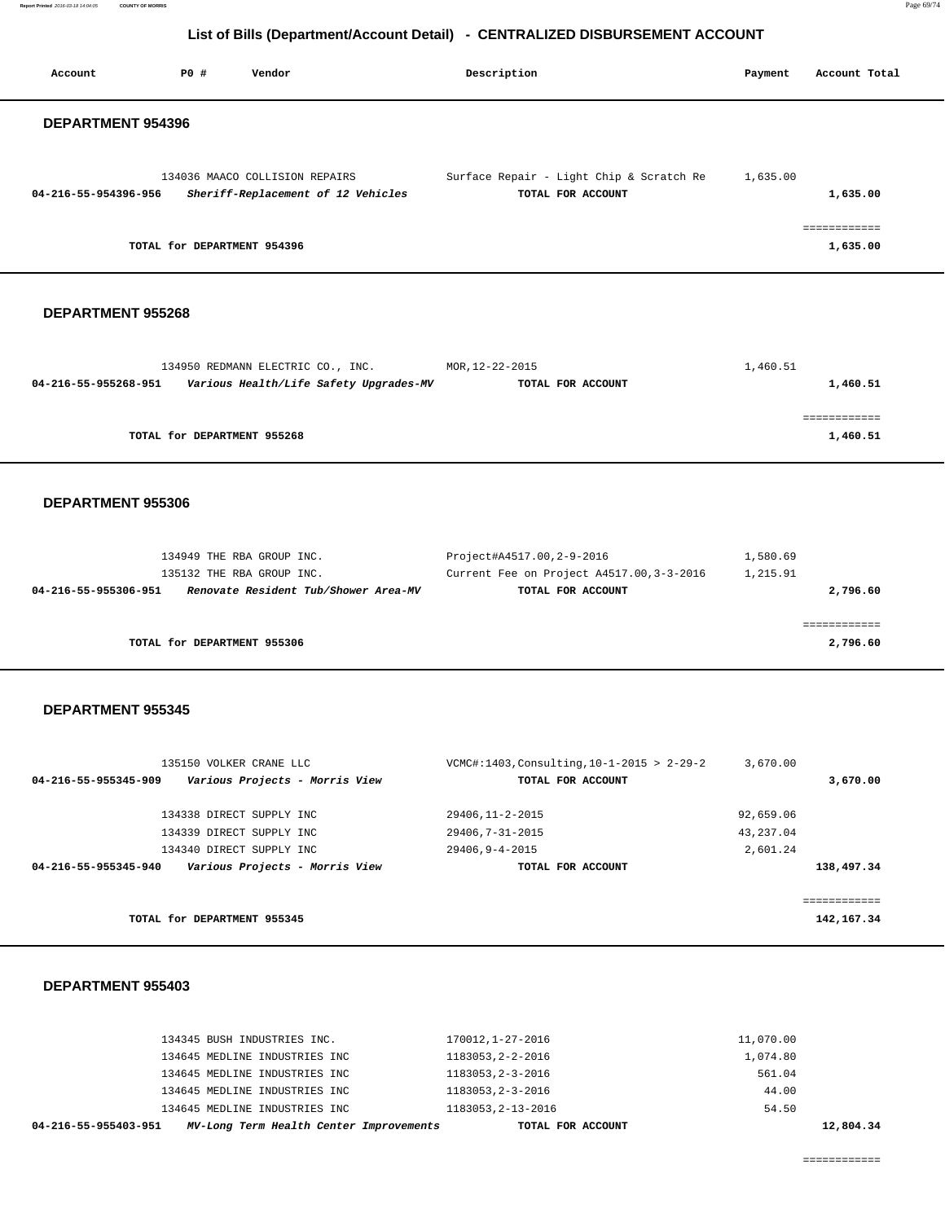| Account                  | PO#                         | Vendor                                                                                      | Description                                                   | Payment<br>Account Total |
|--------------------------|-----------------------------|---------------------------------------------------------------------------------------------|---------------------------------------------------------------|--------------------------|
| <b>DEPARTMENT 954396</b> |                             |                                                                                             |                                                               |                          |
| 04-216-55-954396-956     |                             | 134036 MAACO COLLISION REPAIRS<br>Sheriff-Replacement of 12 Vehicles                        | Surface Repair - Light Chip & Scratch Re<br>TOTAL FOR ACCOUNT | 1,635.00<br>1,635.00     |
|                          |                             | TOTAL for DEPARTMENT 954396                                                                 |                                                               | ============<br>1,635.00 |
| DEPARTMENT 955268        |                             |                                                                                             |                                                               |                          |
| 04-216-55-955268-951     |                             | 134950 REDMANN ELECTRIC CO., INC. MOR, 12-22-2015<br>Various Health/Life Safety Upgrades-MV | TOTAL FOR ACCOUNT                                             | 1,460.51<br>1,460.51     |
|                          | TOTAL for DEPARTMENT 955268 |                                                                                             |                                                               | ============<br>1,460.51 |
|                          |                             |                                                                                             |                                                               |                          |

 **DEPARTMENT 955306** 

| Project#A4517.00,2-9-2016<br>1,580.69                 |
|-------------------------------------------------------|
| Current Fee on Project A4517.00, 3-3-2016<br>1,215.91 |
| 2,796.60<br>TOTAL FOR ACCOUNT                         |
|                                                       |
|                                                       |
| 2,796.60                                              |
|                                                       |

#### **DEPARTMENT 955345**

| 135150 VOLKER CRANE LLC                                | VCMC#:1403, Consulting, $10-1-2015 > 2-29-2$ | 3,670.00     |
|--------------------------------------------------------|----------------------------------------------|--------------|
| Various Projects - Morris View<br>04-216-55-955345-909 | TOTAL FOR ACCOUNT                            | 3,670,00     |
| 134338 DIRECT SUPPLY INC                               | 29406, 11-2-2015                             | 92,659.06    |
| 134339 DIRECT SUPPLY INC                               | 29406, 7-31-2015                             | 43, 237, 04  |
| 134340 DIRECT SUPPLY INC                               | 29406.9-4-2015                               | 2,601.24     |
| Various Projects - Morris View<br>04-216-55-955345-940 | TOTAL FOR ACCOUNT                            | 138,497.34   |
|                                                        |                                              |              |
| TOTAL for DEPARTMENT 955345                            |                                              | 142, 167. 34 |

#### **DEPARTMENT 955403**

| 04-216-55-955403-951          | MV-Long Term Health Center Improvements | TOTAL FOR ACCOUNT  |           | 12,804.34 |
|-------------------------------|-----------------------------------------|--------------------|-----------|-----------|
| 134645 MEDLINE INDUSTRIES INC |                                         | 1183053, 2-13-2016 | 54.50     |           |
| 134645 MEDLINE INDUSTRIES INC |                                         | 1183053, 2-3-2016  | 44.00     |           |
| 134645 MEDLINE INDUSTRIES INC |                                         | 1183053.2-3-2016   | 561.04    |           |
| 134645 MEDLINE INDUSTRIES INC |                                         | 1183053, 2-2-2016  | 1,074.80  |           |
| 134345 BUSH INDUSTRIES INC.   |                                         | 170012,1-27-2016   | 11,070.00 |           |
|                               |                                         |                    |           |           |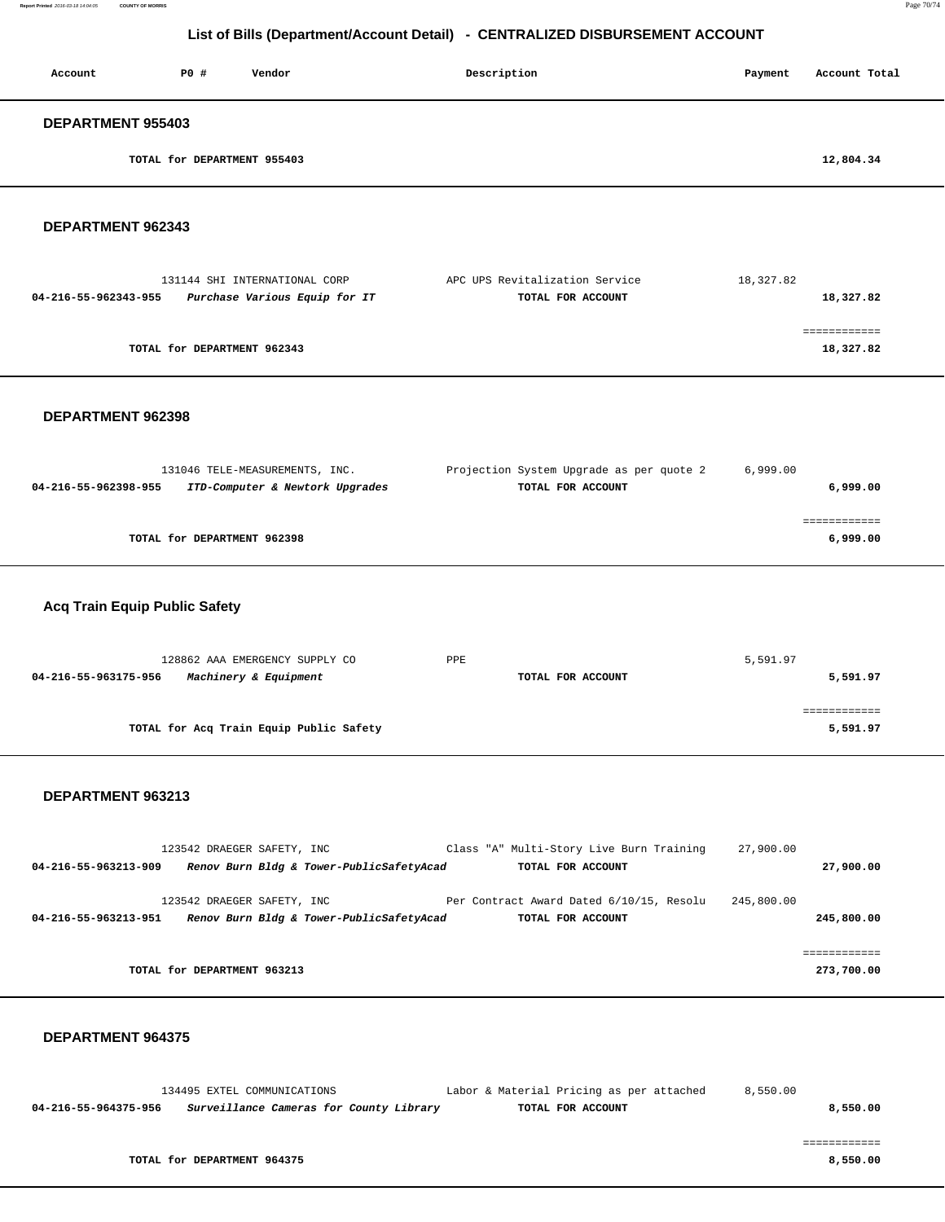| Account                  | P0 #                        | Vendor | Description | Payment | Account Total |  |  |  |
|--------------------------|-----------------------------|--------|-------------|---------|---------------|--|--|--|
| <b>DEPARTMENT 955403</b> |                             |        |             |         |               |  |  |  |
|                          | TOTAL for DEPARTMENT 955403 |        |             |         | 12,804.34     |  |  |  |

#### **DEPARTMENT 962343**

| 131144 SHI INTERNATIONAL CORP                         | APC UPS Revitalization Service | 18,327.82 |
|-------------------------------------------------------|--------------------------------|-----------|
| Purchase Various Equip for IT<br>04-216-55-962343-955 | TOTAL FOR ACCOUNT              | 18,327.82 |
|                                                       |                                |           |
|                                                       |                                |           |
| TOTAL for DEPARTMENT 962343                           |                                | 18,327.82 |
|                                                       |                                |           |

#### **DEPARTMENT 962398**

|                      | 131046 TELE-MEASUREMENTS, INC.  | Projection System Upgrade as per quote 2 | 6,999.00 |
|----------------------|---------------------------------|------------------------------------------|----------|
| 04-216-55-962398-955 | ITD-Computer & Newtork Upgrades | TOTAL FOR ACCOUNT                        | 6,999.00 |
|                      |                                 |                                          |          |
|                      |                                 |                                          |          |
|                      | TOTAL for DEPARTMENT 962398     |                                          | 6,999.00 |
|                      |                                 |                                          |          |

### **Acq Train Equip Public Safety**

| 128862 AAA EMERGENCY SUPPLY CO                | PPE               | 5,591.97 |  |
|-----------------------------------------------|-------------------|----------|--|
| 04-216-55-963175-956<br>Machinery & Equipment | TOTAL FOR ACCOUNT | 5,591.97 |  |
|                                               |                   |          |  |
|                                               |                   |          |  |
| TOTAL for Acq Train Equip Public Safety       |                   | 5,591.97 |  |
|                                               |                   |          |  |

#### **DEPARTMENT 963213**

|                      | 123542 DRAEGER SAFETY, INC  |                                          |  | Class "A" Multi-Story Live Burn Training | 27,900.00  |             |
|----------------------|-----------------------------|------------------------------------------|--|------------------------------------------|------------|-------------|
| 04-216-55-963213-909 |                             | Renov Burn Bldg & Tower-PublicSafetyAcad |  | TOTAL FOR ACCOUNT                        |            | 27,900.00   |
|                      |                             |                                          |  |                                          |            |             |
|                      | 123542 DRAEGER SAFETY, INC  |                                          |  | Per Contract Award Dated 6/10/15, Resolu | 245,800.00 |             |
| 04-216-55-963213-951 |                             | Renov Burn Bldg & Tower-PublicSafetyAcad |  | TOTAL FOR ACCOUNT                        |            | 245,800.00  |
|                      |                             |                                          |  |                                          |            |             |
|                      |                             |                                          |  |                                          |            | ----------- |
|                      | TOTAL for DEPARTMENT 963213 |                                          |  |                                          |            | 273,700.00  |
|                      |                             |                                          |  |                                          |            |             |

#### **DEPARTMENT 964375**

 134495 EXTEL COMMUNICATIONS Labor & Material Pricing as per attached 8,550.00  **04-216-55-964375-956 Surveillance Cameras for County Library TOTAL FOR ACCOUNT 8,550.00**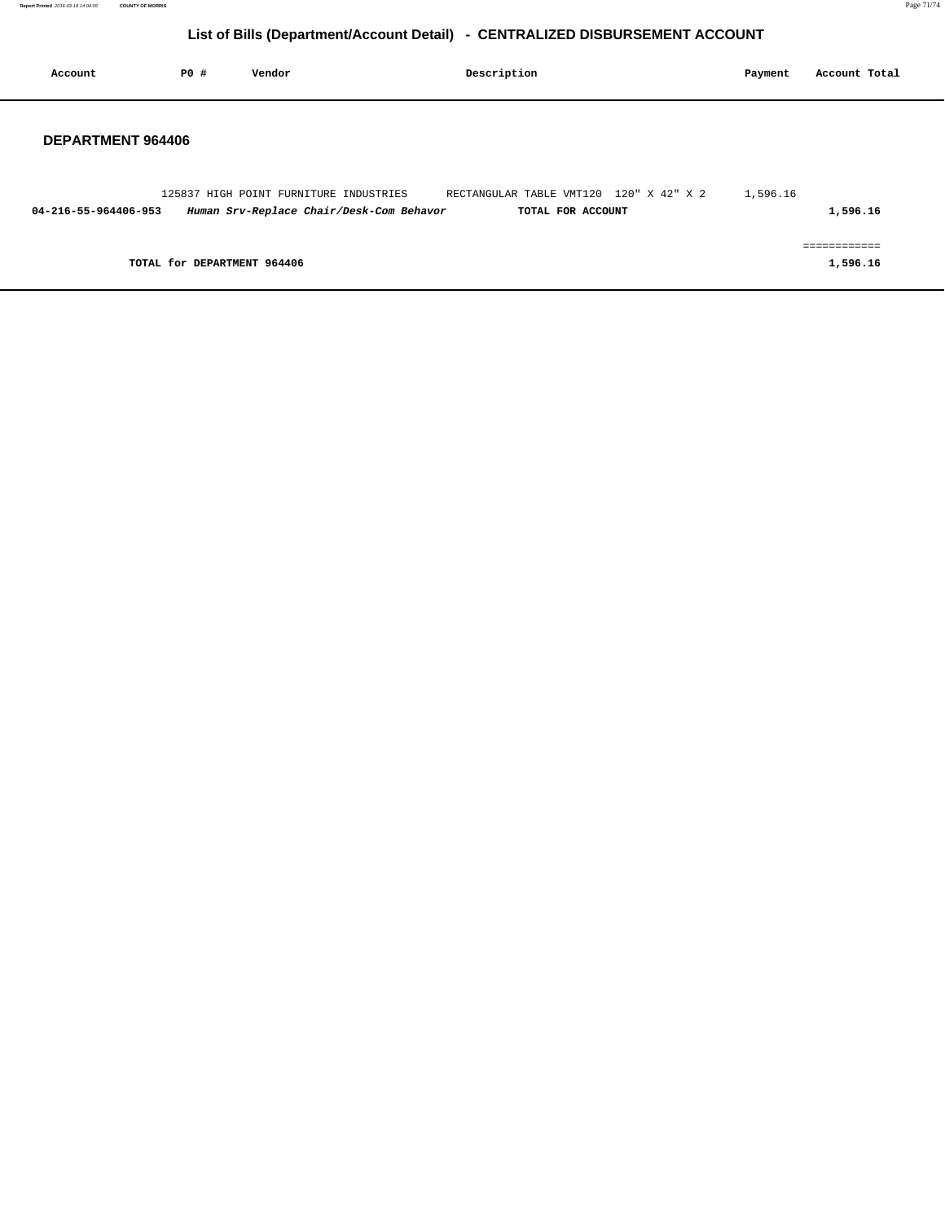| Account              | <b>PO #</b>                 | Vendor                                                                             | Description                                                  | Payment  | Account Total            |  |
|----------------------|-----------------------------|------------------------------------------------------------------------------------|--------------------------------------------------------------|----------|--------------------------|--|
| DEPARTMENT 964406    |                             |                                                                                    |                                                              |          |                          |  |
| 04-216-55-964406-953 |                             | 125837 HIGH POINT FURNITURE INDUSTRIES<br>Human Srv-Replace Chair/Desk-Com Behavor | RECTANGULAR TABLE VMT120 120" X 42" X 2<br>TOTAL FOR ACCOUNT | 1,596.16 | 1,596.16                 |  |
|                      | TOTAL for DEPARTMENT 964406 |                                                                                    |                                                              |          | eessessesses<br>1,596.16 |  |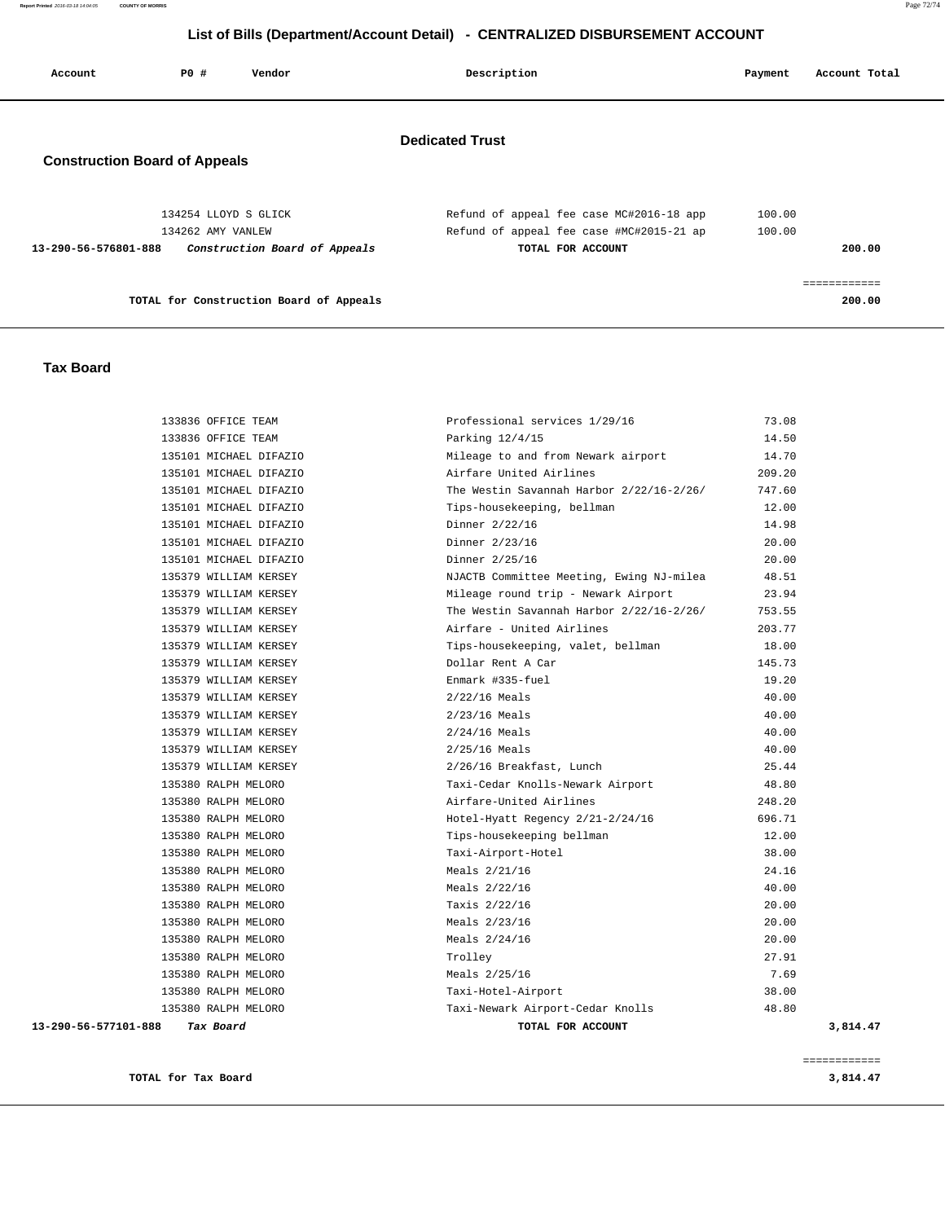**Report Printed** 2016-03-18 14:04:05 **COUNTY OF MORRIS** Page 72/74

# **List of Bills (Department/Account Detail) - CENTRALIZED DISBURSEMENT ACCOUNT**

| Account                                                        | PO#                                       | Vendor                                  | Description                                                                                               | Payment          | Account Total          |  |  |  |
|----------------------------------------------------------------|-------------------------------------------|-----------------------------------------|-----------------------------------------------------------------------------------------------------------|------------------|------------------------|--|--|--|
| <b>Dedicated Trust</b><br><b>Construction Board of Appeals</b> |                                           |                                         |                                                                                                           |                  |                        |  |  |  |
| 13-290-56-576801-888                                           | 134254 LLOYD S GLICK<br>134262 AMY VANLEW | Construction Board of Appeals           | Refund of appeal fee case MC#2016-18 app<br>Refund of appeal fee case #MC#2015-21 ap<br>TOTAL FOR ACCOUNT | 100.00<br>100.00 | 200.00                 |  |  |  |
|                                                                |                                           | TOTAL for Construction Board of Appeals |                                                                                                           |                  | ------------<br>200.00 |  |  |  |

#### **Tax Board**

| 133836 OFFICE TEAM                | Professional services 1/29/16            | 73.08    |
|-----------------------------------|------------------------------------------|----------|
| 133836 OFFICE TEAM                | Parking $12/4/15$                        | 14.50    |
| 135101 MICHAEL DIFAZIO            | Mileage to and from Newark airport       | 14.70    |
| 135101 MICHAEL DIFAZIO            | Airfare United Airlines                  | 209.20   |
| 135101 MICHAEL DIFAZIO            | The Westin Savannah Harbor 2/22/16-2/26/ | 747.60   |
| 135101 MICHAEL DIFAZIO            | Tips-housekeeping, bellman               | 12.00    |
| 135101 MICHAEL DIFAZIO            | Dinner 2/22/16                           | 14.98    |
| 135101 MICHAEL DIFAZIO            | Dinner 2/23/16                           | 20.00    |
| 135101 MICHAEL DIFAZIO            | Dinner 2/25/16                           | 20.00    |
| 135379 WILLIAM KERSEY             | NJACTB Committee Meeting, Ewing NJ-milea | 48.51    |
| 135379 WILLIAM KERSEY             | Mileage round trip - Newark Airport      | 23.94    |
| 135379 WILLIAM KERSEY             | The Westin Savannah Harbor 2/22/16-2/26/ | 753.55   |
| 135379 WILLIAM KERSEY             | Airfare - United Airlines                | 203.77   |
| 135379 WILLIAM KERSEY             | Tips-housekeeping, valet, bellman        | 18.00    |
| 135379 WILLIAM KERSEY             | Dollar Rent A Car                        | 145.73   |
| 135379 WILLIAM KERSEY             | Enmark #335-fuel                         | 19.20    |
| 135379 WILLIAM KERSEY             | $2/22/16$ Meals                          | 40.00    |
| 135379 WILLIAM KERSEY             | $2/23/16$ Meals                          | 40.00    |
| 135379 WILLIAM KERSEY             | $2/24/16$ Meals                          | 40.00    |
| 135379 WILLIAM KERSEY             | $2/25/16$ Meals                          | 40.00    |
| 135379 WILLIAM KERSEY             | 2/26/16 Breakfast, Lunch                 | 25.44    |
| 135380 RALPH MELORO               | Taxi-Cedar Knolls-Newark Airport         | 48.80    |
| 135380 RALPH MELORO               | Airfare-United Airlines                  | 248.20   |
| 135380 RALPH MELORO               | Hotel-Hyatt Regency 2/21-2/24/16         | 696.71   |
| 135380 RALPH MELORO               | Tips-housekeeping bellman                | 12.00    |
| 135380 RALPH MELORO               | Taxi-Airport-Hotel                       | 38.00    |
| 135380 RALPH MELORO               | Meals 2/21/16                            | 24.16    |
| 135380 RALPH MELORO               | Meals 2/22/16                            | 40.00    |
| 135380 RALPH MELORO               | Taxis 2/22/16                            | 20.00    |
| 135380 RALPH MELORO               | Meals 2/23/16                            | 20.00    |
| 135380 RALPH MELORO               | Meals $2/24/16$                          | 20.00    |
| 135380 RALPH MELORO               | Trolley                                  | 27.91    |
| 135380 RALPH MELORO               | Meals 2/25/16                            | 7.69     |
| 135380 RALPH MELORO               | Taxi-Hotel-Airport                       | 38.00    |
| 135380 RALPH MELORO               | Taxi-Newark Airport-Cedar Knolls         | 48.80    |
| 13-290-56-577101-888<br>Tax Board | TOTAL FOR ACCOUNT                        | 3,814.47 |
|                                   |                                          |          |

**TOTAL for Tax Board** 3,814.47

============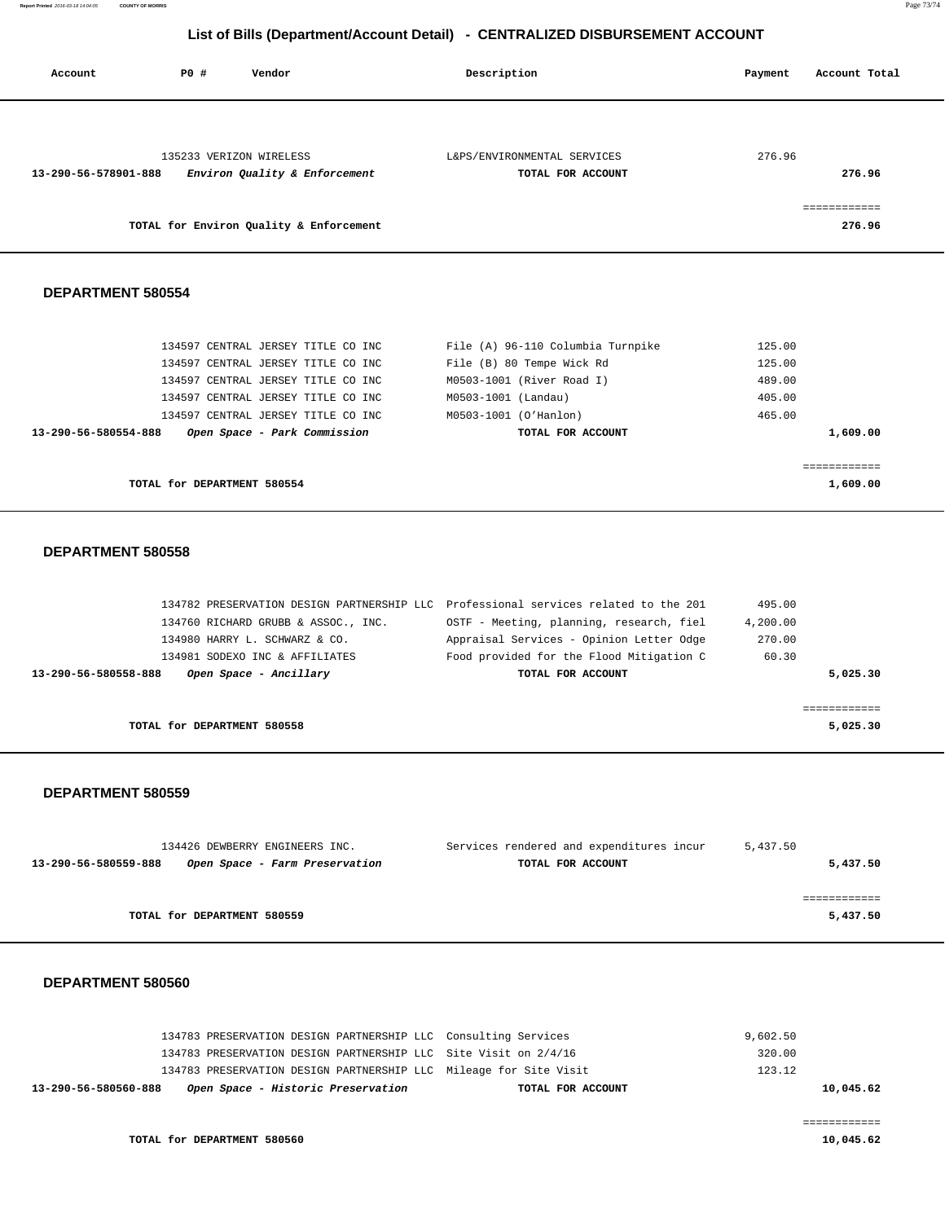**Report Printed** 2016-03-18 14:04:05 **COUNTY OF MORRIS** Page 73/74

## **List of Bills (Department/Account Detail) - CENTRALIZED DISBURSEMENT ACCOUNT**

| Account              | P0 # | Vendor                                                   | Description                                      | Account Total<br>Payment |
|----------------------|------|----------------------------------------------------------|--------------------------------------------------|--------------------------|
| 13-290-56-578901-888 |      | 135233 VERIZON WIRELESS<br>Environ Quality & Enforcement | L&PS/ENVIRONMENTAL SERVICES<br>TOTAL FOR ACCOUNT | 276.96<br>276.96         |
|                      |      | TOTAL for Environ Quality & Enforcement                  |                                                  | essessessess<br>276.96   |
| DEPARTMENT 580554    |      |                                                          |                                                  |                          |

| TOTAL for DEPARTMENT 580554                          | 1,609.00                          |          |
|------------------------------------------------------|-----------------------------------|----------|
|                                                      |                                   |          |
| Open Space - Park Commission<br>13-290-56-580554-888 | TOTAL FOR ACCOUNT                 | 1,609.00 |
| 134597 CENTRAL JERSEY TITLE CO INC                   | M0503-1001 (O'Hanlon)             | 465.00   |
| 134597 CENTRAL JERSEY TITLE CO INC                   | M0503-1001 (Landau)               | 405.00   |
| 134597 CENTRAL JERSEY TITLE CO INC                   | M0503-1001 (River Road I)         | 489.00   |
| 134597 CENTRAL JERSEY TITLE CO INC                   | File (B) 80 Tempe Wick Rd         | 125.00   |
| 134597 CENTRAL JERSEY TITLE CO INC                   | File (A) 96-110 Columbia Turnpike | 125.00   |

### **DEPARTMENT 580558**

| 134782 PRESERVATION DESIGN PARTNERSHIP LLC Professional services related to the 201 |                                          | 495.00   |          |
|-------------------------------------------------------------------------------------|------------------------------------------|----------|----------|
| 134760 RICHARD GRUBB & ASSOC., INC.                                                 | OSTF - Meeting, planning, research, fiel | 4,200.00 |          |
| 134980 HARRY L. SCHWARZ & CO.                                                       | Appraisal Services - Opinion Letter Odge | 270.00   |          |
| 134981 SODEXO INC & AFFILIATES                                                      | Food provided for the Flood Mitigation C | 60.30    |          |
| 13-290-56-580558-888<br>Open Space - Ancillary                                      | TOTAL FOR ACCOUNT                        |          | 5.025.30 |
|                                                                                     |                                          |          |          |
|                                                                                     |                                          |          |          |
| TOTAL for DEPARTMENT 580558                                                         |                                          |          | 5,025.30 |

#### **DEPARTMENT 580559**

|                      | 134426 DEWBERRY ENGINEERS INC. | Services rendered and expenditures incur | 5,437.50 |
|----------------------|--------------------------------|------------------------------------------|----------|
| 13-290-56-580559-888 | Open Space - Farm Preservation | TOTAL FOR ACCOUNT                        | 5,437.50 |
|                      |                                |                                          |          |
|                      |                                |                                          |          |
|                      | TOTAL for DEPARTMENT 580559    |                                          | 5,437.50 |
|                      |                                |                                          |          |

#### **DEPARTMENT 580560**

| 9,602.50  |                                                                   | 134783 PRESERVATION DESIGN PARTNERSHIP LLC Consulting Services |                      |
|-----------|-------------------------------------------------------------------|----------------------------------------------------------------|----------------------|
| 320.00    | 134783 PRESERVATION DESIGN PARTNERSHIP LLC Site Visit on 2/4/16   |                                                                |                      |
| 123.12    | 134783 PRESERVATION DESIGN PARTNERSHIP LLC Mileage for Site Visit |                                                                |                      |
| 10,045.62 | TOTAL FOR ACCOUNT                                                 | Open Space - Historic Preservation                             | 13-290-56-580560-888 |
|           |                                                                   |                                                                |                      |
|           |                                                                   |                                                                |                      |
| 10,045.62 |                                                                   | TOTAL for DEPARTMENT 580560                                    |                      |